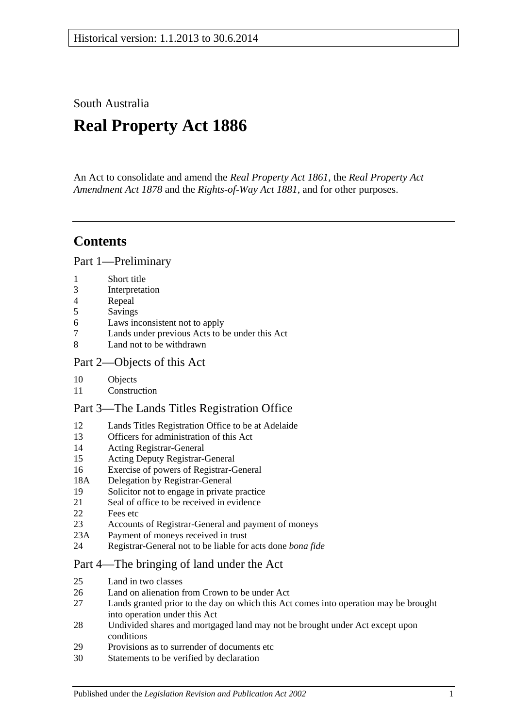South Australia

# **Real Property Act 1886**

An Act to consolidate and amend the *[Real Property Act](http://www.legislation.sa.gov.au/index.aspx?action=legref&type=act&legtitle=Real%20Property%20Act%201861) 1861*, the *[Real Property Act](http://www.legislation.sa.gov.au/index.aspx?action=legref&type=act&legtitle=Real%20Property%20Act%20Amendment%20Act%201878)  [Amendment Act](http://www.legislation.sa.gov.au/index.aspx?action=legref&type=act&legtitle=Real%20Property%20Act%20Amendment%20Act%201878) 1878* and the *[Rights-of-Way Act](http://www.legislation.sa.gov.au/index.aspx?action=legref&type=act&legtitle=Rights-of-Way%20Act%201881) 1881*, and for other purposes.

## **Contents**

[Part 1—Preliminary](#page-10-0)

- 1 [Short title](#page-10-1)
- 3 [Interpretation](#page-10-2)
- 4 [Repeal](#page-11-0)
- 5 [Savings](#page-12-0)
- 6 [Laws inconsistent not to apply](#page-12-1)
- 7 [Lands under previous Acts to be under this Act](#page-12-2)
- 8 [Land not to be withdrawn](#page-12-3)

## [Part 2—Objects of this Act](#page-14-0)

- 10 [Objects](#page-14-1)
- 11 [Construction](#page-14-2)

## [Part 3—The Lands Titles Registration Office](#page-16-0)

- 12 [Lands Titles Registration Office to be at Adelaide](#page-16-1)
- 13 [Officers for administration of this Act](#page-16-2)
- 14 [Acting Registrar-General](#page-16-3)
- 15 [Acting Deputy Registrar-General](#page-16-4)
- 16 [Exercise of powers of Registrar-General](#page-16-5)
- 18A [Delegation by Registrar-General](#page-17-0)
- 19 [Solicitor not to engage in private practice](#page-17-1)
- 21 [Seal of office to be received in evidence](#page-17-2)
- 22 [Fees etc](#page-17-3)
- 23 [Accounts of Registrar-General and payment of moneys](#page-17-4)
- 23A [Payment of moneys received in trust](#page-17-5)
- 24 [Registrar-General not to be liable for acts done](#page-18-0) *bona fide*

## [Part 4—The bringing of land under the Act](#page-20-0)

- 25 [Land in two classes](#page-20-1)
- 26 [Land on alienation from Crown to be under Act](#page-20-2)<br>27 Lands granted prior to the day on which this Act
- Lands granted prior to the day on which this Act comes into operation may be brought [into operation under this Act](#page-20-3)
- 28 [Undivided shares and mortgaged land may not be brought under Act except upon](#page-21-0)  [conditions](#page-21-0)
- 29 [Provisions as to surrender of documents etc](#page-21-1)
- 30 [Statements to be verified by declaration](#page-21-2)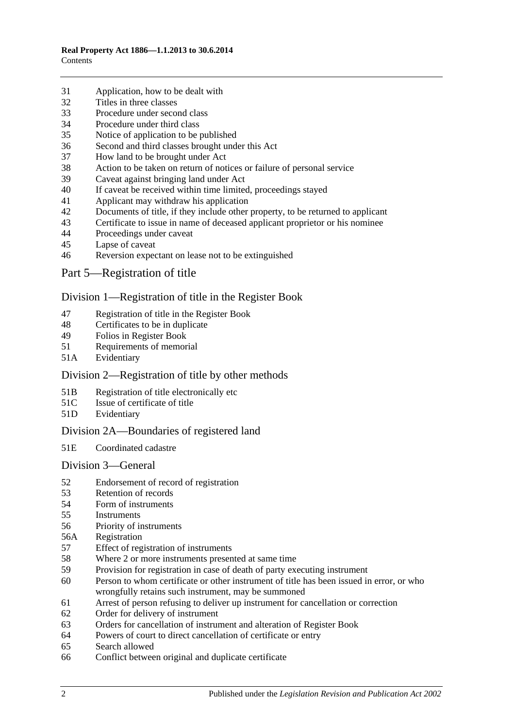- [Application, how to be dealt with](#page-21-3)
- [Titles in three classes](#page-22-0)
- [Procedure under second class](#page-22-1)
- [Procedure under third class](#page-23-0)
- [Notice of application to be published](#page-23-1)
- [Second and third classes brought under this Act](#page-23-2)
- [How land to be brought under Act](#page-23-3)
- [Action to be taken on return of notices or failure of personal service](#page-24-0)
- [Caveat against bringing land under Act](#page-24-1)
- [If caveat be received within time limited, proceedings stayed](#page-24-2)
- [Applicant may withdraw his application](#page-24-3)
- [Documents of title, if they include other property, to be returned to applicant](#page-24-4)<br>43 Certificate to issue in name of deceased applicant proprietor or his nominee
- [Certificate to issue in name of deceased applicant proprietor or his nominee](#page-25-0)
- [Proceedings under caveat](#page-25-1)
- [Lapse of caveat](#page-25-2)
- [Reversion expectant on lease not to be extinguished](#page-25-3)
- [Part 5—Registration of title](#page-26-0)

#### [Division 1—Registration of title in the Register Book](#page-26-1)

- [Registration of title in the Register Book](#page-26-2)
- [Certificates to be in duplicate](#page-26-3)
- [Folios in Register Book](#page-26-4)
- [Requirements of memorial](#page-26-5)
- 51A [Evidentiary](#page-26-6)

## [Division 2—Registration of title by other methods](#page-26-7)

- 51B [Registration of title electronically etc](#page-26-8)
- 51C [Issue of certificate of title](#page-27-0)
- 51D [Evidentiary](#page-28-0)

## [Division 2A—Boundaries of registered land](#page-28-1)

51E [Coordinated cadastre](#page-28-2)

#### [Division 3—General](#page-28-3)

- [Endorsement of record of registration](#page-28-4)
- [Retention of records](#page-29-0)
- [Form of instruments](#page-29-1)<br>55 Instruments
- **[Instruments](#page-29-2)**
- [Priority of instruments](#page-29-3)
- 56A [Registration](#page-30-0)
- [Effect of registration of instruments](#page-30-1)
- [Where 2 or more instruments presented at same time](#page-30-2)
- [Provision for registration in case of death of party executing instrument](#page-30-3)
- [Person to whom certificate or other instrument of title has been issued in error,](#page-30-4) or who [wrongfully retains such instrument, may be summoned](#page-30-4)
- [Arrest of person refusing to deliver up instrument for cancellation or correction](#page-31-0)
- [Order for delivery of instrument](#page-31-1)
- [Orders for cancellation of instrument and alteration of Register Book](#page-31-2)
- [Powers of court to direct cancellation of certificate or entry](#page-31-3)
- [Search allowed](#page-31-4)
- [Conflict between original and duplicate certificate](#page-32-0)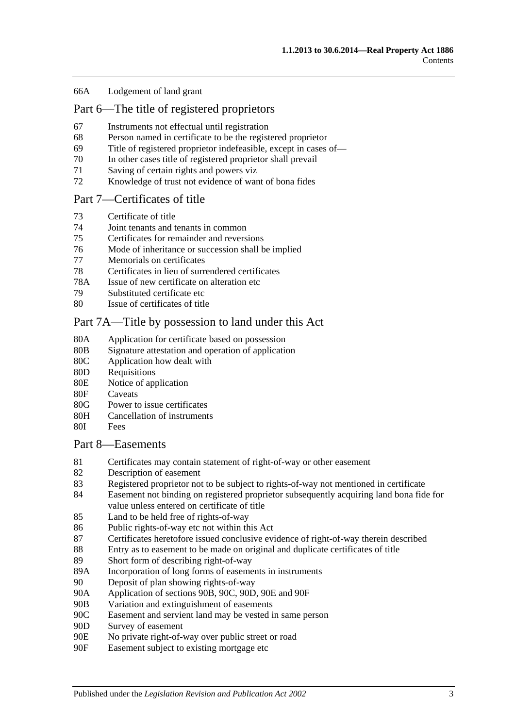#### 66A [Lodgement of land grant](#page-32-1)

## [Part 6—The title of registered proprietors](#page-34-0)

- 67 [Instruments not effectual until registration](#page-34-1)
- 68 [Person named in certificate to be the registered proprietor](#page-34-2)
- 69 [Title of registered proprietor indefeasible, except in cases of—](#page-34-3)
- 70 [In other cases title of registered proprietor shall prevail](#page-35-0)
- 71 [Saving of certain rights and powers viz](#page-36-0)
- 72 [Knowledge of trust not evidence of want of bona fides](#page-36-1)

#### [Part 7—Certificates of title](#page-38-0)

- 73 [Certificate of title](#page-38-1)
- 74 [Joint tenants and tenants in common](#page-38-2)
- 75 [Certificates for remainder and reversions](#page-38-3)
- 76 [Mode of inheritance or succession shall be implied](#page-38-4)
- 77 [Memorials on certificates](#page-38-5)
- 78 [Certificates in lieu of surrendered certificates](#page-38-6)
- 78A [Issue of new certificate on alteration etc](#page-39-0)
- 79 [Substituted certificate etc](#page-39-1)
- 80 [Issue of certificates of title](#page-39-2)

#### [Part 7A—Title by possession to land under this Act](#page-40-0)

- 80A [Application for certificate based on possession](#page-40-1)
- 80B [Signature attestation and operation of application](#page-40-2)
- 80C [Application how dealt with](#page-40-3)
- 80D [Requisitions](#page-40-4)
- 80E [Notice of application](#page-40-5)
- 80F [Caveats](#page-41-0)
- 80G [Power to issue certificates](#page-41-1)
- 80H [Cancellation of instruments](#page-42-0)
- 80I [Fees](#page-42-1)

#### [Part 8—Easements](#page-44-0)

- 81 [Certificates may contain statement of right-of-way or other easement](#page-44-1)
- 82 [Description of easement](#page-44-2)
- 83 [Registered proprietor not to be subject to rights-of-way not mentioned in certificate](#page-44-3)
- 84 [Easement not binding on registered proprietor subsequently acquiring land bona fide for](#page-44-4)  [value unless entered on certificate of title](#page-44-4)
- 85 [Land to be held free of rights-of-way](#page-44-5)
- 86 [Public rights-of-way etc not within this Act](#page-44-6)
- 87 [Certificates heretofore issued conclusive evidence of right-of-way therein described](#page-45-0)
- 88 [Entry as to easement to be made on original and duplicate certificates of title](#page-45-1)
- 89 [Short form of describing right-of-way](#page-45-2)
- 89A [Incorporation of long forms of easements in instruments](#page-45-3)
- 90 [Deposit of plan showing rights-of-way](#page-45-4)
- 90A [Application of sections](#page-45-5) 90B, [90C, 90D, 90E](#page-45-5) and [90F](#page-45-5)
- 90B [Variation and extinguishment of easements](#page-46-0)
- 90C [Easement and servient land may be vested in same person](#page-48-0)
- 90D [Survey of easement](#page-49-0)
- 90E [No private right-of-way over public street or road](#page-49-1)
- 90F [Easement subject to existing mortgage etc](#page-49-2)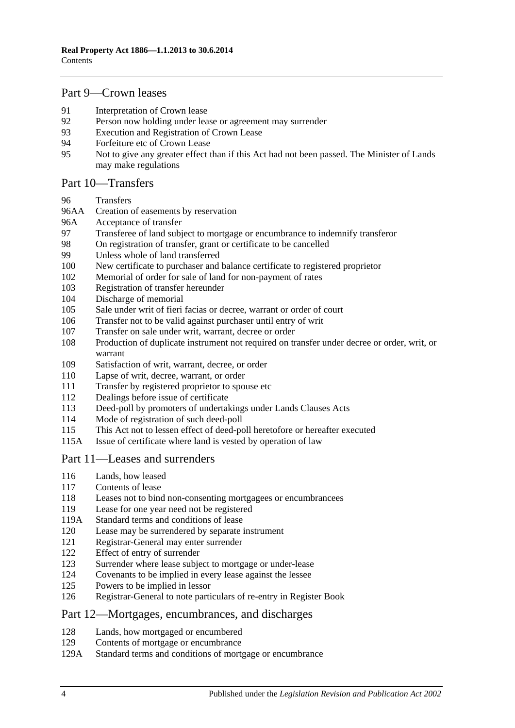## [Part 9—Crown leases](#page-50-0)

- [Interpretation of Crown lease](#page-50-1)<br>92 Person now holding under lea
- [Person now holding under lease or agreement may surrender](#page-50-2)
- [Execution and Registration of Crown Lease](#page-50-3)
- [Forfeiture etc of Crown Lease](#page-51-0)
- [Not to give any greater effect than if this Act had not been passed. The Minister of Lands](#page-51-1)  [may make regulations](#page-51-1)

#### [Part 10—Transfers](#page-52-0)

- [Transfers](#page-52-1)
- 96AA [Creation of easements by reservation](#page-52-2)
- 96A [Acceptance of transfer](#page-52-3)
- [Transferee of land subject to mortgage or encumbrance to indemnify transferor](#page-52-4)<br>98 On registration of transfer, grant or certificate to be cancelled
- [On registration of transfer, grant or certificate to be cancelled](#page-53-0)
- [Unless whole of land transferred](#page-53-1)
- [New certificate to purchaser and balance certificate to registered proprietor](#page-53-2)
- [Memorial of order for sale of land for non-payment of rates](#page-53-3)
- [Registration of transfer hereunder](#page-53-4)
- [Discharge of memorial](#page-54-0)
- [Sale under writ of fieri facias or decree, warrant or order of court](#page-54-1)
- [Transfer not to be valid against purchaser until entry of writ](#page-54-2)
- [Transfer on sale under writ, warrant, decree or order](#page-54-3)
- [Production of duplicate instrument not required on transfer under decree or order, writ, or](#page-54-4)  [warrant](#page-54-4)
- [Satisfaction of writ, warrant, decree, or order](#page-55-0)
- [Lapse of writ, decree, warrant, or order](#page-55-1)
- [Transfer by registered proprietor to spouse etc](#page-55-2)
- [Dealings before issue of certificate](#page-55-3)
- [Deed-poll by promoters of undertakings under Lands Clauses Acts](#page-55-4)
- [Mode of registration of such deed-poll](#page-56-0)
- [This Act not to lessen effect of deed-poll heretofore or hereafter executed](#page-56-1)
- 115A [Issue of certificate where land is vested by operation of](#page-56-2) law

## [Part 11—Leases and surrenders](#page-58-0)

- [Lands, how leased](#page-58-1)
- [Contents of lease](#page-58-2)
- [Leases not to bind non-consenting mortgagees or encumbrancees](#page-58-3)
- [Lease for one year need not be registered](#page-58-4)
- 119A [Standard terms and conditions of lease](#page-58-5)
- [Lease may be surrendered by separate instrument](#page-59-0)
- [Registrar-General may enter surrender](#page-59-1)
- [Effect of entry of surrender](#page-59-2)<br>123 Surrender where lease subject
- [Surrender where lease subject to mortgage or under-lease](#page-59-3)
- [Covenants to be implied in every lease against the lessee](#page-59-4)
- [Powers to be implied in lessor](#page-59-5)
- [Registrar-General to note particulars of re-entry in Register Book](#page-60-0)

#### [Part 12—Mortgages, encumbrances, and discharges](#page-62-0)

- [Lands, how mortgaged or encumbered](#page-62-1)
- [Contents of mortgage or encumbrance](#page-62-2)
- 129A [Standard terms and conditions of mortgage or encumbrance](#page-62-3)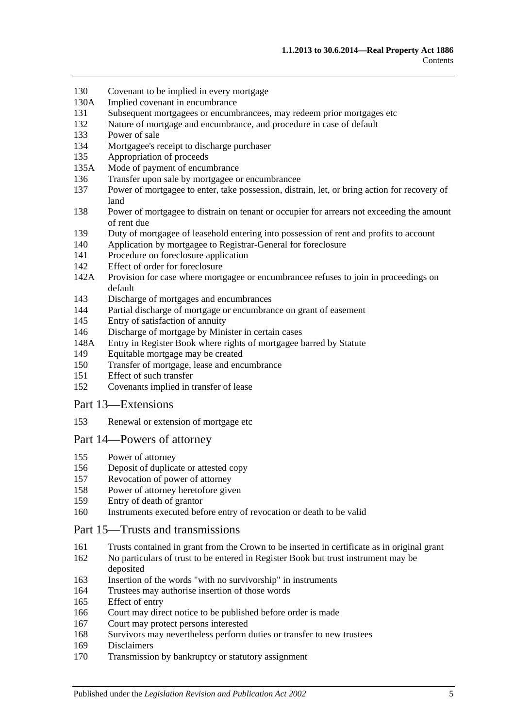- [Covenant to be implied in every mortgage](#page-63-0)
- 130A [Implied covenant in encumbrance](#page-63-1)
- [Subsequent mortgagees or encumbrancees, may redeem prior mortgages etc](#page-63-2)
- [Nature of mortgage and encumbrance, and procedure in case of default](#page-63-3)
- [Power of sale](#page-64-0)
- [Mortgagee's receipt to discharge purchaser](#page-64-1)
- [Appropriation of proceeds](#page-64-2)
- 135A [Mode of payment of encumbrance](#page-64-3)
- [Transfer upon sale by mortgagee or encumbrancee](#page-64-4)
- [Power of mortgagee to enter, take possession, distrain, let, or bring action for recovery of](#page-65-0)  [land](#page-65-0)
- [Power of mortgagee to distrain on tenant or occupier for arrears not exceeding the amount](#page-65-1)  [of rent due](#page-65-1)
- [Duty of mortgagee of leasehold entering into possession of rent and profits to account](#page-66-0)
- [Application by mortgagee to Registrar-General for foreclosure](#page-66-1)
- [Procedure on foreclosure application](#page-66-2)
- [Effect of order for foreclosure](#page-67-0)
- 142A [Provision for case where mortgagee or encumbrancee refuses to join in proceedings on](#page-67-1)  [default](#page-67-1)
- [Discharge of mortgages and encumbrances](#page-67-2)
- [Partial discharge of mortgage or encumbrance on grant of easement](#page-67-3)
- [Entry of satisfaction of annuity](#page-68-0)
- [Discharge of mortgage by Minister in certain cases](#page-68-1)
- 148A [Entry in Register Book where rights of mortgagee barred by Statute](#page-69-0)
- [Equitable mortgage may be created](#page-69-1)
- [Transfer of mortgage, lease and encumbrance](#page-69-2)
- [Effect of such transfer](#page-69-3)
- [Covenants implied in transfer of lease](#page-70-0)

#### [Part 13—Extensions](#page-72-0)

[Renewal or extension of mortgage etc](#page-72-1)

#### [Part 14—Powers of attorney](#page-74-0)

- [Power of attorney](#page-74-1)
- [Deposit of duplicate or attested copy](#page-74-2)
- [Revocation of power of attorney](#page-74-3)
- [Power of attorney heretofore given](#page-74-4)
- [Entry of death of grantor](#page-74-5)
- [Instruments executed before entry of revocation or death to be valid](#page-74-6)

#### [Part 15—Trusts and transmissions](#page-76-0)

- [Trusts contained in grant from the Crown to be inserted in certificate as in original grant](#page-76-1)
- [No particulars of trust to be entered in Register Book but trust instrument may be](#page-76-2)  [deposited](#page-76-2)
- [Insertion of the words "with no survivorship" in instruments](#page-76-3)
- [Trustees may authorise insertion of those words](#page-76-4)
- [Effect of entry](#page-77-0)
- [Court may direct notice to be published before order is made](#page-77-1)
- [Court may protect persons interested](#page-77-2)
- [Survivors may nevertheless perform duties or transfer to new trustees](#page-77-3)
- [Disclaimers](#page-77-4)
- [Transmission by bankruptcy or statutory assignment](#page-78-0)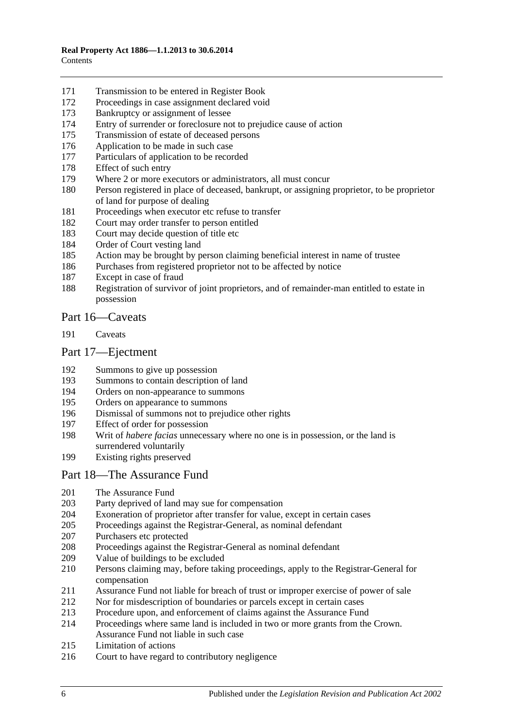- [Transmission to be entered in Register Book](#page-79-0)
- [Proceedings in case assignment declared void](#page-79-1)
- [Bankruptcy or assignment of lessee](#page-79-2)
- [Entry of surrender or foreclosure not to prejudice cause of action](#page-81-0)
- [Transmission of estate of deceased persons](#page-81-1)
- [Application to be made in such case](#page-81-2)
- [Particulars of application to be recorded](#page-81-3)
- [Effect of such entry](#page-81-4)<br>179 Where 2 or more ex
- [Where 2 or more executors or administrators, all must concur](#page-81-5)
- [Person registered in place of deceased, bankrupt, or assigning proprietor, to be proprietor](#page-81-6)  [of land for purpose of dealing](#page-81-6)
- [Proceedings when executor etc refuse to transfer](#page-82-0)
- [Court may order transfer to person entitled](#page-82-1)
- [Court may decide question of title etc](#page-82-2)
- [Order of Court vesting land](#page-82-3)
- [Action may be brought by person claiming beneficial interest in name of trustee](#page-82-4)
- [Purchases from registered proprietor not to be affected by notice](#page-82-5)
- [Except in case of fraud](#page-83-0)
- [Registration of survivor of joint proprietors, and of remainder-man entitled to estate in](#page-83-1)  [possession](#page-83-1)

### [Part 16—Caveats](#page-84-0)

[Caveats](#page-84-1)

#### [Part 17—Ejectment](#page-88-0)

- [Summons to give up possession](#page-88-1)
- [Summons to contain description of land](#page-88-2)
- [Orders on non-appearance to summons](#page-88-3)
- [Orders on appearance to summons](#page-88-4)
- [Dismissal of summons not to prejudice other rights](#page-88-5)
- [Effect of order for possession](#page-88-6)
- Writ of *habere facias* [unnecessary where no one is in possession, or the land is](#page-89-0)  [surrendered voluntarily](#page-89-0)
- [Existing rights preserved](#page-89-1)

#### [Part 18—The Assurance Fund](#page-90-0)

- [The Assurance Fund](#page-90-1)
- [Party deprived of land may sue for compensation](#page-91-0)<br>204 Exoneration of proprietor after transfer for value,
- [Exoneration of proprietor after transfer for value, except in certain cases](#page-91-1)
- [Proceedings against the Registrar-General, as nominal defendant](#page-91-2)
- [Purchasers etc protected](#page-91-3)
- [Proceedings against the Registrar-General as nominal defendant](#page-92-0)
- [Value of buildings to be excluded](#page-92-1)
- [Persons claiming may, before taking proceedings, apply to the Registrar-General for](#page-92-2)  [compensation](#page-92-2)
- [Assurance Fund not liable for breach of trust or improper exercise of power of sale](#page-92-3)
- [Nor for misdescription of boundaries or parcels except in certain cases](#page-93-0)
- [Procedure upon, and enforcement of claims against the Assurance Fund](#page-93-1)
- [Proceedings where same land is included in two or more grants from the Crown.](#page-94-0)  [Assurance Fund not liable in such case](#page-94-0)
- [Limitation of actions](#page-94-1)
- [Court to have regard to contributory negligence](#page-95-0)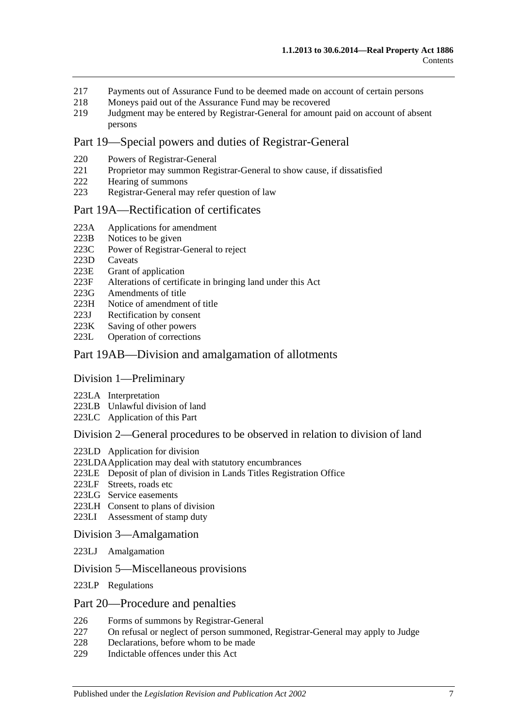- 217 [Payments out of Assurance Fund to be deemed made on account of certain persons](#page-95-1)
- 218 [Moneys paid out of the Assurance Fund may be recovered](#page-95-2)<br>219 Judgment may be entered by Registrar-General for amount
- 219 [Judgment may be entered by Registrar-General for amount paid on account of absent](#page-95-3)  [persons](#page-95-3)

## [Part 19—Special powers and duties of Registrar-General](#page-96-0)

- 220 [Powers of Registrar-General](#page-96-1)
- 221 [Proprietor may summon Registrar-General to show cause, if dissatisfied](#page-98-0)
- 222 [Hearing of summons](#page-99-0)
- 223 [Registrar-General may refer question of law](#page-99-1)

#### [Part 19A—Rectification of certificates](#page-100-0)

- 223A [Applications for amendment](#page-100-1)
- 
- 223B [Notices to be given](#page-100-2)<br>223C Power of Registrar-[Power of Registrar-General to reject](#page-100-3)
- 223D [Caveats](#page-100-4)<br>223E Grant of
- [Grant of application](#page-101-0)
- 223F [Alterations of certificate in bringing land under this Act](#page-101-1)
- 223G [Amendments of title](#page-101-2)
- 223H [Notice of amendment of title](#page-101-3)
- 223J [Rectification by consent](#page-102-0)
- 223K [Saving of other powers](#page-102-1)<br>223L Operation of correction
- [Operation of corrections](#page-102-2)

#### [Part 19AB—Division and amalgamation of allotments](#page-104-0)

#### [Division 1—Preliminary](#page-104-1)

- 223LA [Interpretation](#page-104-2)
- 223LB [Unlawful division of land](#page-107-0)
- 223LC [Application of this Part](#page-108-0)

#### [Division 2—General procedures to be observed in relation to division of land](#page-108-1)

- 223LD [Application for division](#page-108-2)
- [223LDAApplication may deal with statutory encumbrances](#page-110-0)
- 223LE [Deposit of plan of division in Lands Titles Registration Office](#page-110-1)
- 223LF [Streets, roads etc](#page-111-0)
- 223LG [Service easements](#page-112-0)
- 223LH [Consent to plans of division](#page-113-0)
- 223LI [Assessment of stamp duty](#page-114-0)

#### [Division 3—Amalgamation](#page-114-1)

- 223LJ [Amalgamation](#page-114-2)
- [Division 5—Miscellaneous provisions](#page-115-0)
- 223LP [Regulations](#page-115-1)

#### [Part 20—Procedure and penalties](#page-116-0)

- 226 [Forms of summons by Registrar-General](#page-116-1)
- 227 [On refusal or neglect of person summoned, Registrar-General may apply to Judge](#page-116-2)
- 228 [Declarations, before whom to be made](#page-116-3)
- 229 [Indictable offences under this Act](#page-116-4)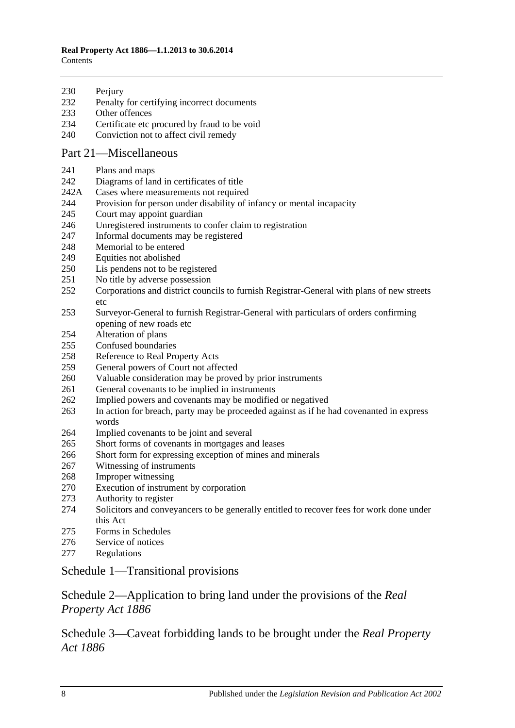#### **Real Property Act 1886—1.1.2013 to 30.6.2014 Contents**

230 Periury

- [Penalty for certifying incorrect documents](#page-117-1)
- [Other offences](#page-117-2)
- [Certificate etc procured by fraud to be void](#page-118-0)
- [Conviction not to affect civil remedy](#page-118-1)

## [Part 21—Miscellaneous](#page-120-0)

- [Plans and maps](#page-120-1)
- [Diagrams of land in certificates of title](#page-120-2)
- 242A [Cases where measurements not required](#page-120-3)
- [Provision for person under disability of infancy or mental incapacity](#page-120-4)
- [Court may appoint guardian](#page-121-0)
- [Unregistered instruments to confer claim to registration](#page-121-1)
- [Informal documents may be registered](#page-121-2)
- [Memorial to be entered](#page-121-3)
- [Equities not abolished](#page-121-4)
- [Lis pendens not to be registered](#page-122-0)
- [No title by adverse possession](#page-122-1)
- [Corporations and district councils to furnish Registrar-General with plans of new streets](#page-122-2)  [etc](#page-122-2)
- [Surveyor-General to furnish Registrar-General with particulars of orders confirming](#page-122-3)  [opening of new roads etc](#page-122-3)
- [Alteration of plans](#page-122-4)
- [Confused boundaries](#page-123-0)
- [Reference to Real Property Acts](#page-123-1)
- [General powers of Court not affected](#page-123-2)
- [Valuable consideration may be proved by prior instruments](#page-123-3)
- [General covenants to be implied in instruments](#page-124-0)
- [Implied powers and covenants may be modified or negatived](#page-124-1)
- [In action for breach, party may be proceeded against as if he had covenanted in express](#page-124-2)  [words](#page-124-2)
- [Implied covenants to](#page-124-3) be joint and several
- [Short forms of covenants in mortgages and leases](#page-124-4)
- [Short form for expressing exception of mines and minerals](#page-124-5)
- [Witnessing of instruments](#page-125-0)
- [Improper witnessing](#page-125-1)
- [Execution of instrument by corporation](#page-125-2)
- [Authority to register](#page-125-3)
- [Solicitors and conveyancers to be generally entitled to recover fees for work done under](#page-126-0)  [this Act](#page-126-0)
- [Forms in Schedules](#page-126-1)
- [Service of notices](#page-126-2)
- [Regulations](#page-126-3)

## [Schedule 1—Transitional provisions](#page-128-0)

## [Schedule 2—Application to bring land under the provisions of the](#page-131-0) *Real [Property Act](#page-131-0) 1886*

[Schedule 3—Caveat forbidding lands to be brought under the](#page-132-0) *Real Property Act [1886](#page-132-0)*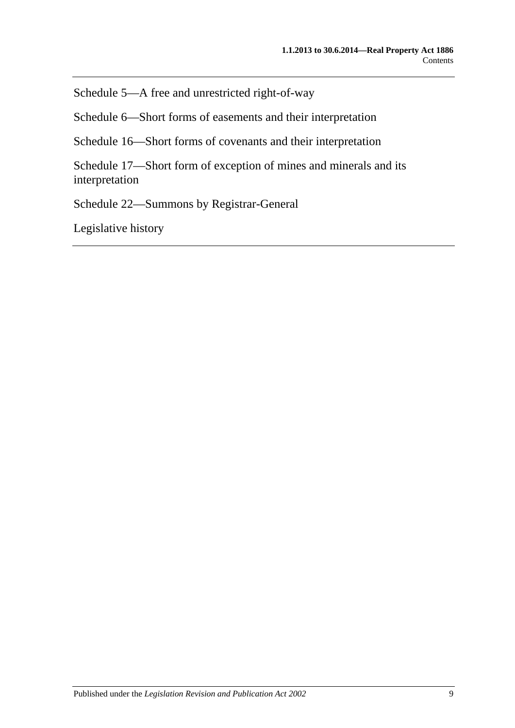[Schedule 5—A free and unrestricted right-of-way](#page-132-1)

[Schedule 6—Short forms of easements and their interpretation](#page-132-2)

[Schedule 16—Short forms of covenants and their interpretation](#page-135-0)

[Schedule 17—Short form of exception of mines and minerals and its](#page-137-0)  [interpretation](#page-137-0)

[Schedule 22—Summons by Registrar-General](#page-137-1)

[Legislative history](#page-138-0)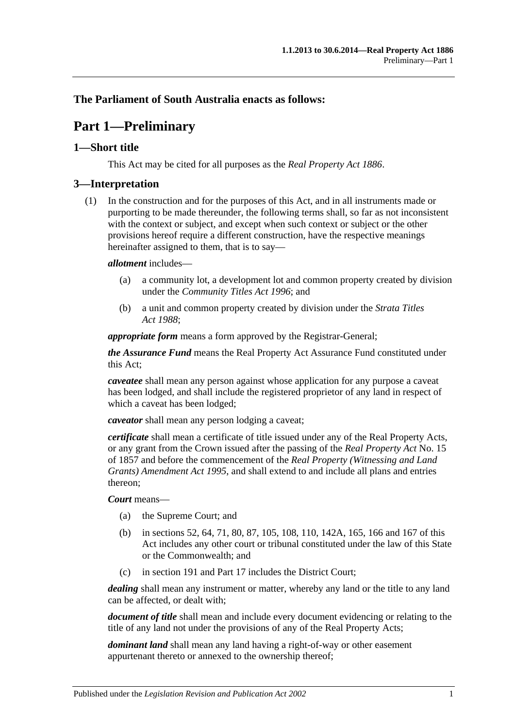## <span id="page-10-0"></span>**The Parliament of South Australia enacts as follows:**

## **Part 1—Preliminary**

## <span id="page-10-1"></span>**1—Short title**

This Act may be cited for all purposes as the *[Real Property Act](http://www.legislation.sa.gov.au/index.aspx?action=legref&type=act&legtitle=Real%20Property%20Act%201886) 1886*.

### <span id="page-10-2"></span>**3—Interpretation**

(1) In the construction and for the purposes of this Act, and in all instruments made or purporting to be made thereunder, the following terms shall, so far as not inconsistent with the context or subject, and except when such context or subject or the other provisions hereof require a different construction, have the respective meanings hereinafter assigned to them, that is to say—

#### *allotment* includes—

- (a) a community lot, a development lot and common property created by division under the *[Community Titles Act](http://www.legislation.sa.gov.au/index.aspx?action=legref&type=act&legtitle=Community%20Titles%20Act%201996) 1996*; and
- (b) a unit and common property created by division under the *[Strata Titles](http://www.legislation.sa.gov.au/index.aspx?action=legref&type=act&legtitle=Strata%20Titles%20Act%201988)  Act [1988](http://www.legislation.sa.gov.au/index.aspx?action=legref&type=act&legtitle=Strata%20Titles%20Act%201988)*;

*appropriate form* means a form approved by the Registrar-General;

*the Assurance Fund* means the Real Property Act Assurance Fund constituted under this Act;

*caveatee* shall mean any person against whose application for any purpose a caveat has been lodged, and shall include the registered proprietor of any land in respect of which a caveat has been lodged;

*caveator* shall mean any person lodging a caveat;

*certificate* shall mean a certificate of title issued under any of the Real Property Acts, or any grant from the Crown issued after the passing of the *[Real Property Act](http://www.legislation.sa.gov.au/index.aspx?action=legref&type=act&legtitle=Real%20Property%20Act)* No. 15 of 1857 and before the commencement of the *[Real Property \(Witnessing and Land](http://www.legislation.sa.gov.au/index.aspx?action=legref&type=act&legtitle=Real%20Property%20(Witnessing%20and%20Land%20Grants)%20Amendment%20Act%201995)  [Grants\) Amendment Act](http://www.legislation.sa.gov.au/index.aspx?action=legref&type=act&legtitle=Real%20Property%20(Witnessing%20and%20Land%20Grants)%20Amendment%20Act%201995) 1995*, and shall extend to and include all plans and entries thereon;

#### *Court* means—

- (a) the Supreme Court; and
- (b) in [sections](#page-28-4) 52, [64,](#page-31-3) [71,](#page-36-0) [80,](#page-39-2) [87,](#page-45-0) [105,](#page-54-1) [108,](#page-54-4) [110,](#page-55-1) [142A,](#page-67-1) [165,](#page-77-0) [166](#page-77-1) and [167](#page-77-2) of this Act includes any other court or tribunal constituted under the law of this State or the Commonwealth; and
- (c) in [section](#page-84-1) 191 and [Part 17](#page-88-0) includes the District Court;

*dealing* shall mean any instrument or matter, whereby any land or the title to any land can be affected, or dealt with;

*document of title* shall mean and include every document evidencing or relating to the title of any land not under the provisions of any of the Real Property Acts;

*dominant land* shall mean any land having a right-of-way or other easement appurtenant thereto or annexed to the ownership thereof;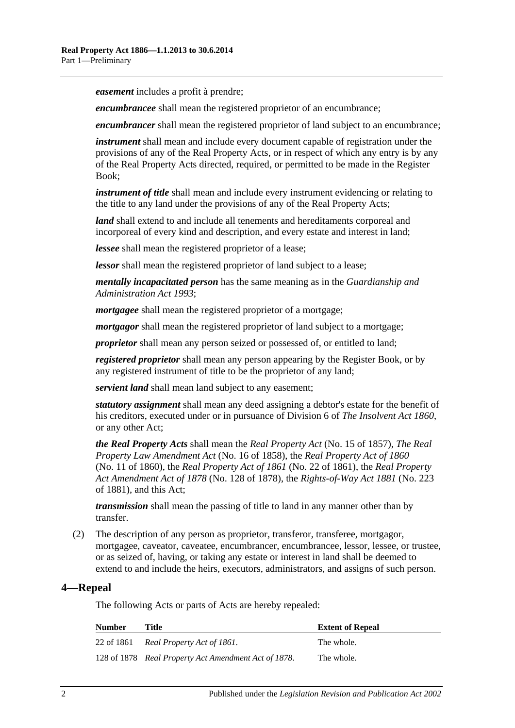*easement* includes a profit à prendre;

*encumbrancee* shall mean the registered proprietor of an encumbrance;

*encumbrancer* shall mean the registered proprietor of land subject to an encumbrance;

*instrument* shall mean and include every document capable of registration under the provisions of any of the Real Property Acts, or in respect of which any entry is by any of the Real Property Acts directed, required, or permitted to be made in the Register Book;

*instrument of title* shall mean and include every instrument evidencing or relating to the title to any land under the provisions of any of the Real Property Acts;

*land* shall extend to and include all tenements and hereditaments corporeal and incorporeal of every kind and description, and every estate and interest in land;

*lessee* shall mean the registered proprietor of a lease;

*lessor* shall mean the registered proprietor of land subject to a lease;

*mentally incapacitated person* has the same meaning as in the *[Guardianship and](http://www.legislation.sa.gov.au/index.aspx?action=legref&type=act&legtitle=Guardianship%20and%20Administration%20Act%201993)  [Administration Act](http://www.legislation.sa.gov.au/index.aspx?action=legref&type=act&legtitle=Guardianship%20and%20Administration%20Act%201993) 1993*;

*mortgagee* shall mean the registered proprietor of a mortgage;

*mortgagor* shall mean the registered proprietor of land subject to a mortgage;

*proprietor* shall mean any person seized or possessed of, or entitled to land;

*registered proprietor* shall mean any person appearing by the Register Book, or by any registered instrument of title to be the proprietor of any land;

*servient land* shall mean land subject to any easement;

*statutory assignment* shall mean any deed assigning a debtor's estate for the benefit of his creditors, executed under or in pursuance of Division 6 of *[The Insolvent Act](http://www.legislation.sa.gov.au/index.aspx?action=legref&type=act&legtitle=The%20Insolvent%20Act%201860) 1860*, or any other Act;

*the Real Property Acts* shall mean the *[Real Property Act](http://www.legislation.sa.gov.au/index.aspx?action=legref&type=act&legtitle=Real%20Property%20Act)* (No. 15 of 1857), *[The Real](http://www.legislation.sa.gov.au/index.aspx?action=legref&type=act&legtitle=The%20Real%20Property%20Law%20Amendment%20Act)  [Property Law Amendment Act](http://www.legislation.sa.gov.au/index.aspx?action=legref&type=act&legtitle=The%20Real%20Property%20Law%20Amendment%20Act)* (No. 16 of 1858), the *[Real Property Act of](http://www.legislation.sa.gov.au/index.aspx?action=legref&type=act&legtitle=Real%20Property%20Act%20of%201860) 1860* (No. 11 of 1860), the *[Real Property Act of](http://www.legislation.sa.gov.au/index.aspx?action=legref&type=act&legtitle=Real%20Property%20Act%20of%201861) 1861* (No. 22 of 1861), the *[Real Property](http://www.legislation.sa.gov.au/index.aspx?action=legref&type=act&legtitle=Real%20Property%20Act%20Amendment%20Act%20of%201878)  [Act Amendment Act of](http://www.legislation.sa.gov.au/index.aspx?action=legref&type=act&legtitle=Real%20Property%20Act%20Amendment%20Act%20of%201878) 1878* (No. 128 of 1878), the *[Rights-of-Way Act](http://www.legislation.sa.gov.au/index.aspx?action=legref&type=act&legtitle=Rights-of-Way%20Act%201881) 1881* (No. 223 of 1881), and this Act;

*transmission* shall mean the passing of title to land in any manner other than by transfer.

(2) The description of any person as proprietor, transferor, transferee, mortgagor, mortgagee, caveator, caveatee, encumbrancer, encumbrancee, lessor, lessee, or trustee, or as seized of, having, or taking any estate or interest in land shall be deemed to extend to and include the heirs, executors, administrators, and assigns of such person.

## <span id="page-11-0"></span>**4—Repeal**

The following Acts or parts of Acts are hereby repealed:

| <b>Number</b> | Title                                                | <b>Extent of Repeal</b> |
|---------------|------------------------------------------------------|-------------------------|
|               | 22 of 1861 Real Property Act of 1861.                | The whole.              |
|               | 128 of 1878 Real Property Act Amendment Act of 1878. | The whole.              |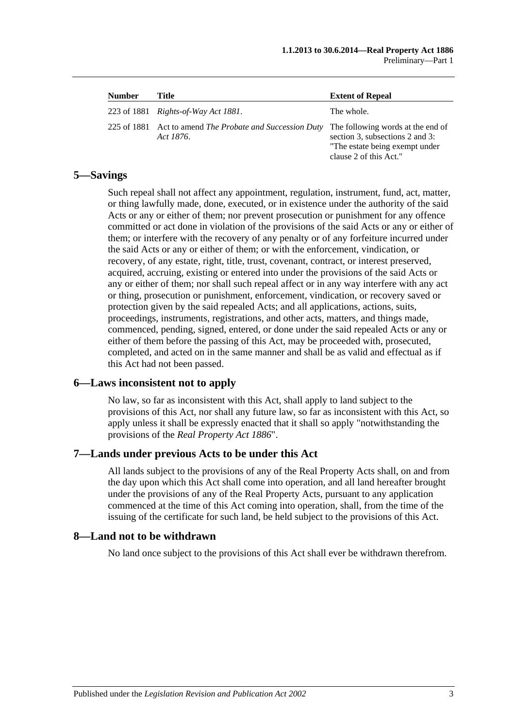| <b>Number</b> | Title                                                                 | <b>Extent of Repeal</b>                                                                                                          |
|---------------|-----------------------------------------------------------------------|----------------------------------------------------------------------------------------------------------------------------------|
|               | 223 of 1881 <i>Rights-of-Way Act 1881</i> .                           | The whole.                                                                                                                       |
|               | 225 of 1881 Act to amend The Probate and Succession Duty<br>Act 1876. | The following words at the end of<br>section 3, subsections 2 and 3:<br>"The estate being exempt under<br>clause 2 of this Act." |

## <span id="page-12-0"></span>**5—Savings**

Such repeal shall not affect any appointment, regulation, instrument, fund, act, matter, or thing lawfully made, done, executed, or in existence under the authority of the said Acts or any or either of them; nor prevent prosecution or punishment for any offence committed or act done in violation of the provisions of the said Acts or any or either of them; or interfere with the recovery of any penalty or of any forfeiture incurred under the said Acts or any or either of them; or with the enforcement, vindication, or recovery, of any estate, right, title, trust, covenant, contract, or interest preserved, acquired, accruing, existing or entered into under the provisions of the said Acts or any or either of them; nor shall such repeal affect or in any way interfere with any act or thing, prosecution or punishment, enforcement, vindication, or recovery saved or protection given by the said repealed Acts; and all applications, actions, suits, proceedings, instruments, registrations, and other acts, matters, and things made, commenced, pending, signed, entered, or done under the said repealed Acts or any or either of them before the passing of this Act, may be proceeded with, prosecuted, completed, and acted on in the same manner and shall be as valid and effectual as if this Act had not been passed.

## <span id="page-12-1"></span>**6—Laws inconsistent not to apply**

No law, so far as inconsistent with this Act, shall apply to land subject to the provisions of this Act, nor shall any future law, so far as inconsistent with this Act, so apply unless it shall be expressly enacted that it shall so apply "notwithstanding the provisions of the *[Real Property Act](http://www.legislation.sa.gov.au/index.aspx?action=legref&type=act&legtitle=Real%20Property%20Act%201886) 1886*".

## <span id="page-12-2"></span>**7—Lands under previous Acts to be under this Act**

All lands subject to the provisions of any of the Real Property Acts shall, on and from the day upon which this Act shall come into operation, and all land hereafter brought under the provisions of any of the Real Property Acts, pursuant to any application commenced at the time of this Act coming into operation, shall, from the time of the issuing of the certificate for such land, be held subject to the provisions of this Act.

#### <span id="page-12-3"></span>**8—Land not to be withdrawn**

No land once subject to the provisions of this Act shall ever be withdrawn therefrom.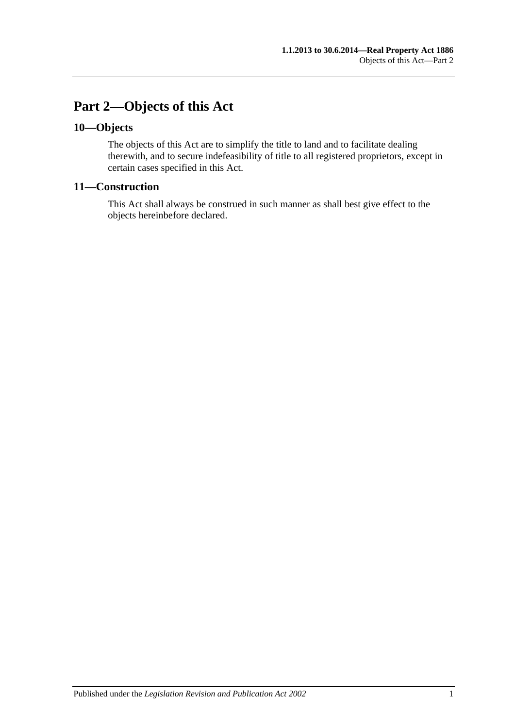## <span id="page-14-0"></span>**Part 2—Objects of this Act**

## <span id="page-14-1"></span>**10—Objects**

The objects of this Act are to simplify the title to land and to facilitate dealing therewith, and to secure indefeasibility of title to all registered proprietors, except in certain cases specified in this Act.

## <span id="page-14-2"></span>**11—Construction**

This Act shall always be construed in such manner as shall best give effect to the objects hereinbefore declared.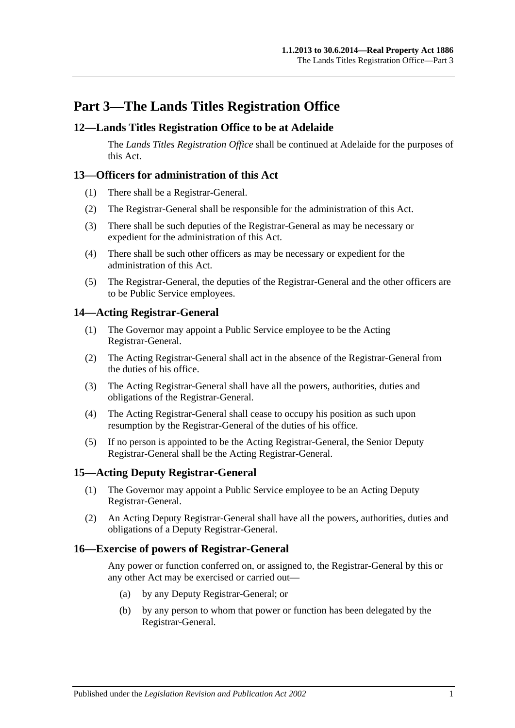## <span id="page-16-0"></span>**Part 3—The Lands Titles Registration Office**

## <span id="page-16-1"></span>**12—Lands Titles Registration Office to be at Adelaide**

The *Lands Titles Registration Office* shall be continued at Adelaide for the purposes of this Act.

## <span id="page-16-2"></span>**13—Officers for administration of this Act**

- (1) There shall be a Registrar-General.
- (2) The Registrar-General shall be responsible for the administration of this Act.
- (3) There shall be such deputies of the Registrar-General as may be necessary or expedient for the administration of this Act.
- (4) There shall be such other officers as may be necessary or expedient for the administration of this Act.
- (5) The Registrar-General, the deputies of the Registrar-General and the other officers are to be Public Service employees.

## <span id="page-16-3"></span>**14—Acting Registrar-General**

- (1) The Governor may appoint a Public Service employee to be the Acting Registrar-General.
- (2) The Acting Registrar-General shall act in the absence of the Registrar-General from the duties of his office.
- (3) The Acting Registrar-General shall have all the powers, authorities, duties and obligations of the Registrar-General.
- (4) The Acting Registrar-General shall cease to occupy his position as such upon resumption by the Registrar-General of the duties of his office.
- (5) If no person is appointed to be the Acting Registrar-General, the Senior Deputy Registrar-General shall be the Acting Registrar-General.

## <span id="page-16-4"></span>**15—Acting Deputy Registrar-General**

- (1) The Governor may appoint a Public Service employee to be an Acting Deputy Registrar-General.
- (2) An Acting Deputy Registrar-General shall have all the powers, authorities, duties and obligations of a Deputy Registrar-General.

#### <span id="page-16-5"></span>**16—Exercise of powers of Registrar-General**

Any power or function conferred on, or assigned to, the Registrar-General by this or any other Act may be exercised or carried out—

- (a) by any Deputy Registrar-General; or
- (b) by any person to whom that power or function has been delegated by the Registrar-General.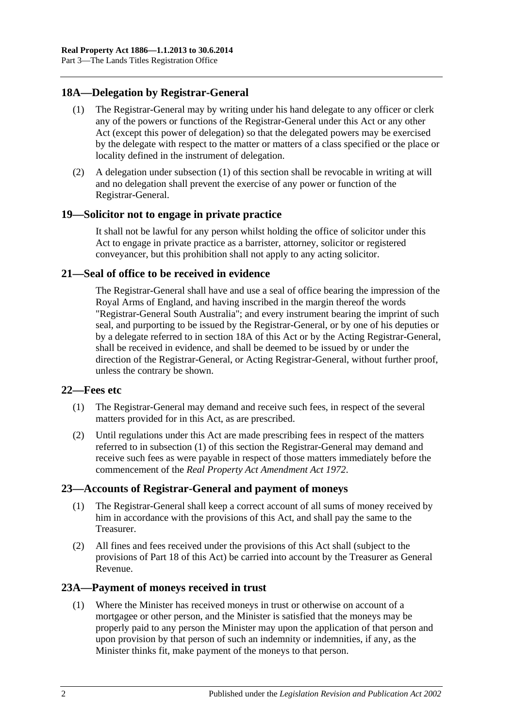## <span id="page-17-6"></span><span id="page-17-0"></span>**18A—Delegation by Registrar-General**

- (1) The Registrar-General may by writing under his hand delegate to any officer or clerk any of the powers or functions of the Registrar-General under this Act or any other Act (except this power of delegation) so that the delegated powers may be exercised by the delegate with respect to the matter or matters of a class specified or the place or locality defined in the instrument of delegation.
- (2) A delegation under [subsection](#page-17-6) (1) of this section shall be revocable in writing at will and no delegation shall prevent the exercise of any power or function of the Registrar-General.

## <span id="page-17-1"></span>**19—Solicitor not to engage in private practice**

It shall not be lawful for any person whilst holding the office of solicitor under this Act to engage in private practice as a barrister, attorney, solicitor or registered conveyancer, but this prohibition shall not apply to any acting solicitor.

## <span id="page-17-2"></span>**21—Seal of office to be received in evidence**

The Registrar-General shall have and use a seal of office bearing the impression of the Royal Arms of England, and having inscribed in the margin thereof the words "Registrar-General South Australia"; and every instrument bearing the imprint of such seal, and purporting to be issued by the Registrar-General, or by one of his deputies or by a delegate referred to in [section](#page-17-0) 18A of this Act or by the Acting Registrar-General, shall be received in evidence, and shall be deemed to be issued by or under the direction of the Registrar-General, or Acting Registrar-General, without further proof, unless the contrary be shown.

## <span id="page-17-7"></span><span id="page-17-3"></span>**22—Fees etc**

- (1) The Registrar-General may demand and receive such fees, in respect of the several matters provided for in this Act, as are prescribed.
- (2) Until regulations under this Act are made prescribing fees in respect of the matters referred to in [subsection](#page-17-7) (1) of this section the Registrar-General may demand and receive such fees as were payable in respect of those matters immediately before the commencement of the *[Real Property Act Amendment Act](http://www.legislation.sa.gov.au/index.aspx?action=legref&type=act&legtitle=Real%20Property%20Act%20Amendment%20Act%201972) 1972*.

## <span id="page-17-4"></span>**23—Accounts of Registrar-General and payment of moneys**

- (1) The Registrar-General shall keep a correct account of all sums of money received by him in accordance with the provisions of this Act, and shall pay the same to the Treasurer.
- (2) All fines and fees received under the provisions of this Act shall (subject to the provisions of [Part 18](#page-90-0) of this Act) be carried into account by the Treasurer as General Revenue.

## <span id="page-17-8"></span><span id="page-17-5"></span>**23A—Payment of moneys received in trust**

(1) Where the Minister has received moneys in trust or otherwise on account of a mortgagee or other person, and the Minister is satisfied that the moneys may be properly paid to any person the Minister may upon the application of that person and upon provision by that person of such an indemnity or indemnities, if any, as the Minister thinks fit, make payment of the moneys to that person.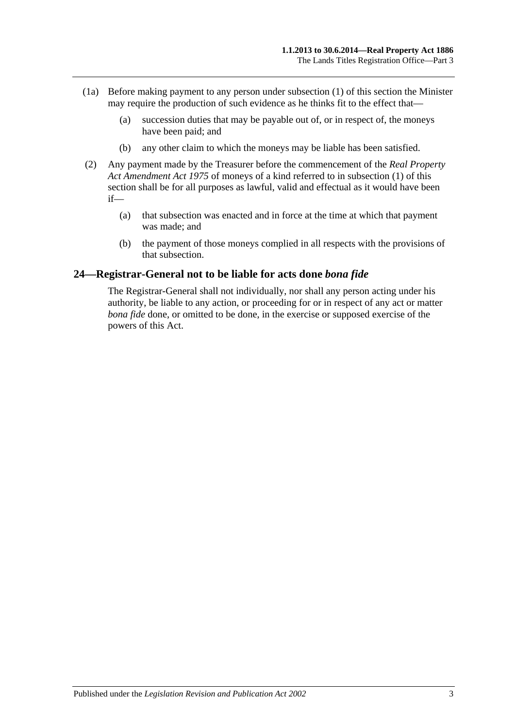- (1a) Before making payment to any person under [subsection](#page-17-8) (1) of this section the Minister may require the production of such evidence as he thinks fit to the effect that—
	- (a) succession duties that may be payable out of, or in respect of, the moneys have been paid; and
	- (b) any other claim to which the moneys may be liable has been satisfied.
- (2) Any payment made by the Treasurer before the commencement of the *[Real Property](http://www.legislation.sa.gov.au/index.aspx?action=legref&type=act&legtitle=Real%20Property%20Act%20Amendment%20Act%201975)  [Act Amendment Act](http://www.legislation.sa.gov.au/index.aspx?action=legref&type=act&legtitle=Real%20Property%20Act%20Amendment%20Act%201975) 1975* of moneys of a kind referred to in [subsection](#page-17-8) (1) of this section shall be for all purposes as lawful, valid and effectual as it would have been if—
	- (a) that subsection was enacted and in force at the time at which that payment was made; and
	- (b) the payment of those moneys complied in all respects with the provisions of that subsection.

## <span id="page-18-0"></span>**24—Registrar-General not to be liable for acts done** *bona fide*

The Registrar-General shall not individually, nor shall any person acting under his authority, be liable to any action, or proceeding for or in respect of any act or matter *bona fide* done, or omitted to be done, in the exercise or supposed exercise of the powers of this Act.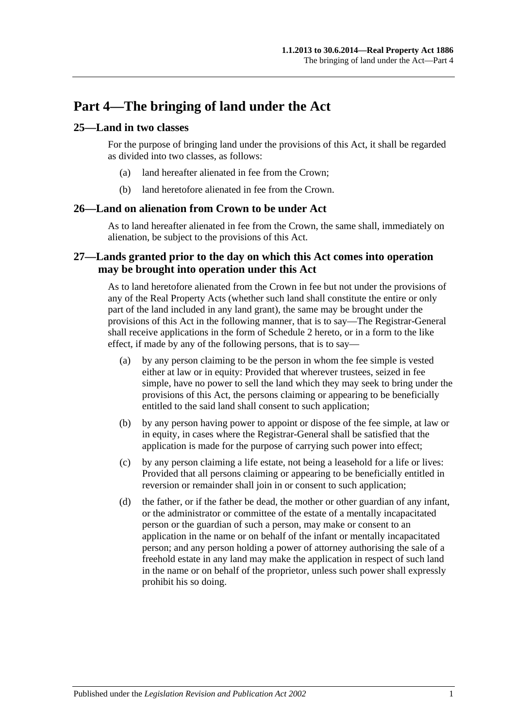## <span id="page-20-0"></span>**Part 4—The bringing of land under the Act**

## <span id="page-20-1"></span>**25—Land in two classes**

For the purpose of bringing land under the provisions of this Act, it shall be regarded as divided into two classes, as follows:

- (a) land hereafter alienated in fee from the Crown;
- (b) land heretofore alienated in fee from the Crown.

### <span id="page-20-2"></span>**26—Land on alienation from Crown to be under Act**

As to land hereafter alienated in fee from the Crown, the same shall, immediately on alienation, be subject to the provisions of this Act.

## <span id="page-20-3"></span>**27—Lands granted prior to the day on which this Act comes into operation may be brought into operation under this Act**

As to land heretofore alienated from the Crown in fee but not under the provisions of any of the Real Property Acts (whether such land shall constitute the entire or only part of the land included in any land grant), the same may be brought under the provisions of this Act in the following manner, that is to say—The Registrar-General shall receive applications in the form of [Schedule 2](#page-131-0) hereto, or in a form to the like effect, if made by any of the following persons, that is to say—

- (a) by any person claiming to be the person in whom the fee simple is vested either at law or in equity: Provided that wherever trustees, seized in fee simple, have no power to sell the land which they may seek to bring under the provisions of this Act, the persons claiming or appearing to be beneficially entitled to the said land shall consent to such application;
- (b) by any person having power to appoint or dispose of the fee simple, at law or in equity, in cases where the Registrar-General shall be satisfied that the application is made for the purpose of carrying such power into effect;
- (c) by any person claiming a life estate, not being a leasehold for a life or lives: Provided that all persons claiming or appearing to be beneficially entitled in reversion or remainder shall join in or consent to such application;
- (d) the father, or if the father be dead, the mother or other guardian of any infant, or the administrator or committee of the estate of a mentally incapacitated person or the guardian of such a person, may make or consent to an application in the name or on behalf of the infant or mentally incapacitated person; and any person holding a power of attorney authorising the sale of a freehold estate in any land may make the application in respect of such land in the name or on behalf of the proprietor, unless such power shall expressly prohibit his so doing.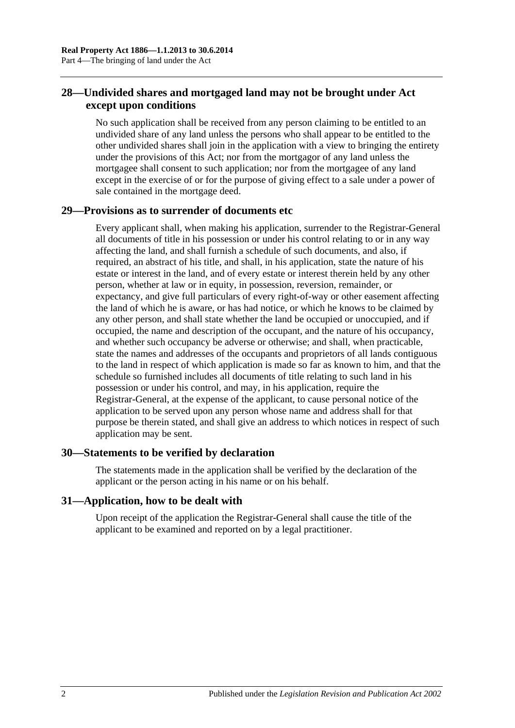## <span id="page-21-0"></span>**28—Undivided shares and mortgaged land may not be brought under Act except upon conditions**

No such application shall be received from any person claiming to be entitled to an undivided share of any land unless the persons who shall appear to be entitled to the other undivided shares shall join in the application with a view to bringing the entirety under the provisions of this Act; nor from the mortgagor of any land unless the mortgagee shall consent to such application; nor from the mortgagee of any land except in the exercise of or for the purpose of giving effect to a sale under a power of sale contained in the mortgage deed.

## <span id="page-21-1"></span>**29—Provisions as to surrender of documents etc**

Every applicant shall, when making his application, surrender to the Registrar-General all documents of title in his possession or under his control relating to or in any way affecting the land, and shall furnish a schedule of such documents, and also, if required, an abstract of his title, and shall, in his application, state the nature of his estate or interest in the land, and of every estate or interest therein held by any other person, whether at law or in equity, in possession, reversion, remainder, or expectancy, and give full particulars of every right-of-way or other easement affecting the land of which he is aware, or has had notice, or which he knows to be claimed by any other person, and shall state whether the land be occupied or unoccupied, and if occupied, the name and description of the occupant, and the nature of his occupancy, and whether such occupancy be adverse or otherwise; and shall, when practicable, state the names and addresses of the occupants and proprietors of all lands contiguous to the land in respect of which application is made so far as known to him, and that the schedule so furnished includes all documents of title relating to such land in his possession or under his control, and may, in his application, require the Registrar-General, at the expense of the applicant, to cause personal notice of the application to be served upon any person whose name and address shall for that purpose be therein stated, and shall give an address to which notices in respect of such application may be sent.

## <span id="page-21-2"></span>**30—Statements to be verified by declaration**

The statements made in the application shall be verified by the declaration of the applicant or the person acting in his name or on his behalf.

## <span id="page-21-3"></span>**31—Application, how to be dealt with**

Upon receipt of the application the Registrar-General shall cause the title of the applicant to be examined and reported on by a legal practitioner.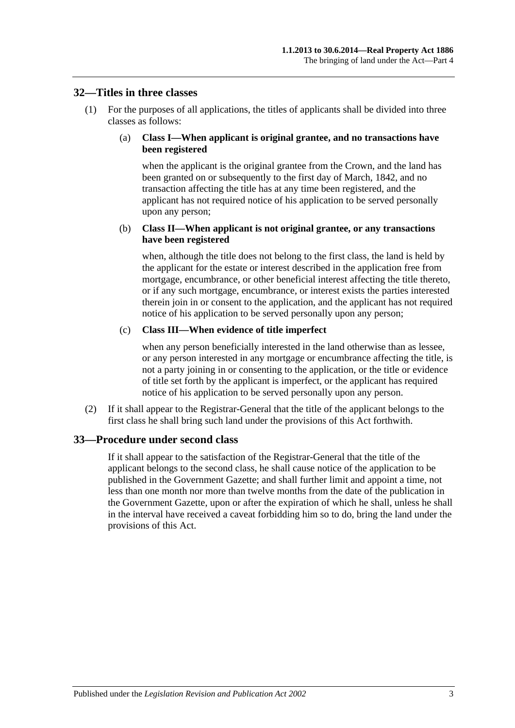#### <span id="page-22-0"></span>**32—Titles in three classes**

(1) For the purposes of all applications, the titles of applicants shall be divided into three classes as follows:

#### (a) **Class I—When applicant is original grantee, and no transactions have been registered**

when the applicant is the original grantee from the Crown, and the land has been granted on or subsequently to the first day of March, 1842, and no transaction affecting the title has at any time been registered, and the applicant has not required notice of his application to be served personally upon any person;

#### (b) **Class II—When applicant is not original grantee, or any transactions have been registered**

when, although the title does not belong to the first class, the land is held by the applicant for the estate or interest described in the application free from mortgage, encumbrance, or other beneficial interest affecting the title thereto, or if any such mortgage, encumbrance, or interest exists the parties interested therein join in or consent to the application, and the applicant has not required notice of his application to be served personally upon any person;

#### (c) **Class III—When evidence of title imperfect**

when any person beneficially interested in the land otherwise than as lessee, or any person interested in any mortgage or encumbrance affecting the title, is not a party joining in or consenting to the application, or the title or evidence of title set forth by the applicant is imperfect, or the applicant has required notice of his application to be served personally upon any person.

(2) If it shall appear to the Registrar-General that the title of the applicant belongs to the first class he shall bring such land under the provisions of this Act forthwith.

## <span id="page-22-1"></span>**33—Procedure under second class**

If it shall appear to the satisfaction of the Registrar-General that the title of the applicant belongs to the second class, he shall cause notice of the application to be published in the Government Gazette; and shall further limit and appoint a time, not less than one month nor more than twelve months from the date of the publication in the Government Gazette, upon or after the expiration of which he shall, unless he shall in the interval have received a caveat forbidding him so to do, bring the land under the provisions of this Act.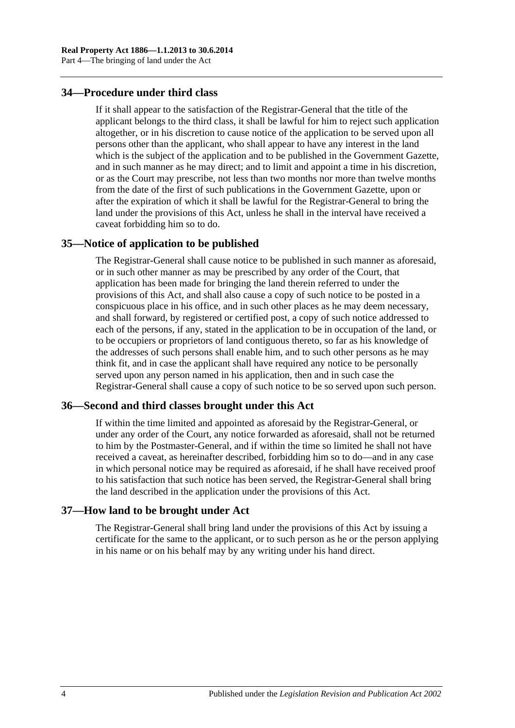## <span id="page-23-0"></span>**34—Procedure under third class**

If it shall appear to the satisfaction of the Registrar-General that the title of the applicant belongs to the third class, it shall be lawful for him to reject such application altogether, or in his discretion to cause notice of the application to be served upon all persons other than the applicant, who shall appear to have any interest in the land which is the subject of the application and to be published in the Government Gazette, and in such manner as he may direct; and to limit and appoint a time in his discretion, or as the Court may prescribe, not less than two months nor more than twelve months from the date of the first of such publications in the Government Gazette, upon or after the expiration of which it shall be lawful for the Registrar-General to bring the land under the provisions of this Act, unless he shall in the interval have received a caveat forbidding him so to do.

#### <span id="page-23-1"></span>**35—Notice of application to be published**

The Registrar-General shall cause notice to be published in such manner as aforesaid, or in such other manner as may be prescribed by any order of the Court, that application has been made for bringing the land therein referred to under the provisions of this Act, and shall also cause a copy of such notice to be posted in a conspicuous place in his office, and in such other places as he may deem necessary, and shall forward, by registered or certified post, a copy of such notice addressed to each of the persons, if any, stated in the application to be in occupation of the land, or to be occupiers or proprietors of land contiguous thereto, so far as his knowledge of the addresses of such persons shall enable him, and to such other persons as he may think fit, and in case the applicant shall have required any notice to be personally served upon any person named in his application, then and in such case the Registrar-General shall cause a copy of such notice to be so served upon such person.

#### <span id="page-23-2"></span>**36—Second and third classes brought under this Act**

If within the time limited and appointed as aforesaid by the Registrar-General, or under any order of the Court, any notice forwarded as aforesaid, shall not be returned to him by the Postmaster-General, and if within the time so limited he shall not have received a caveat, as hereinafter described, forbidding him so to do—and in any case in which personal notice may be required as aforesaid, if he shall have received proof to his satisfaction that such notice has been served, the Registrar-General shall bring the land described in the application under the provisions of this Act.

#### <span id="page-23-3"></span>**37—How land to be brought under Act**

The Registrar-General shall bring land under the provisions of this Act by issuing a certificate for the same to the applicant, or to such person as he or the person applying in his name or on his behalf may by any writing under his hand direct.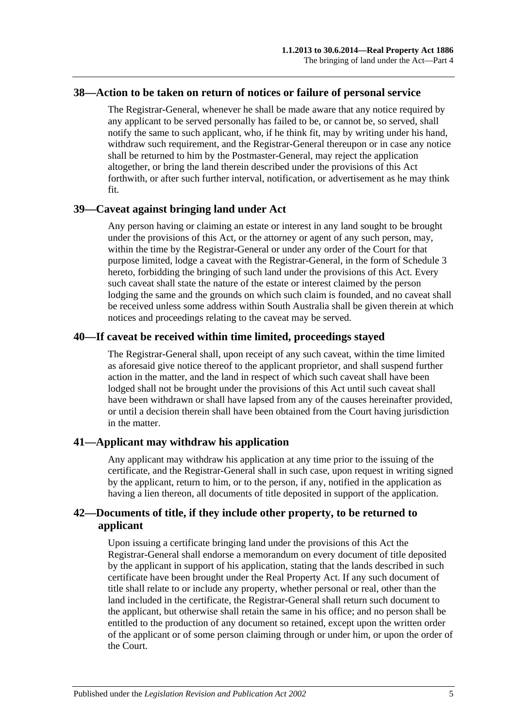#### <span id="page-24-0"></span>**38—Action to be taken on return of notices or failure of personal service**

The Registrar-General, whenever he shall be made aware that any notice required by any applicant to be served personally has failed to be, or cannot be, so served, shall notify the same to such applicant, who, if he think fit, may by writing under his hand, withdraw such requirement, and the Registrar-General thereupon or in case any notice shall be returned to him by the Postmaster-General, may reject the application altogether, or bring the land therein described under the provisions of this Act forthwith, or after such further interval, notification, or advertisement as he may think fit.

#### <span id="page-24-1"></span>**39—Caveat against bringing land under Act**

Any person having or claiming an estate or interest in any land sought to be brought under the provisions of this Act, or the attorney or agent of any such person, may, within the time by the Registrar-General or under any order of the Court for that purpose limited, lodge a caveat with the Registrar-General, in the form of [Schedule 3](#page-132-0) hereto, forbidding the bringing of such land under the provisions of this Act. Every such caveat shall state the nature of the estate or interest claimed by the person lodging the same and the grounds on which such claim is founded, and no caveat shall be received unless some address within South Australia shall be given therein at which notices and proceedings relating to the caveat may be served.

## <span id="page-24-2"></span>**40—If caveat be received within time limited, proceedings stayed**

The Registrar-General shall, upon receipt of any such caveat, within the time limited as aforesaid give notice thereof to the applicant proprietor, and shall suspend further action in the matter, and the land in respect of which such caveat shall have been lodged shall not be brought under the provisions of this Act until such caveat shall have been withdrawn or shall have lapsed from any of the causes hereinafter provided, or until a decision therein shall have been obtained from the Court having jurisdiction in the matter.

## <span id="page-24-3"></span>**41—Applicant may withdraw his application**

Any applicant may withdraw his application at any time prior to the issuing of the certificate, and the Registrar-General shall in such case, upon request in writing signed by the applicant, return to him, or to the person, if any, notified in the application as having a lien thereon, all documents of title deposited in support of the application.

## <span id="page-24-4"></span>**42—Documents of title, if they include other property, to be returned to applicant**

Upon issuing a certificate bringing land under the provisions of this Act the Registrar-General shall endorse a memorandum on every document of title deposited by the applicant in support of his application, stating that the lands described in such certificate have been brought under the Real Property Act. If any such document of title shall relate to or include any property, whether personal or real, other than the land included in the certificate, the Registrar-General shall return such document to the applicant, but otherwise shall retain the same in his office; and no person shall be entitled to the production of any document so retained, except upon the written order of the applicant or of some person claiming through or under him, or upon the order of the Court.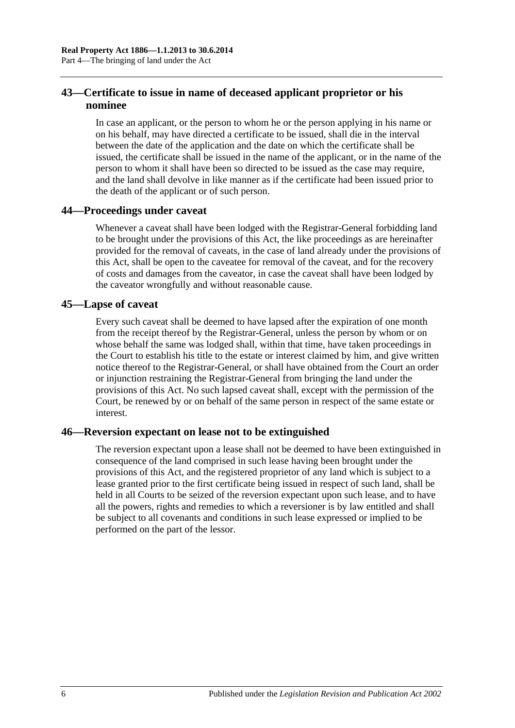## <span id="page-25-0"></span>**43—Certificate to issue in name of deceased applicant proprietor or his nominee**

In case an applicant, or the person to whom he or the person applying in his name or on his behalf, may have directed a certificate to be issued, shall die in the interval between the date of the application and the date on which the certificate shall be issued, the certificate shall be issued in the name of the applicant, or in the name of the person to whom it shall have been so directed to be issued as the case may require, and the land shall devolve in like manner as if the certificate had been issued prior to the death of the applicant or of such person.

## <span id="page-25-1"></span>**44—Proceedings under caveat**

Whenever a caveat shall have been lodged with the Registrar-General forbidding land to be brought under the provisions of this Act, the like proceedings as are hereinafter provided for the removal of caveats, in the case of land already under the provisions of this Act, shall be open to the caveatee for removal of the caveat, and for the recovery of costs and damages from the caveator, in case the caveat shall have been lodged by the caveator wrongfully and without reasonable cause.

#### <span id="page-25-2"></span>**45—Lapse of caveat**

Every such caveat shall be deemed to have lapsed after the expiration of one month from the receipt thereof by the Registrar-General, unless the person by whom or on whose behalf the same was lodged shall, within that time, have taken proceedings in the Court to establish his title to the estate or interest claimed by him, and give written notice thereof to the Registrar-General, or shall have obtained from the Court an order or injunction restraining the Registrar-General from bringing the land under the provisions of this Act. No such lapsed caveat shall, except with the permission of the Court, be renewed by or on behalf of the same person in respect of the same estate or interest.

## <span id="page-25-3"></span>**46—Reversion expectant on lease not to be extinguished**

The reversion expectant upon a lease shall not be deemed to have been extinguished in consequence of the land comprised in such lease having been brought under the provisions of this Act, and the registered proprietor of any land which is subject to a lease granted prior to the first certificate being issued in respect of such land, shall be held in all Courts to be seized of the reversion expectant upon such lease, and to have all the powers, rights and remedies to which a reversioner is by law entitled and shall be subject to all covenants and conditions in such lease expressed or implied to be performed on the part of the lessor.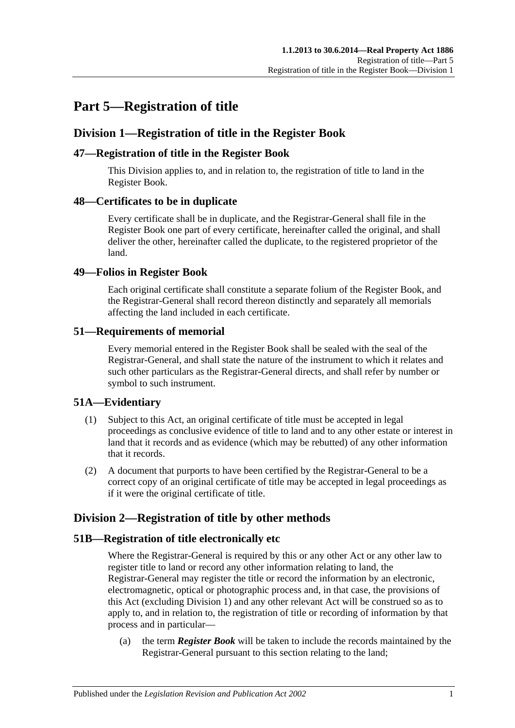## <span id="page-26-0"></span>**Part 5—Registration of title**

## <span id="page-26-1"></span>**Division 1—Registration of title in the Register Book**

## <span id="page-26-2"></span>**47—Registration of title in the Register Book**

This Division applies to, and in relation to, the registration of title to land in the Register Book.

## <span id="page-26-3"></span>**48—Certificates to be in duplicate**

Every certificate shall be in duplicate, and the Registrar-General shall file in the Register Book one part of every certificate, hereinafter called the original, and shall deliver the other, hereinafter called the duplicate, to the registered proprietor of the land.

## <span id="page-26-4"></span>**49—Folios in Register Book**

Each original certificate shall constitute a separate folium of the Register Book, and the Registrar-General shall record thereon distinctly and separately all memorials affecting the land included in each certificate.

## <span id="page-26-5"></span>**51—Requirements of memorial**

Every memorial entered in the Register Book shall be sealed with the seal of the Registrar-General, and shall state the nature of the instrument to which it relates and such other particulars as the Registrar-General directs, and shall refer by number or symbol to such instrument.

## <span id="page-26-6"></span>**51A—Evidentiary**

- (1) Subject to this Act, an original certificate of title must be accepted in legal proceedings as conclusive evidence of title to land and to any other estate or interest in land that it records and as evidence (which may be rebutted) of any other information that it records.
- (2) A document that purports to have been certified by the Registrar-General to be a correct copy of an original certificate of title may be accepted in legal proceedings as if it were the original certificate of title.

## <span id="page-26-7"></span>**Division 2—Registration of title by other methods**

## <span id="page-26-8"></span>**51B—Registration of title electronically etc**

Where the Registrar-General is required by this or any other Act or any other law to register title to land or record any other information relating to land, the Registrar-General may register the title or record the information by an electronic, electromagnetic, optical or photographic process and, in that case, the provisions of this Act (excluding [Division 1\)](#page-26-1) and any other relevant Act will be construed so as to apply to, and in relation to, the registration of title or recording of information by that process and in particular—

(a) the term *Register Book* will be taken to include the records maintained by the Registrar-General pursuant to this section relating to the land;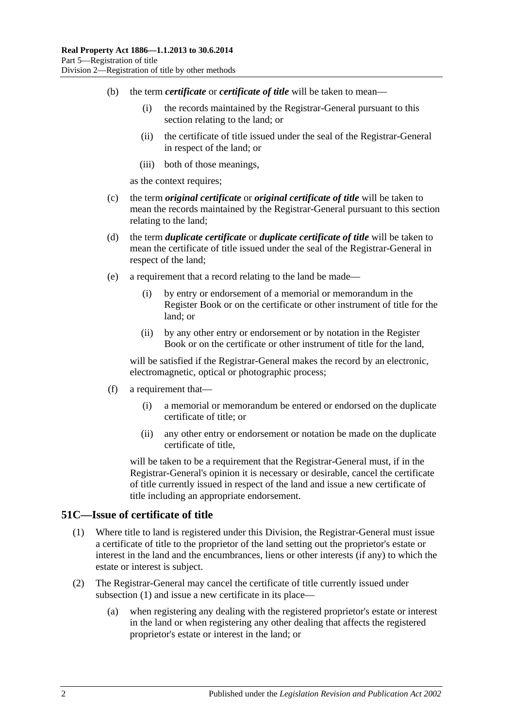- (b) the term *certificate* or *certificate of title* will be taken to mean—
	- (i) the records maintained by the Registrar-General pursuant to this section relating to the land; or
	- (ii) the certificate of title issued under the seal of the Registrar-General in respect of the land; or
	- (iii) both of those meanings,

as the context requires;

- (c) the term *original certificate* or *original certificate of title* will be taken to mean the records maintained by the Registrar-General pursuant to this section relating to the land;
- (d) the term *duplicate certificate* or *duplicate certificate of title* will be taken to mean the certificate of title issued under the seal of the Registrar-General in respect of the land;
- (e) a requirement that a record relating to the land be made—
	- (i) by entry or endorsement of a memorial or memorandum in the Register Book or on the certificate or other instrument of title for the land; or
	- (ii) by any other entry or endorsement or by notation in the Register Book or on the certificate or other instrument of title for the land,

will be satisfied if the Registrar-General makes the record by an electronic, electromagnetic, optical or photographic process;

- (f) a requirement that—
	- (i) a memorial or memorandum be entered or endorsed on the duplicate certificate of title; or
	- (ii) any other entry or endorsement or notation be made on the duplicate certificate of title,

will be taken to be a requirement that the Registrar-General must, if in the Registrar-General's opinion it is necessary or desirable, cancel the certificate of title currently issued in respect of the land and issue a new certificate of title including an appropriate endorsement.

#### <span id="page-27-1"></span><span id="page-27-0"></span>**51C—Issue of certificate of title**

- (1) Where title to land is registered under this Division, the Registrar-General must issue a certificate of title to the proprietor of the land setting out the proprietor's estate or interest in the land and the encumbrances, liens or other interests (if any) to which the estate or interest is subject.
- (2) The Registrar-General may cancel the certificate of title currently issued under [subsection](#page-27-1) (1) and issue a new certificate in its place—
	- (a) when registering any dealing with the registered proprietor's estate or interest in the land or when registering any other dealing that affects the registered proprietor's estate or interest in the land; or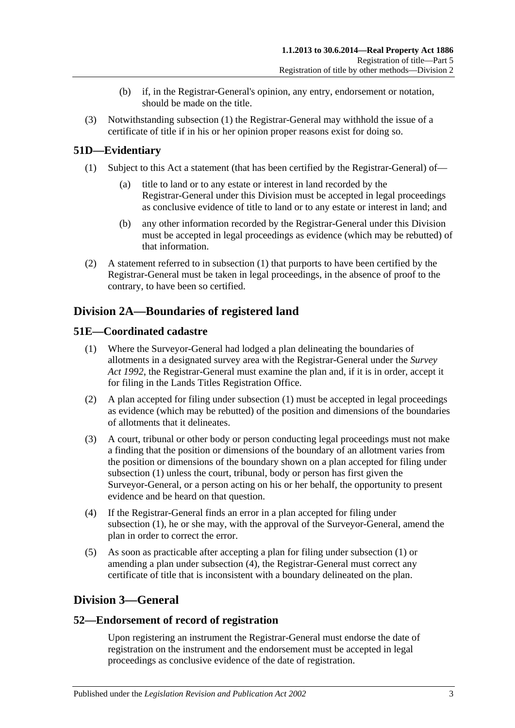- (b) if, in the Registrar-General's opinion, any entry, endorsement or notation, should be made on the title.
- (3) Notwithstanding [subsection](#page-27-1) (1) the Registrar-General may withhold the issue of a certificate of title if in his or her opinion proper reasons exist for doing so.

## <span id="page-28-5"></span><span id="page-28-0"></span>**51D—Evidentiary**

- (1) Subject to this Act a statement (that has been certified by the Registrar-General) of
	- title to land or to any estate or interest in land recorded by the Registrar-General under this Division must be accepted in legal proceedings as conclusive evidence of title to land or to any estate or interest in land; and
	- (b) any other information recorded by the Registrar-General under this Division must be accepted in legal proceedings as evidence (which may be rebutted) of that information.
- (2) A statement referred to in [subsection](#page-28-5) (1) that purports to have been certified by the Registrar-General must be taken in legal proceedings, in the absence of proof to the contrary, to have been so certified.

## <span id="page-28-1"></span>**Division 2A—Boundaries of registered land**

## <span id="page-28-6"></span><span id="page-28-2"></span>**51E—Coordinated cadastre**

- (1) Where the Surveyor-General had lodged a plan delineating the boundaries of allotments in a designated survey area with the Registrar-General under the *[Survey](http://www.legislation.sa.gov.au/index.aspx?action=legref&type=act&legtitle=Survey%20Act%201992)  Act [1992](http://www.legislation.sa.gov.au/index.aspx?action=legref&type=act&legtitle=Survey%20Act%201992)*, the Registrar-General must examine the plan and, if it is in order, accept it for filing in the Lands Titles Registration Office.
- (2) A plan accepted for filing under [subsection](#page-28-6) (1) must be accepted in legal proceedings as evidence (which may be rebutted) of the position and dimensions of the boundaries of allotments that it delineates.
- (3) A court, tribunal or other body or person conducting legal proceedings must not make a finding that the position or dimensions of the boundary of an allotment varies from the position or dimensions of the boundary shown on a plan accepted for filing under [subsection](#page-28-6) (1) unless the court, tribunal, body or person has first given the Surveyor-General, or a person acting on his or her behalf, the opportunity to present evidence and be heard on that question.
- <span id="page-28-7"></span>(4) If the Registrar-General finds an error in a plan accepted for filing under [subsection](#page-28-6) (1), he or she may, with the approval of the Surveyor-General, amend the plan in order to correct the error.
- (5) As soon as practicable after accepting a plan for filing under [subsection](#page-28-6) (1) or amending a plan under [subsection](#page-28-7) (4), the Registrar-General must correct any certificate of title that is inconsistent with a boundary delineated on the plan.

## <span id="page-28-3"></span>**Division 3—General**

## <span id="page-28-4"></span>**52—Endorsement of record of registration**

Upon registering an instrument the Registrar-General must endorse the date of registration on the instrument and the endorsement must be accepted in legal proceedings as conclusive evidence of the date of registration.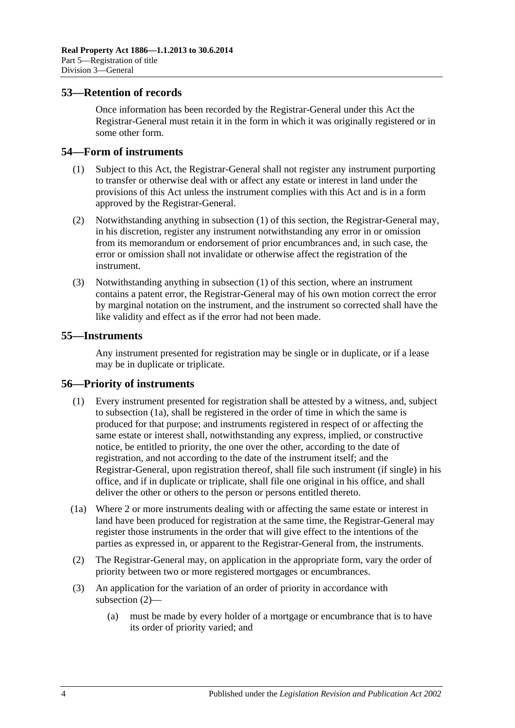#### <span id="page-29-0"></span>**53—Retention of records**

Once information has been recorded by the Registrar-General under this Act the Registrar-General must retain it in the form in which it was originally registered or in some other form.

### <span id="page-29-4"></span><span id="page-29-1"></span>**54—Form of instruments**

- (1) Subject to this Act, the Registrar-General shall not register any instrument purporting to transfer or otherwise deal with or affect any estate or interest in land under the provisions of this Act unless the instrument complies with this Act and is in a form approved by the Registrar-General.
- (2) Notwithstanding anything in [subsection](#page-29-4) (1) of this section, the Registrar-General may, in his discretion, register any instrument notwithstanding any error in or omission from its memorandum or endorsement of prior encumbrances and, in such case, the error or omission shall not invalidate or otherwise affect the registration of the instrument.
- (3) Notwithstanding anything in [subsection](#page-29-4) (1) of this section, where an instrument contains a patent error, the Registrar-General may of his own motion correct the error by marginal notation on the instrument, and the instrument so corrected shall have the like validity and effect as if the error had not been made.

### <span id="page-29-2"></span>**55—Instruments**

Any instrument presented for registration may be single or in duplicate, or if a lease may be in duplicate or triplicate.

#### <span id="page-29-3"></span>**56—Priority of instruments**

- (1) Every instrument presented for registration shall be attested by a witness, and, subject to [subsection](#page-29-5) (1a), shall be registered in the order of time in which the same is produced for that purpose; and instruments registered in respect of or affecting the same estate or interest shall, notwithstanding any express, implied, or constructive notice, be entitled to priority, the one over the other, according to the date of registration, and not according to the date of the instrument itself; and the Registrar-General, upon registration thereof, shall file such instrument (if single) in his office, and if in duplicate or triplicate, shall file one original in his office, and shall deliver the other or others to the person or persons entitled thereto.
- <span id="page-29-5"></span>(1a) Where 2 or more instruments dealing with or affecting the same estate or interest in land have been produced for registration at the same time, the Registrar-General may register those instruments in the order that will give effect to the intentions of the parties as expressed in, or apparent to the Registrar-General from, the instruments.
- <span id="page-29-6"></span>(2) The Registrar-General may, on application in the appropriate form, vary the order of priority between two or more registered mortgages or encumbrances.
- (3) An application for the variation of an order of priority in accordance with [subsection](#page-29-6) (2)—
	- (a) must be made by every holder of a mortgage or encumbrance that is to have its order of priority varied; and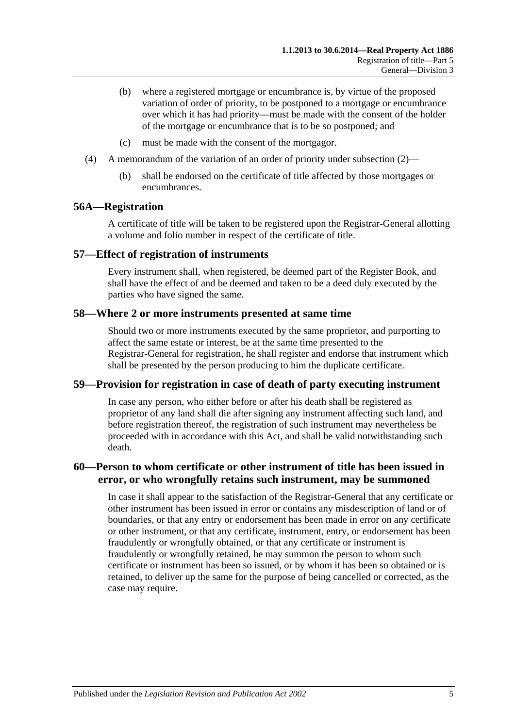- (b) where a registered mortgage or encumbrance is, by virtue of the proposed variation of order of priority, to be postponed to a mortgage or encumbrance over which it has had priority—must be made with the consent of the holder of the mortgage or encumbrance that is to be so postponed; and
- (c) must be made with the consent of the mortgagor.
- (4) A memorandum of the variation of an order of priority under [subsection](#page-29-6) (2)—
	- (b) shall be endorsed on the certificate of title affected by those mortgages or encumbrances.

#### <span id="page-30-0"></span>**56A—Registration**

A certificate of title will be taken to be registered upon the Registrar-General allotting a volume and folio number in respect of the certificate of title.

#### <span id="page-30-1"></span>**57—Effect of registration of instruments**

Every instrument shall, when registered, be deemed part of the Register Book, and shall have the effect of and be deemed and taken to be a deed duly executed by the parties who have signed the same.

#### <span id="page-30-2"></span>**58—Where 2 or more instruments presented at same time**

Should two or more instruments executed by the same proprietor, and purporting to affect the same estate or interest, be at the same time presented to the Registrar-General for registration, he shall register and endorse that instrument which shall be presented by the person producing to him the duplicate certificate.

#### <span id="page-30-3"></span>**59—Provision for registration in case of death of party executing instrument**

In case any person, who either before or after his death shall be registered as proprietor of any land shall die after signing any instrument affecting such land, and before registration thereof, the registration of such instrument may nevertheless be proceeded with in accordance with this Act, and shall be valid notwithstanding such death.

## <span id="page-30-4"></span>**60—Person to whom certificate or other instrument of title has been issued in error, or who wrongfully retains such instrument, may be summoned**

In case it shall appear to the satisfaction of the Registrar-General that any certificate or other instrument has been issued in error or contains any misdescription of land or of boundaries, or that any entry or endorsement has been made in error on any certificate or other instrument, or that any certificate, instrument, entry, or endorsement has been fraudulently or wrongfully obtained, or that any certificate or instrument is fraudulently or wrongfully retained, he may summon the person to whom such certificate or instrument has been so issued, or by whom it has been so obtained or is retained, to deliver up the same for the purpose of being cancelled or corrected, as the case may require.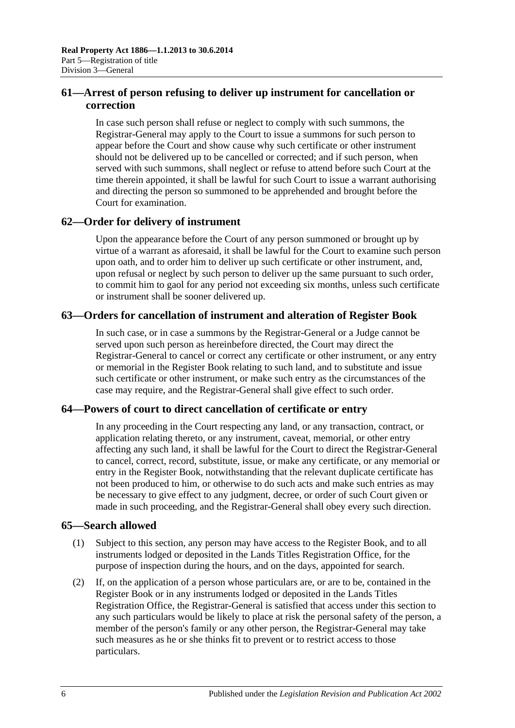## <span id="page-31-0"></span>**61—Arrest of person refusing to deliver up instrument for cancellation or correction**

In case such person shall refuse or neglect to comply with such summons, the Registrar-General may apply to the Court to issue a summons for such person to appear before the Court and show cause why such certificate or other instrument should not be delivered up to be cancelled or corrected; and if such person, when served with such summons, shall neglect or refuse to attend before such Court at the time therein appointed, it shall be lawful for such Court to issue a warrant authorising and directing the person so summoned to be apprehended and brought before the Court for examination.

## <span id="page-31-1"></span>**62—Order for delivery of instrument**

Upon the appearance before the Court of any person summoned or brought up by virtue of a warrant as aforesaid, it shall be lawful for the Court to examine such person upon oath, and to order him to deliver up such certificate or other instrument, and, upon refusal or neglect by such person to deliver up the same pursuant to such order, to commit him to gaol for any period not exceeding six months, unless such certificate or instrument shall be sooner delivered up.

## <span id="page-31-2"></span>**63—Orders for cancellation of instrument and alteration of Register Book**

In such case, or in case a summons by the Registrar-General or a Judge cannot be served upon such person as hereinbefore directed, the Court may direct the Registrar-General to cancel or correct any certificate or other instrument, or any entry or memorial in the Register Book relating to such land, and to substitute and issue such certificate or other instrument, or make such entry as the circumstances of the case may require, and the Registrar-General shall give effect to such order.

## <span id="page-31-3"></span>**64—Powers of court to direct cancellation of certificate or entry**

In any proceeding in the Court respecting any land, or any transaction, contract, or application relating thereto, or any instrument, caveat, memorial, or other entry affecting any such land, it shall be lawful for the Court to direct the Registrar-General to cancel, correct, record, substitute, issue, or make any certificate, or any memorial or entry in the Register Book, notwithstanding that the relevant duplicate certificate has not been produced to him, or otherwise to do such acts and make such entries as may be necessary to give effect to any judgment, decree, or order of such Court given or made in such proceeding, and the Registrar-General shall obey every such direction.

## <span id="page-31-4"></span>**65—Search allowed**

- (1) Subject to this section, any person may have access to the Register Book, and to all instruments lodged or deposited in the Lands Titles Registration Office, for the purpose of inspection during the hours, and on the days, appointed for search.
- <span id="page-31-5"></span>(2) If, on the application of a person whose particulars are, or are to be, contained in the Register Book or in any instruments lodged or deposited in the Lands Titles Registration Office, the Registrar-General is satisfied that access under this section to any such particulars would be likely to place at risk the personal safety of the person, a member of the person's family or any other person, the Registrar-General may take such measures as he or she thinks fit to prevent or to restrict access to those particulars.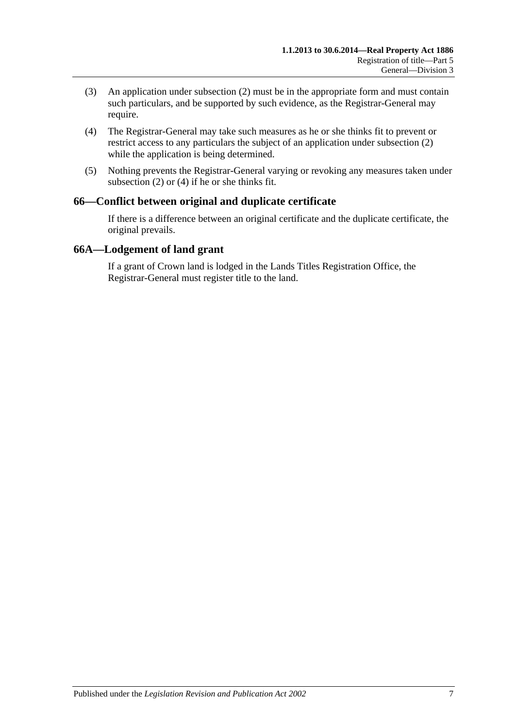- (3) An application under [subsection](#page-31-5) (2) must be in the appropriate form and must contain such particulars, and be supported by such evidence, as the Registrar-General may require.
- <span id="page-32-2"></span>(4) The Registrar-General may take such measures as he or she thinks fit to prevent or restrict access to any particulars the subject of an application under [subsection](#page-31-5) (2) while the application is being determined.
- (5) Nothing prevents the Registrar-General varying or revoking any measures taken under [subsection](#page-31-5) (2) or [\(4\)](#page-32-2) if he or she thinks fit.

## <span id="page-32-0"></span>**66—Conflict between original and duplicate certificate**

If there is a difference between an original certificate and the duplicate certificate, the original prevails.

#### <span id="page-32-1"></span>**66A—Lodgement of land grant**

If a grant of Crown land is lodged in the Lands Titles Registration Office, the Registrar-General must register title to the land.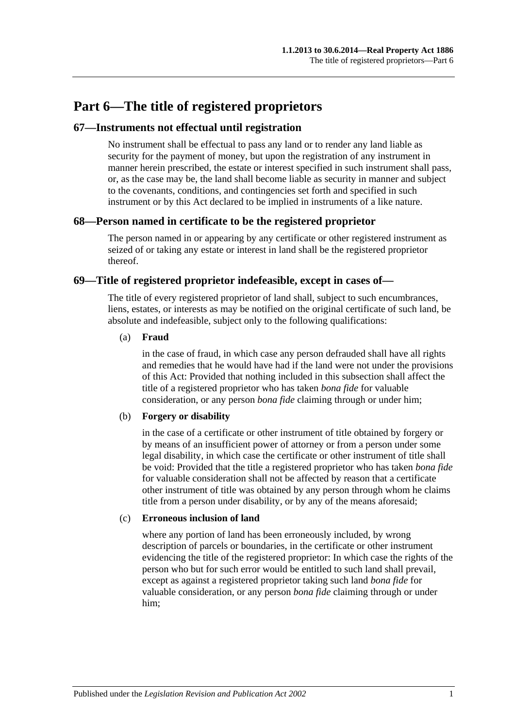## <span id="page-34-0"></span>**Part 6—The title of registered proprietors**

### <span id="page-34-1"></span>**67—Instruments not effectual until registration**

No instrument shall be effectual to pass any land or to render any land liable as security for the payment of money, but upon the registration of any instrument in manner herein prescribed, the estate or interest specified in such instrument shall pass, or, as the case may be, the land shall become liable as security in manner and subject to the covenants, conditions, and contingencies set forth and specified in such instrument or by this Act declared to be implied in instruments of a like nature.

#### <span id="page-34-2"></span>**68—Person named in certificate to be the registered proprietor**

The person named in or appearing by any certificate or other registered instrument as seized of or taking any estate or interest in land shall be the registered proprietor thereof.

#### <span id="page-34-3"></span>**69—Title of registered proprietor indefeasible, except in cases of—**

The title of every registered proprietor of land shall, subject to such encumbrances, liens, estates, or interests as may be notified on the original certificate of such land, be absolute and indefeasible, subject only to the following qualifications:

#### (a) **Fraud**

in the case of fraud, in which case any person defrauded shall have all rights and remedies that he would have had if the land were not under the provisions of this Act: Provided that nothing included in this subsection shall affect the title of a registered proprietor who has taken *bona fide* for valuable consideration, or any person *bona fide* claiming through or under him;

#### (b) **Forgery or disability**

in the case of a certificate or other instrument of title obtained by forgery or by means of an insufficient power of attorney or from a person under some legal disability, in which case the certificate or other instrument of title shall be void: Provided that the title a registered proprietor who has taken *bona fide* for valuable consideration shall not be affected by reason that a certificate other instrument of title was obtained by any person through whom he claims title from a person under disability, or by any of the means aforesaid;

#### (c) **Erroneous inclusion of land**

where any portion of land has been erroneously included, by wrong description of parcels or boundaries, in the certificate or other instrument evidencing the title of the registered proprietor: In which case the rights of the person who but for such error would be entitled to such land shall prevail, except as against a registered proprietor taking such land *bona fide* for valuable consideration, or any person *bona fide* claiming through or under him;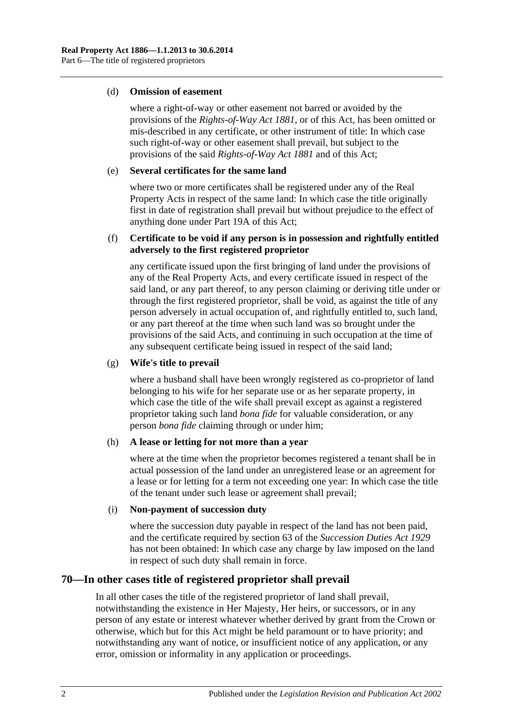#### (d) **Omission of easement**

where a right-of-way or other easement not barred or avoided by the provisions of the *[Rights-of-Way Act](http://www.legislation.sa.gov.au/index.aspx?action=legref&type=act&legtitle=Rights-of-Way%20Act%201881) 1881*, or of this Act, has been omitted or mis-described in any certificate, or other instrument of title: In which case such right-of-way or other easement shall prevail, but subject to the provisions of the said *[Rights-of-Way Act](http://www.legislation.sa.gov.au/index.aspx?action=legref&type=act&legtitle=Rights-of-Way%20Act%201881) 1881* and of this Act;

#### (e) **Several certificates for the same land**

where two or more certificates shall be registered under any of the Real Property Acts in respect of the same land: In which case the title originally first in date of registration shall prevail but without prejudice to the effect of anything done under [Part 19A](#page-100-0) of this Act;

#### (f) **Certificate to be void if any person is in possession and rightfully entitled adversely to the first registered proprietor**

any certificate issued upon the first bringing of land under the provisions of any of the Real Property Acts, and every certificate issued in respect of the said land, or any part thereof, to any person claiming or deriving title under or through the first registered proprietor, shall be void, as against the title of any person adversely in actual occupation of, and rightfully entitled to, such land, or any part thereof at the time when such land was so brought under the provisions of the said Acts, and continuing in such occupation at the time of any subsequent certificate being issued in respect of the said land;

#### (g) **Wife's title to prevail**

where a husband shall have been wrongly registered as co-proprietor of land belonging to his wife for her separate use or as her separate property, in which case the title of the wife shall prevail except as against a registered proprietor taking such land *bona fide* for valuable consideration, or any person *bona fide* claiming through or under him;

#### (h) **A lease or letting for not more than a year**

where at the time when the proprietor becomes registered a tenant shall be in actual possession of the land under an unregistered lease or an agreement for a lease or for letting for a term not exceeding one year: In which case the title of the tenant under such lease or agreement shall prevail;

#### (i) **Non-payment of succession duty**

where the succession duty payable in respect of the land has not been paid, and the certificate required by section 63 of the *[Succession Duties Act](http://www.legislation.sa.gov.au/index.aspx?action=legref&type=act&legtitle=Succession%20Duties%20Act%201929) 1929* has not been obtained: In which case any charge by law imposed on the land in respect of such duty shall remain in force.

## <span id="page-35-0"></span>**70—In other cases title of registered proprietor shall prevail**

In all other cases the title of the registered proprietor of land shall prevail, notwithstanding the existence in Her Majesty, Her heirs, or successors, or in any person of any estate or interest whatever whether derived by grant from the Crown or otherwise, which but for this Act might be held paramount or to have priority; and notwithstanding any want of notice, or insufficient notice of any application, or any error, omission or informality in any application or proceedings.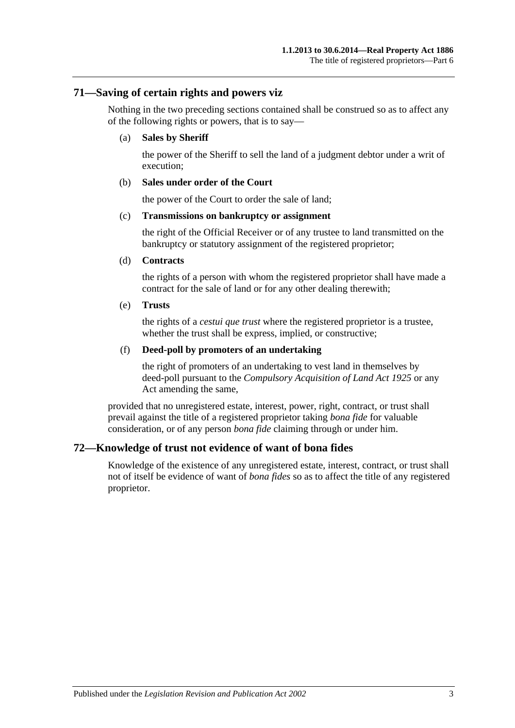#### **71—Saving of certain rights and powers viz**

Nothing in the two preceding sections contained shall be construed so as to affect any of the following rights or powers, that is to say—

#### (a) **Sales by Sheriff**

the power of the Sheriff to sell the land of a judgment debtor under a writ of execution;

#### (b) **Sales under order of the Court**

the power of the Court to order the sale of land;

#### (c) **Transmissions on bankruptcy or assignment**

the right of the Official Receiver or of any trustee to land transmitted on the bankruptcy or statutory assignment of the registered proprietor;

#### (d) **Contracts**

the rights of a person with whom the registered proprietor shall have made a contract for the sale of land or for any other dealing therewith;

#### (e) **Trusts**

the rights of a *cestui que trust* where the registered proprietor is a trustee, whether the trust shall be express, implied, or constructive;

#### (f) **Deed-poll by promoters of an undertaking**

the right of promoters of an undertaking to vest land in themselves by deed-poll pursuant to the *[Compulsory Acquisition of Land Act](http://www.legislation.sa.gov.au/index.aspx?action=legref&type=act&legtitle=Compulsory%20Acquisition%20of%20Land%20Act%201925) 1925* or any Act amending the same,

provided that no unregistered estate, interest, power, right, contract, or trust shall prevail against the title of a registered proprietor taking *bona fide* for valuable consideration, or of any person *bona fide* claiming through or under him.

## **72—Knowledge of trust not evidence of want of bona fides**

Knowledge of the existence of any unregistered estate, interest, contract, or trust shall not of itself be evidence of want of *bona fides* so as to affect the title of any registered proprietor.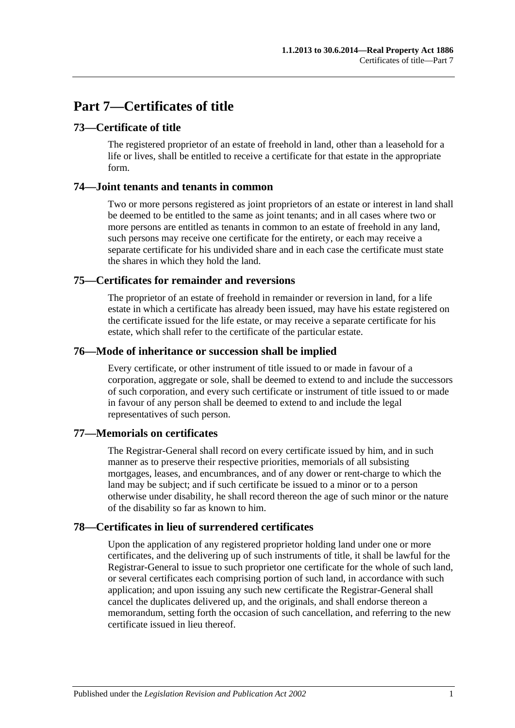# **Part 7—Certificates of title**

## **73—Certificate of title**

The registered proprietor of an estate of freehold in land, other than a leasehold for a life or lives, shall be entitled to receive a certificate for that estate in the appropriate form.

## **74—Joint tenants and tenants in common**

Two or more persons registered as joint proprietors of an estate or interest in land shall be deemed to be entitled to the same as joint tenants; and in all cases where two or more persons are entitled as tenants in common to an estate of freehold in any land, such persons may receive one certificate for the entirety, or each may receive a separate certificate for his undivided share and in each case the certificate must state the shares in which they hold the land.

## **75—Certificates for remainder and reversions**

The proprietor of an estate of freehold in remainder or reversion in land, for a life estate in which a certificate has already been issued, may have his estate registered on the certificate issued for the life estate, or may receive a separate certificate for his estate, which shall refer to the certificate of the particular estate.

## **76—Mode of inheritance or succession shall be implied**

Every certificate, or other instrument of title issued to or made in favour of a corporation, aggregate or sole, shall be deemed to extend to and include the successors of such corporation, and every such certificate or instrument of title issued to or made in favour of any person shall be deemed to extend to and include the legal representatives of such person.

## **77—Memorials on certificates**

The Registrar-General shall record on every certificate issued by him, and in such manner as to preserve their respective priorities, memorials of all subsisting mortgages, leases, and encumbrances, and of any dower or rent-charge to which the land may be subject; and if such certificate be issued to a minor or to a person otherwise under disability, he shall record thereon the age of such minor or the nature of the disability so far as known to him.

## **78—Certificates in lieu of surrendered certificates**

Upon the application of any registered proprietor holding land under one or more certificates, and the delivering up of such instruments of title, it shall be lawful for the Registrar-General to issue to such proprietor one certificate for the whole of such land, or several certificates each comprising portion of such land, in accordance with such application; and upon issuing any such new certificate the Registrar-General shall cancel the duplicates delivered up, and the originals, and shall endorse thereon a memorandum, setting forth the occasion of such cancellation, and referring to the new certificate issued in lieu thereof.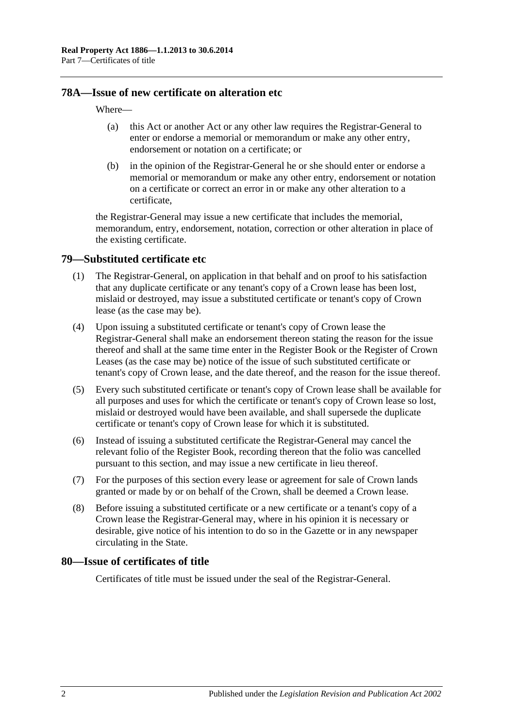### **78A—Issue of new certificate on alteration etc**

#### Where—

- (a) this Act or another Act or any other law requires the Registrar-General to enter or endorse a memorial or memorandum or make any other entry, endorsement or notation on a certificate; or
- (b) in the opinion of the Registrar-General he or she should enter or endorse a memorial or memorandum or make any other entry, endorsement or notation on a certificate or correct an error in or make any other alteration to a certificate,

the Registrar-General may issue a new certificate that includes the memorial, memorandum, entry, endorsement, notation, correction or other alteration in place of the existing certificate.

#### <span id="page-39-0"></span>**79—Substituted certificate etc**

- (1) The Registrar-General, on application in that behalf and on proof to his satisfaction that any duplicate certificate or any tenant's copy of a Crown lease has been lost, mislaid or destroyed, may issue a substituted certificate or tenant's copy of Crown lease (as the case may be).
- (4) Upon issuing a substituted certificate or tenant's copy of Crown lease the Registrar-General shall make an endorsement thereon stating the reason for the issue thereof and shall at the same time enter in the Register Book or the Register of Crown Leases (as the case may be) notice of the issue of such substituted certificate or tenant's copy of Crown lease, and the date thereof, and the reason for the issue thereof.
- (5) Every such substituted certificate or tenant's copy of Crown lease shall be available for all purposes and uses for which the certificate or tenant's copy of Crown lease so lost, mislaid or destroyed would have been available, and shall supersede the duplicate certificate or tenant's copy of Crown lease for which it is substituted.
- (6) Instead of issuing a substituted certificate the Registrar-General may cancel the relevant folio of the Register Book, recording thereon that the folio was cancelled pursuant to this section, and may issue a new certificate in lieu thereof.
- (7) For the purposes of this section every lease or agreement for sale of Crown lands granted or made by or on behalf of the Crown, shall be deemed a Crown lease.
- (8) Before issuing a substituted certificate or a new certificate or a tenant's copy of a Crown lease the Registrar-General may, where in his opinion it is necessary or desirable, give notice of his intention to do so in the Gazette or in any newspaper circulating in the State.

#### **80—Issue of certificates of title**

Certificates of title must be issued under the seal of the Registrar-General.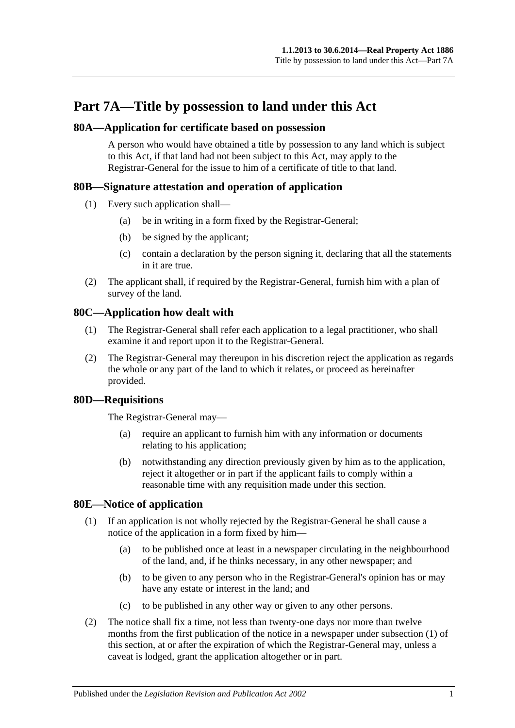# **Part 7A—Title by possession to land under this Act**

### **80A—Application for certificate based on possession**

A person who would have obtained a title by possession to any land which is subject to this Act, if that land had not been subject to this Act, may apply to the Registrar-General for the issue to him of a certificate of title to that land.

## **80B—Signature attestation and operation of application**

- (1) Every such application shall—
	- (a) be in writing in a form fixed by the Registrar-General;
	- (b) be signed by the applicant;
	- (c) contain a declaration by the person signing it, declaring that all the statements in it are true.
- (2) The applicant shall, if required by the Registrar-General, furnish him with a plan of survey of the land.

## **80C—Application how dealt with**

- (1) The Registrar-General shall refer each application to a legal practitioner, who shall examine it and report upon it to the Registrar-General.
- (2) The Registrar-General may thereupon in his discretion reject the application as regards the whole or any part of the land to which it relates, or proceed as hereinafter provided.

## **80D—Requisitions**

The Registrar-General may—

- (a) require an applicant to furnish him with any information or documents relating to his application;
- (b) notwithstanding any direction previously given by him as to the application, reject it altogether or in part if the applicant fails to comply within a reasonable time with any requisition made under this section.

## <span id="page-40-1"></span><span id="page-40-0"></span>**80E—Notice of application**

- (1) If an application is not wholly rejected by the Registrar-General he shall cause a notice of the application in a form fixed by him—
	- (a) to be published once at least in a newspaper circulating in the neighbourhood of the land, and, if he thinks necessary, in any other newspaper; and
	- (b) to be given to any person who in the Registrar-General's opinion has or may have any estate or interest in the land; and
	- (c) to be published in any other way or given to any other persons.
- (2) The notice shall fix a time, not less than twenty-one days nor more than twelve months from the first publication of the notice in a newspaper under [subsection](#page-40-0) (1) of this section, at or after the expiration of which the Registrar-General may, unless a caveat is lodged, grant the application altogether or in part.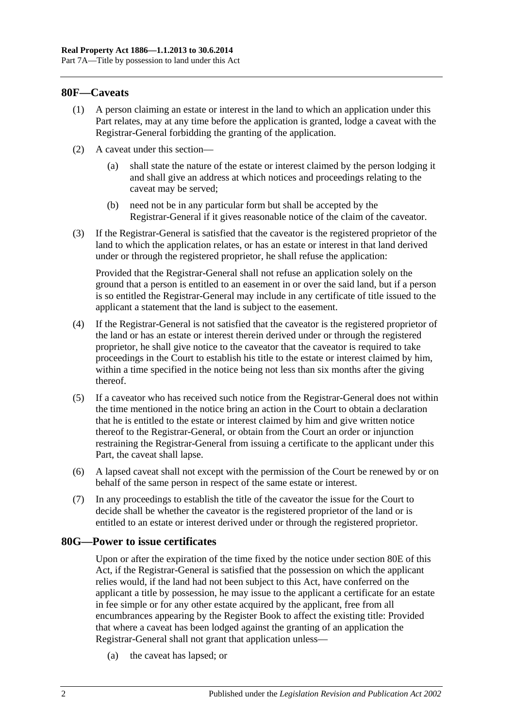#### **80F—Caveats**

- (1) A person claiming an estate or interest in the land to which an application under this Part relates, may at any time before the application is granted, lodge a caveat with the Registrar-General forbidding the granting of the application.
- (2) A caveat under this section—
	- (a) shall state the nature of the estate or interest claimed by the person lodging it and shall give an address at which notices and proceedings relating to the caveat may be served;
	- (b) need not be in any particular form but shall be accepted by the Registrar-General if it gives reasonable notice of the claim of the caveator.
- (3) If the Registrar-General is satisfied that the caveator is the registered proprietor of the land to which the application relates, or has an estate or interest in that land derived under or through the registered proprietor, he shall refuse the application:

Provided that the Registrar-General shall not refuse an application solely on the ground that a person is entitled to an easement in or over the said land, but if a person is so entitled the Registrar-General may include in any certificate of title issued to the applicant a statement that the land is subject to the easement.

- (4) If the Registrar-General is not satisfied that the caveator is the registered proprietor of the land or has an estate or interest therein derived under or through the registered proprietor, he shall give notice to the caveator that the caveator is required to take proceedings in the Court to establish his title to the estate or interest claimed by him, within a time specified in the notice being not less than six months after the giving thereof.
- (5) If a caveator who has received such notice from the Registrar-General does not within the time mentioned in the notice bring an action in the Court to obtain a declaration that he is entitled to the estate or interest claimed by him and give written notice thereof to the Registrar-General, or obtain from the Court an order or injunction restraining the Registrar-General from issuing a certificate to the applicant under this Part, the caveat shall lapse.
- (6) A lapsed caveat shall not except with the permission of the Court be renewed by or on behalf of the same person in respect of the same estate or interest.
- (7) In any proceedings to establish the title of the caveator the issue for the Court to decide shall be whether the caveator is the registered proprietor of the land or is entitled to an estate or interest derived under or through the registered proprietor.

#### **80G—Power to issue certificates**

Upon or after the expiration of the time fixed by the notice under [section](#page-40-1) 80E of this Act, if the Registrar-General is satisfied that the possession on which the applicant relies would, if the land had not been subject to this Act, have conferred on the applicant a title by possession, he may issue to the applicant a certificate for an estate in fee simple or for any other estate acquired by the applicant, free from all encumbrances appearing by the Register Book to affect the existing title: Provided that where a caveat has been lodged against the granting of an application the Registrar-General shall not grant that application unless—

(a) the caveat has lapsed; or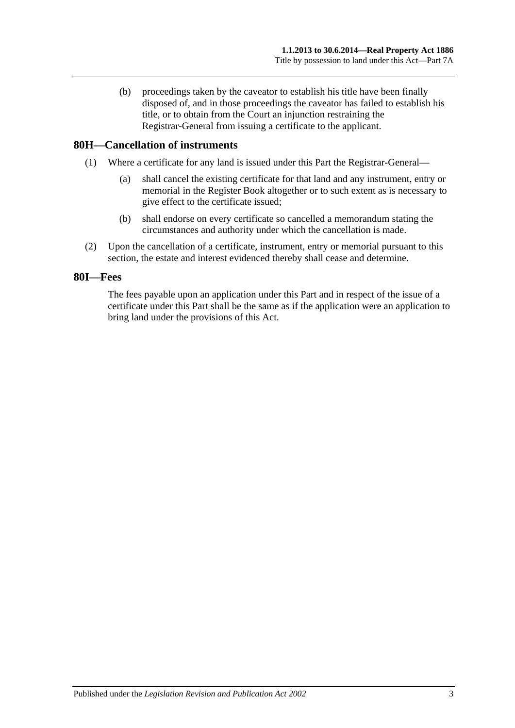(b) proceedings taken by the caveator to establish his title have been finally disposed of, and in those proceedings the caveator has failed to establish his title, or to obtain from the Court an injunction restraining the Registrar-General from issuing a certificate to the applicant.

### **80H—Cancellation of instruments**

- (1) Where a certificate for any land is issued under this Part the Registrar-General—
	- (a) shall cancel the existing certificate for that land and any instrument, entry or memorial in the Register Book altogether or to such extent as is necessary to give effect to the certificate issued;
	- (b) shall endorse on every certificate so cancelled a memorandum stating the circumstances and authority under which the cancellation is made.
- (2) Upon the cancellation of a certificate, instrument, entry or memorial pursuant to this section, the estate and interest evidenced thereby shall cease and determine.

#### **80I—Fees**

The fees payable upon an application under this Part and in respect of the issue of a certificate under this Part shall be the same as if the application were an application to bring land under the provisions of this Act.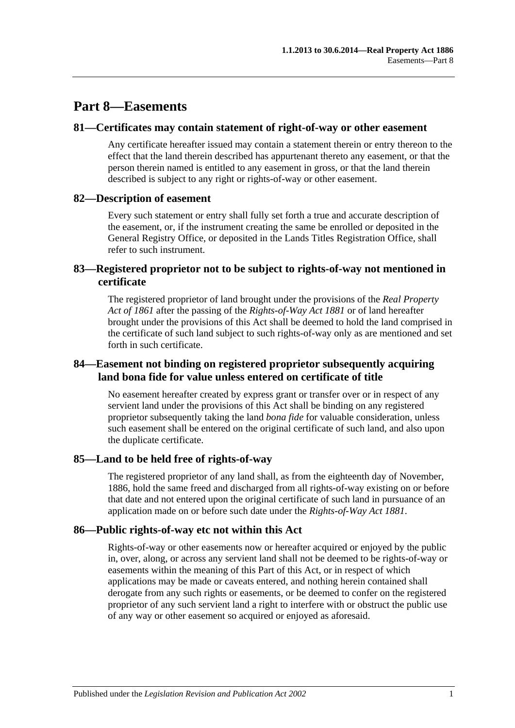# **Part 8—Easements**

#### **81—Certificates may contain statement of right-of-way or other easement**

Any certificate hereafter issued may contain a statement therein or entry thereon to the effect that the land therein described has appurtenant thereto any easement, or that the person therein named is entitled to any easement in gross, or that the land therein described is subject to any right or rights-of-way or other easement.

## **82—Description of easement**

Every such statement or entry shall fully set forth a true and accurate description of the easement, or, if the instrument creating the same be enrolled or deposited in the General Registry Office, or deposited in the Lands Titles Registration Office, shall refer to such instrument.

## **83—Registered proprietor not to be subject to rights-of-way not mentioned in certificate**

The registered proprietor of land brought under the provisions of the *[Real Property](http://www.legislation.sa.gov.au/index.aspx?action=legref&type=act&legtitle=Real%20Property%20Act%20of%201861)  [Act of](http://www.legislation.sa.gov.au/index.aspx?action=legref&type=act&legtitle=Real%20Property%20Act%20of%201861) 1861* after the passing of the *[Rights-of-Way Act](http://www.legislation.sa.gov.au/index.aspx?action=legref&type=act&legtitle=Rights-of-Way%20Act%201881) 1881* or of land hereafter brought under the provisions of this Act shall be deemed to hold the land comprised in the certificate of such land subject to such rights-of-way only as are mentioned and set forth in such certificate.

## **84—Easement not binding on registered proprietor subsequently acquiring land bona fide for value unless entered on certificate of title**

No easement hereafter created by express grant or transfer over or in respect of any servient land under the provisions of this Act shall be binding on any registered proprietor subsequently taking the land *bona fide* for valuable consideration, unless such easement shall be entered on the original certificate of such land, and also upon the duplicate certificate.

## **85—Land to be held free of rights-of-way**

The registered proprietor of any land shall, as from the eighteenth day of November, 1886, hold the same freed and discharged from all rights-of-way existing on or before that date and not entered upon the original certificate of such land in pursuance of an application made on or before such date under the *[Rights-of-Way Act](http://www.legislation.sa.gov.au/index.aspx?action=legref&type=act&legtitle=Rights-of-Way%20Act%201881) 1881*.

## **86—Public rights-of-way etc not within this Act**

Rights-of-way or other easements now or hereafter acquired or enjoyed by the public in, over, along, or across any servient land shall not be deemed to be rights-of-way or easements within the meaning of this Part of this Act, or in respect of which applications may be made or caveats entered, and nothing herein contained shall derogate from any such rights or easements, or be deemed to confer on the registered proprietor of any such servient land a right to interfere with or obstruct the public use of any way or other easement so acquired or enjoyed as aforesaid.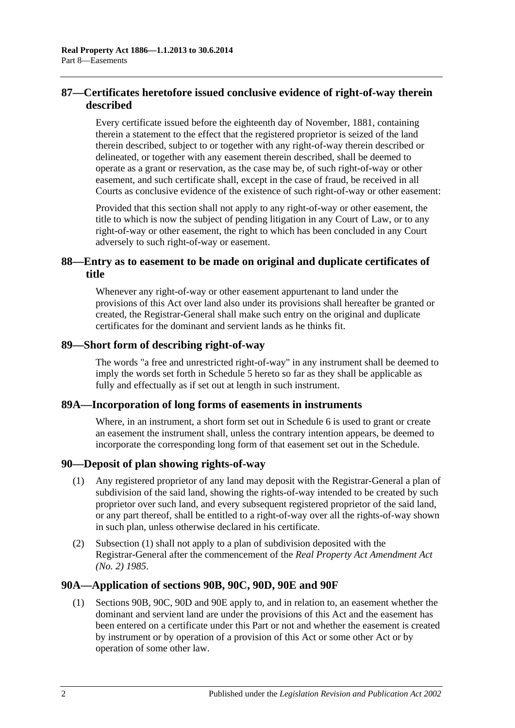## **87—Certificates heretofore issued conclusive evidence of right-of-way therein described**

Every certificate issued before the eighteenth day of November, 1881, containing therein a statement to the effect that the registered proprietor is seized of the land therein described, subject to or together with any right-of-way therein described or delineated, or together with any easement therein described, shall be deemed to operate as a grant or reservation, as the case may be, of such right-of-way or other easement, and such certificate shall, except in the case of fraud, be received in all Courts as conclusive evidence of the existence of such right-of-way or other easement:

Provided that this section shall not apply to any right-of-way or other easement, the title to which is now the subject of pending litigation in any Court of Law, or to any right-of-way or other easement, the right to which has been concluded in any Court adversely to such right-of-way or easement.

## **88—Entry as to easement to be made on original and duplicate certificates of title**

Whenever any right-of-way or other easement appurtenant to land under the provisions of this Act over land also under its provisions shall hereafter be granted or created, the Registrar-General shall make such entry on the original and duplicate certificates for the dominant and servient lands as he thinks fit.

#### **89—Short form of describing right-of-way**

The words "a free and unrestricted right-of-way" in any instrument shall be deemed to imply the words set forth in [Schedule 5](#page-132-0) hereto so far as they shall be applicable as fully and effectually as if set out at length in such instrument.

## **89A—Incorporation of long forms of easements in instruments**

Where, in an instrument, a short form set out in [Schedule 6](#page-132-1) is used to grant or create an easement the instrument shall, unless the contrary intention appears, be deemed to incorporate the corresponding long form of that easement set out in the Schedule.

## <span id="page-45-0"></span>**90—Deposit of plan showing rights-of-way**

- (1) Any registered proprietor of any land may deposit with the Registrar-General a plan of subdivision of the said land, showing the rights-of-way intended to be created by such proprietor over such land, and every subsequent registered proprietor of the said land, or any part thereof, shall be entitled to a right-of-way over all the rights-of-way shown in such plan, unless otherwise declared in his certificate.
- (2) [Subsection](#page-45-0) (1) shall not apply to a plan of subdivision deposited with the Registrar-General after the commencement of the *[Real Property Act Amendment Act](http://www.legislation.sa.gov.au/index.aspx?action=legref&type=act&legtitle=Real%20Property%20Act%20Amendment%20Act%20(No.%202)%201985)  (No. 2) [1985](http://www.legislation.sa.gov.au/index.aspx?action=legref&type=act&legtitle=Real%20Property%20Act%20Amendment%20Act%20(No.%202)%201985)*.

## **90A—Application of [sections](#page-46-0) 90B, [90C,](#page-48-0) [90D,](#page-49-0) [90E](#page-49-1) and [90F](#page-49-2)**

(1) [Sections](#page-46-0) 90B, [90C,](#page-48-0) [90D](#page-49-0) and [90E](#page-49-1) apply to, and in relation to, an easement whether the dominant and servient land are under the provisions of this Act and the easement has been entered on a certificate under this Part or not and whether the easement is created by instrument or by operation of a provision of this Act or some other Act or by operation of some other law.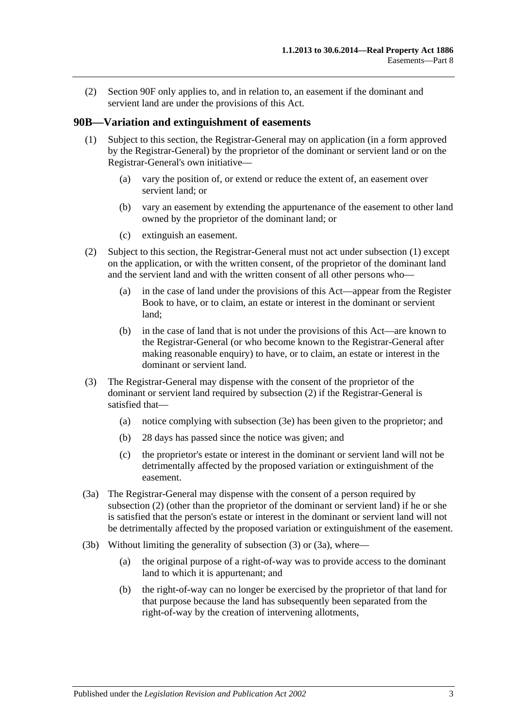(2) [Section](#page-49-2) 90F only applies to, and in relation to, an easement if the dominant and servient land are under the provisions of this Act.

#### <span id="page-46-1"></span><span id="page-46-0"></span>**90B—Variation and extinguishment of easements**

- (1) Subject to this section, the Registrar-General may on application (in a form approved by the Registrar-General) by the proprietor of the dominant or servient land or on the Registrar-General's own initiative—
	- (a) vary the position of, or extend or reduce the extent of, an easement over servient land; or
	- (b) vary an easement by extending the appurtenance of the easement to other land owned by the proprietor of the dominant land; or
	- (c) extinguish an easement.
- <span id="page-46-2"></span>(2) Subject to this section, the Registrar-General must not act under [subsection](#page-46-1) (1) except on the application, or with the written consent, of the proprietor of the dominant land and the servient land and with the written consent of all other persons who—
	- (a) in the case of land under the provisions of this Act—appear from the Register Book to have, or to claim, an estate or interest in the dominant or servient land;
	- (b) in the case of land that is not under the provisions of this Act—are known to the Registrar-General (or who become known to the Registrar-General after making reasonable enquiry) to have, or to claim, an estate or interest in the dominant or servient land.
- <span id="page-46-3"></span>(3) The Registrar-General may dispense with the consent of the proprietor of the dominant or servient land required by [subsection](#page-46-2) (2) if the Registrar-General is satisfied that—
	- (a) notice complying with [subsection](#page-47-0) (3e) has been given to the proprietor; and
	- (b) 28 days has passed since the notice was given; and
	- (c) the proprietor's estate or interest in the dominant or servient land will not be detrimentally affected by the proposed variation or extinguishment of the easement.
- <span id="page-46-4"></span>(3a) The Registrar-General may dispense with the consent of a person required by [subsection](#page-46-2) (2) (other than the proprietor of the dominant or servient land) if he or she is satisfied that the person's estate or interest in the dominant or servient land will not be detrimentally affected by the proposed variation or extinguishment of the easement.
- <span id="page-46-5"></span>(3b) Without limiting the generality of [subsection](#page-46-3) (3) or [\(3a\),](#page-46-4) where—
	- (a) the original purpose of a right-of-way was to provide access to the dominant land to which it is appurtenant; and
	- (b) the right-of-way can no longer be exercised by the proprietor of that land for that purpose because the land has subsequently been separated from the right-of-way by the creation of intervening allotments,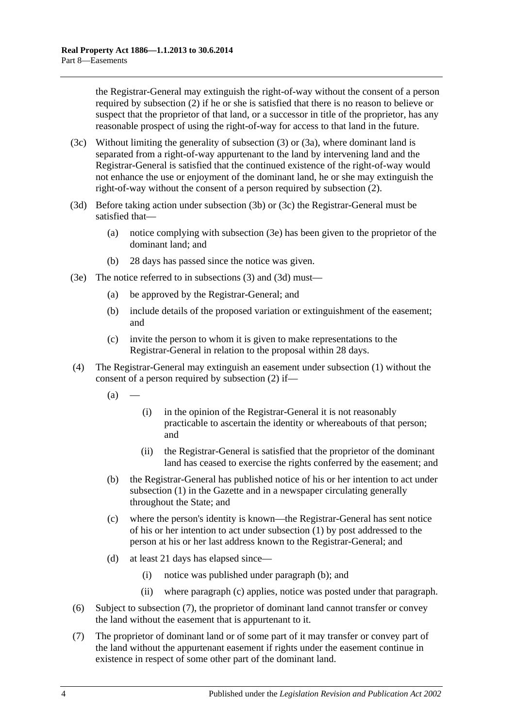the Registrar-General may extinguish the right-of-way without the consent of a person required by [subsection](#page-46-2) (2) if he or she is satisfied that there is no reason to believe or suspect that the proprietor of that land, or a successor in title of the proprietor, has any reasonable prospect of using the right-of-way for access to that land in the future.

- <span id="page-47-1"></span>(3c) Without limiting the generality of [subsection](#page-46-3) (3) or [\(3a\),](#page-46-4) where dominant land is separated from a right-of-way appurtenant to the land by intervening land and the Registrar-General is satisfied that the continued existence of the right-of-way would not enhance the use or enjoyment of the dominant land, he or she may extinguish the right-of-way without the consent of a person required by [subsection](#page-46-2) (2).
- <span id="page-47-2"></span>(3d) Before taking action under [subsection](#page-46-5) (3b) or [\(3c\)](#page-47-1) the Registrar-General must be satisfied that—
	- (a) notice complying with [subsection](#page-47-0) (3e) has been given to the proprietor of the dominant land; and
	- (b) 28 days has passed since the notice was given.
- <span id="page-47-0"></span>(3e) The notice referred to in [subsections](#page-46-3) (3) and [\(3d\)](#page-47-2) must—
	- (a) be approved by the Registrar-General; and
	- (b) include details of the proposed variation or extinguishment of the easement; and
	- (c) invite the person to whom it is given to make representations to the Registrar-General in relation to the proposal within 28 days.
- <span id="page-47-3"></span>(4) The Registrar-General may extinguish an easement under [subsection](#page-46-1) (1) without the consent of a person required by [subsection](#page-46-2) (2) if—
	- $(a)$ 
		- (i) in the opinion of the Registrar-General it is not reasonably practicable to ascertain the identity or whereabouts of that person; and
		- (ii) the Registrar-General is satisfied that the proprietor of the dominant land has ceased to exercise the rights conferred by the easement; and
	- (b) the Registrar-General has published notice of his or her intention to act under [subsection](#page-46-1) (1) in the Gazette and in a newspaper circulating generally throughout the State; and
	- (c) where the person's identity is known—the Registrar-General has sent notice of his or her intention to act under [subsection](#page-46-1) (1) by post addressed to the person at his or her last address known to the Registrar-General; and
	- (d) at least 21 days has elapsed since—
		- (i) notice was published under [paragraph](#page-47-3) (b); and
		- (ii) where [paragraph](#page-47-4) (c) applies, notice was posted under that paragraph.
- <span id="page-47-4"></span>(6) Subject to [subsection](#page-47-5) (7), the proprietor of dominant land cannot transfer or convey the land without the easement that is appurtenant to it.
- <span id="page-47-5"></span>(7) The proprietor of dominant land or of some part of it may transfer or convey part of the land without the appurtenant easement if rights under the easement continue in existence in respect of some other part of the dominant land.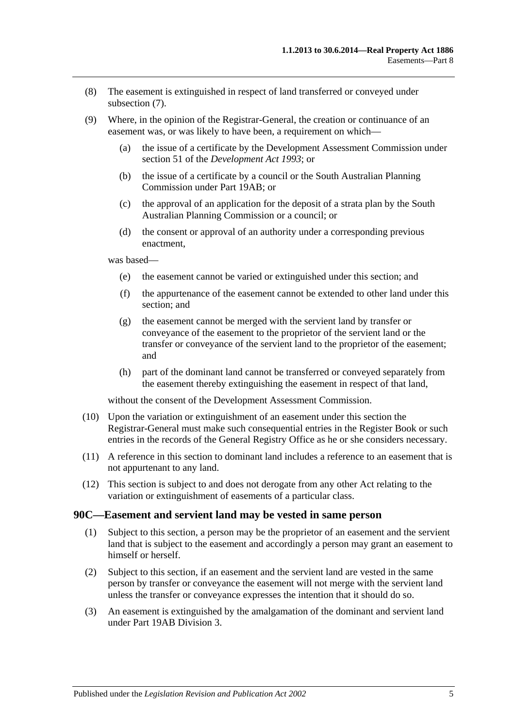- (8) The easement is extinguished in respect of land transferred or conveyed under [subsection](#page-47-5) (7).
- (9) Where, in the opinion of the Registrar-General, the creation or continuance of an easement was, or was likely to have been, a requirement on which—
	- (a) the issue of a certificate by the Development Assessment Commission under section 51 of the *[Development Act](http://www.legislation.sa.gov.au/index.aspx?action=legref&type=act&legtitle=Development%20Act%201993) 1993*; or
	- (b) the issue of a certificate by a council or the South Australian Planning Commission under [Part 19AB;](#page-104-0) or
	- (c) the approval of an application for the deposit of a strata plan by the South Australian Planning Commission or a council; or
	- (d) the consent or approval of an authority under a corresponding previous enactment,

was based—

- (e) the easement cannot be varied or extinguished under this section; and
- (f) the appurtenance of the easement cannot be extended to other land under this section; and
- (g) the easement cannot be merged with the servient land by transfer or conveyance of the easement to the proprietor of the servient land or the transfer or conveyance of the servient land to the proprietor of the easement; and
- (h) part of the dominant land cannot be transferred or conveyed separately from the easement thereby extinguishing the easement in respect of that land,

without the consent of the Development Assessment Commission.

- (10) Upon the variation or extinguishment of an easement under this section the Registrar-General must make such consequential entries in the Register Book or such entries in the records of the General Registry Office as he or she considers necessary.
- (11) A reference in this section to dominant land includes a reference to an easement that is not appurtenant to any land.
- (12) This section is subject to and does not derogate from any other Act relating to the variation or extinguishment of easements of a particular class.

#### <span id="page-48-0"></span>**90C—Easement and servient land may be vested in same person**

- (1) Subject to this section, a person may be the proprietor of an easement and the servient land that is subject to the easement and accordingly a person may grant an easement to himself or herself.
- (2) Subject to this section, if an easement and the servient land are vested in the same person by transfer or conveyance the easement will not merge with the servient land unless the transfer or conveyance expresses the intention that it should do so.
- (3) An easement is extinguished by the amalgamation of the dominant and servient land under [Part 19AB](#page-104-0) [Division 3.](#page-114-0)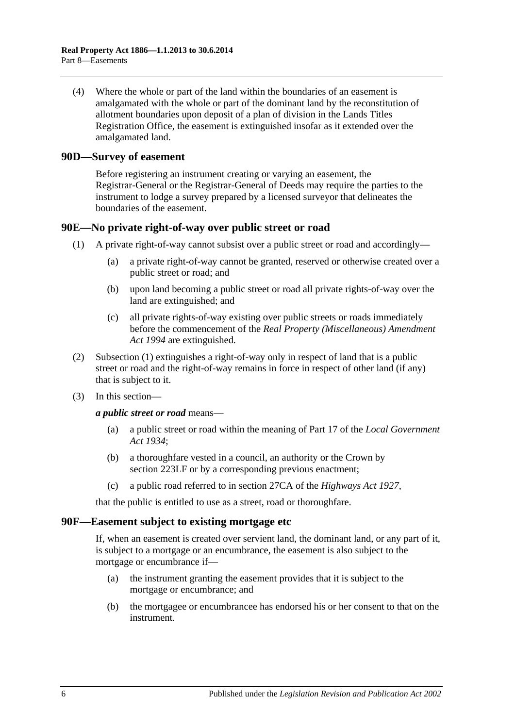(4) Where the whole or part of the land within the boundaries of an easement is amalgamated with the whole or part of the dominant land by the reconstitution of allotment boundaries upon deposit of a plan of division in the Lands Titles Registration Office, the easement is extinguished insofar as it extended over the amalgamated land.

#### <span id="page-49-0"></span>**90D—Survey of easement**

Before registering an instrument creating or varying an easement, the Registrar-General or the Registrar-General of Deeds may require the parties to the instrument to lodge a survey prepared by a licensed surveyor that delineates the boundaries of the easement.

#### <span id="page-49-3"></span><span id="page-49-1"></span>**90E—No private right-of-way over public street or road**

- (1) A private right-of-way cannot subsist over a public street or road and accordingly—
	- (a) a private right-of-way cannot be granted, reserved or otherwise created over a public street or road; and
	- (b) upon land becoming a public street or road all private rights-of-way over the land are extinguished; and
	- (c) all private rights-of-way existing over public streets or roads immediately before the commencement of the *[Real Property \(Miscellaneous\) Amendment](http://www.legislation.sa.gov.au/index.aspx?action=legref&type=act&legtitle=Real%20Property%20(Miscellaneous)%20Amendment%20Act%201994)  Act [1994](http://www.legislation.sa.gov.au/index.aspx?action=legref&type=act&legtitle=Real%20Property%20(Miscellaneous)%20Amendment%20Act%201994)* are extinguished.
- (2) [Subsection](#page-49-3) (1) extinguishes a right-of-way only in respect of land that is a public street or road and the right-of-way remains in force in respect of other land (if any) that is subject to it.
- (3) In this section—

*a public street or road* means—

- (a) a public street or road within the meaning of Part 17 of the *[Local Government](http://www.legislation.sa.gov.au/index.aspx?action=legref&type=act&legtitle=Local%20Government%20Act%201934)  Act [1934](http://www.legislation.sa.gov.au/index.aspx?action=legref&type=act&legtitle=Local%20Government%20Act%201934)*;
- (b) a thoroughfare vested in a council, an authority or the Crown by [section](#page-111-0) 223LF or by a corresponding previous enactment;
- (c) a public road referred to in section 27CA of the *[Highways Act](http://www.legislation.sa.gov.au/index.aspx?action=legref&type=act&legtitle=Highways%20Act%201927) 1927*,

that the public is entitled to use as a street, road or thoroughfare.

#### <span id="page-49-2"></span>**90F—Easement subject to existing mortgage etc**

If, when an easement is created over servient land, the dominant land, or any part of it, is subject to a mortgage or an encumbrance, the easement is also subject to the mortgage or encumbrance if—

- (a) the instrument granting the easement provides that it is subject to the mortgage or encumbrance; and
- (b) the mortgagee or encumbrancee has endorsed his or her consent to that on the instrument.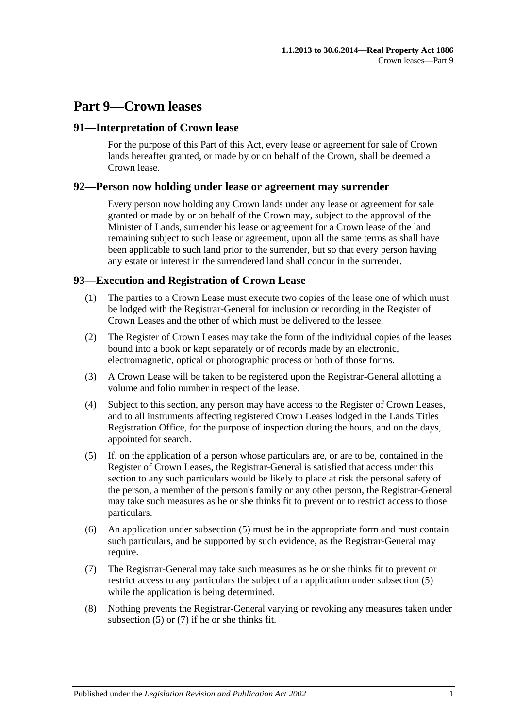# **Part 9—Crown leases**

### **91—Interpretation of Crown lease**

For the purpose of this Part of this Act, every lease or agreement for sale of Crown lands hereafter granted, or made by or on behalf of the Crown, shall be deemed a Crown lease.

#### **92—Person now holding under lease or agreement may surrender**

Every person now holding any Crown lands under any lease or agreement for sale granted or made by or on behalf of the Crown may, subject to the approval of the Minister of Lands, surrender his lease or agreement for a Crown lease of the land remaining subject to such lease or agreement, upon all the same terms as shall have been applicable to such land prior to the surrender, but so that every person having any estate or interest in the surrendered land shall concur in the surrender.

## **93—Execution and Registration of Crown Lease**

- (1) The parties to a Crown Lease must execute two copies of the lease one of which must be lodged with the Registrar-General for inclusion or recording in the Register of Crown Leases and the other of which must be delivered to the lessee.
- (2) The Register of Crown Leases may take the form of the individual copies of the leases bound into a book or kept separately or of records made by an electronic, electromagnetic, optical or photographic process or both of those forms.
- (3) A Crown Lease will be taken to be registered upon the Registrar-General allotting a volume and folio number in respect of the lease.
- (4) Subject to this section, any person may have access to the Register of Crown Leases, and to all instruments affecting registered Crown Leases lodged in the Lands Titles Registration Office, for the purpose of inspection during the hours, and on the days, appointed for search.
- <span id="page-50-0"></span>(5) If, on the application of a person whose particulars are, or are to be, contained in the Register of Crown Leases, the Registrar-General is satisfied that access under this section to any such particulars would be likely to place at risk the personal safety of the person, a member of the person's family or any other person, the Registrar-General may take such measures as he or she thinks fit to prevent or to restrict access to those particulars.
- (6) An application under [subsection](#page-50-0) (5) must be in the appropriate form and must contain such particulars, and be supported by such evidence, as the Registrar-General may require.
- <span id="page-50-1"></span>(7) The Registrar-General may take such measures as he or she thinks fit to prevent or restrict access to any particulars the subject of an application under [subsection](#page-50-0) (5) while the application is being determined.
- (8) Nothing prevents the Registrar-General varying or revoking any measures taken under [subsection](#page-50-0) (5) or [\(7\)](#page-50-1) if he or she thinks fit.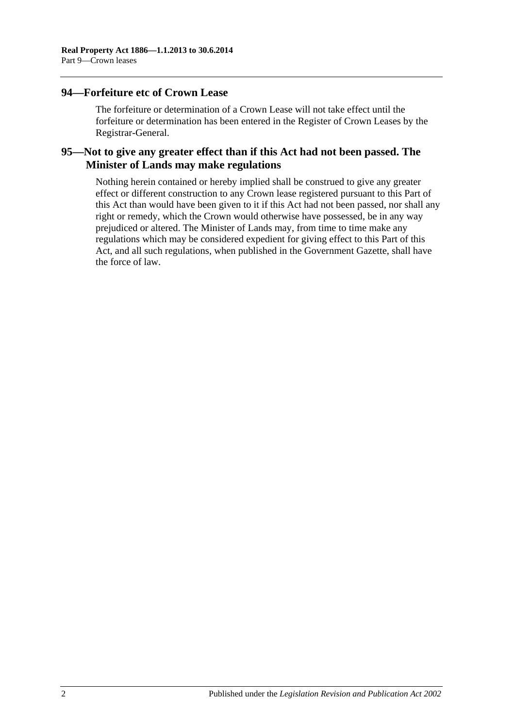#### **94—Forfeiture etc of Crown Lease**

The forfeiture or determination of a Crown Lease will not take effect until the forfeiture or determination has been entered in the Register of Crown Leases by the Registrar-General.

## **95—Not to give any greater effect than if this Act had not been passed. The Minister of Lands may make regulations**

Nothing herein contained or hereby implied shall be construed to give any greater effect or different construction to any Crown lease registered pursuant to this Part of this Act than would have been given to it if this Act had not been passed, nor shall any right or remedy, which the Crown would otherwise have possessed, be in any way prejudiced or altered. The Minister of Lands may, from time to time make any regulations which may be considered expedient for giving effect to this Part of this Act, and all such regulations, when published in the Government Gazette, shall have the force of law.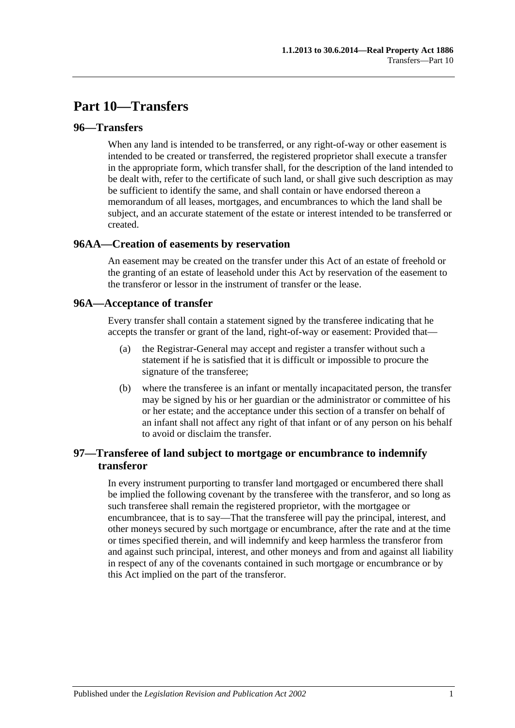# **Part 10—Transfers**

### **96—Transfers**

When any land is intended to be transferred, or any right-of-way or other easement is intended to be created or transferred, the registered proprietor shall execute a transfer in the appropriate form, which transfer shall, for the description of the land intended to be dealt with, refer to the certificate of such land, or shall give such description as may be sufficient to identify the same, and shall contain or have endorsed thereon a memorandum of all leases, mortgages, and encumbrances to which the land shall be subject, and an accurate statement of the estate or interest intended to be transferred or created.

#### **96AA—Creation of easements by reservation**

An easement may be created on the transfer under this Act of an estate of freehold or the granting of an estate of leasehold under this Act by reservation of the easement to the transferor or lessor in the instrument of transfer or the lease.

#### **96A—Acceptance of transfer**

Every transfer shall contain a statement signed by the transferee indicating that he accepts the transfer or grant of the land, right-of-way or easement: Provided that—

- (a) the Registrar-General may accept and register a transfer without such a statement if he is satisfied that it is difficult or impossible to procure the signature of the transferee;
- (b) where the transferee is an infant or mentally incapacitated person, the transfer may be signed by his or her guardian or the administrator or committee of his or her estate; and the acceptance under this section of a transfer on behalf of an infant shall not affect any right of that infant or of any person on his behalf to avoid or disclaim the transfer.

## **97—Transferee of land subject to mortgage or encumbrance to indemnify transferor**

In every instrument purporting to transfer land mortgaged or encumbered there shall be implied the following covenant by the transferee with the transferor, and so long as such transferee shall remain the registered proprietor, with the mortgagee or encumbrancee, that is to say—That the transferee will pay the principal, interest, and other moneys secured by such mortgage or encumbrance, after the rate and at the time or times specified therein, and will indemnify and keep harmless the transferor from and against such principal, interest, and other moneys and from and against all liability in respect of any of the covenants contained in such mortgage or encumbrance or by this Act implied on the part of the transferor.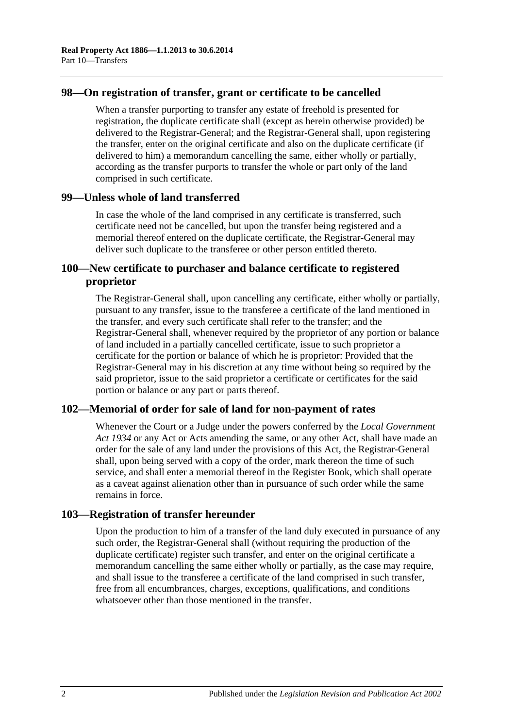### **98—On registration of transfer, grant or certificate to be cancelled**

When a transfer purporting to transfer any estate of freehold is presented for registration, the duplicate certificate shall (except as herein otherwise provided) be delivered to the Registrar-General; and the Registrar-General shall, upon registering the transfer, enter on the original certificate and also on the duplicate certificate (if delivered to him) a memorandum cancelling the same, either wholly or partially, according as the transfer purports to transfer the whole or part only of the land comprised in such certificate.

#### **99—Unless whole of land transferred**

In case the whole of the land comprised in any certificate is transferred, such certificate need not be cancelled, but upon the transfer being registered and a memorial thereof entered on the duplicate certificate, the Registrar-General may deliver such duplicate to the transferee or other person entitled thereto.

## **100—New certificate to purchaser and balance certificate to registered proprietor**

The Registrar-General shall, upon cancelling any certificate, either wholly or partially, pursuant to any transfer, issue to the transferee a certificate of the land mentioned in the transfer, and every such certificate shall refer to the transfer; and the Registrar-General shall, whenever required by the proprietor of any portion or balance of land included in a partially cancelled certificate, issue to such proprietor a certificate for the portion or balance of which he is proprietor: Provided that the Registrar-General may in his discretion at any time without being so required by the said proprietor, issue to the said proprietor a certificate or certificates for the said portion or balance or any part or parts thereof.

## **102—Memorial of order for sale of land for non-payment of rates**

Whenever the Court or a Judge under the powers conferred by the *[Local Government](http://www.legislation.sa.gov.au/index.aspx?action=legref&type=act&legtitle=Local%20Government%20Act%201934)  Act [1934](http://www.legislation.sa.gov.au/index.aspx?action=legref&type=act&legtitle=Local%20Government%20Act%201934)* or any Act or Acts amending the same, or any other Act, shall have made an order for the sale of any land under the provisions of this Act, the Registrar-General shall, upon being served with a copy of the order, mark thereon the time of such service, and shall enter a memorial thereof in the Register Book, which shall operate as a caveat against alienation other than in pursuance of such order while the same remains in force.

## **103—Registration of transfer hereunder**

Upon the production to him of a transfer of the land duly executed in pursuance of any such order, the Registrar-General shall (without requiring the production of the duplicate certificate) register such transfer, and enter on the original certificate a memorandum cancelling the same either wholly or partially, as the case may require, and shall issue to the transferee a certificate of the land comprised in such transfer, free from all encumbrances, charges, exceptions, qualifications, and conditions whatsoever other than those mentioned in the transfer.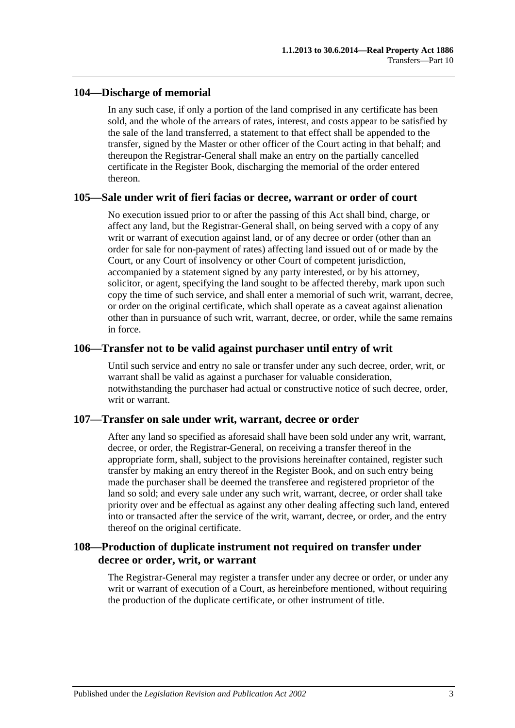## **104—Discharge of memorial**

In any such case, if only a portion of the land comprised in any certificate has been sold, and the whole of the arrears of rates, interest, and costs appear to be satisfied by the sale of the land transferred, a statement to that effect shall be appended to the transfer, signed by the Master or other officer of the Court acting in that behalf; and thereupon the Registrar-General shall make an entry on the partially cancelled certificate in the Register Book, discharging the memorial of the order entered thereon.

#### **105—Sale under writ of fieri facias or decree, warrant or order of court**

No execution issued prior to or after the passing of this Act shall bind, charge, or affect any land, but the Registrar-General shall, on being served with a copy of any writ or warrant of execution against land, or of any decree or order (other than an order for sale for non-payment of rates) affecting land issued out of or made by the Court, or any Court of insolvency or other Court of competent jurisdiction, accompanied by a statement signed by any party interested, or by his attorney, solicitor, or agent, specifying the land sought to be affected thereby, mark upon such copy the time of such service, and shall enter a memorial of such writ, warrant, decree, or order on the original certificate, which shall operate as a caveat against alienation other than in pursuance of such writ, warrant, decree, or order, while the same remains in force.

#### **106—Transfer not to be valid against purchaser until entry of writ**

Until such service and entry no sale or transfer under any such decree, order, writ, or warrant shall be valid as against a purchaser for valuable consideration, notwithstanding the purchaser had actual or constructive notice of such decree, order, writ or warrant.

## **107—Transfer on sale under writ, warrant, decree or order**

After any land so specified as aforesaid shall have been sold under any writ, warrant, decree, or order, the Registrar-General, on receiving a transfer thereof in the appropriate form, shall, subject to the provisions hereinafter contained, register such transfer by making an entry thereof in the Register Book, and on such entry being made the purchaser shall be deemed the transferee and registered proprietor of the land so sold; and every sale under any such writ, warrant, decree, or order shall take priority over and be effectual as against any other dealing affecting such land, entered into or transacted after the service of the writ, warrant, decree, or order, and the entry thereof on the original certificate.

## **108—Production of duplicate instrument not required on transfer under decree or order, writ, or warrant**

The Registrar-General may register a transfer under any decree or order, or under any writ or warrant of execution of a Court, as hereinbefore mentioned, without requiring the production of the duplicate certificate, or other instrument of title.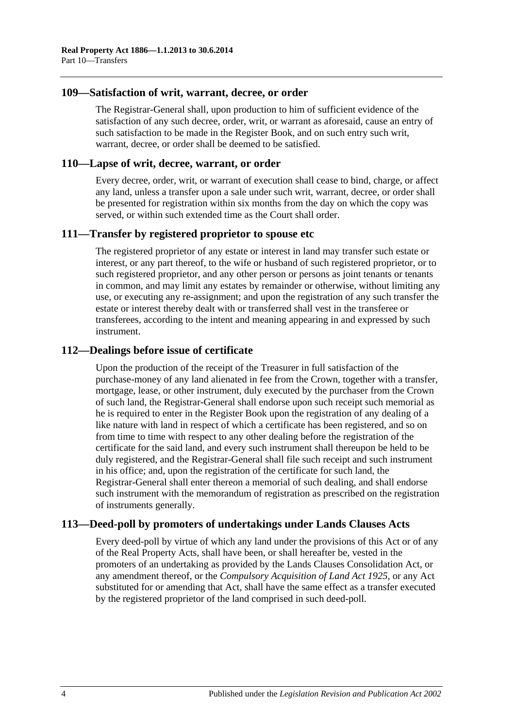#### **109—Satisfaction of writ, warrant, decree, or order**

The Registrar-General shall, upon production to him of sufficient evidence of the satisfaction of any such decree, order, writ, or warrant as aforesaid, cause an entry of such satisfaction to be made in the Register Book, and on such entry such writ, warrant, decree, or order shall be deemed to be satisfied.

#### **110—Lapse of writ, decree, warrant, or order**

Every decree, order, writ, or warrant of execution shall cease to bind, charge, or affect any land, unless a transfer upon a sale under such writ, warrant, decree, or order shall be presented for registration within six months from the day on which the copy was served, or within such extended time as the Court shall order.

#### **111—Transfer by registered proprietor to spouse etc**

The registered proprietor of any estate or interest in land may transfer such estate or interest, or any part thereof, to the wife or husband of such registered proprietor, or to such registered proprietor, and any other person or persons as joint tenants or tenants in common, and may limit any estates by remainder or otherwise, without limiting any use, or executing any re-assignment; and upon the registration of any such transfer the estate or interest thereby dealt with or transferred shall vest in the transferee or transferees, according to the intent and meaning appearing in and expressed by such instrument.

#### **112—Dealings before issue of certificate**

Upon the production of the receipt of the Treasurer in full satisfaction of the purchase-money of any land alienated in fee from the Crown, together with a transfer, mortgage, lease, or other instrument, duly executed by the purchaser from the Crown of such land, the Registrar-General shall endorse upon such receipt such memorial as he is required to enter in the Register Book upon the registration of any dealing of a like nature with land in respect of which a certificate has been registered, and so on from time to time with respect to any other dealing before the registration of the certificate for the said land, and every such instrument shall thereupon be held to be duly registered, and the Registrar-General shall file such receipt and such instrument in his office; and, upon the registration of the certificate for such land, the Registrar-General shall enter thereon a memorial of such dealing, and shall endorse such instrument with the memorandum of registration as prescribed on the registration of instruments generally.

## **113—Deed-poll by promoters of undertakings under Lands Clauses Acts**

Every deed-poll by virtue of which any land under the provisions of this Act or of any of the Real Property Acts, shall have been, or shall hereafter be, vested in the promoters of an undertaking as provided by the Lands Clauses Consolidation Act, or any amendment thereof, or the *[Compulsory Acquisition of Land Act](http://www.legislation.sa.gov.au/index.aspx?action=legref&type=act&legtitle=Compulsory%20Acquisition%20of%20Land%20Act%201925) 1925*, or any Act substituted for or amending that Act, shall have the same effect as a transfer executed by the registered proprietor of the land comprised in such deed-poll.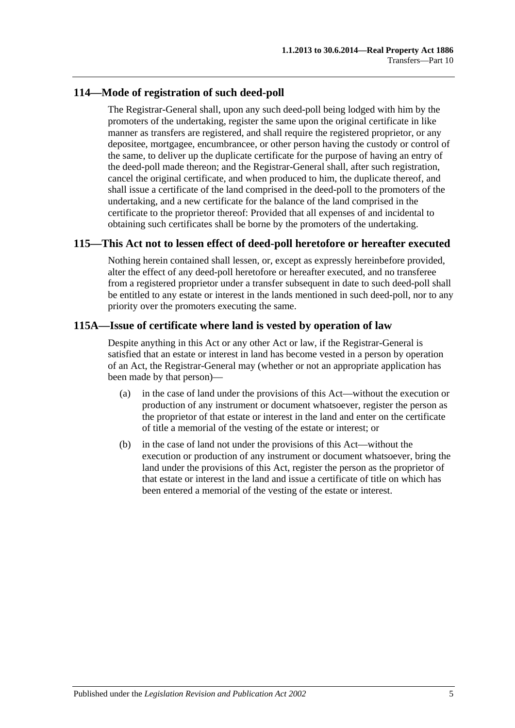## **114—Mode of registration of such deed-poll**

The Registrar-General shall, upon any such deed-poll being lodged with him by the promoters of the undertaking, register the same upon the original certificate in like manner as transfers are registered, and shall require the registered proprietor, or any depositee, mortgagee, encumbrancee, or other person having the custody or control of the same, to deliver up the duplicate certificate for the purpose of having an entry of the deed-poll made thereon; and the Registrar-General shall, after such registration, cancel the original certificate, and when produced to him, the duplicate thereof, and shall issue a certificate of the land comprised in the deed-poll to the promoters of the undertaking, and a new certificate for the balance of the land comprised in the certificate to the proprietor thereof: Provided that all expenses of and incidental to obtaining such certificates shall be borne by the promoters of the undertaking.

## **115—This Act not to lessen effect of deed-poll heretofore or hereafter executed**

Nothing herein contained shall lessen, or, except as expressly hereinbefore provided, alter the effect of any deed-poll heretofore or hereafter executed, and no transferee from a registered proprietor under a transfer subsequent in date to such deed-poll shall be entitled to any estate or interest in the lands mentioned in such deed-poll, nor to any priority over the promoters executing the same.

## **115A—Issue of certificate where land is vested by operation of law**

Despite anything in this Act or any other Act or law, if the Registrar-General is satisfied that an estate or interest in land has become vested in a person by operation of an Act, the Registrar-General may (whether or not an appropriate application has been made by that person)—

- (a) in the case of land under the provisions of this Act—without the execution or production of any instrument or document whatsoever, register the person as the proprietor of that estate or interest in the land and enter on the certificate of title a memorial of the vesting of the estate or interest; or
- (b) in the case of land not under the provisions of this Act—without the execution or production of any instrument or document whatsoever, bring the land under the provisions of this Act, register the person as the proprietor of that estate or interest in the land and issue a certificate of title on which has been entered a memorial of the vesting of the estate or interest.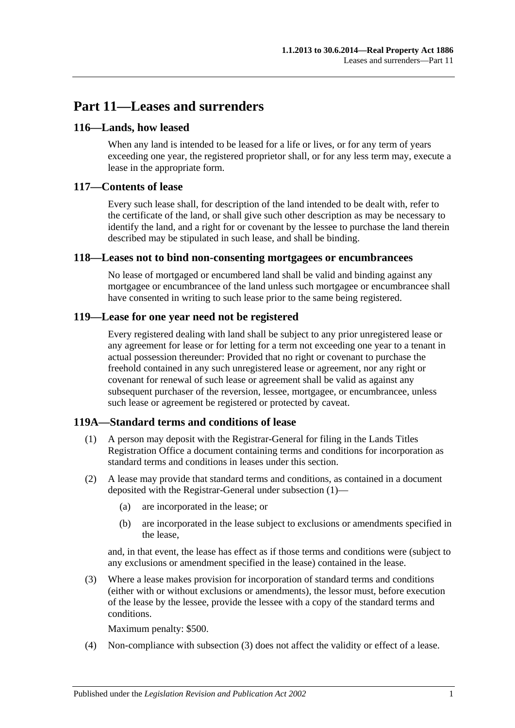# **Part 11—Leases and surrenders**

## **116—Lands, how leased**

When any land is intended to be leased for a life or lives, or for any term of years exceeding one year, the registered proprietor shall, or for any less term may, execute a lease in the appropriate form.

## **117—Contents of lease**

Every such lease shall, for description of the land intended to be dealt with, refer to the certificate of the land, or shall give such other description as may be necessary to identify the land, and a right for or covenant by the lessee to purchase the land therein described may be stipulated in such lease, and shall be binding.

## **118—Leases not to bind non-consenting mortgagees or encumbrancees**

No lease of mortgaged or encumbered land shall be valid and binding against any mortgagee or encumbrancee of the land unless such mortgagee or encumbrancee shall have consented in writing to such lease prior to the same being registered.

## **119—Lease for one year need not be registered**

Every registered dealing with land shall be subject to any prior unregistered lease or any agreement for lease or for letting for a term not exceeding one year to a tenant in actual possession thereunder: Provided that no right or covenant to purchase the freehold contained in any such unregistered lease or agreement, nor any right or covenant for renewal of such lease or agreement shall be valid as against any subsequent purchaser of the reversion, lessee, mortgagee, or encumbrancee, unless such lease or agreement be registered or protected by caveat.

## <span id="page-58-0"></span>**119A—Standard terms and conditions of lease**

- (1) A person may deposit with the Registrar-General for filing in the Lands Titles Registration Office a document containing terms and conditions for incorporation as standard terms and conditions in leases under this section.
- (2) A lease may provide that standard terms and conditions, as contained in a document deposited with the Registrar-General under [subsection](#page-58-0) (1)—
	- (a) are incorporated in the lease; or
	- (b) are incorporated in the lease subject to exclusions or amendments specified in the lease,

and, in that event, the lease has effect as if those terms and conditions were (subject to any exclusions or amendment specified in the lease) contained in the lease.

<span id="page-58-1"></span>(3) Where a lease makes provision for incorporation of standard terms and conditions (either with or without exclusions or amendments), the lessor must, before execution of the lease by the lessee, provide the lessee with a copy of the standard terms and conditions.

Maximum penalty: \$500.

(4) Non-compliance with [subsection](#page-58-1) (3) does not affect the validity or effect of a lease.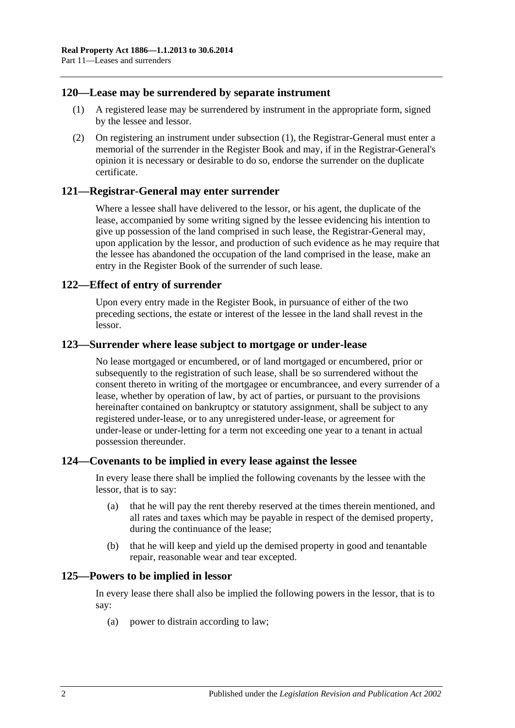### <span id="page-59-0"></span>**120—Lease may be surrendered by separate instrument**

- (1) A registered lease may be surrendered by instrument in the appropriate form, signed by the lessee and lessor.
- (2) On registering an instrument under [subsection](#page-59-0) (1), the Registrar-General must enter a memorial of the surrender in the Register Book and may, if in the Registrar-General's opinion it is necessary or desirable to do so, endorse the surrender on the duplicate certificate.

#### **121—Registrar-General may enter surrender**

Where a lessee shall have delivered to the lessor, or his agent, the duplicate of the lease, accompanied by some writing signed by the lessee evidencing his intention to give up possession of the land comprised in such lease, the Registrar-General may, upon application by the lessor, and production of such evidence as he may require that the lessee has abandoned the occupation of the land comprised in the lease, make an entry in the Register Book of the surrender of such lease.

#### **122—Effect of entry of surrender**

Upon every entry made in the Register Book, in pursuance of either of the two preceding sections, the estate or interest of the lessee in the land shall revest in the lessor.

#### **123—Surrender where lease subject to mortgage or under-lease**

No lease mortgaged or encumbered, or of land mortgaged or encumbered, prior or subsequently to the registration of such lease, shall be so surrendered without the consent thereto in writing of the mortgagee or encumbrancee, and every surrender of a lease, whether by operation of law, by act of parties, or pursuant to the provisions hereinafter contained on bankruptcy or statutory assignment, shall be subject to any registered under-lease, or to any unregistered under-lease, or agreement for under-lease or under-letting for a term not exceeding one year to a tenant in actual possession thereunder.

#### **124—Covenants to be implied in every lease against the lessee**

In every lease there shall be implied the following covenants by the lessee with the lessor, that is to say:

- (a) that he will pay the rent thereby reserved at the times therein mentioned, and all rates and taxes which may be payable in respect of the demised property, during the continuance of the lease;
- (b) that he will keep and yield up the demised property in good and tenantable repair, reasonable wear and tear excepted.

#### **125—Powers to be implied in lessor**

In every lease there shall also be implied the following powers in the lessor, that is to say:

(a) power to distrain according to law;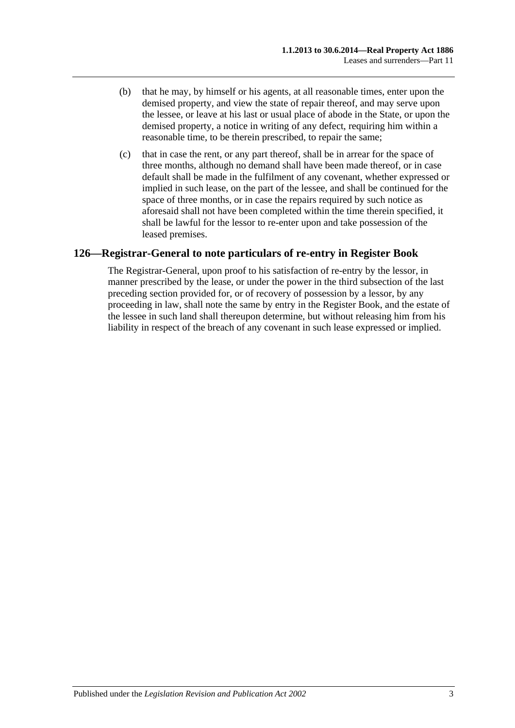- (b) that he may, by himself or his agents, at all reasonable times, enter upon the demised property, and view the state of repair thereof, and may serve upon the lessee, or leave at his last or usual place of abode in the State, or upon the demised property, a notice in writing of any defect, requiring him within a reasonable time, to be therein prescribed, to repair the same;
- (c) that in case the rent, or any part thereof, shall be in arrear for the space of three months, although no demand shall have been made thereof, or in case default shall be made in the fulfilment of any covenant, whether expressed or implied in such lease, on the part of the lessee, and shall be continued for the space of three months, or in case the repairs required by such notice as aforesaid shall not have been completed within the time therein specified, it shall be lawful for the lessor to re-enter upon and take possession of the leased premises.

## **126—Registrar-General to note particulars of re-entry in Register Book**

The Registrar-General, upon proof to his satisfaction of re-entry by the lessor, in manner prescribed by the lease, or under the power in the third subsection of the last preceding section provided for, or of recovery of possession by a lessor, by any proceeding in law, shall note the same by entry in the Register Book, and the estate of the lessee in such land shall thereupon determine, but without releasing him from his liability in respect of the breach of any covenant in such lease expressed or implied.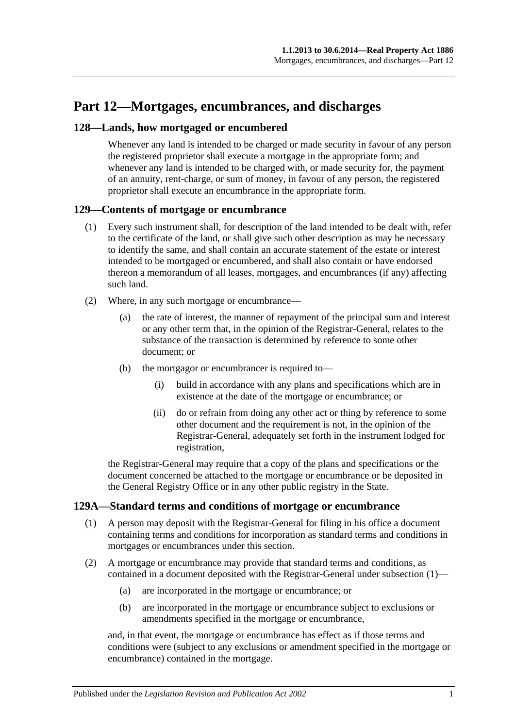# **Part 12—Mortgages, encumbrances, and discharges**

## **128—Lands, how mortgaged or encumbered**

Whenever any land is intended to be charged or made security in favour of any person the registered proprietor shall execute a mortgage in the appropriate form; and whenever any land is intended to be charged with, or made security for, the payment of an annuity, rent-charge, or sum of money, in favour of any person, the registered proprietor shall execute an encumbrance in the appropriate form.

## **129—Contents of mortgage or encumbrance**

- (1) Every such instrument shall, for description of the land intended to be dealt with, refer to the certificate of the land, or shall give such other description as may be necessary to identify the same, and shall contain an accurate statement of the estate or interest intended to be mortgaged or encumbered, and shall also contain or have endorsed thereon a memorandum of all leases, mortgages, and encumbrances (if any) affecting such land.
- (2) Where, in any such mortgage or encumbrance—
	- (a) the rate of interest, the manner of repayment of the principal sum and interest or any other term that, in the opinion of the Registrar-General, relates to the substance of the transaction is determined by reference to some other document; or
	- (b) the mortgagor or encumbrancer is required to—
		- (i) build in accordance with any plans and specifications which are in existence at the date of the mortgage or encumbrance; or
		- (ii) do or refrain from doing any other act or thing by reference to some other document and the requirement is not, in the opinion of the Registrar-General, adequately set forth in the instrument lodged for registration,

the Registrar-General may require that a copy of the plans and specifications or the document concerned be attached to the mortgage or encumbrance or be deposited in the General Registry Office or in any other public registry in the State.

## <span id="page-62-0"></span>**129A—Standard terms and conditions of mortgage or encumbrance**

- (1) A person may deposit with the Registrar-General for filing in his office a document containing terms and conditions for incorporation as standard terms and conditions in mortgages or encumbrances under this section.
- (2) A mortgage or encumbrance may provide that standard terms and conditions, as contained in a document deposited with the Registrar-General under [subsection](#page-62-0) (1)—
	- (a) are incorporated in the mortgage or encumbrance; or
	- (b) are incorporated in the mortgage or encumbrance subject to exclusions or amendments specified in the mortgage or encumbrance,

and, in that event, the mortgage or encumbrance has effect as if those terms and conditions were (subject to any exclusions or amendment specified in the mortgage or encumbrance) contained in the mortgage.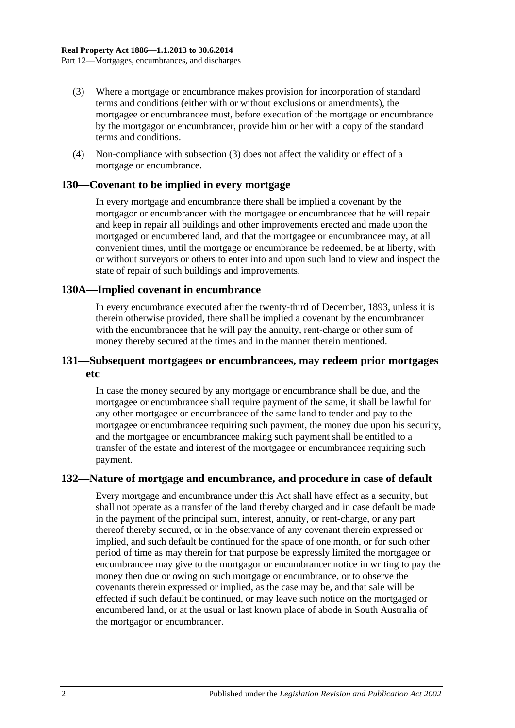- (3) Where a mortgage or encumbrance makes provision for incorporation of standard terms and conditions (either with or without exclusions or amendments), the mortgagee or encumbrancee must, before execution of the mortgage or encumbrance by the mortgagor or encumbrancer, provide him or her with a copy of the standard terms and conditions.
- (4) Non-compliance with subsection (3) does not affect the validity or effect of a mortgage or encumbrance.

#### **130—Covenant to be implied in every mortgage**

In every mortgage and encumbrance there shall be implied a covenant by the mortgagor or encumbrancer with the mortgagee or encumbrancee that he will repair and keep in repair all buildings and other improvements erected and made upon the mortgaged or encumbered land, and that the mortgagee or encumbrancee may, at all convenient times, until the mortgage or encumbrance be redeemed, be at liberty, with or without surveyors or others to enter into and upon such land to view and inspect the state of repair of such buildings and improvements.

#### **130A—Implied covenant in encumbrance**

In every encumbrance executed after the twenty-third of December, 1893, unless it is therein otherwise provided, there shall be implied a covenant by the encumbrancer with the encumbrancee that he will pay the annuity, rent-charge or other sum of money thereby secured at the times and in the manner therein mentioned.

### **131—Subsequent mortgagees or encumbrancees, may redeem prior mortgages etc**

In case the money secured by any mortgage or encumbrance shall be due, and the mortgagee or encumbrancee shall require payment of the same, it shall be lawful for any other mortgagee or encumbrancee of the same land to tender and pay to the mortgagee or encumbrancee requiring such payment, the money due upon his security, and the mortgagee or encumbrancee making such payment shall be entitled to a transfer of the estate and interest of the mortgagee or encumbrancee requiring such payment.

## **132—Nature of mortgage and encumbrance, and procedure in case of default**

Every mortgage and encumbrance under this Act shall have effect as a security, but shall not operate as a transfer of the land thereby charged and in case default be made in the payment of the principal sum, interest, annuity, or rent-charge, or any part thereof thereby secured, or in the observance of any covenant therein expressed or implied, and such default be continued for the space of one month, or for such other period of time as may therein for that purpose be expressly limited the mortgagee or encumbrancee may give to the mortgagor or encumbrancer notice in writing to pay the money then due or owing on such mortgage or encumbrance, or to observe the covenants therein expressed or implied, as the case may be, and that sale will be effected if such default be continued, or may leave such notice on the mortgaged or encumbered land, or at the usual or last known place of abode in South Australia of the mortgagor or encumbrancer.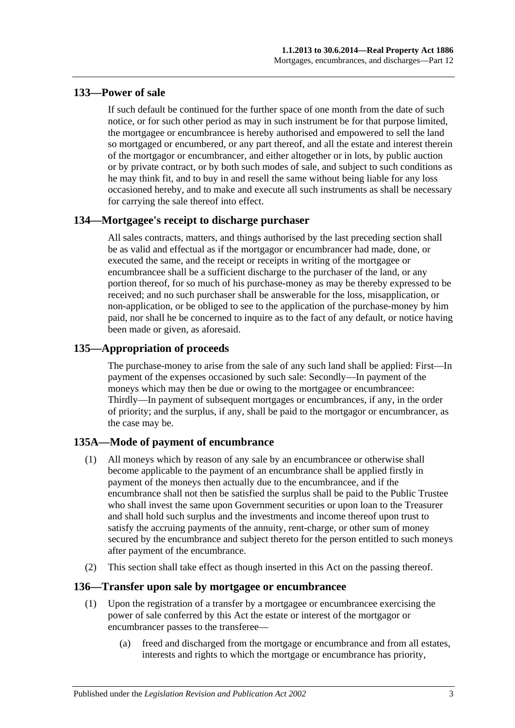## **133—Power of sale**

If such default be continued for the further space of one month from the date of such notice, or for such other period as may in such instrument be for that purpose limited, the mortgagee or encumbrancee is hereby authorised and empowered to sell the land so mortgaged or encumbered, or any part thereof, and all the estate and interest therein of the mortgagor or encumbrancer, and either altogether or in lots, by public auction or by private contract, or by both such modes of sale, and subject to such conditions as he may think fit, and to buy in and resell the same without being liable for any loss occasioned hereby, and to make and execute all such instruments as shall be necessary for carrying the sale thereof into effect.

## **134—Mortgagee's receipt to discharge purchaser**

All sales contracts, matters, and things authorised by the last preceding section shall be as valid and effectual as if the mortgagor or encumbrancer had made, done, or executed the same, and the receipt or receipts in writing of the mortgagee or encumbrancee shall be a sufficient discharge to the purchaser of the land, or any portion thereof, for so much of his purchase-money as may be thereby expressed to be received; and no such purchaser shall be answerable for the loss, misapplication, or non-application, or be obliged to see to the application of the purchase-money by him paid, nor shall he be concerned to inquire as to the fact of any default, or notice having been made or given, as aforesaid.

## **135—Appropriation of proceeds**

The purchase-money to arise from the sale of any such land shall be applied: First—In payment of the expenses occasioned by such sale: Secondly—In payment of the moneys which may then be due or owing to the mortgagee or encumbrancee: Thirdly—In payment of subsequent mortgages or encumbrances, if any, in the order of priority; and the surplus, if any, shall be paid to the mortgagor or encumbrancer, as the case may be.

## **135A—Mode of payment of encumbrance**

- (1) All moneys which by reason of any sale by an encumbrancee or otherwise shall become applicable to the payment of an encumbrance shall be applied firstly in payment of the moneys then actually due to the encumbrancee, and if the encumbrance shall not then be satisfied the surplus shall be paid to the Public Trustee who shall invest the same upon Government securities or upon loan to the Treasurer and shall hold such surplus and the investments and income thereof upon trust to satisfy the accruing payments of the annuity, rent-charge, or other sum of money secured by the encumbrance and subject thereto for the person entitled to such moneys after payment of the encumbrance.
- (2) This section shall take effect as though inserted in this Act on the passing thereof.

## **136—Transfer upon sale by mortgagee or encumbrancee**

- (1) Upon the registration of a transfer by a mortgagee or encumbrancee exercising the power of sale conferred by this Act the estate or interest of the mortgagor or encumbrancer passes to the transferee—
	- (a) freed and discharged from the mortgage or encumbrance and from all estates, interests and rights to which the mortgage or encumbrance has priority,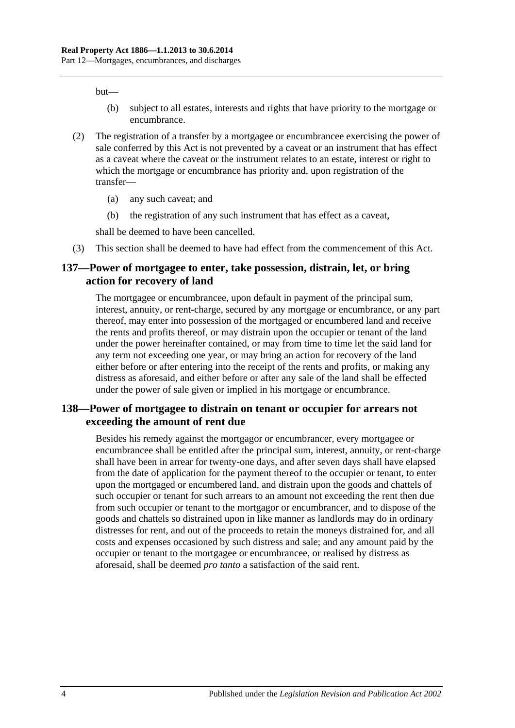but—

- (b) subject to all estates, interests and rights that have priority to the mortgage or encumbrance.
- (2) The registration of a transfer by a mortgagee or encumbrancee exercising the power of sale conferred by this Act is not prevented by a caveat or an instrument that has effect as a caveat where the caveat or the instrument relates to an estate, interest or right to which the mortgage or encumbrance has priority and, upon registration of the transfer—
	- (a) any such caveat; and
	- (b) the registration of any such instrument that has effect as a caveat,

shall be deemed to have been cancelled.

(3) This section shall be deemed to have had effect from the commencement of this Act.

#### **137—Power of mortgagee to enter, take possession, distrain, let, or bring action for recovery of land**

The mortgagee or encumbrancee, upon default in payment of the principal sum, interest, annuity, or rent-charge, secured by any mortgage or encumbrance, or any part thereof, may enter into possession of the mortgaged or encumbered land and receive the rents and profits thereof, or may distrain upon the occupier or tenant of the land under the power hereinafter contained, or may from time to time let the said land for any term not exceeding one year, or may bring an action for recovery of the land either before or after entering into the receipt of the rents and profits, or making any distress as aforesaid, and either before or after any sale of the land shall be effected under the power of sale given or implied in his mortgage or encumbrance.

## **138—Power of mortgagee to distrain on tenant or occupier for arrears not exceeding the amount of rent due**

Besides his remedy against the mortgagor or encumbrancer, every mortgagee or encumbrancee shall be entitled after the principal sum, interest, annuity, or rent-charge shall have been in arrear for twenty-one days, and after seven days shall have elapsed from the date of application for the payment thereof to the occupier or tenant, to enter upon the mortgaged or encumbered land, and distrain upon the goods and chattels of such occupier or tenant for such arrears to an amount not exceeding the rent then due from such occupier or tenant to the mortgagor or encumbrancer, and to dispose of the goods and chattels so distrained upon in like manner as landlords may do in ordinary distresses for rent, and out of the proceeds to retain the moneys distrained for, and all costs and expenses occasioned by such distress and sale; and any amount paid by the occupier or tenant to the mortgagee or encumbrancee, or realised by distress as aforesaid, shall be deemed *pro tanto* a satisfaction of the said rent.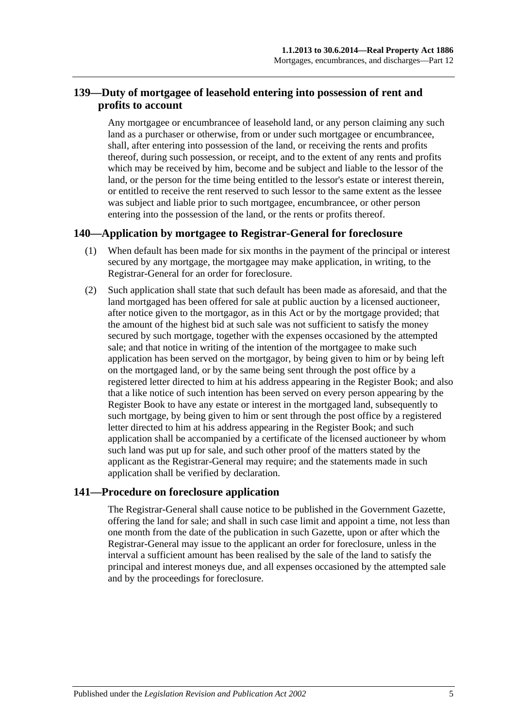## **139—Duty of mortgagee of leasehold entering into possession of rent and profits to account**

Any mortgagee or encumbrancee of leasehold land, or any person claiming any such land as a purchaser or otherwise, from or under such mortgagee or encumbrancee, shall, after entering into possession of the land, or receiving the rents and profits thereof, during such possession, or receipt, and to the extent of any rents and profits which may be received by him, become and be subject and liable to the lessor of the land, or the person for the time being entitled to the lessor's estate or interest therein, or entitled to receive the rent reserved to such lessor to the same extent as the lessee was subject and liable prior to such mortgagee, encumbrancee, or other person entering into the possession of the land, or the rents or profits thereof.

## **140—Application by mortgagee to Registrar-General for foreclosure**

- (1) When default has been made for six months in the payment of the principal or interest secured by any mortgage, the mortgagee may make application, in writing, to the Registrar-General for an order for foreclosure.
- (2) Such application shall state that such default has been made as aforesaid, and that the land mortgaged has been offered for sale at public auction by a licensed auctioneer, after notice given to the mortgagor, as in this Act or by the mortgage provided; that the amount of the highest bid at such sale was not sufficient to satisfy the money secured by such mortgage, together with the expenses occasioned by the attempted sale; and that notice in writing of the intention of the mortgagee to make such application has been served on the mortgagor, by being given to him or by being left on the mortgaged land, or by the same being sent through the post office by a registered letter directed to him at his address appearing in the Register Book; and also that a like notice of such intention has been served on every person appearing by the Register Book to have any estate or interest in the mortgaged land, subsequently to such mortgage, by being given to him or sent through the post office by a registered letter directed to him at his address appearing in the Register Book; and such application shall be accompanied by a certificate of the licensed auctioneer by whom such land was put up for sale, and such other proof of the matters stated by the applicant as the Registrar-General may require; and the statements made in such application shall be verified by declaration.

## **141—Procedure on foreclosure application**

The Registrar-General shall cause notice to be published in the Government Gazette, offering the land for sale; and shall in such case limit and appoint a time, not less than one month from the date of the publication in such Gazette, upon or after which the Registrar-General may issue to the applicant an order for foreclosure, unless in the interval a sufficient amount has been realised by the sale of the land to satisfy the principal and interest moneys due, and all expenses occasioned by the attempted sale and by the proceedings for foreclosure.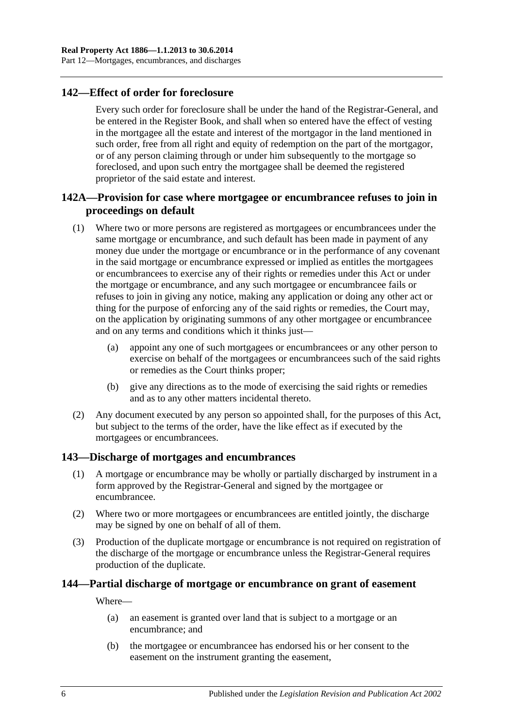## **142—Effect of order for foreclosure**

Every such order for foreclosure shall be under the hand of the Registrar-General, and be entered in the Register Book, and shall when so entered have the effect of vesting in the mortgagee all the estate and interest of the mortgagor in the land mentioned in such order, free from all right and equity of redemption on the part of the mortgagor, or of any person claiming through or under him subsequently to the mortgage so foreclosed, and upon such entry the mortgagee shall be deemed the registered proprietor of the said estate and interest.

## **142A—Provision for case where mortgagee or encumbrancee refuses to join in proceedings on default**

- (1) Where two or more persons are registered as mortgagees or encumbrancees under the same mortgage or encumbrance, and such default has been made in payment of any money due under the mortgage or encumbrance or in the performance of any covenant in the said mortgage or encumbrance expressed or implied as entitles the mortgagees or encumbrancees to exercise any of their rights or remedies under this Act or under the mortgage or encumbrance, and any such mortgagee or encumbrancee fails or refuses to join in giving any notice, making any application or doing any other act or thing for the purpose of enforcing any of the said rights or remedies, the Court may, on the application by originating summons of any other mortgagee or encumbrancee and on any terms and conditions which it thinks just—
	- (a) appoint any one of such mortgagees or encumbrancees or any other person to exercise on behalf of the mortgagees or encumbrancees such of the said rights or remedies as the Court thinks proper;
	- (b) give any directions as to the mode of exercising the said rights or remedies and as to any other matters incidental thereto.
- (2) Any document executed by any person so appointed shall, for the purposes of this Act, but subject to the terms of the order, have the like effect as if executed by the mortgagees or encumbrancees.

## **143—Discharge of mortgages and encumbrances**

- (1) A mortgage or encumbrance may be wholly or partially discharged by instrument in a form approved by the Registrar-General and signed by the mortgagee or encumbrancee.
- (2) Where two or more mortgagees or encumbrancees are entitled jointly, the discharge may be signed by one on behalf of all of them.
- (3) Production of the duplicate mortgage or encumbrance is not required on registration of the discharge of the mortgage or encumbrance unless the Registrar-General requires production of the duplicate.

## **144—Partial discharge of mortgage or encumbrance on grant of easement**

Where—

- (a) an easement is granted over land that is subject to a mortgage or an encumbrance; and
- (b) the mortgagee or encumbrancee has endorsed his or her consent to the easement on the instrument granting the easement,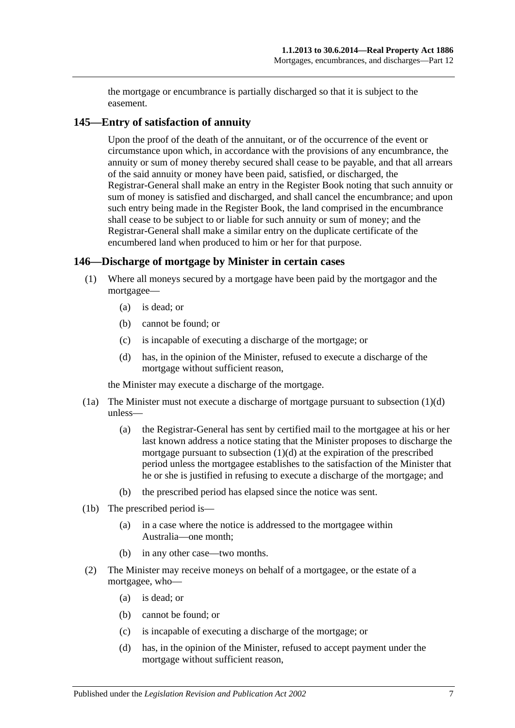the mortgage or encumbrance is partially discharged so that it is subject to the easement.

## **145—Entry of satisfaction of annuity**

Upon the proof of the death of the annuitant, or of the occurrence of the event or circumstance upon which, in accordance with the provisions of any encumbrance, the annuity or sum of money thereby secured shall cease to be payable, and that all arrears of the said annuity or money have been paid, satisfied, or discharged, the Registrar-General shall make an entry in the Register Book noting that such annuity or sum of money is satisfied and discharged, and shall cancel the encumbrance; and upon such entry being made in the Register Book, the land comprised in the encumbrance shall cease to be subject to or liable for such annuity or sum of money; and the Registrar-General shall make a similar entry on the duplicate certificate of the encumbered land when produced to him or her for that purpose.

## **146—Discharge of mortgage by Minister in certain cases**

- (1) Where all moneys secured by a mortgage have been paid by the mortgagor and the mortgagee—
	- (a) is dead; or
	- (b) cannot be found; or
	- (c) is incapable of executing a discharge of the mortgage; or
	- (d) has, in the opinion of the Minister, refused to execute a discharge of the mortgage without sufficient reason,

<span id="page-68-0"></span>the Minister may execute a discharge of the mortgage.

- (1a) The Minister must not execute a discharge of mortgage pursuant to [subsection](#page-68-0) (1)(d) unless—
	- (a) the Registrar-General has sent by certified mail to the mortgagee at his or her last known address a notice stating that the Minister proposes to discharge the mortgage pursuant to [subsection](#page-68-0) (1)(d) at the expiration of the prescribed period unless the mortgagee establishes to the satisfaction of the Minister that he or she is justified in refusing to execute a discharge of the mortgage; and
	- (b) the prescribed period has elapsed since the notice was sent.
- (1b) The prescribed period is—
	- (a) in a case where the notice is addressed to the mortgagee within Australia—one month;
	- (b) in any other case—two months.
- <span id="page-68-1"></span>(2) The Minister may receive moneys on behalf of a mortgagee, or the estate of a mortgagee, who—
	- (a) is dead; or
	- (b) cannot be found; or
	- (c) is incapable of executing a discharge of the mortgage; or
	- (d) has, in the opinion of the Minister, refused to accept payment under the mortgage without sufficient reason,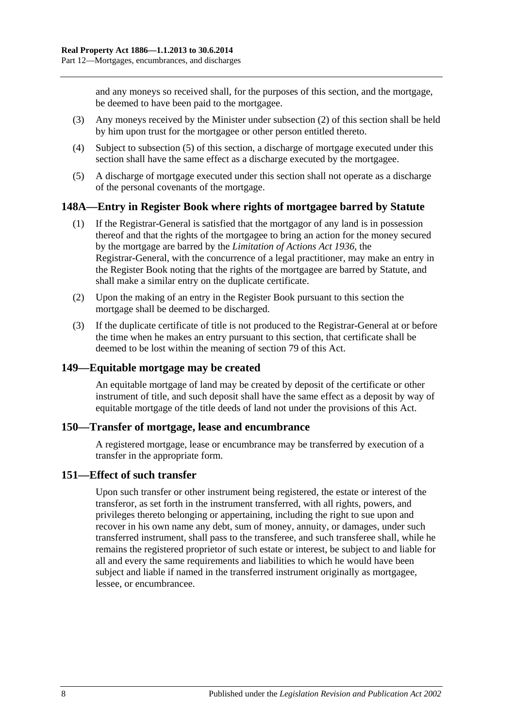and any moneys so received shall, for the purposes of this section, and the mortgage, be deemed to have been paid to the mortgagee.

- (3) Any moneys received by the Minister under [subsection](#page-68-1) (2) of this section shall be held by him upon trust for the mortgagee or other person entitled thereto.
- (4) Subject to [subsection](#page-69-0) (5) of this section, a discharge of mortgage executed under this section shall have the same effect as a discharge executed by the mortgagee.
- <span id="page-69-0"></span>(5) A discharge of mortgage executed under this section shall not operate as a discharge of the personal covenants of the mortgage.

## **148A—Entry in Register Book where rights of mortgagee barred by Statute**

- (1) If the Registrar-General is satisfied that the mortgagor of any land is in possession thereof and that the rights of the mortgagee to bring an action for the money secured by the mortgage are barred by the *[Limitation of Actions Act](http://www.legislation.sa.gov.au/index.aspx?action=legref&type=act&legtitle=Limitation%20of%20Actions%20Act%201936) 1936*, the Registrar-General, with the concurrence of a legal practitioner, may make an entry in the Register Book noting that the rights of the mortgagee are barred by Statute, and shall make a similar entry on the duplicate certificate.
- (2) Upon the making of an entry in the Register Book pursuant to this section the mortgage shall be deemed to be discharged.
- (3) If the duplicate certificate of title is not produced to the Registrar-General at or before the time when he makes an entry pursuant to this section, that certificate shall be deemed to be lost within the meaning of [section](#page-39-0) 79 of this Act.

### **149—Equitable mortgage may be created**

An equitable mortgage of land may be created by deposit of the certificate or other instrument of title, and such deposit shall have the same effect as a deposit by way of equitable mortgage of the title deeds of land not under the provisions of this Act.

#### **150—Transfer of mortgage, lease and encumbrance**

A registered mortgage, lease or encumbrance may be transferred by execution of a transfer in the appropriate form.

#### **151—Effect of such transfer**

Upon such transfer or other instrument being registered, the estate or interest of the transferor, as set forth in the instrument transferred, with all rights, powers, and privileges thereto belonging or appertaining, including the right to sue upon and recover in his own name any debt, sum of money, annuity, or damages, under such transferred instrument, shall pass to the transferee, and such transferee shall, while he remains the registered proprietor of such estate or interest, be subject to and liable for all and every the same requirements and liabilities to which he would have been subject and liable if named in the transferred instrument originally as mortgagee, lessee, or encumbrancee.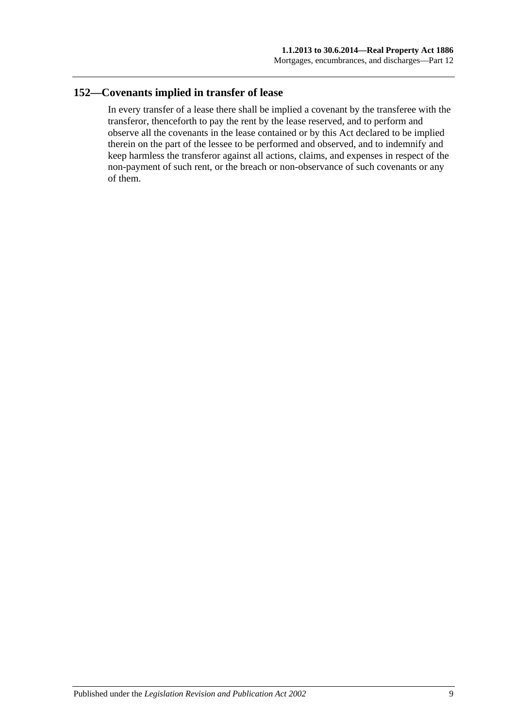## **152—Covenants implied in transfer of lease**

In every transfer of a lease there shall be implied a covenant by the transferee with the transferor, thenceforth to pay the rent by the lease reserved, and to perform and observe all the covenants in the lease contained or by this Act declared to be implied therein on the part of the lessee to be performed and observed, and to indemnify and keep harmless the transferor against all actions, claims, and expenses in respect of the non-payment of such rent, or the breach or non-observance of such covenants or any of them.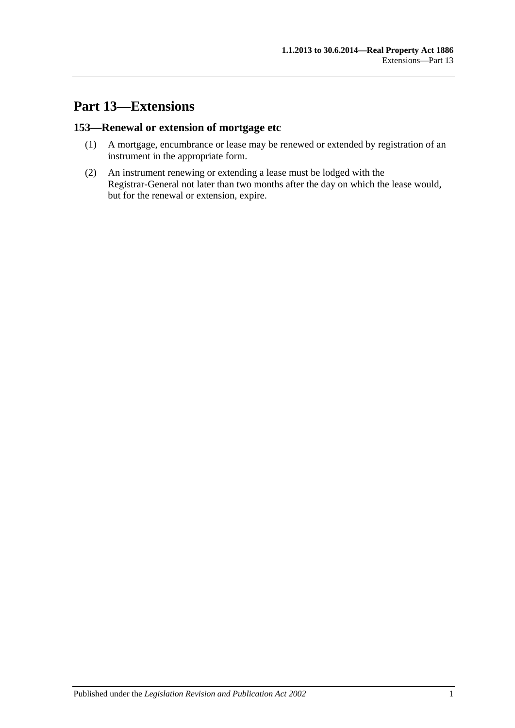## **Part 13—Extensions**

## **153—Renewal or extension of mortgage etc**

- (1) A mortgage, encumbrance or lease may be renewed or extended by registration of an instrument in the appropriate form.
- (2) An instrument renewing or extending a lease must be lodged with the Registrar-General not later than two months after the day on which the lease would, but for the renewal or extension, expire.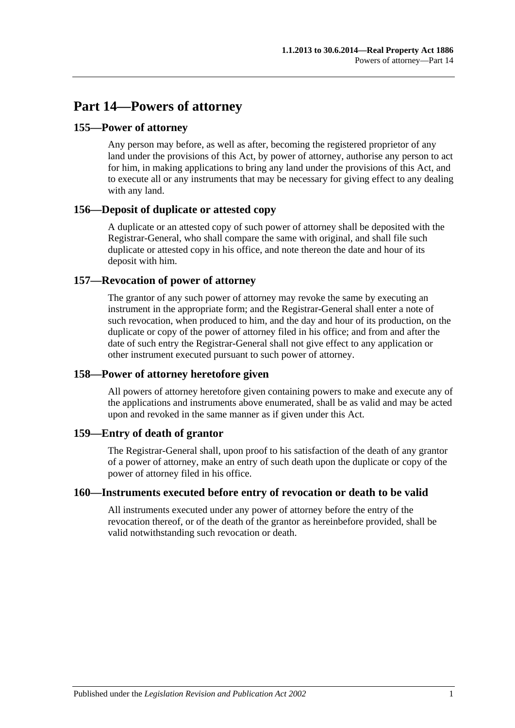## **Part 14—Powers of attorney**

## **155—Power of attorney**

Any person may before, as well as after, becoming the registered proprietor of any land under the provisions of this Act, by power of attorney, authorise any person to act for him, in making applications to bring any land under the provisions of this Act, and to execute all or any instruments that may be necessary for giving effect to any dealing with any land.

## **156—Deposit of duplicate or attested copy**

A duplicate or an attested copy of such power of attorney shall be deposited with the Registrar-General, who shall compare the same with original, and shall file such duplicate or attested copy in his office, and note thereon the date and hour of its deposit with him.

## **157—Revocation of power of attorney**

The grantor of any such power of attorney may revoke the same by executing an instrument in the appropriate form; and the Registrar-General shall enter a note of such revocation, when produced to him, and the day and hour of its production, on the duplicate or copy of the power of attorney filed in his office; and from and after the date of such entry the Registrar-General shall not give effect to any application or other instrument executed pursuant to such power of attorney.

## **158—Power of attorney heretofore given**

All powers of attorney heretofore given containing powers to make and execute any of the applications and instruments above enumerated, shall be as valid and may be acted upon and revoked in the same manner as if given under this Act.

## **159—Entry of death of grantor**

The Registrar-General shall, upon proof to his satisfaction of the death of any grantor of a power of attorney, make an entry of such death upon the duplicate or copy of the power of attorney filed in his office.

## **160—Instruments executed before entry of revocation or death to be valid**

All instruments executed under any power of attorney before the entry of the revocation thereof, or of the death of the grantor as hereinbefore provided, shall be valid notwithstanding such revocation or death.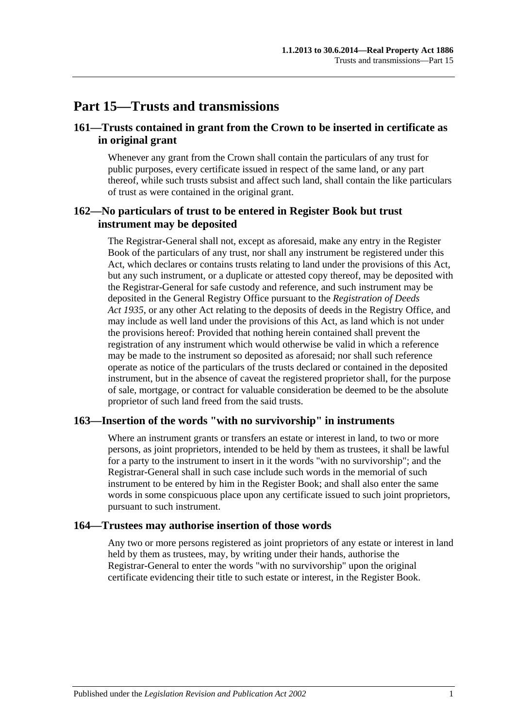## **Part 15—Trusts and transmissions**

## **161—Trusts contained in grant from the Crown to be inserted in certificate as in original grant**

Whenever any grant from the Crown shall contain the particulars of any trust for public purposes, every certificate issued in respect of the same land, or any part thereof, while such trusts subsist and affect such land, shall contain the like particulars of trust as were contained in the original grant.

## **162—No particulars of trust to be entered in Register Book but trust instrument may be deposited**

The Registrar-General shall not, except as aforesaid, make any entry in the Register Book of the particulars of any trust, nor shall any instrument be registered under this Act, which declares or contains trusts relating to land under the provisions of this Act, but any such instrument, or a duplicate or attested copy thereof, may be deposited with the Registrar-General for safe custody and reference, and such instrument may be deposited in the General Registry Office pursuant to the *[Registration of Deeds](http://www.legislation.sa.gov.au/index.aspx?action=legref&type=act&legtitle=Registration%20of%20Deeds%20Act%201935)  Act [1935](http://www.legislation.sa.gov.au/index.aspx?action=legref&type=act&legtitle=Registration%20of%20Deeds%20Act%201935)*, or any other Act relating to the deposits of deeds in the Registry Office, and may include as well land under the provisions of this Act, as land which is not under the provisions hereof: Provided that nothing herein contained shall prevent the registration of any instrument which would otherwise be valid in which a reference may be made to the instrument so deposited as aforesaid; nor shall such reference operate as notice of the particulars of the trusts declared or contained in the deposited instrument, but in the absence of caveat the registered proprietor shall, for the purpose of sale, mortgage, or contract for valuable consideration be deemed to be the absolute proprietor of such land freed from the said trusts.

#### **163—Insertion of the words "with no survivorship" in instruments**

Where an instrument grants or transfers an estate or interest in land, to two or more persons, as joint proprietors, intended to be held by them as trustees, it shall be lawful for a party to the instrument to insert in it the words "with no survivorship"; and the Registrar-General shall in such case include such words in the memorial of such instrument to be entered by him in the Register Book; and shall also enter the same words in some conspicuous place upon any certificate issued to such joint proprietors, pursuant to such instrument.

#### **164—Trustees may authorise insertion of those words**

Any two or more persons registered as joint proprietors of any estate or interest in land held by them as trustees, may, by writing under their hands, authorise the Registrar-General to enter the words "with no survivorship" upon the original certificate evidencing their title to such estate or interest, in the Register Book.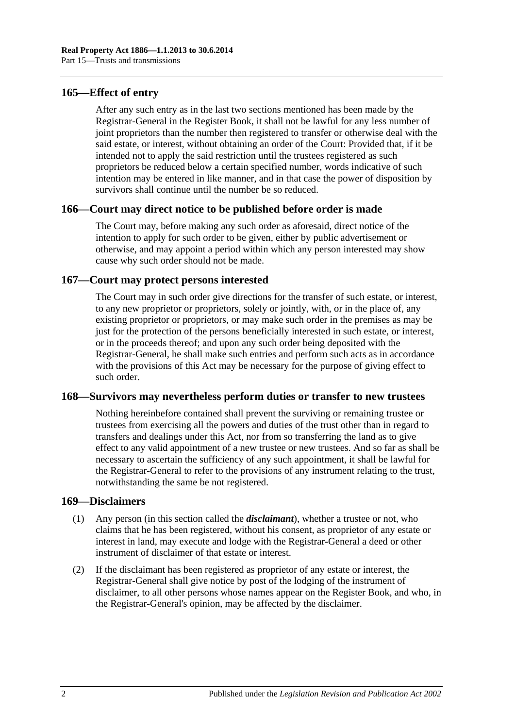#### **165—Effect of entry**

After any such entry as in the last two sections mentioned has been made by the Registrar-General in the Register Book, it shall not be lawful for any less number of joint proprietors than the number then registered to transfer or otherwise deal with the said estate, or interest, without obtaining an order of the Court: Provided that, if it be intended not to apply the said restriction until the trustees registered as such proprietors be reduced below a certain specified number, words indicative of such intention may be entered in like manner, and in that case the power of disposition by survivors shall continue until the number be so reduced.

#### **166—Court may direct notice to be published before order is made**

The Court may, before making any such order as aforesaid, direct notice of the intention to apply for such order to be given, either by public advertisement or otherwise, and may appoint a period within which any person interested may show cause why such order should not be made.

## **167—Court may protect persons interested**

The Court may in such order give directions for the transfer of such estate, or interest, to any new proprietor or proprietors, solely or jointly, with, or in the place of, any existing proprietor or proprietors, or may make such order in the premises as may be just for the protection of the persons beneficially interested in such estate, or interest, or in the proceeds thereof; and upon any such order being deposited with the Registrar-General, he shall make such entries and perform such acts as in accordance with the provisions of this Act may be necessary for the purpose of giving effect to such order.

#### **168—Survivors may nevertheless perform duties or transfer to new trustees**

Nothing hereinbefore contained shall prevent the surviving or remaining trustee or trustees from exercising all the powers and duties of the trust other than in regard to transfers and dealings under this Act, nor from so transferring the land as to give effect to any valid appointment of a new trustee or new trustees. And so far as shall be necessary to ascertain the sufficiency of any such appointment, it shall be lawful for the Registrar-General to refer to the provisions of any instrument relating to the trust, notwithstanding the same be not registered.

#### **169—Disclaimers**

- (1) Any person (in this section called the *disclaimant*), whether a trustee or not, who claims that he has been registered, without his consent, as proprietor of any estate or interest in land, may execute and lodge with the Registrar-General a deed or other instrument of disclaimer of that estate or interest.
- (2) If the disclaimant has been registered as proprietor of any estate or interest, the Registrar-General shall give notice by post of the lodging of the instrument of disclaimer, to all other persons whose names appear on the Register Book, and who, in the Registrar-General's opinion, may be affected by the disclaimer.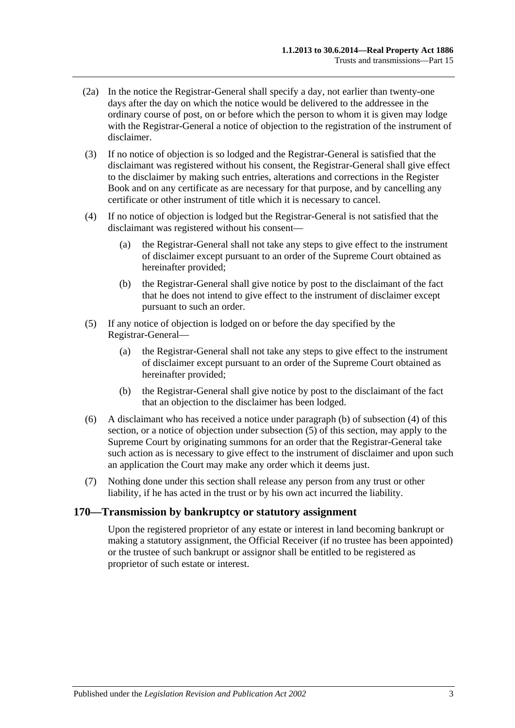- (2a) In the notice the Registrar-General shall specify a day, not earlier than twenty-one days after the day on which the notice would be delivered to the addressee in the ordinary course of post, on or before which the person to whom it is given may lodge with the Registrar-General a notice of objection to the registration of the instrument of disclaimer.
- (3) If no notice of objection is so lodged and the Registrar-General is satisfied that the disclaimant was registered without his consent, the Registrar-General shall give effect to the disclaimer by making such entries, alterations and corrections in the Register Book and on any certificate as are necessary for that purpose, and by cancelling any certificate or other instrument of title which it is necessary to cancel.
- <span id="page-78-1"></span>(4) If no notice of objection is lodged but the Registrar-General is not satisfied that the disclaimant was registered without his consent—
	- (a) the Registrar-General shall not take any steps to give effect to the instrument of disclaimer except pursuant to an order of the Supreme Court obtained as hereinafter provided;
	- (b) the Registrar-General shall give notice by post to the disclaimant of the fact that he does not intend to give effect to the instrument of disclaimer except pursuant to such an order.
- <span id="page-78-2"></span><span id="page-78-0"></span>(5) If any notice of objection is lodged on or before the day specified by the Registrar-General—
	- (a) the Registrar-General shall not take any steps to give effect to the instrument of disclaimer except pursuant to an order of the Supreme Court obtained as hereinafter provided;
	- (b) the Registrar-General shall give notice by post to the disclaimant of the fact that an objection to the disclaimer has been lodged.
- (6) A disclaimant who has received a notice under [paragraph](#page-78-0) (b) of [subsection](#page-78-1) (4) of this section, or a notice of objection under [subsection](#page-78-2) (5) of this section, may apply to the Supreme Court by originating summons for an order that the Registrar-General take such action as is necessary to give effect to the instrument of disclaimer and upon such an application the Court may make any order which it deems just.
- (7) Nothing done under this section shall release any person from any trust or other liability, if he has acted in the trust or by his own act incurred the liability.

#### **170—Transmission by bankruptcy or statutory assignment**

Upon the registered proprietor of any estate or interest in land becoming bankrupt or making a statutory assignment, the Official Receiver (if no trustee has been appointed) or the trustee of such bankrupt or assignor shall be entitled to be registered as proprietor of such estate or interest.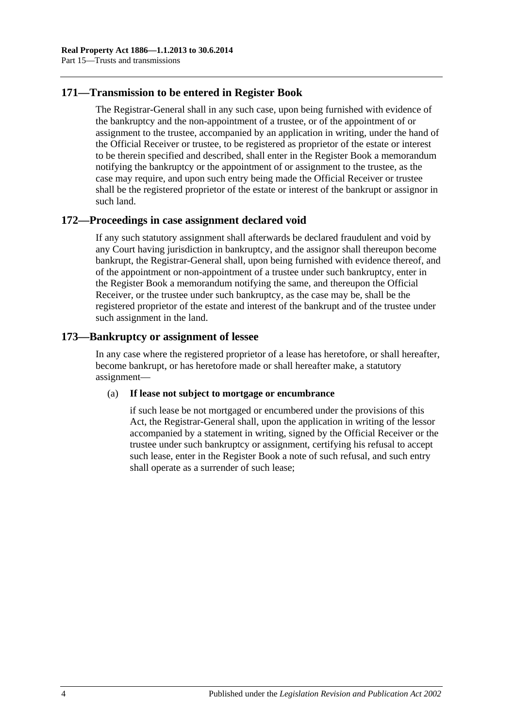## **171—Transmission to be entered in Register Book**

The Registrar-General shall in any such case, upon being furnished with evidence of the bankruptcy and the non-appointment of a trustee, or of the appointment of or assignment to the trustee, accompanied by an application in writing, under the hand of the Official Receiver or trustee, to be registered as proprietor of the estate or interest to be therein specified and described, shall enter in the Register Book a memorandum notifying the bankruptcy or the appointment of or assignment to the trustee, as the case may require, and upon such entry being made the Official Receiver or trustee shall be the registered proprietor of the estate or interest of the bankrupt or assignor in such land.

## **172—Proceedings in case assignment declared void**

If any such statutory assignment shall afterwards be declared fraudulent and void by any Court having jurisdiction in bankruptcy, and the assignor shall thereupon become bankrupt, the Registrar-General shall, upon being furnished with evidence thereof, and of the appointment or non-appointment of a trustee under such bankruptcy, enter in the Register Book a memorandum notifying the same, and thereupon the Official Receiver, or the trustee under such bankruptcy, as the case may be, shall be the registered proprietor of the estate and interest of the bankrupt and of the trustee under such assignment in the land.

## **173—Bankruptcy or assignment of lessee**

In any case where the registered proprietor of a lease has heretofore, or shall hereafter, become bankrupt, or has heretofore made or shall hereafter make, a statutory assignment—

#### (a) **If lease not subject to mortgage or encumbrance**

if such lease be not mortgaged or encumbered under the provisions of this Act, the Registrar-General shall, upon the application in writing of the lessor accompanied by a statement in writing, signed by the Official Receiver or the trustee under such bankruptcy or assignment, certifying his refusal to accept such lease, enter in the Register Book a note of such refusal, and such entry shall operate as a surrender of such lease;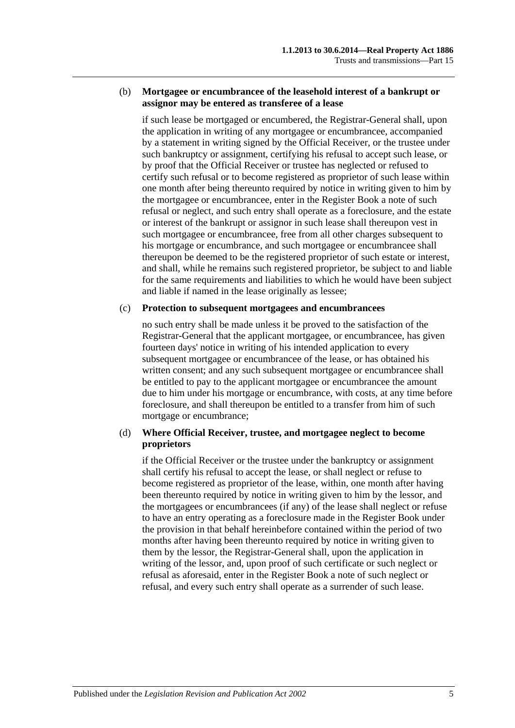#### (b) **Mortgagee or encumbrancee of the leasehold interest of a bankrupt or assignor may be entered as transferee of a lease**

if such lease be mortgaged or encumbered, the Registrar-General shall, upon the application in writing of any mortgagee or encumbrancee, accompanied by a statement in writing signed by the Official Receiver, or the trustee under such bankruptcy or assignment, certifying his refusal to accept such lease, or by proof that the Official Receiver or trustee has neglected or refused to certify such refusal or to become registered as proprietor of such lease within one month after being thereunto required by notice in writing given to him by the mortgagee or encumbrancee, enter in the Register Book a note of such refusal or neglect, and such entry shall operate as a foreclosure, and the estate or interest of the bankrupt or assignor in such lease shall thereupon vest in such mortgagee or encumbrancee, free from all other charges subsequent to his mortgage or encumbrance, and such mortgagee or encumbrancee shall thereupon be deemed to be the registered proprietor of such estate or interest, and shall, while he remains such registered proprietor, be subject to and liable for the same requirements and liabilities to which he would have been subject and liable if named in the lease originally as lessee;

#### (c) **Protection to subsequent mortgagees and encumbrancees**

no such entry shall be made unless it be proved to the satisfaction of the Registrar-General that the applicant mortgagee, or encumbrancee, has given fourteen days' notice in writing of his intended application to every subsequent mortgagee or encumbrancee of the lease, or has obtained his written consent; and any such subsequent mortgagee or encumbrancee shall be entitled to pay to the applicant mortgagee or encumbrancee the amount due to him under his mortgage or encumbrance, with costs, at any time before foreclosure, and shall thereupon be entitled to a transfer from him of such mortgage or encumbrance;

#### (d) **Where Official Receiver, trustee, and mortgagee neglect to become proprietors**

if the Official Receiver or the trustee under the bankruptcy or assignment shall certify his refusal to accept the lease, or shall neglect or refuse to become registered as proprietor of the lease, within, one month after having been thereunto required by notice in writing given to him by the lessor, and the mortgagees or encumbrancees (if any) of the lease shall neglect or refuse to have an entry operating as a foreclosure made in the Register Book under the provision in that behalf hereinbefore contained within the period of two months after having been thereunto required by notice in writing given to them by the lessor, the Registrar-General shall, upon the application in writing of the lessor, and, upon proof of such certificate or such neglect or refusal as aforesaid, enter in the Register Book a note of such neglect or refusal, and every such entry shall operate as a surrender of such lease.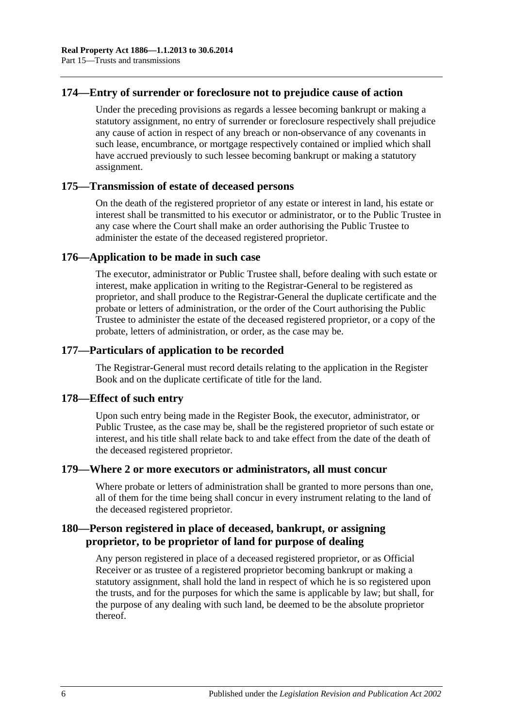## **174—Entry of surrender or foreclosure not to prejudice cause of action**

Under the preceding provisions as regards a lessee becoming bankrupt or making a statutory assignment, no entry of surrender or foreclosure respectively shall prejudice any cause of action in respect of any breach or non-observance of any covenants in such lease, encumbrance, or mortgage respectively contained or implied which shall have accrued previously to such lessee becoming bankrupt or making a statutory assignment.

#### **175—Transmission of estate of deceased persons**

On the death of the registered proprietor of any estate or interest in land, his estate or interest shall be transmitted to his executor or administrator, or to the Public Trustee in any case where the Court shall make an order authorising the Public Trustee to administer the estate of the deceased registered proprietor.

#### **176—Application to be made in such case**

The executor, administrator or Public Trustee shall, before dealing with such estate or interest, make application in writing to the Registrar-General to be registered as proprietor, and shall produce to the Registrar-General the duplicate certificate and the probate or letters of administration, or the order of the Court authorising the Public Trustee to administer the estate of the deceased registered proprietor, or a copy of the probate, letters of administration, or order, as the case may be.

## **177—Particulars of application to be recorded**

The Registrar-General must record details relating to the application in the Register Book and on the duplicate certificate of title for the land.

#### **178—Effect of such entry**

Upon such entry being made in the Register Book, the executor, administrator, or Public Trustee, as the case may be, shall be the registered proprietor of such estate or interest, and his title shall relate back to and take effect from the date of the death of the deceased registered proprietor.

#### **179—Where 2 or more executors or administrators, all must concur**

Where probate or letters of administration shall be granted to more persons than one, all of them for the time being shall concur in every instrument relating to the land of the deceased registered proprietor.

## **180—Person registered in place of deceased, bankrupt, or assigning proprietor, to be proprietor of land for purpose of dealing**

Any person registered in place of a deceased registered proprietor, or as Official Receiver or as trustee of a registered proprietor becoming bankrupt or making a statutory assignment, shall hold the land in respect of which he is so registered upon the trusts, and for the purposes for which the same is applicable by law; but shall, for the purpose of any dealing with such land, be deemed to be the absolute proprietor thereof.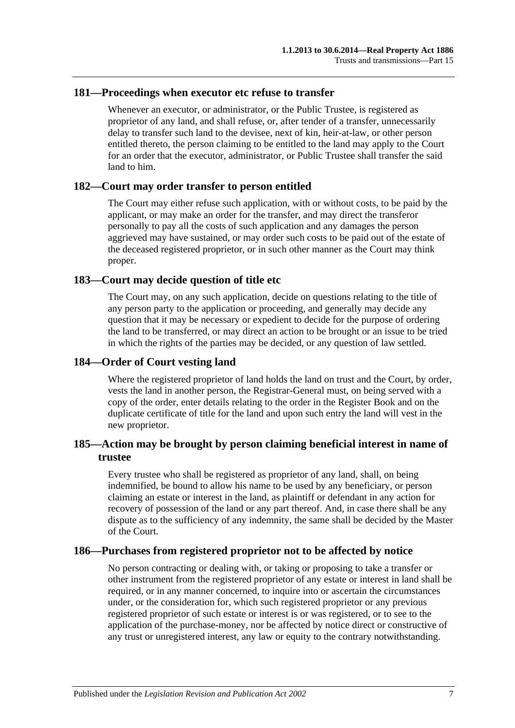#### **181—Proceedings when executor etc refuse to transfer**

Whenever an executor, or administrator, or the Public Trustee, is registered as proprietor of any land, and shall refuse, or, after tender of a transfer, unnecessarily delay to transfer such land to the devisee, next of kin, heir-at-law, or other person entitled thereto, the person claiming to be entitled to the land may apply to the Court for an order that the executor, administrator, or Public Trustee shall transfer the said land to him.

#### **182—Court may order transfer to person entitled**

The Court may either refuse such application, with or without costs, to be paid by the applicant, or may make an order for the transfer, and may direct the transferor personally to pay all the costs of such application and any damages the person aggrieved may have sustained, or may order such costs to be paid out of the estate of the deceased registered proprietor, or in such other manner as the Court may think proper.

#### **183—Court may decide question of title etc**

The Court may, on any such application, decide on questions relating to the title of any person party to the application or proceeding, and generally may decide any question that it may be necessary or expedient to decide for the purpose of ordering the land to be transferred, or may direct an action to be brought or an issue to be tried in which the rights of the parties may be decided, or any question of law settled.

#### **184—Order of Court vesting land**

Where the registered proprietor of land holds the land on trust and the Court, by order, vests the land in another person, the Registrar-General must, on being served with a copy of the order, enter details relating to the order in the Register Book and on the duplicate certificate of title for the land and upon such entry the land will vest in the new proprietor.

## **185—Action may be brought by person claiming beneficial interest in name of trustee**

Every trustee who shall be registered as proprietor of any land, shall, on being indemnified, be bound to allow his name to be used by any beneficiary, or person claiming an estate or interest in the land, as plaintiff or defendant in any action for recovery of possession of the land or any part thereof. And, in case there shall be any dispute as to the sufficiency of any indemnity, the same shall be decided by the Master of the Court.

## **186—Purchases from registered proprietor not to be affected by notice**

No person contracting or dealing with, or taking or proposing to take a transfer or other instrument from the registered proprietor of any estate or interest in land shall be required, or in any manner concerned, to inquire into or ascertain the circumstances under, or the consideration for, which such registered proprietor or any previous registered proprietor of such estate or interest is or was registered, or to see to the application of the purchase-money, nor be affected by notice direct or constructive of any trust or unregistered interest, any law or equity to the contrary notwithstanding.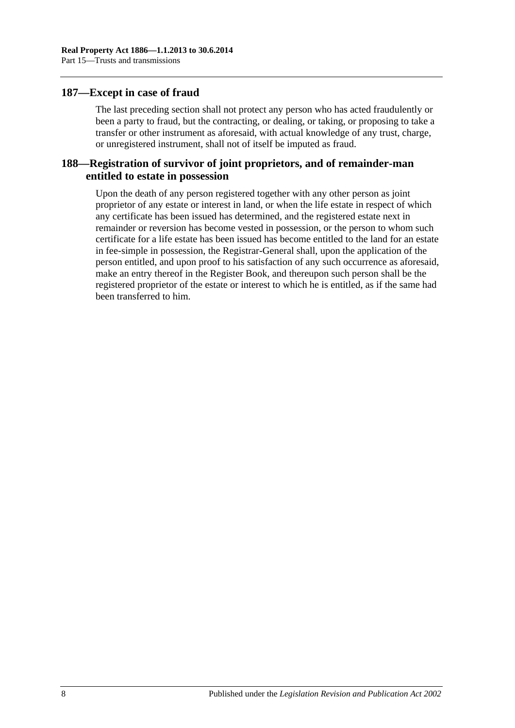#### **187—Except in case of fraud**

The last preceding section shall not protect any person who has acted fraudulently or been a party to fraud, but the contracting, or dealing, or taking, or proposing to take a transfer or other instrument as aforesaid, with actual knowledge of any trust, charge, or unregistered instrument, shall not of itself be imputed as fraud.

## **188—Registration of survivor of joint proprietors, and of remainder-man entitled to estate in possession**

Upon the death of any person registered together with any other person as joint proprietor of any estate or interest in land, or when the life estate in respect of which any certificate has been issued has determined, and the registered estate next in remainder or reversion has become vested in possession, or the person to whom such certificate for a life estate has been issued has become entitled to the land for an estate in fee-simple in possession, the Registrar-General shall, upon the application of the person entitled, and upon proof to his satisfaction of any such occurrence as aforesaid, make an entry thereof in the Register Book, and thereupon such person shall be the registered proprietor of the estate or interest to which he is entitled, as if the same had been transferred to him.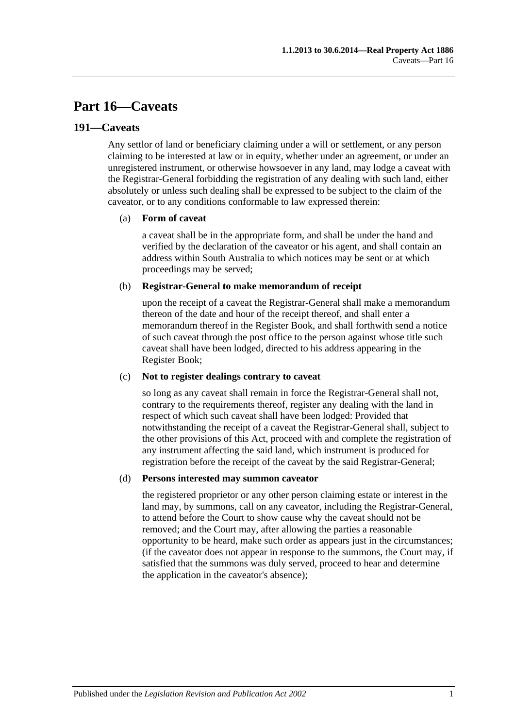## **Part 16—Caveats**

### **191—Caveats**

Any settlor of land or beneficiary claiming under a will or settlement, or any person claiming to be interested at law or in equity, whether under an agreement, or under an unregistered instrument, or otherwise howsoever in any land, may lodge a caveat with the Registrar-General forbidding the registration of any dealing with such land, either absolutely or unless such dealing shall be expressed to be subject to the claim of the caveator, or to any conditions conformable to law expressed therein:

#### (a) **Form of caveat**

a caveat shall be in the appropriate form, and shall be under the hand and verified by the declaration of the caveator or his agent, and shall contain an address within South Australia to which notices may be sent or at which proceedings may be served;

#### (b) **Registrar-General to make memorandum of receipt**

upon the receipt of a caveat the Registrar-General shall make a memorandum thereon of the date and hour of the receipt thereof, and shall enter a memorandum thereof in the Register Book, and shall forthwith send a notice of such caveat through the post office to the person against whose title such caveat shall have been lodged, directed to his address appearing in the Register Book;

#### (c) **Not to register dealings contrary to caveat**

so long as any caveat shall remain in force the Registrar-General shall not, contrary to the requirements thereof, register any dealing with the land in respect of which such caveat shall have been lodged: Provided that notwithstanding the receipt of a caveat the Registrar-General shall, subject to the other provisions of this Act, proceed with and complete the registration of any instrument affecting the said land, which instrument is produced for registration before the receipt of the caveat by the said Registrar-General;

#### (d) **Persons interested may summon caveator**

the registered proprietor or any other person claiming estate or interest in the land may, by summons, call on any caveator, including the Registrar-General, to attend before the Court to show cause why the caveat should not be removed; and the Court may, after allowing the parties a reasonable opportunity to be heard, make such order as appears just in the circumstances; (if the caveator does not appear in response to the summons, the Court may, if satisfied that the summons was duly served, proceed to hear and determine the application in the caveator's absence);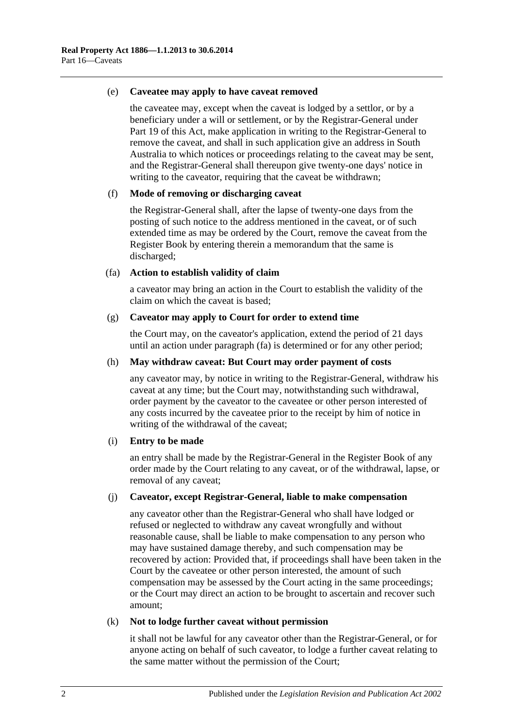#### (e) **Caveatee may apply to have caveat removed**

the caveatee may, except when the caveat is lodged by a settlor, or by a beneficiary under a will or settlement, or by the Registrar-General under [Part](#page-96-0) 19 of this Act, make application in writing to the Registrar-General to remove the caveat, and shall in such application give an address in South Australia to which notices or proceedings relating to the caveat may be sent, and the Registrar-General shall thereupon give twenty-one days' notice in writing to the caveator, requiring that the caveat be withdrawn;

#### (f) **Mode of removing or discharging caveat**

the Registrar-General shall, after the lapse of twenty-one days from the posting of such notice to the address mentioned in the caveat, or of such extended time as may be ordered by the Court, remove the caveat from the Register Book by entering therein a memorandum that the same is discharged;

#### <span id="page-85-0"></span>(fa) **Action to establish validity of claim**

a caveator may bring an action in the Court to establish the validity of the claim on which the caveat is based;

#### (g) **Caveator may apply to Court for order to extend time**

the Court may, on the caveator's application, extend the period of 21 days until an action under [paragraph](#page-85-0) (fa) is determined or for any other period;

#### (h) **May withdraw caveat: But Court may order payment of costs**

any caveator may, by notice in writing to the Registrar-General, withdraw his caveat at any time; but the Court may, notwithstanding such withdrawal, order payment by the caveator to the caveatee or other person interested of any costs incurred by the caveatee prior to the receipt by him of notice in writing of the withdrawal of the caveat;

#### (i) **Entry to be made**

an entry shall be made by the Registrar-General in the Register Book of any order made by the Court relating to any caveat, or of the withdrawal, lapse, or removal of any caveat;

#### (j) **Caveator, except Registrar-General, liable to make compensation**

any caveator other than the Registrar-General who shall have lodged or refused or neglected to withdraw any caveat wrongfully and without reasonable cause, shall be liable to make compensation to any person who may have sustained damage thereby, and such compensation may be recovered by action: Provided that, if proceedings shall have been taken in the Court by the caveatee or other person interested, the amount of such compensation may be assessed by the Court acting in the same proceedings; or the Court may direct an action to be brought to ascertain and recover such amount;

#### (k) **Not to lodge further caveat without permission**

it shall not be lawful for any caveator other than the Registrar-General, or for anyone acting on behalf of such caveator, to lodge a further caveat relating to the same matter without the permission of the Court;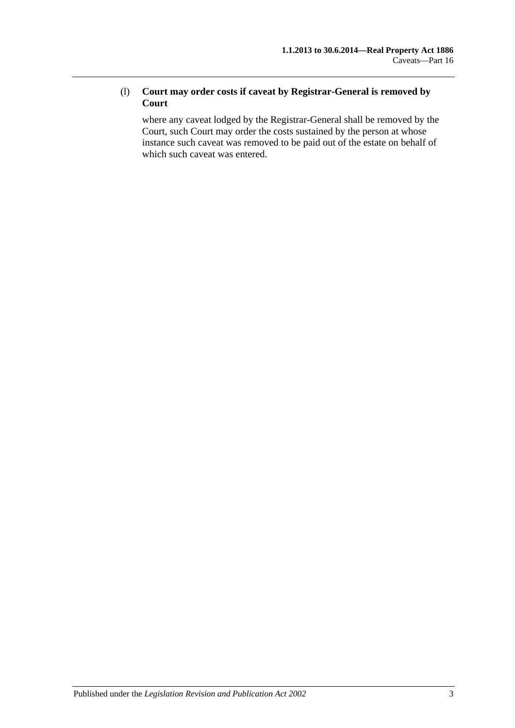## (l) **Court may order costs if caveat by Registrar-General is removed by Court**

where any caveat lodged by the Registrar-General shall be removed by the Court, such Court may order the costs sustained by the person at whose instance such caveat was removed to be paid out of the estate on behalf of which such caveat was entered.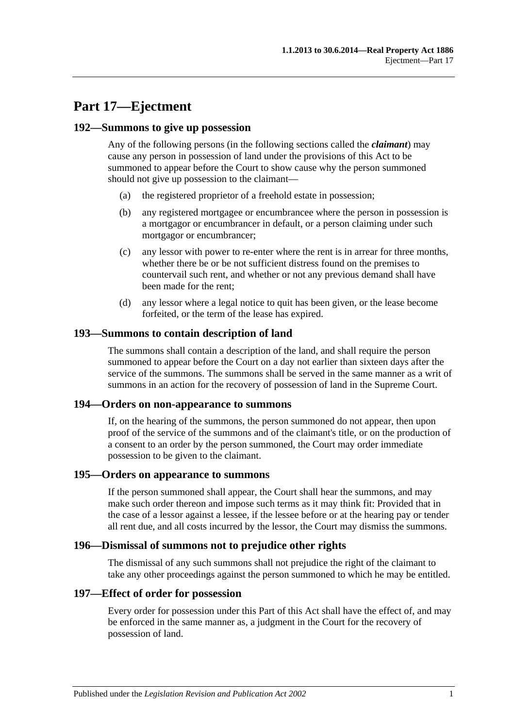## **Part 17—Ejectment**

#### **192—Summons to give up possession**

Any of the following persons (in the following sections called the *claimant*) may cause any person in possession of land under the provisions of this Act to be summoned to appear before the Court to show cause why the person summoned should not give up possession to the claimant—

- (a) the registered proprietor of a freehold estate in possession;
- (b) any registered mortgagee or encumbrancee where the person in possession is a mortgagor or encumbrancer in default, or a person claiming under such mortgagor or encumbrancer;
- (c) any lessor with power to re-enter where the rent is in arrear for three months, whether there be or be not sufficient distress found on the premises to countervail such rent, and whether or not any previous demand shall have been made for the rent;
- (d) any lessor where a legal notice to quit has been given, or the lease become forfeited, or the term of the lease has expired.

#### **193—Summons to contain description of land**

The summons shall contain a description of the land, and shall require the person summoned to appear before the Court on a day not earlier than sixteen days after the service of the summons. The summons shall be served in the same manner as a writ of summons in an action for the recovery of possession of land in the Supreme Court.

#### **194—Orders on non-appearance to summons**

If, on the hearing of the summons, the person summoned do not appear, then upon proof of the service of the summons and of the claimant's title, or on the production of a consent to an order by the person summoned, the Court may order immediate possession to be given to the claimant.

#### **195—Orders on appearance to summons**

If the person summoned shall appear, the Court shall hear the summons, and may make such order thereon and impose such terms as it may think fit: Provided that in the case of a lessor against a lessee, if the lessee before or at the hearing pay or tender all rent due, and all costs incurred by the lessor, the Court may dismiss the summons.

#### **196—Dismissal of summons not to prejudice other rights**

The dismissal of any such summons shall not prejudice the right of the claimant to take any other proceedings against the person summoned to which he may be entitled.

#### **197—Effect of order for possession**

Every order for possession under this Part of this Act shall have the effect of, and may be enforced in the same manner as, a judgment in the Court for the recovery of possession of land.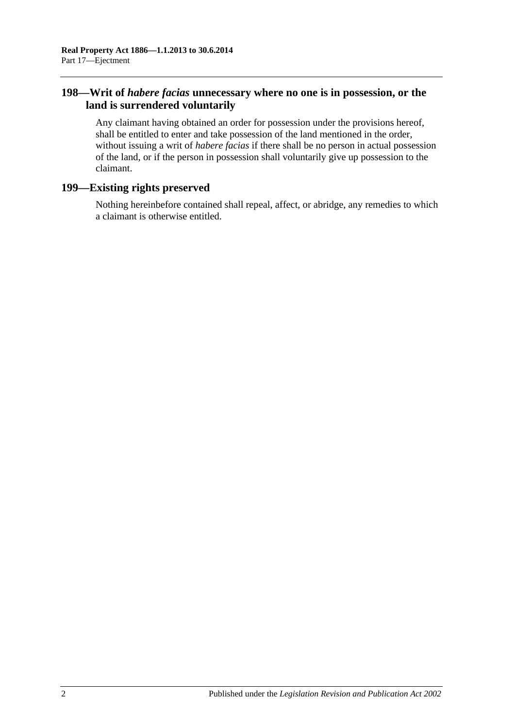## **198—Writ of** *habere facias* **unnecessary where no one is in possession, or the land is surrendered voluntarily**

Any claimant having obtained an order for possession under the provisions hereof, shall be entitled to enter and take possession of the land mentioned in the order, without issuing a writ of *habere facias* if there shall be no person in actual possession of the land, or if the person in possession shall voluntarily give up possession to the claimant.

## **199—Existing rights preserved**

Nothing hereinbefore contained shall repeal, affect, or abridge, any remedies to which a claimant is otherwise entitled.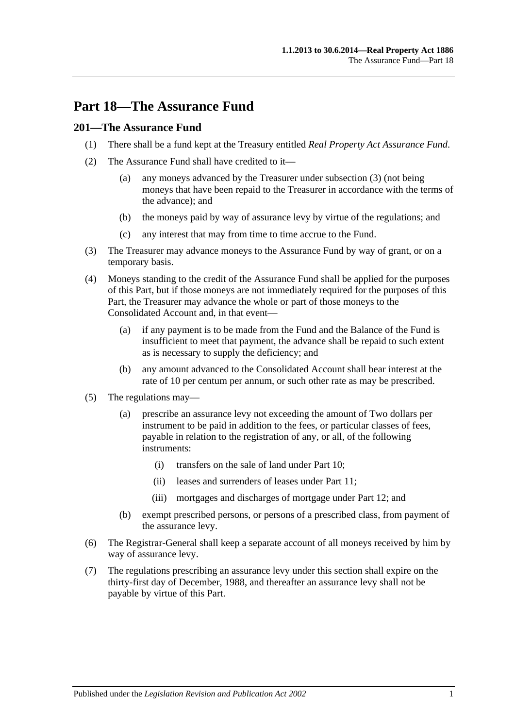## **Part 18—The Assurance Fund**

## **201—The Assurance Fund**

- (1) There shall be a fund kept at the Treasury entitled *Real Property Act Assurance Fund*.
- (2) The Assurance Fund shall have credited to it—
	- (a) any moneys advanced by the Treasurer under [subsection](#page-90-0) (3) (not being moneys that have been repaid to the Treasurer in accordance with the terms of the advance); and
	- (b) the moneys paid by way of assurance levy by virtue of the regulations; and
	- (c) any interest that may from time to time accrue to the Fund.
- <span id="page-90-0"></span>(3) The Treasurer may advance moneys to the Assurance Fund by way of grant, or on a temporary basis.
- (4) Moneys standing to the credit of the Assurance Fund shall be applied for the purposes of this Part, but if those moneys are not immediately required for the purposes of this Part, the Treasurer may advance the whole or part of those moneys to the Consolidated Account and, in that event—
	- (a) if any payment is to be made from the Fund and the Balance of the Fund is insufficient to meet that payment, the advance shall be repaid to such extent as is necessary to supply the deficiency; and
	- (b) any amount advanced to the Consolidated Account shall bear interest at the rate of 10 per centum per annum, or such other rate as may be prescribed.
- (5) The regulations may—
	- (a) prescribe an assurance levy not exceeding the amount of Two dollars per instrument to be paid in addition to the fees, or particular classes of fees, payable in relation to the registration of any, or all, of the following instruments:
		- (i) transfers on the sale of land under [Part 10;](#page-52-0)
		- (ii) leases and surrenders of leases under [Part 11;](#page-58-0)
		- (iii) mortgages and discharges of mortgage under [Part 12;](#page-62-0) and
	- (b) exempt prescribed persons, or persons of a prescribed class, from payment of the assurance levy.
- (6) The Registrar-General shall keep a separate account of all moneys received by him by way of assurance levy.
- (7) The regulations prescribing an assurance levy under this section shall expire on the thirty-first day of December, 1988, and thereafter an assurance levy shall not be payable by virtue of this Part.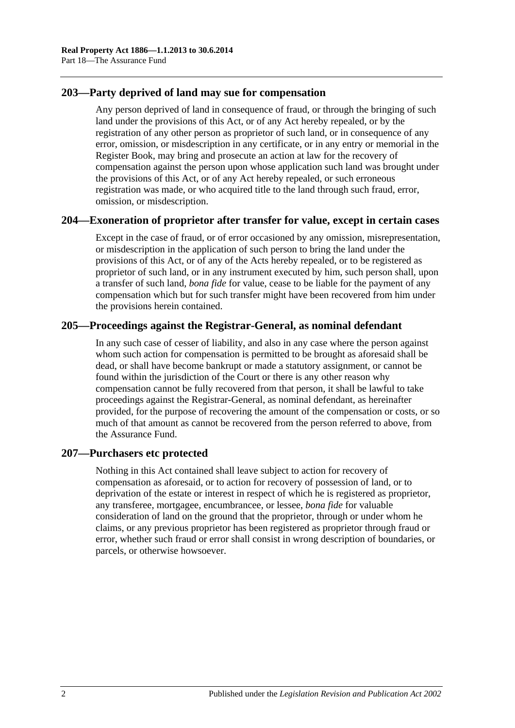## **203—Party deprived of land may sue for compensation**

Any person deprived of land in consequence of fraud, or through the bringing of such land under the provisions of this Act, or of any Act hereby repealed, or by the registration of any other person as proprietor of such land, or in consequence of any error, omission, or misdescription in any certificate, or in any entry or memorial in the Register Book, may bring and prosecute an action at law for the recovery of compensation against the person upon whose application such land was brought under the provisions of this Act, or of any Act hereby repealed, or such erroneous registration was made, or who acquired title to the land through such fraud, error, omission, or misdescription.

## **204—Exoneration of proprietor after transfer for value, except in certain cases**

Except in the case of fraud, or of error occasioned by any omission, misrepresentation, or misdescription in the application of such person to bring the land under the provisions of this Act, or of any of the Acts hereby repealed, or to be registered as proprietor of such land, or in any instrument executed by him, such person shall, upon a transfer of such land, *bona fide* for value, cease to be liable for the payment of any compensation which but for such transfer might have been recovered from him under the provisions herein contained.

## **205—Proceedings against the Registrar-General, as nominal defendant**

In any such case of cesser of liability, and also in any case where the person against whom such action for compensation is permitted to be brought as aforesaid shall be dead, or shall have become bankrupt or made a statutory assignment, or cannot be found within the jurisdiction of the Court or there is any other reason why compensation cannot be fully recovered from that person, it shall be lawful to take proceedings against the Registrar-General, as nominal defendant, as hereinafter provided, for the purpose of recovering the amount of the compensation or costs, or so much of that amount as cannot be recovered from the person referred to above, from the Assurance Fund.

## **207—Purchasers etc protected**

Nothing in this Act contained shall leave subject to action for recovery of compensation as aforesaid, or to action for recovery of possession of land, or to deprivation of the estate or interest in respect of which he is registered as proprietor, any transferee, mortgagee, encumbrancee, or lessee, *bona fide* for valuable consideration of land on the ground that the proprietor, through or under whom he claims, or any previous proprietor has been registered as proprietor through fraud or error, whether such fraud or error shall consist in wrong description of boundaries, or parcels, or otherwise howsoever.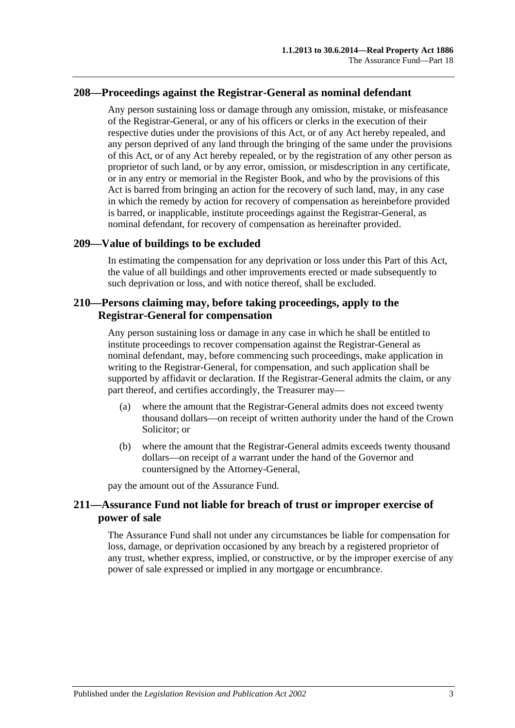#### **208—Proceedings against the Registrar-General as nominal defendant**

Any person sustaining loss or damage through any omission, mistake, or misfeasance of the Registrar-General, or any of his officers or clerks in the execution of their respective duties under the provisions of this Act, or of any Act hereby repealed, and any person deprived of any land through the bringing of the same under the provisions of this Act, or of any Act hereby repealed, or by the registration of any other person as proprietor of such land, or by any error, omission, or misdescription in any certificate, or in any entry or memorial in the Register Book, and who by the provisions of this Act is barred from bringing an action for the recovery of such land, may, in any case in which the remedy by action for recovery of compensation as hereinbefore provided is barred, or inapplicable, institute proceedings against the Registrar-General, as nominal defendant, for recovery of compensation as hereinafter provided.

#### **209—Value of buildings to be excluded**

In estimating the compensation for any deprivation or loss under this Part of this Act, the value of all buildings and other improvements erected or made subsequently to such deprivation or loss, and with notice thereof, shall be excluded.

### **210—Persons claiming may, before taking proceedings, apply to the Registrar-General for compensation**

Any person sustaining loss or damage in any case in which he shall be entitled to institute proceedings to recover compensation against the Registrar-General as nominal defendant, may, before commencing such proceedings, make application in writing to the Registrar-General, for compensation, and such application shall be supported by affidavit or declaration. If the Registrar-General admits the claim, or any part thereof, and certifies accordingly, the Treasurer may—

- (a) where the amount that the Registrar-General admits does not exceed twenty thousand dollars—on receipt of written authority under the hand of the Crown Solicitor; or
- (b) where the amount that the Registrar-General admits exceeds twenty thousand dollars—on receipt of a warrant under the hand of the Governor and countersigned by the Attorney-General,

pay the amount out of the Assurance Fund.

## **211—Assurance Fund not liable for breach of trust or improper exercise of power of sale**

The Assurance Fund shall not under any circumstances be liable for compensation for loss, damage, or deprivation occasioned by any breach by a registered proprietor of any trust, whether express, implied, or constructive, or by the improper exercise of any power of sale expressed or implied in any mortgage or encumbrance.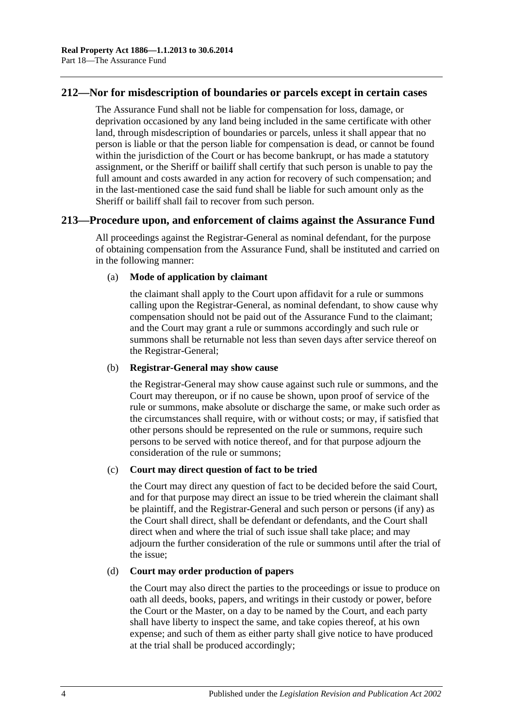## **212—Nor for misdescription of boundaries or parcels except in certain cases**

The Assurance Fund shall not be liable for compensation for loss, damage, or deprivation occasioned by any land being included in the same certificate with other land, through misdescription of boundaries or parcels, unless it shall appear that no person is liable or that the person liable for compensation is dead, or cannot be found within the jurisdiction of the Court or has become bankrupt, or has made a statutory assignment, or the Sheriff or bailiff shall certify that such person is unable to pay the full amount and costs awarded in any action for recovery of such compensation; and in the last-mentioned case the said fund shall be liable for such amount only as the Sheriff or bailiff shall fail to recover from such person.

#### **213—Procedure upon, and enforcement of claims against the Assurance Fund**

All proceedings against the Registrar-General as nominal defendant, for the purpose of obtaining compensation from the Assurance Fund, shall be instituted and carried on in the following manner:

#### (a) **Mode of application by claimant**

the claimant shall apply to the Court upon affidavit for a rule or summons calling upon the Registrar-General, as nominal defendant, to show cause why compensation should not be paid out of the Assurance Fund to the claimant; and the Court may grant a rule or summons accordingly and such rule or summons shall be returnable not less than seven days after service thereof on the Registrar-General;

#### (b) **Registrar-General may show cause**

the Registrar-General may show cause against such rule or summons, and the Court may thereupon, or if no cause be shown, upon proof of service of the rule or summons, make absolute or discharge the same, or make such order as the circumstances shall require, with or without costs; or may, if satisfied that other persons should be represented on the rule or summons, require such persons to be served with notice thereof, and for that purpose adjourn the consideration of the rule or summons;

#### (c) **Court may direct question of fact to be tried**

the Court may direct any question of fact to be decided before the said Court, and for that purpose may direct an issue to be tried wherein the claimant shall be plaintiff, and the Registrar-General and such person or persons (if any) as the Court shall direct, shall be defendant or defendants, and the Court shall direct when and where the trial of such issue shall take place; and may adjourn the further consideration of the rule or summons until after the trial of the issue;

#### (d) **Court may order production of papers**

the Court may also direct the parties to the proceedings or issue to produce on oath all deeds, books, papers, and writings in their custody or power, before the Court or the Master, on a day to be named by the Court, and each party shall have liberty to inspect the same, and take copies thereof, at his own expense; and such of them as either party shall give notice to have produced at the trial shall be produced accordingly;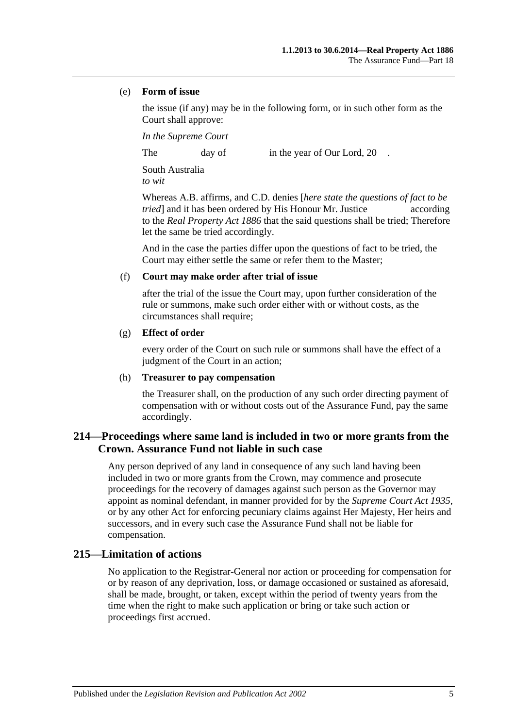#### (e) **Form of issue**

the issue (if any) may be in the following form, or in such other form as the Court shall approve:

*In the Supreme Court*

The day of in the year of Our Lord, 20

South Australia *to wit*

Whereas A.B. affirms, and C.D. denies [*here state the questions of fact to be tried* and it has been ordered by His Honour Mr. Justice according to the *[Real Property Act](http://www.legislation.sa.gov.au/index.aspx?action=legref&type=act&legtitle=Real%20Property%20Act%201886) 1886* that the said questions shall be tried; Therefore let the same be tried accordingly.

And in the case the parties differ upon the questions of fact to be tried, the Court may either settle the same or refer them to the Master;

#### (f) **Court may make order after trial of issue**

after the trial of the issue the Court may, upon further consideration of the rule or summons, make such order either with or without costs, as the circumstances shall require;

#### (g) **Effect of order**

every order of the Court on such rule or summons shall have the effect of a judgment of the Court in an action;

#### (h) **Treasurer to pay compensation**

the Treasurer shall, on the production of any such order directing payment of compensation with or without costs out of the Assurance Fund, pay the same accordingly.

## **214—Proceedings where same land is included in two or more grants from the Crown. Assurance Fund not liable in such case**

Any person deprived of any land in consequence of any such land having been included in two or more grants from the Crown, may commence and prosecute proceedings for the recovery of damages against such person as the Governor may appoint as nominal defendant, in manner provided for by the *[Supreme Court Act](http://www.legislation.sa.gov.au/index.aspx?action=legref&type=act&legtitle=Supreme%20Court%20Act%201935) 1935*, or by any other Act for enforcing pecuniary claims against Her Majesty, Her heirs and successors, and in every such case the Assurance Fund shall not be liable for compensation.

## **215—Limitation of actions**

No application to the Registrar-General nor action or proceeding for compensation for or by reason of any deprivation, loss, or damage occasioned or sustained as aforesaid, shall be made, brought, or taken, except within the period of twenty years from the time when the right to make such application or bring or take such action or proceedings first accrued.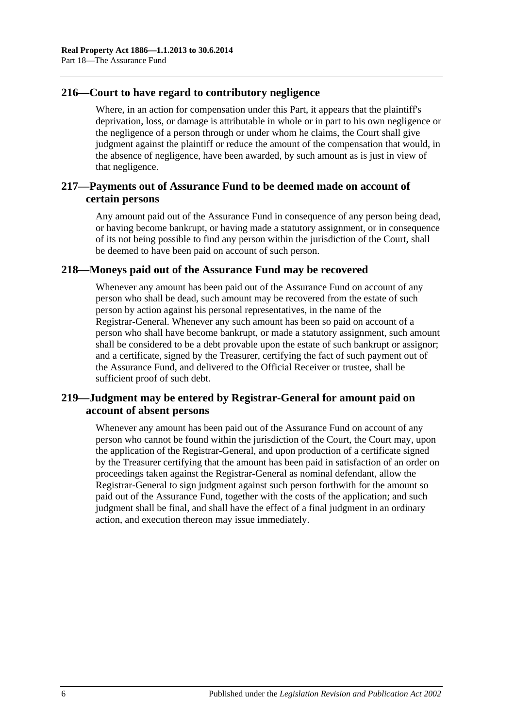## **216—Court to have regard to contributory negligence**

Where, in an action for compensation under this Part, it appears that the plaintiff's deprivation, loss, or damage is attributable in whole or in part to his own negligence or the negligence of a person through or under whom he claims, the Court shall give judgment against the plaintiff or reduce the amount of the compensation that would, in the absence of negligence, have been awarded, by such amount as is just in view of that negligence.

## **217—Payments out of Assurance Fund to be deemed made on account of certain persons**

Any amount paid out of the Assurance Fund in consequence of any person being dead, or having become bankrupt, or having made a statutory assignment, or in consequence of its not being possible to find any person within the jurisdiction of the Court, shall be deemed to have been paid on account of such person.

## **218—Moneys paid out of the Assurance Fund may be recovered**

Whenever any amount has been paid out of the Assurance Fund on account of any person who shall be dead, such amount may be recovered from the estate of such person by action against his personal representatives, in the name of the Registrar-General. Whenever any such amount has been so paid on account of a person who shall have become bankrupt, or made a statutory assignment, such amount shall be considered to be a debt provable upon the estate of such bankrupt or assignor; and a certificate, signed by the Treasurer, certifying the fact of such payment out of the Assurance Fund, and delivered to the Official Receiver or trustee, shall be sufficient proof of such debt.

## **219—Judgment may be entered by Registrar-General for amount paid on account of absent persons**

Whenever any amount has been paid out of the Assurance Fund on account of any person who cannot be found within the jurisdiction of the Court, the Court may, upon the application of the Registrar-General, and upon production of a certificate signed by the Treasurer certifying that the amount has been paid in satisfaction of an order on proceedings taken against the Registrar-General as nominal defendant, allow the Registrar-General to sign judgment against such person forthwith for the amount so paid out of the Assurance Fund, together with the costs of the application; and such judgment shall be final, and shall have the effect of a final judgment in an ordinary action, and execution thereon may issue immediately.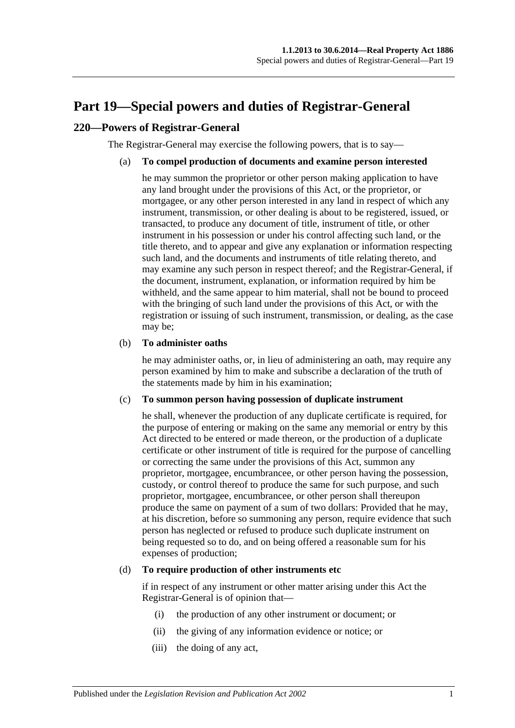## <span id="page-96-0"></span>**Part 19—Special powers and duties of Registrar-General**

## **220—Powers of Registrar-General**

The Registrar-General may exercise the following powers, that is to say—

#### (a) **To compel production of documents and examine person interested**

he may summon the proprietor or other person making application to have any land brought under the provisions of this Act, or the proprietor, or mortgagee, or any other person interested in any land in respect of which any instrument, transmission, or other dealing is about to be registered, issued, or transacted, to produce any document of title, instrument of title, or other instrument in his possession or under his control affecting such land, or the title thereto, and to appear and give any explanation or information respecting such land, and the documents and instruments of title relating thereto, and may examine any such person in respect thereof; and the Registrar-General, if the document, instrument, explanation, or information required by him be withheld, and the same appear to him material, shall not be bound to proceed with the bringing of such land under the provisions of this Act, or with the registration or issuing of such instrument, transmission, or dealing, as the case may be;

#### (b) **To administer oaths**

he may administer oaths, or, in lieu of administering an oath, may require any person examined by him to make and subscribe a declaration of the truth of the statements made by him in his examination;

#### (c) **To summon person having possession of duplicate instrument**

he shall, whenever the production of any duplicate certificate is required, for the purpose of entering or making on the same any memorial or entry by this Act directed to be entered or made thereon, or the production of a duplicate certificate or other instrument of title is required for the purpose of cancelling or correcting the same under the provisions of this Act, summon any proprietor, mortgagee, encumbrancee, or other person having the possession, custody, or control thereof to produce the same for such purpose, and such proprietor, mortgagee, encumbrancee, or other person shall thereupon produce the same on payment of a sum of two dollars: Provided that he may, at his discretion, before so summoning any person, require evidence that such person has neglected or refused to produce such duplicate instrument on being requested so to do, and on being offered a reasonable sum for his expenses of production;

#### <span id="page-96-1"></span>(d) **To require production of other instruments etc**

if in respect of any instrument or other matter arising under this Act the Registrar-General is of opinion that—

- (i) the production of any other instrument or document; or
- (ii) the giving of any information evidence or notice; or
- (iii) the doing of any act,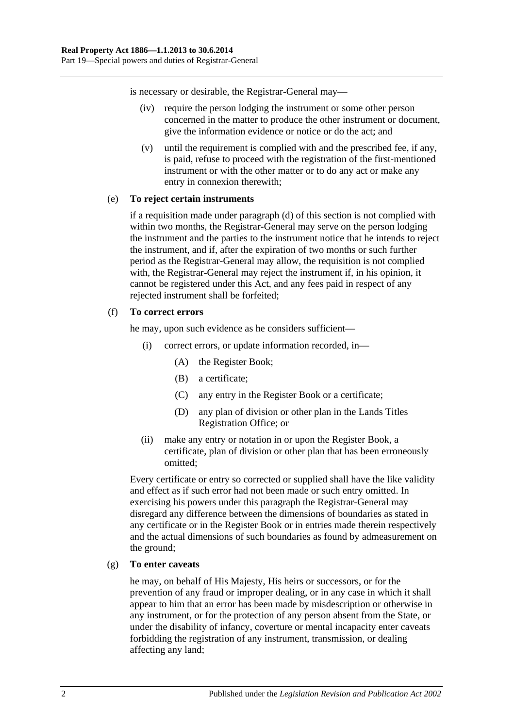is necessary or desirable, the Registrar-General may—

- (iv) require the person lodging the instrument or some other person concerned in the matter to produce the other instrument or document, give the information evidence or notice or do the act; and
- (v) until the requirement is complied with and the prescribed fee, if any, is paid, refuse to proceed with the registration of the first-mentioned instrument or with the other matter or to do any act or make any entry in connexion therewith;

#### (e) **To reject certain instruments**

if a requisition made under [paragraph](#page-96-1) (d) of this section is not complied with within two months, the Registrar-General may serve on the person lodging the instrument and the parties to the instrument notice that he intends to reject the instrument, and if, after the expiration of two months or such further period as the Registrar-General may allow, the requisition is not complied with, the Registrar-General may reject the instrument if, in his opinion, it cannot be registered under this Act, and any fees paid in respect of any rejected instrument shall be forfeited;

#### (f) **To correct errors**

he may, upon such evidence as he considers sufficient—

- (i) correct errors, or update information recorded, in—
	- (A) the Register Book;
	- (B) a certificate;
	- (C) any entry in the Register Book or a certificate;
	- (D) any plan of division or other plan in the Lands Titles Registration Office; or
- (ii) make any entry or notation in or upon the Register Book, a certificate, plan of division or other plan that has been erroneously omitted;

Every certificate or entry so corrected or supplied shall have the like validity and effect as if such error had not been made or such entry omitted. In exercising his powers under this paragraph the Registrar-General may disregard any difference between the dimensions of boundaries as stated in any certificate or in the Register Book or in entries made therein respectively and the actual dimensions of such boundaries as found by admeasurement on the ground;

#### (g) **To enter caveats**

he may, on behalf of His Majesty, His heirs or successors, or for the prevention of any fraud or improper dealing, or in any case in which it shall appear to him that an error has been made by misdescription or otherwise in any instrument, or for the protection of any person absent from the State, or under the disability of infancy, coverture or mental incapacity enter caveats forbidding the registration of any instrument, transmission, or dealing affecting any land;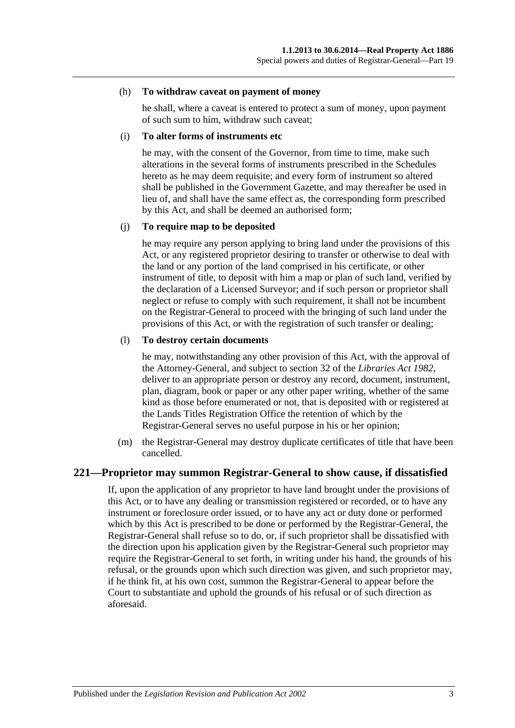#### (h) **To withdraw caveat on payment of money**

he shall, where a caveat is entered to protect a sum of money, upon payment of such sum to him, withdraw such caveat;

#### (i) **To alter forms of instruments etc**

he may, with the consent of the Governor, from time to time, make such alterations in the several forms of instruments prescribed in the Schedules hereto as he may deem requisite; and every form of instrument so altered shall be published in the Government Gazette, and may thereafter be used in lieu of, and shall have the same effect as, the corresponding form prescribed by this Act, and shall be deemed an authorised form;

#### (j) **To require map to be deposited**

he may require any person applying to bring land under the provisions of this Act, or any registered proprietor desiring to transfer or otherwise to deal with the land or any portion of the land comprised in his certificate, or other instrument of title, to deposit with him a map or plan of such land, verified by the declaration of a Licensed Surveyor; and if such person or proprietor shall neglect or refuse to comply with such requirement, it shall not be incumbent on the Registrar-General to proceed with the bringing of such land under the provisions of this Act, or with the registration of such transfer or dealing;

#### (l) **To destroy certain documents**

he may, notwithstanding any other provision of this Act, with the approval of the Attorney-General, and subject to section 32 of the *[Libraries Act](http://www.legislation.sa.gov.au/index.aspx?action=legref&type=act&legtitle=Libraries%20Act%201982) 1982*, deliver to an appropriate person or destroy any record, document, instrument, plan, diagram, book or paper or any other paper writing, whether of the same kind as those before enumerated or not, that is deposited with or registered at the Lands Titles Registration Office the retention of which by the Registrar-General serves no useful purpose in his or her opinion;

(m) the Registrar-General may destroy duplicate certificates of title that have been cancelled.

#### **221—Proprietor may summon Registrar-General to show cause, if dissatisfied**

If, upon the application of any proprietor to have land brought under the provisions of this Act, or to have any dealing or transmission registered or recorded, or to have any instrument or foreclosure order issued, or to have any act or duty done or performed which by this Act is prescribed to be done or performed by the Registrar-General, the Registrar-General shall refuse so to do, or, if such proprietor shall be dissatisfied with the direction upon his application given by the Registrar-General such proprietor may require the Registrar-General to set forth, in writing under his hand, the grounds of his refusal, or the grounds upon which such direction was given, and such proprietor may, if he think fit, at his own cost, summon the Registrar-General to appear before the Court to substantiate and uphold the grounds of his refusal or of such direction as aforesaid.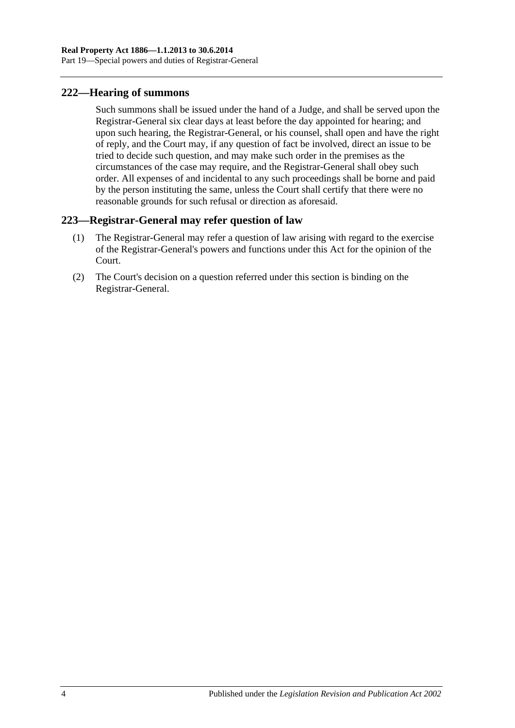## **222—Hearing of summons**

Such summons shall be issued under the hand of a Judge, and shall be served upon the Registrar-General six clear days at least before the day appointed for hearing; and upon such hearing, the Registrar-General, or his counsel, shall open and have the right of reply, and the Court may, if any question of fact be involved, direct an issue to be tried to decide such question, and may make such order in the premises as the circumstances of the case may require, and the Registrar-General shall obey such order. All expenses of and incidental to any such proceedings shall be borne and paid by the person instituting the same, unless the Court shall certify that there were no reasonable grounds for such refusal or direction as aforesaid.

## **223—Registrar-General may refer question of law**

- (1) The Registrar-General may refer a question of law arising with regard to the exercise of the Registrar-General's powers and functions under this Act for the opinion of the Court.
- (2) The Court's decision on a question referred under this section is binding on the Registrar-General.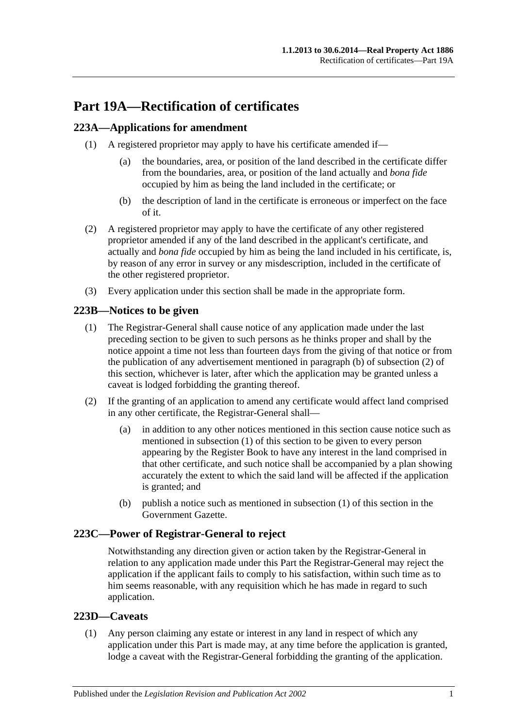# **Part 19A—Rectification of certificates**

## <span id="page-100-3"></span>**223A—Applications for amendment**

- (1) A registered proprietor may apply to have his certificate amended if—
	- (a) the boundaries, area, or position of the land described in the certificate differ from the boundaries, area, or position of the land actually and *bona fide* occupied by him as being the land included in the certificate; or
	- (b) the description of land in the certificate is erroneous or imperfect on the face of it.
- (2) A registered proprietor may apply to have the certificate of any other registered proprietor amended if any of the land described in the applicant's certificate, and actually and *bona fide* occupied by him as being the land included in his certificate, is, by reason of any error in survey or any misdescription, included in the certificate of the other registered proprietor.
- (3) Every application under this section shall be made in the appropriate form.

## <span id="page-100-2"></span>**223B—Notices to be given**

- (1) The Registrar-General shall cause notice of any application made under the last preceding section to be given to such persons as he thinks proper and shall by the notice appoint a time not less than fourteen days from the giving of that notice or from the publication of any advertisement mentioned in [paragraph](#page-100-0) (b) of [subsection](#page-100-1) (2) of this section, whichever is later, after which the application may be granted unless a caveat is lodged forbidding the granting thereof.
- <span id="page-100-1"></span>(2) If the granting of an application to amend any certificate would affect land comprised in any other certificate, the Registrar-General shall—
	- (a) in addition to any other notices mentioned in this section cause notice such as mentioned in [subsection](#page-100-2) (1) of this section to be given to every person appearing by the Register Book to have any interest in the land comprised in that other certificate, and such notice shall be accompanied by a plan showing accurately the extent to which the said land will be affected if the application is granted; and
	- (b) publish a notice such as mentioned in [subsection](#page-100-2) (1) of this section in the Government Gazette.

## <span id="page-100-0"></span>**223C—Power of Registrar-General to reject**

Notwithstanding any direction given or action taken by the Registrar-General in relation to any application made under this Part the Registrar-General may reject the application if the applicant fails to comply to his satisfaction, within such time as to him seems reasonable, with any requisition which he has made in regard to such application.

## **223D—Caveats**

(1) Any person claiming any estate or interest in any land in respect of which any application under this Part is made may, at any time before the application is granted, lodge a caveat with the Registrar-General forbidding the granting of the application.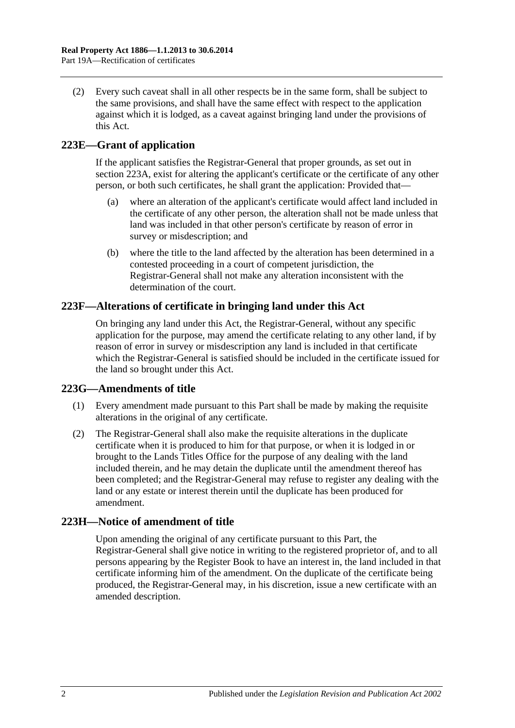(2) Every such caveat shall in all other respects be in the same form, shall be subject to the same provisions, and shall have the same effect with respect to the application against which it is lodged, as a caveat against bringing land under the provisions of this Act.

## **223E—Grant of application**

If the applicant satisfies the Registrar-General that proper grounds, as set out in [section](#page-100-3) 223A, exist for altering the applicant's certificate or the certificate of any other person, or both such certificates, he shall grant the application: Provided that—

- (a) where an alteration of the applicant's certificate would affect land included in the certificate of any other person, the alteration shall not be made unless that land was included in that other person's certificate by reason of error in survey or misdescription; and
- (b) where the title to the land affected by the alteration has been determined in a contested proceeding in a court of competent jurisdiction, the Registrar-General shall not make any alteration inconsistent with the determination of the court.

## **223F—Alterations of certificate in bringing land under this Act**

On bringing any land under this Act, the Registrar-General, without any specific application for the purpose, may amend the certificate relating to any other land, if by reason of error in survey or misdescription any land is included in that certificate which the Registrar-General is satisfied should be included in the certificate issued for the land so brought under this Act.

## **223G—Amendments of title**

- (1) Every amendment made pursuant to this Part shall be made by making the requisite alterations in the original of any certificate.
- (2) The Registrar-General shall also make the requisite alterations in the duplicate certificate when it is produced to him for that purpose, or when it is lodged in or brought to the Lands Titles Office for the purpose of any dealing with the land included therein, and he may detain the duplicate until the amendment thereof has been completed; and the Registrar-General may refuse to register any dealing with the land or any estate or interest therein until the duplicate has been produced for amendment.

## **223H—Notice of amendment of title**

Upon amending the original of any certificate pursuant to this Part, the Registrar-General shall give notice in writing to the registered proprietor of, and to all persons appearing by the Register Book to have an interest in, the land included in that certificate informing him of the amendment. On the duplicate of the certificate being produced, the Registrar-General may, in his discretion, issue a new certificate with an amended description.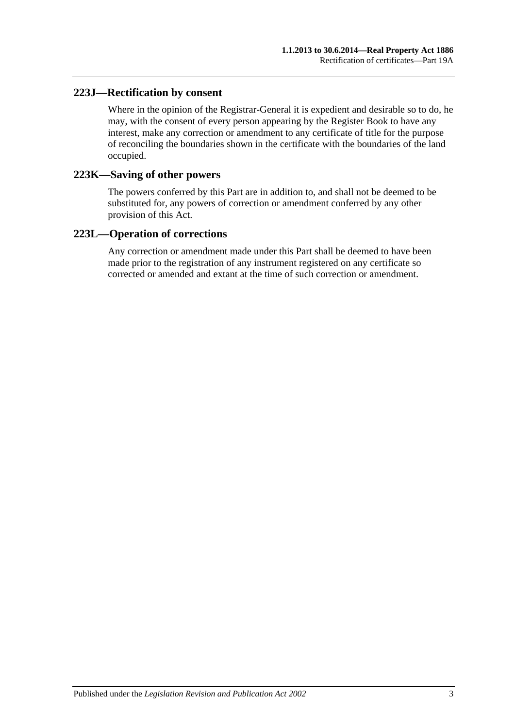## **223J—Rectification by consent**

Where in the opinion of the Registrar-General it is expedient and desirable so to do, he may, with the consent of every person appearing by the Register Book to have any interest, make any correction or amendment to any certificate of title for the purpose of reconciling the boundaries shown in the certificate with the boundaries of the land occupied.

#### **223K—Saving of other powers**

The powers conferred by this Part are in addition to, and shall not be deemed to be substituted for, any powers of correction or amendment conferred by any other provision of this Act.

### **223L—Operation of corrections**

Any correction or amendment made under this Part shall be deemed to have been made prior to the registration of any instrument registered on any certificate so corrected or amended and extant at the time of such correction or amendment.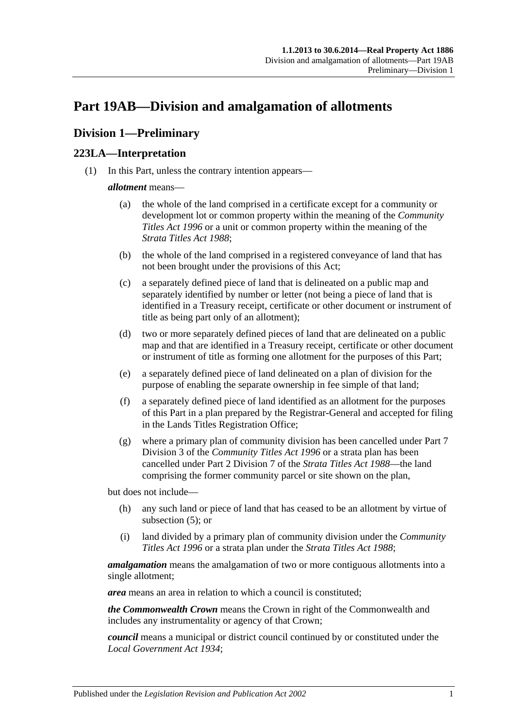# <span id="page-104-2"></span>**Part 19AB—Division and amalgamation of allotments**

## **Division 1—Preliminary**

## <span id="page-104-1"></span>**223LA—Interpretation**

(1) In this Part, unless the contrary intention appears—

#### *allotment* means—

- (a) the whole of the land comprised in a certificate except for a community or development lot or common property within the meaning of the *[Community](http://www.legislation.sa.gov.au/index.aspx?action=legref&type=act&legtitle=Community%20Titles%20Act%201996)  [Titles Act](http://www.legislation.sa.gov.au/index.aspx?action=legref&type=act&legtitle=Community%20Titles%20Act%201996) 1996* or a unit or common property within the meaning of the *[Strata Titles Act](http://www.legislation.sa.gov.au/index.aspx?action=legref&type=act&legtitle=Strata%20Titles%20Act%201988) 1988*;
- (b) the whole of the land comprised in a registered conveyance of land that has not been brought under the provisions of this Act;
- (c) a separately defined piece of land that is delineated on a public map and separately identified by number or letter (not being a piece of land that is identified in a Treasury receipt, certificate or other document or instrument of title as being part only of an allotment);
- (d) two or more separately defined pieces of land that are delineated on a public map and that are identified in a Treasury receipt, certificate or other document or instrument of title as forming one allotment for the purposes of this Part;
- <span id="page-104-0"></span>(e) a separately defined piece of land delineated on a plan of division for the purpose of enabling the separate ownership in fee simple of that land;
- (f) a separately defined piece of land identified as an allotment for the purposes of this Part in a plan prepared by the Registrar-General and accepted for filing in the Lands Titles Registration Office;
- (g) where a primary plan of community division has been cancelled under Part 7 Division 3 of the *[Community Titles Act](http://www.legislation.sa.gov.au/index.aspx?action=legref&type=act&legtitle=Community%20Titles%20Act%201996) 1996* or a strata plan has been cancelled under Part 2 Division 7 of the *[Strata Titles Act](http://www.legislation.sa.gov.au/index.aspx?action=legref&type=act&legtitle=Strata%20Titles%20Act%201988) 1988*—the land comprising the former community parcel or site shown on the plan,

but does not include—

- (h) any such land or piece of land that has ceased to be an allotment by virtue of [subsection](#page-106-0) (5); or
- (i) land divided by a primary plan of community division under the *[Community](http://www.legislation.sa.gov.au/index.aspx?action=legref&type=act&legtitle=Community%20Titles%20Act%201996)  [Titles Act](http://www.legislation.sa.gov.au/index.aspx?action=legref&type=act&legtitle=Community%20Titles%20Act%201996) 1996* or a strata plan under the *[Strata Titles Act](http://www.legislation.sa.gov.au/index.aspx?action=legref&type=act&legtitle=Strata%20Titles%20Act%201988) 1988*;

*amalgamation* means the amalgamation of two or more contiguous allotments into a single allotment;

*area* means an area in relation to which a council is constituted;

*the Commonwealth Crown* means the Crown in right of the Commonwealth and includes any instrumentality or agency of that Crown;

*council* means a municipal or district council continued by or constituted under the *[Local Government Act](http://www.legislation.sa.gov.au/index.aspx?action=legref&type=act&legtitle=Local%20Government%20Act%201934) 1934*;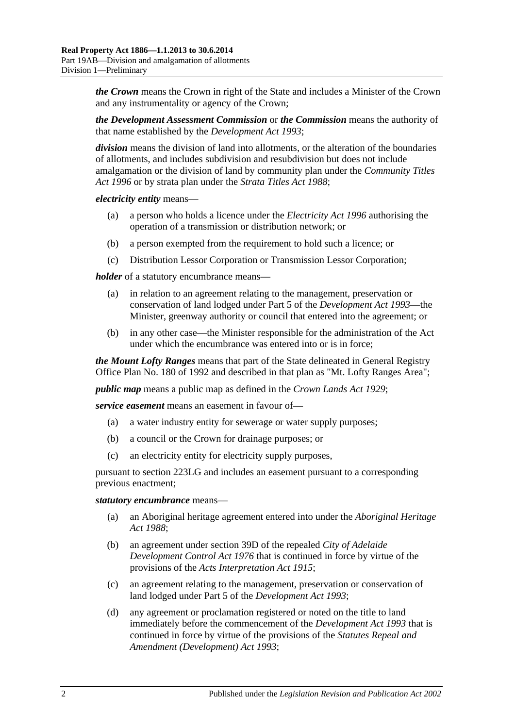*the Crown* means the Crown in right of the State and includes a Minister of the Crown and any instrumentality or agency of the Crown;

*the Development Assessment Commission* or *the Commission* means the authority of that name established by the *[Development Act](http://www.legislation.sa.gov.au/index.aspx?action=legref&type=act&legtitle=Development%20Act%201993) 1993*;

*division* means the division of land into allotments, or the alteration of the boundaries of allotments, and includes subdivision and resubdivision but does not include amalgamation or the division of land by community plan under the *[Community Titles](http://www.legislation.sa.gov.au/index.aspx?action=legref&type=act&legtitle=Community%20Titles%20Act%201996)  Act [1996](http://www.legislation.sa.gov.au/index.aspx?action=legref&type=act&legtitle=Community%20Titles%20Act%201996)* or by strata plan under the *[Strata Titles Act](http://www.legislation.sa.gov.au/index.aspx?action=legref&type=act&legtitle=Strata%20Titles%20Act%201988) 1988*;

*electricity entity* means—

- (a) a person who holds a licence under the *[Electricity Act](http://www.legislation.sa.gov.au/index.aspx?action=legref&type=act&legtitle=Electricity%20Act%201996) 1996* authorising the operation of a transmission or distribution network; or
- (b) a person exempted from the requirement to hold such a licence; or
- (c) Distribution Lessor Corporation or Transmission Lessor Corporation;

*holder* of a statutory encumbrance means—

- (a) in relation to an agreement relating to the management, preservation or conservation of land lodged under Part 5 of the *[Development Act](http://www.legislation.sa.gov.au/index.aspx?action=legref&type=act&legtitle=Development%20Act%201993) 1993*—the Minister, greenway authority or council that entered into the agreement; or
- (b) in any other case—the Minister responsible for the administration of the Act under which the encumbrance was entered into or is in force;

*the Mount Lofty Ranges* means that part of the State delineated in General Registry Office Plan No. 180 of 1992 and described in that plan as "Mt. Lofty Ranges Area";

*public map* means a public map as defined in the *[Crown Lands Act](http://www.legislation.sa.gov.au/index.aspx?action=legref&type=act&legtitle=Crown%20Lands%20Act%201929) 1929*;

*service easement* means an easement in favour of—

- (a) a water industry entity for sewerage or water supply purposes;
- (b) a council or the Crown for drainage purposes; or
- (c) an electricity entity for electricity supply purposes,

pursuant to [section](#page-112-0) 223LG and includes an easement pursuant to a corresponding previous enactment;

#### *statutory encumbrance* means—

- (a) an Aboriginal heritage agreement entered into under the *[Aboriginal Heritage](http://www.legislation.sa.gov.au/index.aspx?action=legref&type=act&legtitle=Aboriginal%20Heritage%20Act%201988)  Act [1988](http://www.legislation.sa.gov.au/index.aspx?action=legref&type=act&legtitle=Aboriginal%20Heritage%20Act%201988)*;
- (b) an agreement under section 39D of the repealed *[City of Adelaide](http://www.legislation.sa.gov.au/index.aspx?action=legref&type=act&legtitle=City%20of%20Adelaide%20Development%20Control%20Act%201976)  [Development Control Act](http://www.legislation.sa.gov.au/index.aspx?action=legref&type=act&legtitle=City%20of%20Adelaide%20Development%20Control%20Act%201976) 1976* that is continued in force by virtue of the provisions of the *[Acts Interpretation Act](http://www.legislation.sa.gov.au/index.aspx?action=legref&type=act&legtitle=Acts%20Interpretation%20Act%201915) 1915*;
- (c) an agreement relating to the management, preservation or conservation of land lodged under Part 5 of the *[Development Act](http://www.legislation.sa.gov.au/index.aspx?action=legref&type=act&legtitle=Development%20Act%201993) 1993*;
- (d) any agreement or proclamation registered or noted on the title to land immediately before the commencement of the *[Development Act](http://www.legislation.sa.gov.au/index.aspx?action=legref&type=act&legtitle=Development%20Act%201993) 1993* that is continued in force by virtue of the provisions of the *[Statutes Repeal and](http://www.legislation.sa.gov.au/index.aspx?action=legref&type=act&legtitle=Statutes%20Repeal%20and%20Amendment%20(Development)%20Act%201993)  [Amendment \(Development\) Act](http://www.legislation.sa.gov.au/index.aspx?action=legref&type=act&legtitle=Statutes%20Repeal%20and%20Amendment%20(Development)%20Act%201993) 1993*;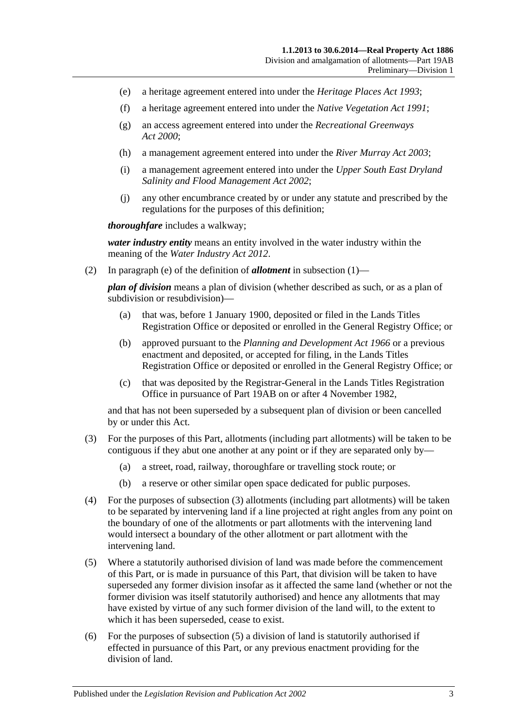- (e) a heritage agreement entered into under the *[Heritage Places Act](http://www.legislation.sa.gov.au/index.aspx?action=legref&type=act&legtitle=Heritage%20Places%20Act%201993) 1993*;
- (f) a heritage agreement entered into under the *[Native Vegetation Act](http://www.legislation.sa.gov.au/index.aspx?action=legref&type=act&legtitle=Native%20Vegetation%20Act%201991) 1991*;
- (g) an access agreement entered into under the *[Recreational Greenways](http://www.legislation.sa.gov.au/index.aspx?action=legref&type=act&legtitle=Recreational%20Greenways%20Act%202000)  Act [2000](http://www.legislation.sa.gov.au/index.aspx?action=legref&type=act&legtitle=Recreational%20Greenways%20Act%202000)*;
- (h) a management agreement entered into under the *[River Murray Act](http://www.legislation.sa.gov.au/index.aspx?action=legref&type=act&legtitle=River%20Murray%20Act%202003) 2003*;
- (i) a management agreement entered into under the *[Upper South East Dryland](http://www.legislation.sa.gov.au/index.aspx?action=legref&type=act&legtitle=Upper%20South%20East%20Dryland%20Salinity%20and%20Flood%20Management%20Act%202002)  [Salinity and Flood Management Act](http://www.legislation.sa.gov.au/index.aspx?action=legref&type=act&legtitle=Upper%20South%20East%20Dryland%20Salinity%20and%20Flood%20Management%20Act%202002) 2002*;
- (j) any other encumbrance created by or under any statute and prescribed by the regulations for the purposes of this definition;

*thoroughfare* includes a walkway;

*water industry entity* means an entity involved in the water industry within the meaning of the *[Water Industry Act](http://www.legislation.sa.gov.au/index.aspx?action=legref&type=act&legtitle=Water%20Industry%20Act%202012) 2012*.

(2) In [paragraph](#page-104-0) (e) of the definition of *allotment* in [subsection](#page-104-1) (1)—

*plan of division* means a plan of division (whether described as such, or as a plan of subdivision or resubdivision)—

- (a) that was, before 1 January 1900, deposited or filed in the Lands Titles Registration Office or deposited or enrolled in the General Registry Office; or
- (b) approved pursuant to the *[Planning and Development Act](http://www.legislation.sa.gov.au/index.aspx?action=legref&type=act&legtitle=Planning%20and%20Development%20Act%201966) 1966* or a previous enactment and deposited, or accepted for filing, in the Lands Titles Registration Office or deposited or enrolled in the General Registry Office; or
- (c) that was deposited by the Registrar-General in the Lands Titles Registration Office in pursuance of [Part 19AB](#page-104-2) on or after 4 November 1982,

and that has not been superseded by a subsequent plan of division or been cancelled by or under this Act.

- <span id="page-106-1"></span>(3) For the purposes of this Part, allotments (including part allotments) will be taken to be contiguous if they abut one another at any point or if they are separated only by—
	- (a) a street, road, railway, thoroughfare or travelling stock route; or
	- (b) a reserve or other similar open space dedicated for public purposes.
- (4) For the purposes of [subsection](#page-106-1) (3) allotments (including part allotments) will be taken to be separated by intervening land if a line projected at right angles from any point on the boundary of one of the allotments or part allotments with the intervening land would intersect a boundary of the other allotment or part allotment with the intervening land.
- <span id="page-106-0"></span>(5) Where a statutorily authorised division of land was made before the commencement of this Part, or is made in pursuance of this Part, that division will be taken to have superseded any former division insofar as it affected the same land (whether or not the former division was itself statutorily authorised) and hence any allotments that may have existed by virtue of any such former division of the land will, to the extent to which it has been superseded, cease to exist.
- (6) For the purposes of [subsection](#page-106-0) (5) a division of land is statutorily authorised if effected in pursuance of this Part, or any previous enactment providing for the division of land.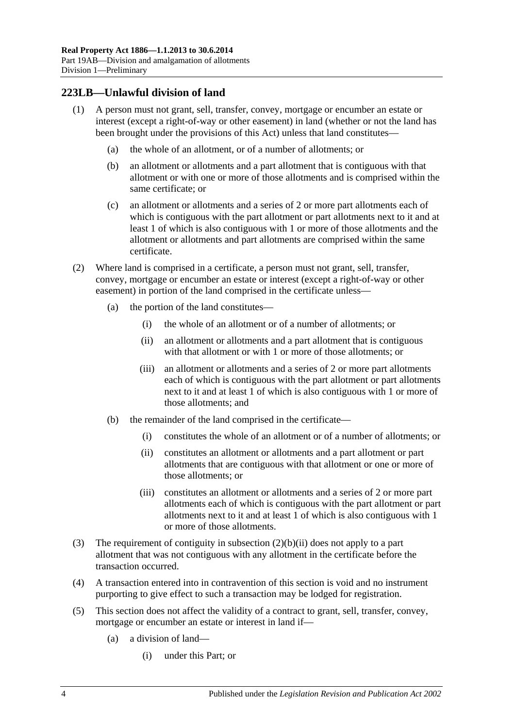## **223LB—Unlawful division of land**

- (1) A person must not grant, sell, transfer, convey, mortgage or encumber an estate or interest (except a right-of-way or other easement) in land (whether or not the land has been brought under the provisions of this Act) unless that land constitutes—
	- (a) the whole of an allotment, or of a number of allotments; or
	- (b) an allotment or allotments and a part allotment that is contiguous with that allotment or with one or more of those allotments and is comprised within the same certificate; or
	- (c) an allotment or allotments and a series of 2 or more part allotments each of which is contiguous with the part allotment or part allotments next to it and at least 1 of which is also contiguous with 1 or more of those allotments and the allotment or allotments and part allotments are comprised within the same certificate.
- (2) Where land is comprised in a certificate, a person must not grant, sell, transfer, convey, mortgage or encumber an estate or interest (except a right-of-way or other easement) in portion of the land comprised in the certificate unless—
	- (a) the portion of the land constitutes—
		- (i) the whole of an allotment or of a number of allotments; or
		- (ii) an allotment or allotments and a part allotment that is contiguous with that allotment or with 1 or more of those allotments; or
		- (iii) an allotment or allotments and a series of 2 or more part allotments each of which is contiguous with the part allotment or part allotments next to it and at least 1 of which is also contiguous with 1 or more of those allotments; and
	- (b) the remainder of the land comprised in the certificate—
		- (i) constitutes the whole of an allotment or of a number of allotments; or
		- (ii) constitutes an allotment or allotments and a part allotment or part allotments that are contiguous with that allotment or one or more of those allotments; or
		- (iii) constitutes an allotment or allotments and a series of 2 or more part allotments each of which is contiguous with the part allotment or part allotments next to it and at least 1 of which is also contiguous with 1 or more of those allotments.
- <span id="page-107-0"></span>(3) The requirement of contiguity in [subsection](#page-107-0) (2)(b)(ii) does not apply to a part allotment that was not contiguous with any allotment in the certificate before the transaction occurred.
- (4) A transaction entered into in contravention of this section is void and no instrument purporting to give effect to such a transaction may be lodged for registration.
- (5) This section does not affect the validity of a contract to grant, sell, transfer, convey, mortgage or encumber an estate or interest in land if—
	- (a) a division of land—
		- (i) under this Part; or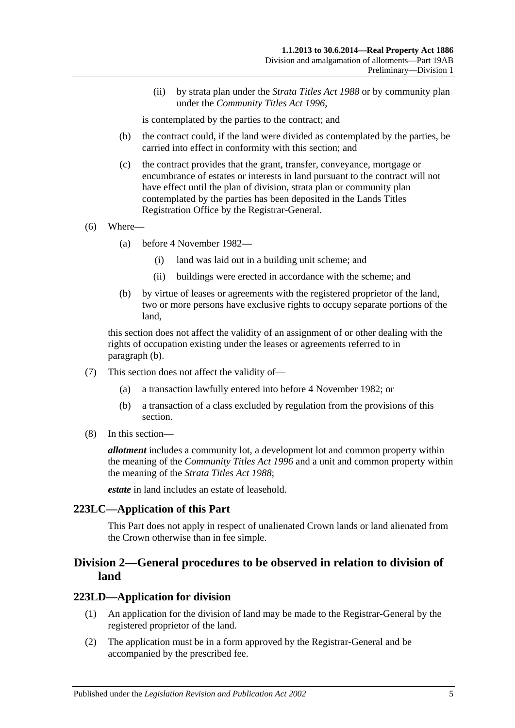(ii) by strata plan under the *[Strata Titles Act](http://www.legislation.sa.gov.au/index.aspx?action=legref&type=act&legtitle=Strata%20Titles%20Act%201988) 1988* or by community plan under the *[Community Titles Act](http://www.legislation.sa.gov.au/index.aspx?action=legref&type=act&legtitle=Community%20Titles%20Act%201996) 1996*,

is contemplated by the parties to the contract; and

- (b) the contract could, if the land were divided as contemplated by the parties, be carried into effect in conformity with this section; and
- (c) the contract provides that the grant, transfer, conveyance, mortgage or encumbrance of estates or interests in land pursuant to the contract will not have effect until the plan of division, strata plan or community plan contemplated by the parties has been deposited in the Lands Titles Registration Office by the Registrar-General.
- (6) Where—
	- (a) before 4 November 1982—
		- (i) land was laid out in a building unit scheme; and
		- (ii) buildings were erected in accordance with the scheme; and
	- (b) by virtue of leases or agreements with the registered proprietor of the land, two or more persons have exclusive rights to occupy separate portions of the land,

<span id="page-108-0"></span>this section does not affect the validity of an assignment of or other dealing with the rights of occupation existing under the leases or agreements referred to in [paragraph](#page-108-0) (b).

- (7) This section does not affect the validity of—
	- (a) a transaction lawfully entered into before 4 November 1982; or
	- (b) a transaction of a class excluded by regulation from the provisions of this section.
- (8) In this section—

*allotment* includes a community lot, a development lot and common property within the meaning of the *[Community Titles Act](http://www.legislation.sa.gov.au/index.aspx?action=legref&type=act&legtitle=Community%20Titles%20Act%201996) 1996* and a unit and common property within the meaning of the *[Strata Titles Act](http://www.legislation.sa.gov.au/index.aspx?action=legref&type=act&legtitle=Strata%20Titles%20Act%201988) 1988*;

*estate* in land includes an estate of leasehold.

#### **223LC—Application of this Part**

This Part does not apply in respect of unalienated Crown lands or land alienated from the Crown otherwise than in fee simple.

## **Division 2—General procedures to be observed in relation to division of land**

#### <span id="page-108-1"></span>**223LD—Application for division**

- (1) An application for the division of land may be made to the Registrar-General by the registered proprietor of the land.
- (2) The application must be in a form approved by the Registrar-General and be accompanied by the prescribed fee.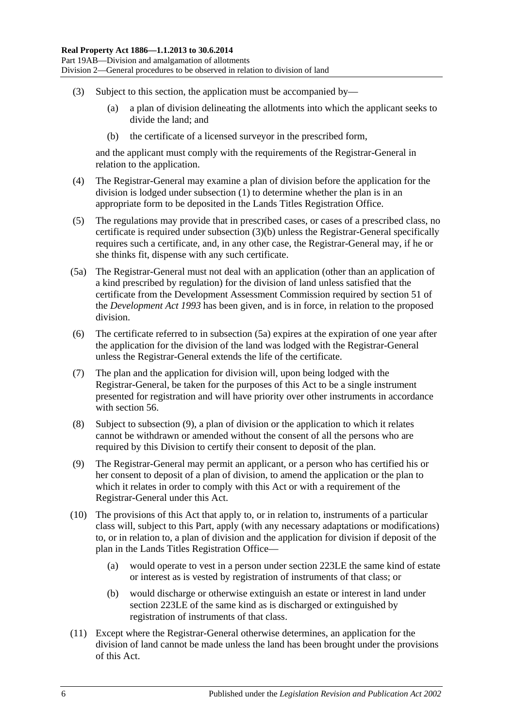- <span id="page-109-0"></span>(3) Subject to this section, the application must be accompanied by—
	- (a) a plan of division delineating the allotments into which the applicant seeks to divide the land; and
	- (b) the certificate of a licensed surveyor in the prescribed form,

and the applicant must comply with the requirements of the Registrar-General in relation to the application.

- (4) The Registrar-General may examine a plan of division before the application for the division is lodged under [subsection](#page-108-1) (1) to determine whether the plan is in an appropriate form to be deposited in the Lands Titles Registration Office.
- (5) The regulations may provide that in prescribed cases, or cases of a prescribed class, no certificate is required under [subsection](#page-109-0) (3)(b) unless the Registrar-General specifically requires such a certificate, and, in any other case, the Registrar-General may, if he or she thinks fit, dispense with any such certificate.
- <span id="page-109-1"></span>(5a) The Registrar-General must not deal with an application (other than an application of a kind prescribed by regulation) for the division of land unless satisfied that the certificate from the Development Assessment Commission required by section 51 of the *[Development Act](http://www.legislation.sa.gov.au/index.aspx?action=legref&type=act&legtitle=Development%20Act%201993) 1993* has been given, and is in force, in relation to the proposed division.
- (6) The certificate referred to in [subsection](#page-109-1) (5a) expires at the expiration of one year after the application for the division of the land was lodged with the Registrar-General unless the Registrar-General extends the life of the certificate.
- (7) The plan and the application for division will, upon being lodged with the Registrar-General, be taken for the purposes of this Act to be a single instrument presented for registration and will have priority over other instruments in accordance with [section](#page-29-0) 56.
- (8) Subject to [subsection](#page-109-2) (9), a plan of division or the application to which it relates cannot be withdrawn or amended without the consent of all the persons who are required by this Division to certify their consent to deposit of the plan.
- <span id="page-109-2"></span>(9) The Registrar-General may permit an applicant, or a person who has certified his or her consent to deposit of a plan of division, to amend the application or the plan to which it relates in order to comply with this Act or with a requirement of the Registrar-General under this Act.
- (10) The provisions of this Act that apply to, or in relation to, instruments of a particular class will, subject to this Part, apply (with any necessary adaptations or modifications) to, or in relation to, a plan of division and the application for division if deposit of the plan in the Lands Titles Registration Office—
	- (a) would operate to vest in a person under [section](#page-110-0) 223LE the same kind of estate or interest as is vested by registration of instruments of that class; or
	- (b) would discharge or otherwise extinguish an estate or interest in land under [section](#page-110-0) 223LE of the same kind as is discharged or extinguished by registration of instruments of that class.
- (11) Except where the Registrar-General otherwise determines, an application for the division of land cannot be made unless the land has been brought under the provisions of this Act.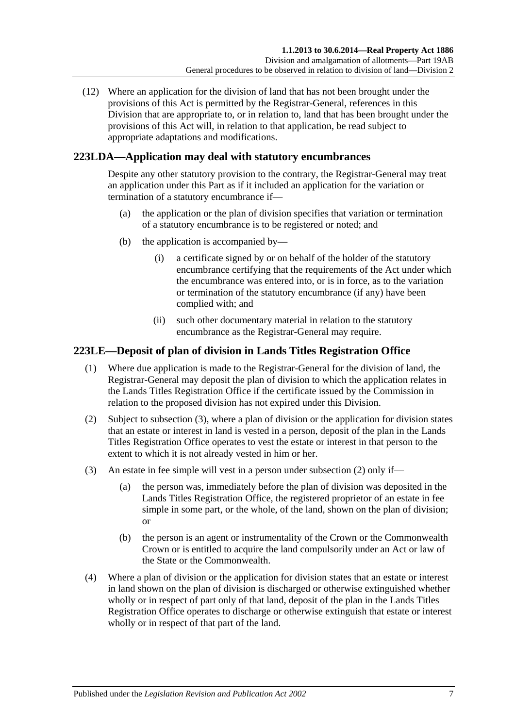(12) Where an application for the division of land that has not been brought under the provisions of this Act is permitted by the Registrar-General, references in this Division that are appropriate to, or in relation to, land that has been brought under the provisions of this Act will, in relation to that application, be read subject to appropriate adaptations and modifications.

## **223LDA—Application may deal with statutory encumbrances**

Despite any other statutory provision to the contrary, the Registrar-General may treat an application under this Part as if it included an application for the variation or termination of a statutory encumbrance if—

- (a) the application or the plan of division specifies that variation or termination of a statutory encumbrance is to be registered or noted; and
- (b) the application is accompanied by—
	- (i) a certificate signed by or on behalf of the holder of the statutory encumbrance certifying that the requirements of the Act under which the encumbrance was entered into, or is in force, as to the variation or termination of the statutory encumbrance (if any) have been complied with; and
	- (ii) such other documentary material in relation to the statutory encumbrance as the Registrar-General may require.

## <span id="page-110-0"></span>**223LE—Deposit of plan of division in Lands Titles Registration Office**

- (1) Where due application is made to the Registrar-General for the division of land, the Registrar-General may deposit the plan of division to which the application relates in the Lands Titles Registration Office if the certificate issued by the Commission in relation to the proposed division has not expired under this Division.
- <span id="page-110-2"></span>(2) Subject to [subsection](#page-110-1) (3), where a plan of division or the application for division states that an estate or interest in land is vested in a person, deposit of the plan in the Lands Titles Registration Office operates to vest the estate or interest in that person to the extent to which it is not already vested in him or her.
- <span id="page-110-1"></span>(3) An estate in fee simple will vest in a person under [subsection](#page-110-2) (2) only if—
	- (a) the person was, immediately before the plan of division was deposited in the Lands Titles Registration Office, the registered proprietor of an estate in fee simple in some part, or the whole, of the land, shown on the plan of division; or
	- (b) the person is an agent or instrumentality of the Crown or the Commonwealth Crown or is entitled to acquire the land compulsorily under an Act or law of the State or the Commonwealth.
- (4) Where a plan of division or the application for division states that an estate or interest in land shown on the plan of division is discharged or otherwise extinguished whether wholly or in respect of part only of that land, deposit of the plan in the Lands Titles Registration Office operates to discharge or otherwise extinguish that estate or interest wholly or in respect of that part of the land.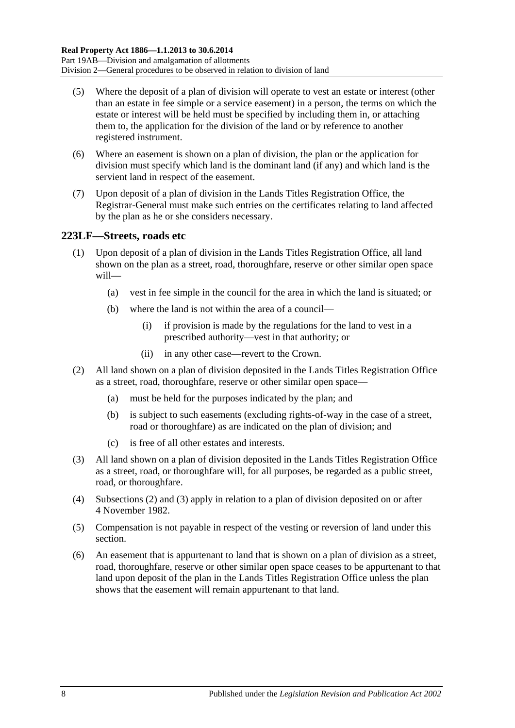- (5) Where the deposit of a plan of division will operate to vest an estate or interest (other than an estate in fee simple or a service easement) in a person, the terms on which the estate or interest will be held must be specified by including them in, or attaching them to, the application for the division of the land or by reference to another registered instrument.
- (6) Where an easement is shown on a plan of division, the plan or the application for division must specify which land is the dominant land (if any) and which land is the servient land in respect of the easement.
- (7) Upon deposit of a plan of division in the Lands Titles Registration Office, the Registrar-General must make such entries on the certificates relating to land affected by the plan as he or she considers necessary.

## <span id="page-111-2"></span>**223LF—Streets, roads etc**

- (1) Upon deposit of a plan of division in the Lands Titles Registration Office, all land shown on the plan as a street, road, thoroughfare, reserve or other similar open space will—
	- (a) vest in fee simple in the council for the area in which the land is situated; or
	- (b) where the land is not within the area of a council—
		- (i) if provision is made by the regulations for the land to vest in a prescribed authority—vest in that authority; or
		- (ii) in any other case—revert to the Crown.
- <span id="page-111-0"></span>(2) All land shown on a plan of division deposited in the Lands Titles Registration Office as a street, road, thoroughfare, reserve or other similar open space—
	- (a) must be held for the purposes indicated by the plan; and
	- (b) is subject to such easements (excluding rights-of-way in the case of a street, road or thoroughfare) as are indicated on the plan of division; and
	- (c) is free of all other estates and interests.
- <span id="page-111-1"></span>(3) All land shown on a plan of division deposited in the Lands Titles Registration Office as a street, road, or thoroughfare will, for all purposes, be regarded as a public street, road, or thoroughfare.
- (4) [Subsections](#page-111-0) (2) and [\(3\)](#page-111-1) apply in relation to a plan of division deposited on or after 4 November 1982.
- (5) Compensation is not payable in respect of the vesting or reversion of land under this section.
- (6) An easement that is appurtenant to land that is shown on a plan of division as a street, road, thoroughfare, reserve or other similar open space ceases to be appurtenant to that land upon deposit of the plan in the Lands Titles Registration Office unless the plan shows that the easement will remain appurtenant to that land.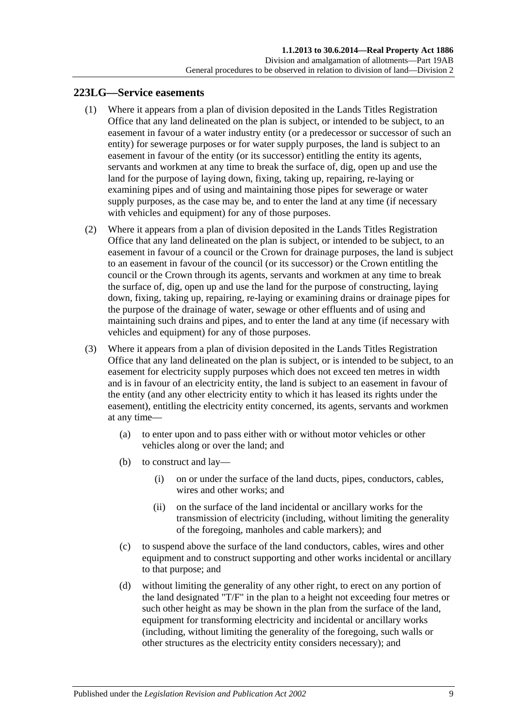### <span id="page-112-3"></span><span id="page-112-0"></span>**223LG—Service easements**

- (1) Where it appears from a plan of division deposited in the Lands Titles Registration Office that any land delineated on the plan is subject, or intended to be subject, to an easement in favour of a water industry entity (or a predecessor or successor of such an entity) for sewerage purposes or for water supply purposes, the land is subject to an easement in favour of the entity (or its successor) entitling the entity its agents, servants and workmen at any time to break the surface of, dig, open up and use the land for the purpose of laying down, fixing, taking up, repairing, re-laying or examining pipes and of using and maintaining those pipes for sewerage or water supply purposes, as the case may be, and to enter the land at any time (if necessary with vehicles and equipment) for any of those purposes.
- <span id="page-112-1"></span>(2) Where it appears from a plan of division deposited in the Lands Titles Registration Office that any land delineated on the plan is subject, or intended to be subject, to an easement in favour of a council or the Crown for drainage purposes, the land is subject to an easement in favour of the council (or its successor) or the Crown entitling the council or the Crown through its agents, servants and workmen at any time to break the surface of, dig, open up and use the land for the purpose of constructing, laying down, fixing, taking up, repairing, re-laying or examining drains or drainage pipes for the purpose of the drainage of water, sewage or other effluents and of using and maintaining such drains and pipes, and to enter the land at any time (if necessary with vehicles and equipment) for any of those purposes.
- <span id="page-112-2"></span>(3) Where it appears from a plan of division deposited in the Lands Titles Registration Office that any land delineated on the plan is subject, or is intended to be subject, to an easement for electricity supply purposes which does not exceed ten metres in width and is in favour of an electricity entity, the land is subject to an easement in favour of the entity (and any other electricity entity to which it has leased its rights under the easement), entitling the electricity entity concerned, its agents, servants and workmen at any time—
	- (a) to enter upon and to pass either with or without motor vehicles or other vehicles along or over the land; and
	- (b) to construct and lay—
		- (i) on or under the surface of the land ducts, pipes, conductors, cables, wires and other works; and
		- (ii) on the surface of the land incidental or ancillary works for the transmission of electricity (including, without limiting the generality of the foregoing, manholes and cable markers); and
	- (c) to suspend above the surface of the land conductors, cables, wires and other equipment and to construct supporting and other works incidental or ancillary to that purpose; and
	- (d) without limiting the generality of any other right, to erect on any portion of the land designated "T/F" in the plan to a height not exceeding four metres or such other height as may be shown in the plan from the surface of the land, equipment for transforming electricity and incidental or ancillary works (including, without limiting the generality of the foregoing, such walls or other structures as the electricity entity considers necessary); and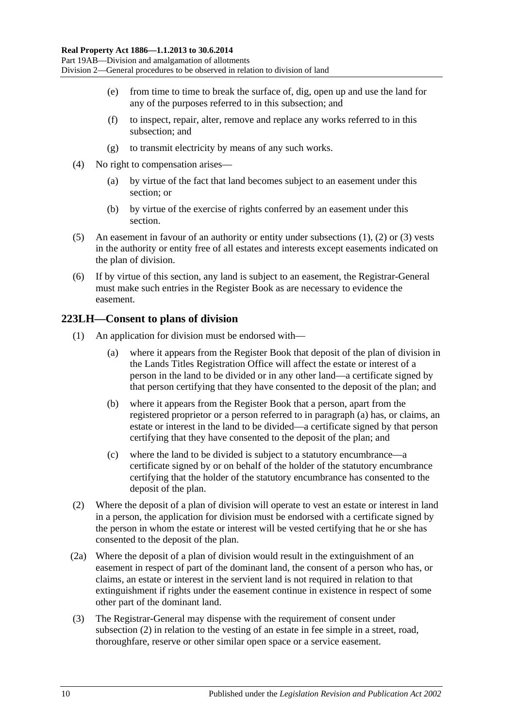- (e) from time to time to break the surface of, dig, open up and use the land for any of the purposes referred to in this subsection; and
- (f) to inspect, repair, alter, remove and replace any works referred to in this subsection; and
- (g) to transmit electricity by means of any such works.
- (4) No right to compensation arises—
	- (a) by virtue of the fact that land becomes subject to an easement under this section; or
	- (b) by virtue of the exercise of rights conferred by an easement under this section.
- (5) An easement in favour of an authority or entity under [subsections](#page-112-0) (1), [\(2\)](#page-112-1) or [\(3\)](#page-112-2) vests in the authority or entity free of all estates and interests except easements indicated on the plan of division.
- (6) If by virtue of this section, any land is subject to an easement, the Registrar-General must make such entries in the Register Book as are necessary to evidence the easement.

## **223LH—Consent to plans of division**

- <span id="page-113-0"></span>(1) An application for division must be endorsed with—
	- (a) where it appears from the Register Book that deposit of the plan of division in the Lands Titles Registration Office will affect the estate or interest of a person in the land to be divided or in any other land—a certificate signed by that person certifying that they have consented to the deposit of the plan; and
	- (b) where it appears from the Register Book that a person, apart from the registered proprietor or a person referred to in [paragraph](#page-113-0) (a) has, or claims, an estate or interest in the land to be divided—a certificate signed by that person certifying that they have consented to the deposit of the plan; and
	- (c) where the land to be divided is subject to a statutory encumbrance—a certificate signed by or on behalf of the holder of the statutory encumbrance certifying that the holder of the statutory encumbrance has consented to the deposit of the plan.
- <span id="page-113-1"></span>(2) Where the deposit of a plan of division will operate to vest an estate or interest in land in a person, the application for division must be endorsed with a certificate signed by the person in whom the estate or interest will be vested certifying that he or she has consented to the deposit of the plan.
- (2a) Where the deposit of a plan of division would result in the extinguishment of an easement in respect of part of the dominant land, the consent of a person who has, or claims, an estate or interest in the servient land is not required in relation to that extinguishment if rights under the easement continue in existence in respect of some other part of the dominant land.
- (3) The Registrar-General may dispense with the requirement of consent under [subsection](#page-113-1) (2) in relation to the vesting of an estate in fee simple in a street, road, thoroughfare, reserve or other similar open space or a service easement.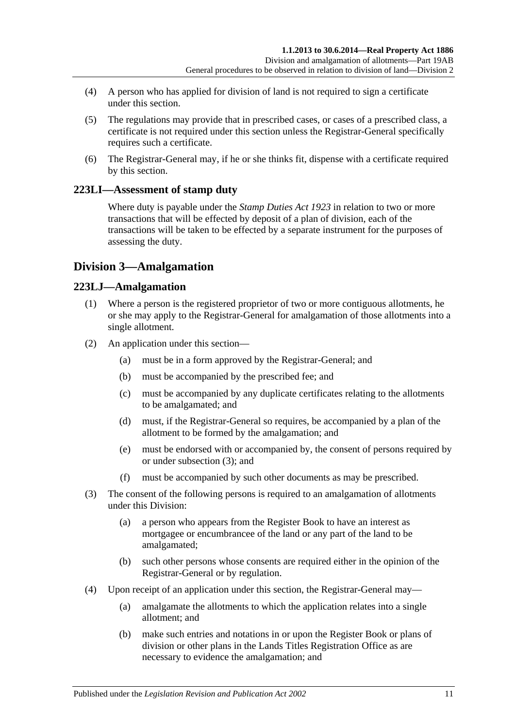- (4) A person who has applied for division of land is not required to sign a certificate under this section.
- (5) The regulations may provide that in prescribed cases, or cases of a prescribed class, a certificate is not required under this section unless the Registrar-General specifically requires such a certificate.
- (6) The Registrar-General may, if he or she thinks fit, dispense with a certificate required by this section.

## **223LI—Assessment of stamp duty**

Where duty is payable under the *[Stamp Duties Act](http://www.legislation.sa.gov.au/index.aspx?action=legref&type=act&legtitle=Stamp%20Duties%20Act%201923) 1923* in relation to two or more transactions that will be effected by deposit of a plan of division, each of the transactions will be taken to be effected by a separate instrument for the purposes of assessing the duty.

## **Division 3—Amalgamation**

## **223LJ—Amalgamation**

- (1) Where a person is the registered proprietor of two or more contiguous allotments, he or she may apply to the Registrar-General for amalgamation of those allotments into a single allotment.
- (2) An application under this section—
	- (a) must be in a form approved by the Registrar-General; and
	- (b) must be accompanied by the prescribed fee; and
	- (c) must be accompanied by any duplicate certificates relating to the allotments to be amalgamated; and
	- (d) must, if the Registrar-General so requires, be accompanied by a plan of the allotment to be formed by the amalgamation; and
	- (e) must be endorsed with or accompanied by, the consent of persons required by or under [subsection](#page-114-0) (3); and
	- (f) must be accompanied by such other documents as may be prescribed.
- <span id="page-114-0"></span>(3) The consent of the following persons is required to an amalgamation of allotments under this Division:
	- (a) a person who appears from the Register Book to have an interest as mortgagee or encumbrancee of the land or any part of the land to be amalgamated;
	- (b) such other persons whose consents are required either in the opinion of the Registrar-General or by regulation.
- (4) Upon receipt of an application under this section, the Registrar-General may—
	- (a) amalgamate the allotments to which the application relates into a single allotment; and
	- (b) make such entries and notations in or upon the Register Book or plans of division or other plans in the Lands Titles Registration Office as are necessary to evidence the amalgamation; and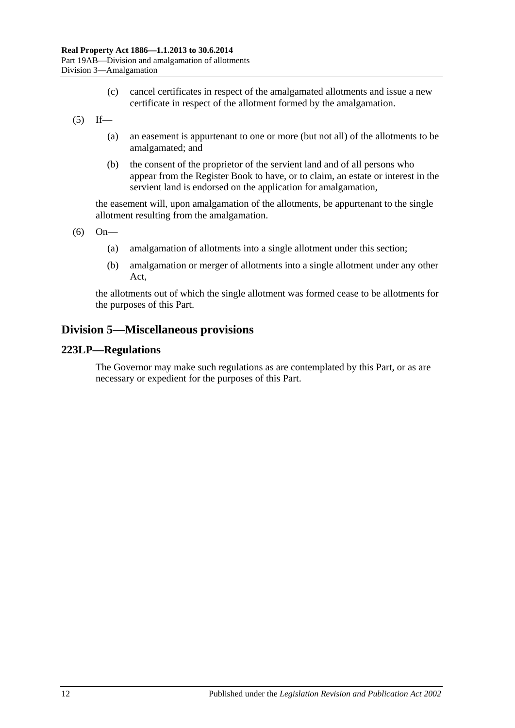- (c) cancel certificates in respect of the amalgamated allotments and issue a new certificate in respect of the allotment formed by the amalgamation.
- $(5)$  If—
	- (a) an easement is appurtenant to one or more (but not all) of the allotments to be amalgamated; and
	- (b) the consent of the proprietor of the servient land and of all persons who appear from the Register Book to have, or to claim, an estate or interest in the servient land is endorsed on the application for amalgamation,

the easement will, upon amalgamation of the allotments, be appurtenant to the single allotment resulting from the amalgamation.

(6) On—

- (a) amalgamation of allotments into a single allotment under this section;
- (b) amalgamation or merger of allotments into a single allotment under any other Act,

the allotments out of which the single allotment was formed cease to be allotments for the purposes of this Part.

## **Division 5—Miscellaneous provisions**

#### **223LP—Regulations**

The Governor may make such regulations as are contemplated by this Part, or as are necessary or expedient for the purposes of this Part.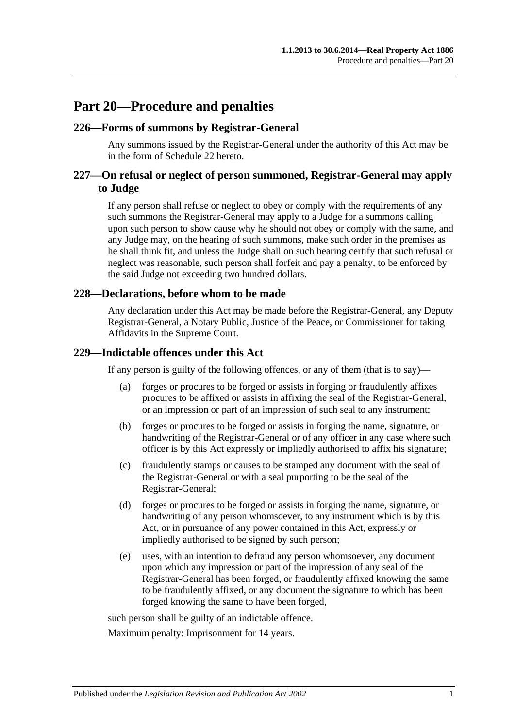## **Part 20—Procedure and penalties**

### **226—Forms of summons by Registrar-General**

Any summons issued by the Registrar-General under the authority of this Act may be in the form of [Schedule 22](#page-137-0) hereto.

## **227—On refusal or neglect of person summoned, Registrar-General may apply to Judge**

If any person shall refuse or neglect to obey or comply with the requirements of any such summons the Registrar-General may apply to a Judge for a summons calling upon such person to show cause why he should not obey or comply with the same, and any Judge may, on the hearing of such summons, make such order in the premises as he shall think fit, and unless the Judge shall on such hearing certify that such refusal or neglect was reasonable, such person shall forfeit and pay a penalty, to be enforced by the said Judge not exceeding two hundred dollars.

#### **228—Declarations, before whom to be made**

Any declaration under this Act may be made before the Registrar-General, any Deputy Registrar-General, a Notary Public, Justice of the Peace, or Commissioner for taking Affidavits in the Supreme Court.

#### **229—Indictable offences under this Act**

If any person is guilty of the following offences, or any of them (that is to say)—

- (a) forges or procures to be forged or assists in forging or fraudulently affixes procures to be affixed or assists in affixing the seal of the Registrar-General, or an impression or part of an impression of such seal to any instrument;
- (b) forges or procures to be forged or assists in forging the name, signature, or handwriting of the Registrar-General or of any officer in any case where such officer is by this Act expressly or impliedly authorised to affix his signature;
- (c) fraudulently stamps or causes to be stamped any document with the seal of the Registrar-General or with a seal purporting to be the seal of the Registrar-General;
- (d) forges or procures to be forged or assists in forging the name, signature, or handwriting of any person whomsoever, to any instrument which is by this Act, or in pursuance of any power contained in this Act, expressly or impliedly authorised to be signed by such person;
- (e) uses, with an intention to defraud any person whomsoever, any document upon which any impression or part of the impression of any seal of the Registrar-General has been forged, or fraudulently affixed knowing the same to be fraudulently affixed, or any document the signature to which has been forged knowing the same to have been forged,

such person shall be guilty of an indictable offence.

Maximum penalty: Imprisonment for 14 years.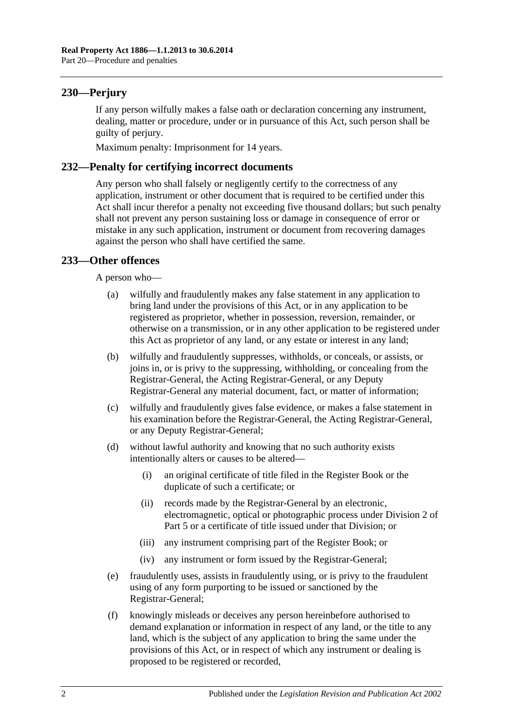## **230—Perjury**

If any person wilfully makes a false oath or declaration concerning any instrument, dealing, matter or procedure, under or in pursuance of this Act, such person shall be guilty of perjury.

Maximum penalty: Imprisonment for 14 years.

## **232—Penalty for certifying incorrect documents**

Any person who shall falsely or negligently certify to the correctness of any application, instrument or other document that is required to be certified under this Act shall incur therefor a penalty not exceeding five thousand dollars; but such penalty shall not prevent any person sustaining loss or damage in consequence of error or mistake in any such application, instrument or document from recovering damages against the person who shall have certified the same.

## **233—Other offences**

A person who—

- (a) wilfully and fraudulently makes any false statement in any application to bring land under the provisions of this Act, or in any application to be registered as proprietor, whether in possession, reversion, remainder, or otherwise on a transmission, or in any other application to be registered under this Act as proprietor of any land, or any estate or interest in any land;
- (b) wilfully and fraudulently suppresses, withholds, or conceals, or assists, or joins in, or is privy to the suppressing, withholding, or concealing from the Registrar-General, the Acting Registrar-General, or any Deputy Registrar-General any material document, fact, or matter of information;
- (c) wilfully and fraudulently gives false evidence, or makes a false statement in his examination before the Registrar-General, the Acting Registrar-General, or any Deputy Registrar-General;
- (d) without lawful authority and knowing that no such authority exists intentionally alters or causes to be altered—
	- (i) an original certificate of title filed in the Register Book or the duplicate of such a certificate; or
	- (ii) records made by the Registrar-General by an electronic, electromagnetic, optical or photographic process under [Division 2](#page-26-0) of [Part 5](#page-26-1) or a certificate of title issued under that Division; or
	- (iii) any instrument comprising part of the Register Book; or
	- (iv) any instrument or form issued by the Registrar-General;
- (e) fraudulently uses, assists in fraudulently using, or is privy to the fraudulent using of any form purporting to be issued or sanctioned by the Registrar-General;
- (f) knowingly misleads or deceives any person hereinbefore authorised to demand explanation or information in respect of any land, or the title to any land, which is the subject of any application to bring the same under the provisions of this Act, or in respect of which any instrument or dealing is proposed to be registered or recorded,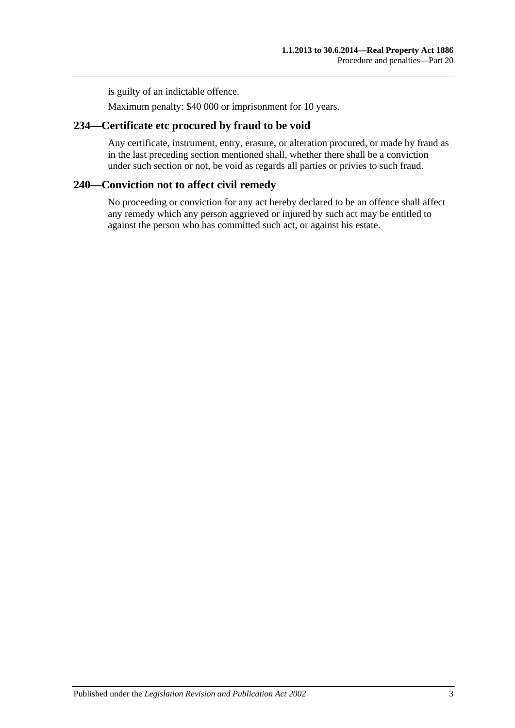is guilty of an indictable offence.

Maximum penalty: \$40 000 or imprisonment for 10 years.

## **234—Certificate etc procured by fraud to be void**

Any certificate, instrument, entry, erasure, or alteration procured, or made by fraud as in the last preceding section mentioned shall, whether there shall be a conviction under such section or not, be void as regards all parties or privies to such fraud.

## **240—Conviction not to affect civil remedy**

No proceeding or conviction for any act hereby declared to be an offence shall affect any remedy which any person aggrieved or injured by such act may be entitled to against the person who has committed such act, or against his estate.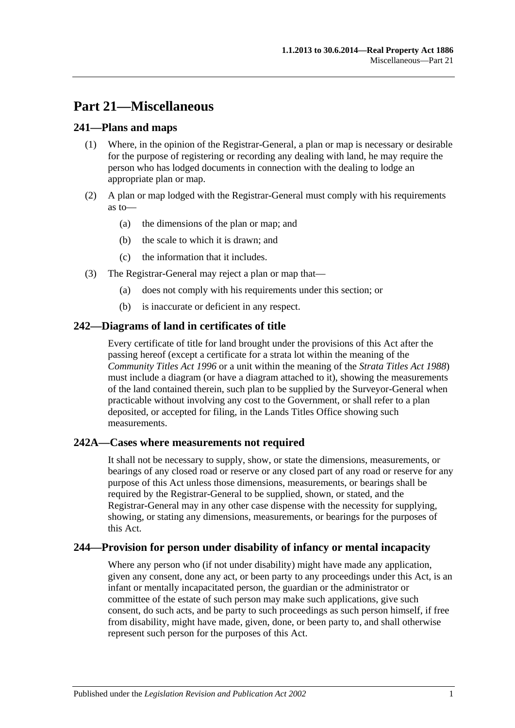# **Part 21—Miscellaneous**

## **241—Plans and maps**

- (1) Where, in the opinion of the Registrar-General, a plan or map is necessary or desirable for the purpose of registering or recording any dealing with land, he may require the person who has lodged documents in connection with the dealing to lodge an appropriate plan or map.
- (2) A plan or map lodged with the Registrar-General must comply with his requirements as to—
	- (a) the dimensions of the plan or map; and
	- (b) the scale to which it is drawn; and
	- (c) the information that it includes.
- (3) The Registrar-General may reject a plan or map that—
	- (a) does not comply with his requirements under this section; or
	- (b) is inaccurate or deficient in any respect.

## **242—Diagrams of land in certificates of title**

Every certificate of title for land brought under the provisions of this Act after the passing hereof (except a certificate for a strata lot within the meaning of the *[Community Titles Act](http://www.legislation.sa.gov.au/index.aspx?action=legref&type=act&legtitle=Community%20Titles%20Act%201996) 1996* or a unit within the meaning of the *[Strata Titles Act](http://www.legislation.sa.gov.au/index.aspx?action=legref&type=act&legtitle=Strata%20Titles%20Act%201988) 1988*) must include a diagram (or have a diagram attached to it), showing the measurements of the land contained therein, such plan to be supplied by the Surveyor-General when practicable without involving any cost to the Government, or shall refer to a plan deposited, or accepted for filing, in the Lands Titles Office showing such measurements.

## **242A—Cases where measurements not required**

It shall not be necessary to supply, show, or state the dimensions, measurements, or bearings of any closed road or reserve or any closed part of any road or reserve for any purpose of this Act unless those dimensions, measurements, or bearings shall be required by the Registrar-General to be supplied, shown, or stated, and the Registrar-General may in any other case dispense with the necessity for supplying, showing, or stating any dimensions, measurements, or bearings for the purposes of this Act.

## **244—Provision for person under disability of infancy or mental incapacity**

Where any person who (if not under disability) might have made any application, given any consent, done any act, or been party to any proceedings under this Act, is an infant or mentally incapacitated person, the guardian or the administrator or committee of the estate of such person may make such applications, give such consent, do such acts, and be party to such proceedings as such person himself, if free from disability, might have made, given, done, or been party to, and shall otherwise represent such person for the purposes of this Act.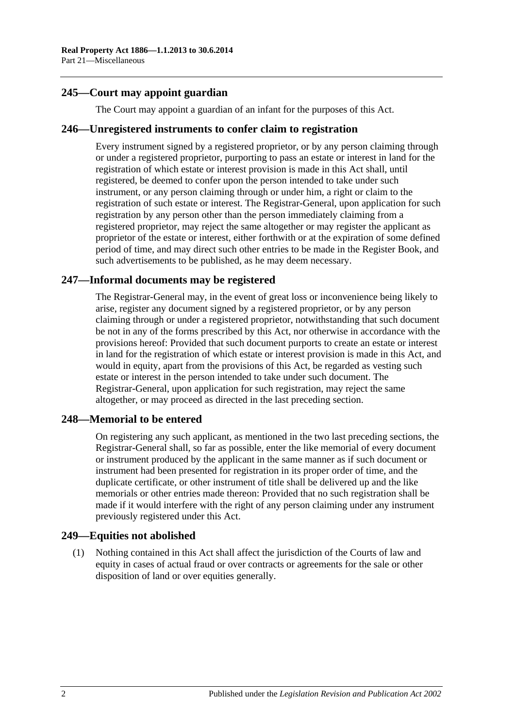## **245—Court may appoint guardian**

The Court may appoint a guardian of an infant for the purposes of this Act.

#### **246—Unregistered instruments to confer claim to registration**

Every instrument signed by a registered proprietor, or by any person claiming through or under a registered proprietor, purporting to pass an estate or interest in land for the registration of which estate or interest provision is made in this Act shall, until registered, be deemed to confer upon the person intended to take under such instrument, or any person claiming through or under him, a right or claim to the registration of such estate or interest. The Registrar-General, upon application for such registration by any person other than the person immediately claiming from a registered proprietor, may reject the same altogether or may register the applicant as proprietor of the estate or interest, either forthwith or at the expiration of some defined period of time, and may direct such other entries to be made in the Register Book, and such advertisements to be published, as he may deem necessary.

## **247—Informal documents may be registered**

The Registrar-General may, in the event of great loss or inconvenience being likely to arise, register any document signed by a registered proprietor, or by any person claiming through or under a registered proprietor, notwithstanding that such document be not in any of the forms prescribed by this Act, nor otherwise in accordance with the provisions hereof: Provided that such document purports to create an estate or interest in land for the registration of which estate or interest provision is made in this Act, and would in equity, apart from the provisions of this Act, be regarded as vesting such estate or interest in the person intended to take under such document. The Registrar-General, upon application for such registration, may reject the same altogether, or may proceed as directed in the last preceding section.

## **248—Memorial to be entered**

On registering any such applicant, as mentioned in the two last preceding sections, the Registrar-General shall, so far as possible, enter the like memorial of every document or instrument produced by the applicant in the same manner as if such document or instrument had been presented for registration in its proper order of time, and the duplicate certificate, or other instrument of title shall be delivered up and the like memorials or other entries made thereon: Provided that no such registration shall be made if it would interfere with the right of any person claiming under any instrument previously registered under this Act.

## **249—Equities not abolished**

(1) Nothing contained in this Act shall affect the jurisdiction of the Courts of law and equity in cases of actual fraud or over contracts or agreements for the sale or other disposition of land or over equities generally.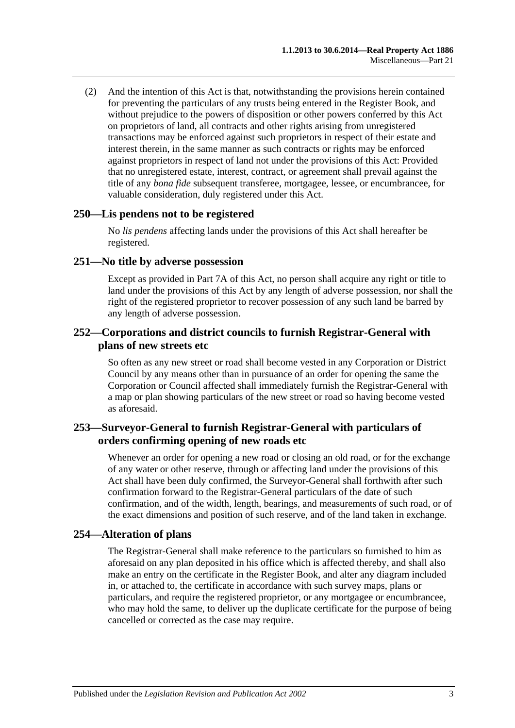(2) And the intention of this Act is that, notwithstanding the provisions herein contained for preventing the particulars of any trusts being entered in the Register Book, and without prejudice to the powers of disposition or other powers conferred by this Act on proprietors of land, all contracts and other rights arising from unregistered transactions may be enforced against such proprietors in respect of their estate and interest therein, in the same manner as such contracts or rights may be enforced against proprietors in respect of land not under the provisions of this Act: Provided that no unregistered estate, interest, contract, or agreement shall prevail against the title of any *bona fide* subsequent transferee, mortgagee, lessee, or encumbrancee, for valuable consideration, duly registered under this Act.

#### **250—Lis pendens not to be registered**

No *lis pendens* affecting lands under the provisions of this Act shall hereafter be registered.

#### **251—No title by adverse possession**

Except as provided in [Part 7A](#page-40-0) of this Act, no person shall acquire any right or title to land under the provisions of this Act by any length of adverse possession, nor shall the right of the registered proprietor to recover possession of any such land be barred by any length of adverse possession.

### **252—Corporations and district councils to furnish Registrar-General with plans of new streets etc**

So often as any new street or road shall become vested in any Corporation or District Council by any means other than in pursuance of an order for opening the same the Corporation or Council affected shall immediately furnish the Registrar-General with a map or plan showing particulars of the new street or road so having become vested as aforesaid.

## **253—Surveyor-General to furnish Registrar-General with particulars of orders confirming opening of new roads etc**

Whenever an order for opening a new road or closing an old road, or for the exchange of any water or other reserve, through or affecting land under the provisions of this Act shall have been duly confirmed, the Surveyor-General shall forthwith after such confirmation forward to the Registrar-General particulars of the date of such confirmation, and of the width, length, bearings, and measurements of such road, or of the exact dimensions and position of such reserve, and of the land taken in exchange.

## **254—Alteration of plans**

The Registrar-General shall make reference to the particulars so furnished to him as aforesaid on any plan deposited in his office which is affected thereby, and shall also make an entry on the certificate in the Register Book, and alter any diagram included in, or attached to, the certificate in accordance with such survey maps, plans or particulars, and require the registered proprietor, or any mortgagee or encumbrancee, who may hold the same, to deliver up the duplicate certificate for the purpose of being cancelled or corrected as the case may require.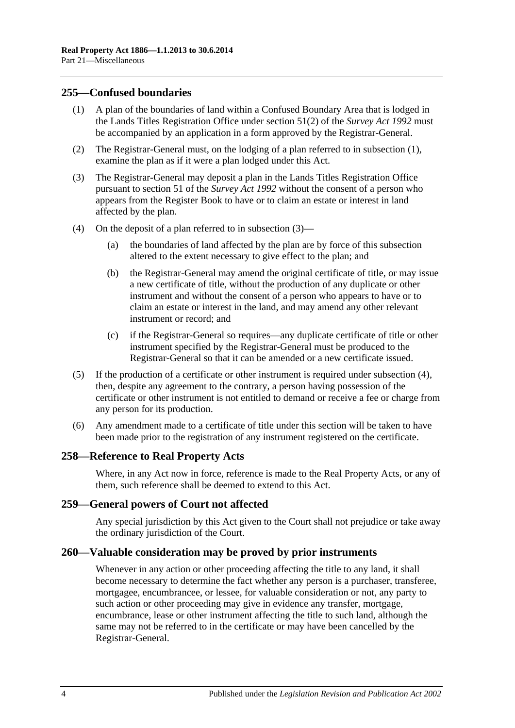### <span id="page-123-0"></span>**255—Confused boundaries**

- (1) A plan of the boundaries of land within a Confused Boundary Area that is lodged in the Lands Titles Registration Office under section 51(2) of the *[Survey Act](http://www.legislation.sa.gov.au/index.aspx?action=legref&type=act&legtitle=Survey%20Act%201992) 1992* must be accompanied by an application in a form approved by the Registrar-General.
- (2) The Registrar-General must, on the lodging of a plan referred to in [subsection](#page-123-0) (1), examine the plan as if it were a plan lodged under this Act.
- <span id="page-123-1"></span>(3) The Registrar-General may deposit a plan in the Lands Titles Registration Office pursuant to section 51 of the *[Survey Act](http://www.legislation.sa.gov.au/index.aspx?action=legref&type=act&legtitle=Survey%20Act%201992) 1992* without the consent of a person who appears from the Register Book to have or to claim an estate or interest in land affected by the plan.
- <span id="page-123-2"></span>(4) On the deposit of a plan referred to in [subsection](#page-123-1) (3)—
	- (a) the boundaries of land affected by the plan are by force of this subsection altered to the extent necessary to give effect to the plan; and
	- (b) the Registrar-General may amend the original certificate of title, or may issue a new certificate of title, without the production of any duplicate or other instrument and without the consent of a person who appears to have or to claim an estate or interest in the land, and may amend any other relevant instrument or record; and
	- (c) if the Registrar-General so requires—any duplicate certificate of title or other instrument specified by the Registrar-General must be produced to the Registrar-General so that it can be amended or a new certificate issued.
- (5) If the production of a certificate or other instrument is required under [subsection](#page-123-2) (4), then, despite any agreement to the contrary, a person having possession of the certificate or other instrument is not entitled to demand or receive a fee or charge from any person for its production.
- (6) Any amendment made to a certificate of title under this section will be taken to have been made prior to the registration of any instrument registered on the certificate.

#### **258—Reference to Real Property Acts**

Where, in any Act now in force, reference is made to the Real Property Acts, or any of them, such reference shall be deemed to extend to this Act.

#### **259—General powers of Court not affected**

Any special jurisdiction by this Act given to the Court shall not prejudice or take away the ordinary jurisdiction of the Court.

#### **260—Valuable consideration may be proved by prior instruments**

Whenever in any action or other proceeding affecting the title to any land, it shall become necessary to determine the fact whether any person is a purchaser, transferee, mortgagee, encumbrancee, or lessee, for valuable consideration or not, any party to such action or other proceeding may give in evidence any transfer, mortgage, encumbrance, lease or other instrument affecting the title to such land, although the same may not be referred to in the certificate or may have been cancelled by the Registrar-General.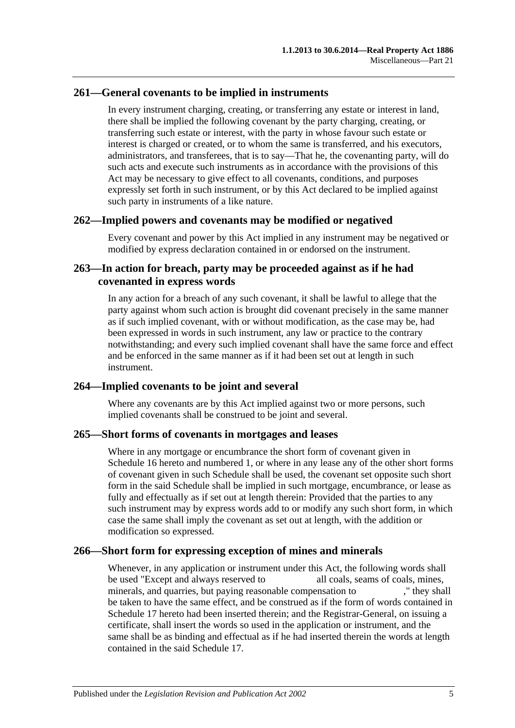## **261—General covenants to be implied in instruments**

In every instrument charging, creating, or transferring any estate or interest in land, there shall be implied the following covenant by the party charging, creating, or transferring such estate or interest, with the party in whose favour such estate or interest is charged or created, or to whom the same is transferred, and his executors, administrators, and transferees, that is to say—That he, the covenanting party, will do such acts and execute such instruments as in accordance with the provisions of this Act may be necessary to give effect to all covenants, conditions, and purposes expressly set forth in such instrument, or by this Act declared to be implied against such party in instruments of a like nature.

#### **262—Implied powers and covenants may be modified or negatived**

Every covenant and power by this Act implied in any instrument may be negatived or modified by express declaration contained in or endorsed on the instrument.

## **263—In action for breach, party may be proceeded against as if he had covenanted in express words**

In any action for a breach of any such covenant, it shall be lawful to allege that the party against whom such action is brought did covenant precisely in the same manner as if such implied covenant, with or without modification, as the case may be, had been expressed in words in such instrument, any law or practice to the contrary notwithstanding; and every such implied covenant shall have the same force and effect and be enforced in the same manner as if it had been set out at length in such instrument.

## **264—Implied covenants to be joint and several**

Where any covenants are by this Act implied against two or more persons, such implied covenants shall be construed to be joint and several.

#### **265—Short forms of covenants in mortgages and leases**

Where in any mortgage or encumbrance the short form of covenant given in [Schedule](#page-135-0) 16 hereto and numbered 1, or where in any lease any of the other short forms of covenant given in such Schedule shall be used, the covenant set opposite such short form in the said Schedule shall be implied in such mortgage, encumbrance, or lease as fully and effectually as if set out at length therein: Provided that the parties to any such instrument may by express words add to or modify any such short form, in which case the same shall imply the covenant as set out at length, with the addition or modification so expressed.

## **266—Short form for expressing exception of mines and minerals**

Whenever, in any application or instrument under this Act, the following words shall be used "Except and always reserved to all coals, seams of coals, mines, minerals, and quarries, but paying reasonable compensation to ," they shall be taken to have the same effect, and be construed as if the form of words contained in [Schedule 17](#page-137-1) hereto had been inserted therein; and the Registrar-General, on issuing a certificate, shall insert the words so used in the application or instrument, and the same shall be as binding and effectual as if he had inserted therein the words at length contained in the said [Schedule 17.](#page-137-1)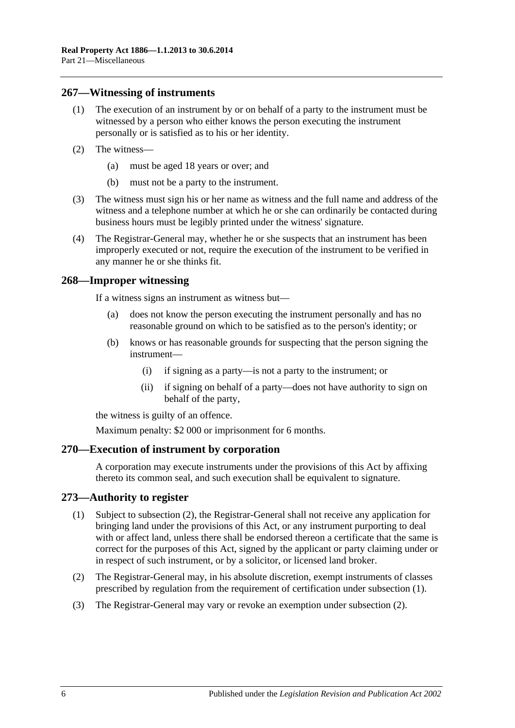#### **267—Witnessing of instruments**

- (1) The execution of an instrument by or on behalf of a party to the instrument must be witnessed by a person who either knows the person executing the instrument personally or is satisfied as to his or her identity.
- (2) The witness—
	- (a) must be aged 18 years or over; and
	- (b) must not be a party to the instrument.
- (3) The witness must sign his or her name as witness and the full name and address of the witness and a telephone number at which he or she can ordinarily be contacted during business hours must be legibly printed under the witness' signature.
- (4) The Registrar-General may, whether he or she suspects that an instrument has been improperly executed or not, require the execution of the instrument to be verified in any manner he or she thinks fit.

#### **268—Improper witnessing**

If a witness signs an instrument as witness but—

- (a) does not know the person executing the instrument personally and has no reasonable ground on which to be satisfied as to the person's identity; or
- (b) knows or has reasonable grounds for suspecting that the person signing the instrument—
	- (i) if signing as a party—is not a party to the instrument; or
	- (ii) if signing on behalf of a party—does not have authority to sign on behalf of the party,

the witness is guilty of an offence.

Maximum penalty: \$2 000 or imprisonment for 6 months.

#### **270—Execution of instrument by corporation**

A corporation may execute instruments under the provisions of this Act by affixing thereto its common seal, and such execution shall be equivalent to signature.

#### <span id="page-125-1"></span>**273—Authority to register**

- (1) Subject to [subsection](#page-125-0) (2), the Registrar-General shall not receive any application for bringing land under the provisions of this Act, or any instrument purporting to deal with or affect land, unless there shall be endorsed thereon a certificate that the same is correct for the purposes of this Act, signed by the applicant or party claiming under or in respect of such instrument, or by a solicitor, or licensed land broker.
- <span id="page-125-0"></span>(2) The Registrar-General may, in his absolute discretion, exempt instruments of classes prescribed by regulation from the requirement of certification under [subsection](#page-125-1) (1).
- (3) The Registrar-General may vary or revoke an exemption under [subsection](#page-125-0) (2).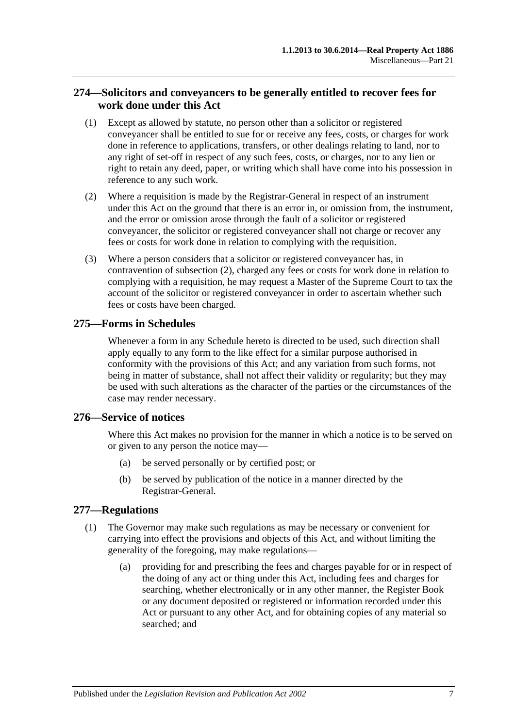## **274—Solicitors and conveyancers to be generally entitled to recover fees for work done under this Act**

- (1) Except as allowed by statute, no person other than a solicitor or registered conveyancer shall be entitled to sue for or receive any fees, costs, or charges for work done in reference to applications, transfers, or other dealings relating to land, nor to any right of set-off in respect of any such fees, costs, or charges, nor to any lien or right to retain any deed, paper, or writing which shall have come into his possession in reference to any such work.
- <span id="page-126-0"></span>(2) Where a requisition is made by the Registrar-General in respect of an instrument under this Act on the ground that there is an error in, or omission from, the instrument, and the error or omission arose through the fault of a solicitor or registered conveyancer, the solicitor or registered conveyancer shall not charge or recover any fees or costs for work done in relation to complying with the requisition.
- (3) Where a person considers that a solicitor or registered conveyancer has, in contravention of [subsection](#page-126-0) (2), charged any fees or costs for work done in relation to complying with a requisition, he may request a Master of the Supreme Court to tax the account of the solicitor or registered conveyancer in order to ascertain whether such fees or costs have been charged.

## **275—Forms in Schedules**

Whenever a form in any Schedule hereto is directed to be used, such direction shall apply equally to any form to the like effect for a similar purpose authorised in conformity with the provisions of this Act; and any variation from such forms, not being in matter of substance, shall not affect their validity or regularity; but they may be used with such alterations as the character of the parties or the circumstances of the case may render necessary.

## **276—Service of notices**

Where this Act makes no provision for the manner in which a notice is to be served on or given to any person the notice may—

- (a) be served personally or by certified post; or
- (b) be served by publication of the notice in a manner directed by the Registrar-General.

## <span id="page-126-1"></span>**277—Regulations**

- (1) The Governor may make such regulations as may be necessary or convenient for carrying into effect the provisions and objects of this Act, and without limiting the generality of the foregoing, may make regulations—
	- (a) providing for and prescribing the fees and charges payable for or in respect of the doing of any act or thing under this Act, including fees and charges for searching, whether electronically or in any other manner, the Register Book or any document deposited or registered or information recorded under this Act or pursuant to any other Act, and for obtaining copies of any material so searched; and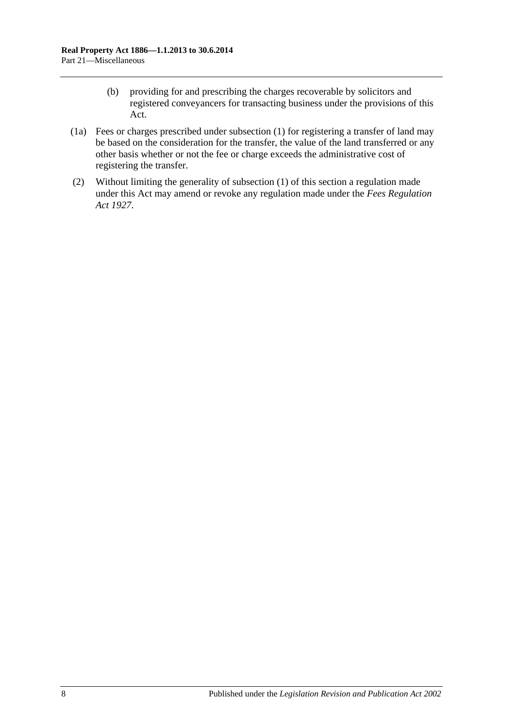- (b) providing for and prescribing the charges recoverable by solicitors and registered conveyancers for transacting business under the provisions of this Act.
- (1a) Fees or charges prescribed under [subsection](#page-126-1) (1) for registering a transfer of land may be based on the consideration for the transfer, the value of the land transferred or any other basis whether or not the fee or charge exceeds the administrative cost of registering the transfer.
- (2) Without limiting the generality of [subsection](#page-126-1) (1) of this section a regulation made under this Act may amend or revoke any regulation made under the *[Fees Regulation](http://www.legislation.sa.gov.au/index.aspx?action=legref&type=act&legtitle=Fees%20Regulation%20Act%201927)  Act [1927](http://www.legislation.sa.gov.au/index.aspx?action=legref&type=act&legtitle=Fees%20Regulation%20Act%201927)*.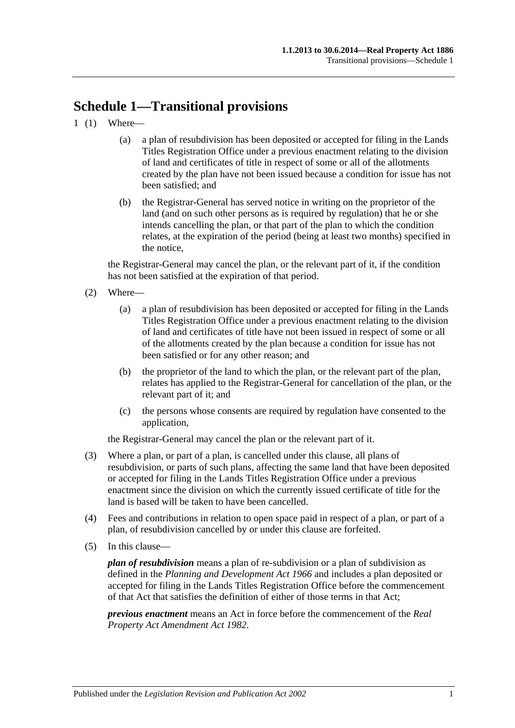# **Schedule 1—Transitional provisions**

- 1 (1) Where—
	- (a) a plan of resubdivision has been deposited or accepted for filing in the Lands Titles Registration Office under a previous enactment relating to the division of land and certificates of title in respect of some or all of the allotments created by the plan have not been issued because a condition for issue has not been satisfied; and
	- (b) the Registrar-General has served notice in writing on the proprietor of the land (and on such other persons as is required by regulation) that he or she intends cancelling the plan, or that part of the plan to which the condition relates, at the expiration of the period (being at least two months) specified in the notice,

the Registrar-General may cancel the plan, or the relevant part of it, if the condition has not been satisfied at the expiration of that period.

- (2) Where—
	- (a) a plan of resubdivision has been deposited or accepted for filing in the Lands Titles Registration Office under a previous enactment relating to the division of land and certificates of title have not been issued in respect of some or all of the allotments created by the plan because a condition for issue has not been satisfied or for any other reason; and
	- (b) the proprietor of the land to which the plan, or the relevant part of the plan, relates has applied to the Registrar-General for cancellation of the plan, or the relevant part of it; and
	- (c) the persons whose consents are required by regulation have consented to the application,

the Registrar-General may cancel the plan or the relevant part of it.

- (3) Where a plan, or part of a plan, is cancelled under this clause, all plans of resubdivision, or parts of such plans, affecting the same land that have been deposited or accepted for filing in the Lands Titles Registration Office under a previous enactment since the division on which the currently issued certificate of title for the land is based will be taken to have been cancelled.
- (4) Fees and contributions in relation to open space paid in respect of a plan, or part of a plan, of resubdivision cancelled by or under this clause are forfeited.
- (5) In this clause—

*plan of resubdivision* means a plan of re-subdivision or a plan of subdivision as defined in the *[Planning and Development Act](http://www.legislation.sa.gov.au/index.aspx?action=legref&type=act&legtitle=Planning%20and%20Development%20Act%201966) 1966* and includes a plan deposited or accepted for filing in the Lands Titles Registration Office before the commencement of that Act that satisfies the definition of either of those terms in that Act;

*previous enactment* means an Act in force before the commencement of the *[Real](http://www.legislation.sa.gov.au/index.aspx?action=legref&type=act&legtitle=Real%20Property%20Act%20Amendment%20Act%201982)  [Property Act Amendment Act](http://www.legislation.sa.gov.au/index.aspx?action=legref&type=act&legtitle=Real%20Property%20Act%20Amendment%20Act%201982) 1982*.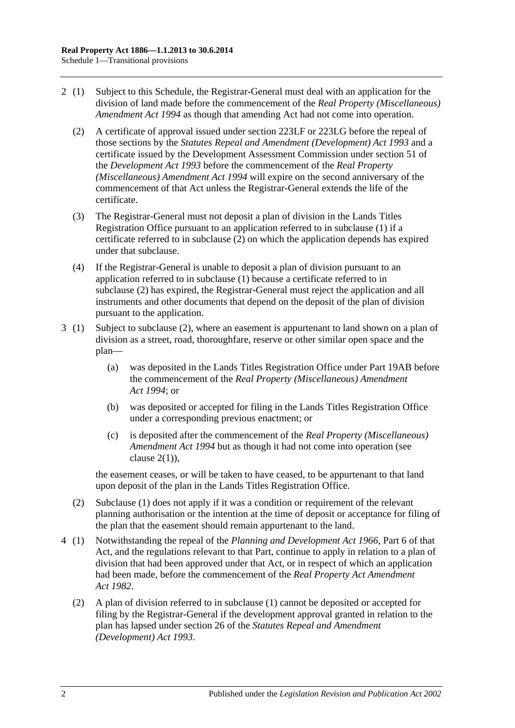- <span id="page-129-0"></span>2 (1) Subject to this Schedule, the Registrar-General must deal with an application for the division of land made before the commencement of the *[Real Property \(Miscellaneous\)](http://www.legislation.sa.gov.au/index.aspx?action=legref&type=act&legtitle=Real%20Property%20(Miscellaneous)%20Amendment%20Act%201994)  [Amendment Act](http://www.legislation.sa.gov.au/index.aspx?action=legref&type=act&legtitle=Real%20Property%20(Miscellaneous)%20Amendment%20Act%201994) 1994* as though that amending Act had not come into operation.
	- (2) A certificate of approval issued under [section](#page-111-2) 223LF or [223LG](#page-112-3) before the repeal of those sections by the *[Statutes Repeal and Amendment \(Development\) Act](http://www.legislation.sa.gov.au/index.aspx?action=legref&type=act&legtitle=Statutes%20Repeal%20and%20Amendment%20(Development)%20Act%201993) 1993* and a certificate issued by the Development Assessment Commission under section 51 of the *[Development Act](http://www.legislation.sa.gov.au/index.aspx?action=legref&type=act&legtitle=Development%20Act%201993) 1993* before the commencement of the *[Real Property](http://www.legislation.sa.gov.au/index.aspx?action=legref&type=act&legtitle=Real%20Property%20(Miscellaneous)%20Amendment%20Act%201994)  [\(Miscellaneous\) Amendment Act](http://www.legislation.sa.gov.au/index.aspx?action=legref&type=act&legtitle=Real%20Property%20(Miscellaneous)%20Amendment%20Act%201994) 1994* will expire on the second anniversary of the commencement of that Act unless the Registrar-General extends the life of the certificate.
	- (3) The Registrar-General must not deposit a plan of division in the Lands Titles Registration Office pursuant to an application referred to in subclause (1) if a certificate referred to in [subclause](#page-129-0) (2) on which the application depends has expired under that subclause.
	- (4) If the Registrar-General is unable to deposit a plan of division pursuant to an application referred to in subclause (1) because a certificate referred to in [subclause](#page-129-0) (2) has expired, the Registrar-General must reject the application and all instruments and other documents that depend on the deposit of the plan of division pursuant to the application.
- 3 (1) Subject to [subclause](#page-129-1) (2), where an easement is appurtenant to land shown on a plan of division as a street, road, thoroughfare, reserve or other similar open space and the plan—
	- (a) was deposited in the Lands Titles Registration Office under [Part 19AB](#page-104-0) before the commencement of the *[Real Property \(Miscellaneous\) Amendment](http://www.legislation.sa.gov.au/index.aspx?action=legref&type=act&legtitle=Real%20Property%20(Miscellaneous)%20Amendment%20Act%201994)  Act [1994](http://www.legislation.sa.gov.au/index.aspx?action=legref&type=act&legtitle=Real%20Property%20(Miscellaneous)%20Amendment%20Act%201994)*; or
	- (b) was deposited or accepted for filing in the Lands Titles Registration Office under a corresponding previous enactment; or
	- (c) is deposited after the commencement of the *[Real Property \(Miscellaneous\)](http://www.legislation.sa.gov.au/index.aspx?action=legref&type=act&legtitle=Real%20Property%20(Miscellaneous)%20Amendment%20Act%201994)  [Amendment Act](http://www.legislation.sa.gov.au/index.aspx?action=legref&type=act&legtitle=Real%20Property%20(Miscellaneous)%20Amendment%20Act%201994) 1994* but as though it had not come into operation (see clause  $2(1)$ ).

the easement ceases, or will be taken to have ceased, to be appurtenant to that land upon deposit of the plan in the Lands Titles Registration Office.

- <span id="page-129-1"></span>(2) Subclause (1) does not apply if it was a condition or requirement of the relevant planning authorisation or the intention at the time of deposit or acceptance for filing of the plan that the easement should remain appurtenant to the land.
- 4 (1) Notwithstanding the repeal of the *[Planning and Development Act](http://www.legislation.sa.gov.au/index.aspx?action=legref&type=act&legtitle=Planning%20and%20Development%20Act%201966) 1966*, Part 6 of that Act, and the regulations relevant to that Part, continue to apply in relation to a plan of division that had been approved under that Act, or in respect of which an application had been made, before the commencement of the *[Real Property Act Amendment](http://www.legislation.sa.gov.au/index.aspx?action=legref&type=act&legtitle=Real%20Property%20Act%20Amendment%20Act%201982)  Act [1982](http://www.legislation.sa.gov.au/index.aspx?action=legref&type=act&legtitle=Real%20Property%20Act%20Amendment%20Act%201982)*.
	- (2) A plan of division referred to in subclause (1) cannot be deposited or accepted for filing by the Registrar-General if the development approval granted in relation to the plan has lapsed under section 26 of the *[Statutes Repeal and Amendment](http://www.legislation.sa.gov.au/index.aspx?action=legref&type=act&legtitle=Statutes%20Repeal%20and%20Amendment%20(Development)%20Act%201993)  [\(Development\) Act](http://www.legislation.sa.gov.au/index.aspx?action=legref&type=act&legtitle=Statutes%20Repeal%20and%20Amendment%20(Development)%20Act%201993) 1993*.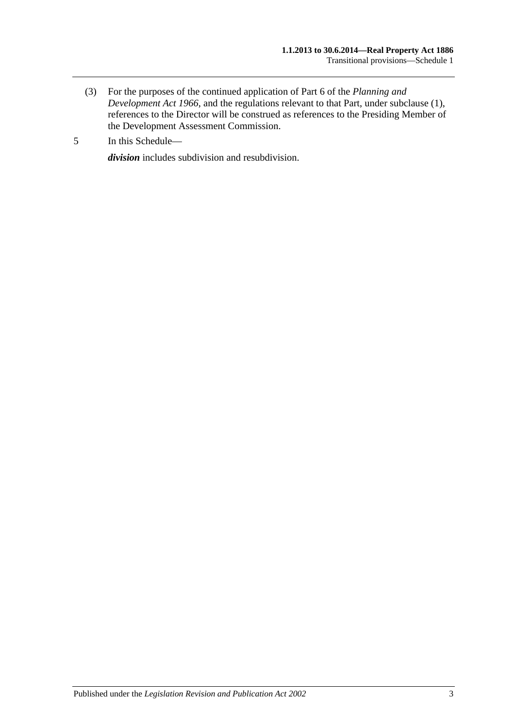- (3) For the purposes of the continued application of Part 6 of the *[Planning and](http://www.legislation.sa.gov.au/index.aspx?action=legref&type=act&legtitle=Planning%20and%20Development%20Act%201966)  [Development Act](http://www.legislation.sa.gov.au/index.aspx?action=legref&type=act&legtitle=Planning%20and%20Development%20Act%201966) 1966*, and the regulations relevant to that Part, under subclause (1), references to the Director will be construed as references to the Presiding Member of the Development Assessment Commission.
- 5 In this Schedule—

*division* includes subdivision and resubdivision.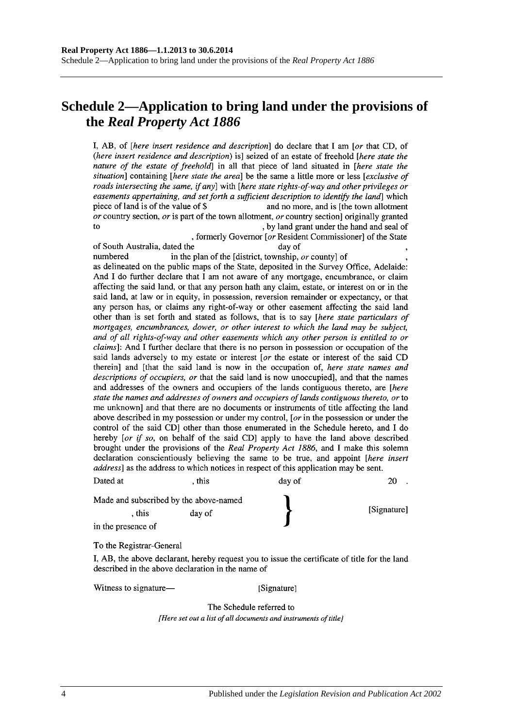## **Schedule 2—Application to bring land under the provisions of the** *Real Property Act 1886*

I, AB, of *[here insert residence and description*] do declare that I am *[or that CD, of* (here insert residence and description) is] seized of an estate of freehold [here state the nature of the estate of freehold] in all that piece of land situated in [here state the situation] containing [here state the area] be the same a little more or less [exclusive of roads intersecting the same, if any] with [here state rights-of-way and other privileges or easements appertaining, and set forth a sufficient description to identify the land which piece of land is of the value of \$ and no more, and is [the town allotment] or country section, or is part of the town allotment, or country section originally granted to , by land grant under the hand and seal of

, formerly Governor [or Resident Commissioner] of the State of South Australia, dated the day of numbered in the plan of the [district, township, or county] of as delineated on the public maps of the State, deposited in the Survey Office, Adelaide: And I do further declare that I am not aware of any mortgage, encumbrance, or claim affecting the said land, or that any person hath any claim, estate, or interest on or in the said land, at law or in equity, in possession, reversion remainder or expectancy, or that any person has, or claims any right-of-way or other easement affecting the said land other than is set forth and stated as follows, that is to say [here state particulars of mortgages, encumbrances, dower, or other interest to which the land may be subject, and of all rights-of-way and other easements which any other person is entitled to or *claims*]: And I further declare that there is no person in possession or occupation of the said lands adversely to my estate or interest [or the estate or interest of the said CD therein] and [that the said land is now in the occupation of, here state names and descriptions of occupiers, or that the said land is now unoccupied], and that the names and addresses of the owners and occupiers of the lands contiguous thereto, are [here state the names and addresses of owners and occupiers of lands contiguous thereto, or to

me unknown and that there are no documents or instruments of title affecting the land above described in my possession or under my control, [ $or$  in the possession or under the control of the said CD] other than those enumerated in the Schedule hereto, and I do hereby [or if so, on behalf of the said CD] apply to have the land above described brought under the provisions of the Real Property Act 1886, and I make this solemn declaration conscientiously believing the same to be true, and appoint [here insert address] as the address to which notices in respect of this application may be sent.

| Dated at           | . this                                 | day of |             |
|--------------------|----------------------------------------|--------|-------------|
|                    | Made and subscribed by the above-named |        |             |
| . this             | day of                                 |        | [Signature] |
| in the presence of |                                        |        |             |

To the Registrar-General

I, AB, the above declarant, hereby request you to issue the certificate of title for the land described in the above declaration in the name of

Witness to signature—

[Signature]

The Schedule referred to [Here set out a list of all documents and instruments of title]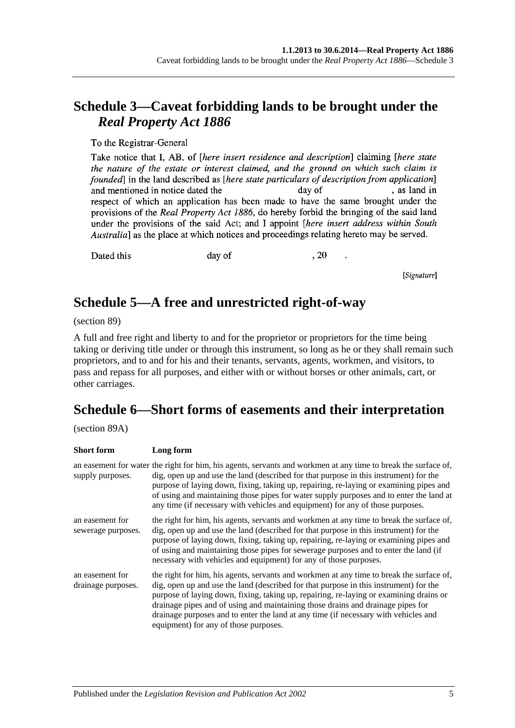## **Schedule 3—Caveat forbidding lands to be brought under the**  *Real Property Act 1886*

To the Registrar-General

Take notice that I, AB, of *[here insert residence and description*] claiming *[here state* the nature of the estate or interest claimed, and the ground on which such claim is founded in the land described as *[here state particulars of description from application*] , as land in and mentioned in notice dated the day of respect of which an application has been made to have the same brought under the provisions of the Real Property Act 1886, do hereby forbid the bringing of the said land under the provisions of the said Act; and I appoint *[here insert address within South* Australia] as the place at which notices and proceedings relating hereto may be served.

Dated this

day of

, 20

[Signature]

## **Schedule 5—A free and unrestricted right-of-way**

(section 89)

A full and free right and liberty to and for the proprietor or proprietors for the time being taking or deriving title under or through this instrument, so long as he or they shall remain such proprietors, and to and for his and their tenants, servants, agents, workmen, and visitors, to pass and repass for all purposes, and either with or without horses or other animals, cart, or other carriages.

# **Schedule 6—Short forms of easements and their interpretation**

(section 89A)

| <b>Short form</b>                     | Long form                                                                                                                                                                                                                                                                                                                                                                                                                                                                                      |
|---------------------------------------|------------------------------------------------------------------------------------------------------------------------------------------------------------------------------------------------------------------------------------------------------------------------------------------------------------------------------------------------------------------------------------------------------------------------------------------------------------------------------------------------|
| supply purposes.                      | an easement for water the right for him, his agents, servants and workmen at any time to break the surface of,<br>dig, open up and use the land (described for that purpose in this instrument) for the<br>purpose of laying down, fixing, taking up, repairing, re-laying or examining pipes and<br>of using and maintaining those pipes for water supply purposes and to enter the land at<br>any time (if necessary with vehicles and equipment) for any of those purposes.                 |
| an easement for<br>sewerage purposes. | the right for him, his agents, servants and workmen at any time to break the surface of,<br>dig, open up and use the land (described for that purpose in this instrument) for the<br>purpose of laying down, fixing, taking up, repairing, re-laying or examining pipes and<br>of using and maintaining those pipes for sewerage purposes and to enter the land (if<br>necessary with vehicles and equipment) for any of those purposes.                                                       |
| an easement for<br>drainage purposes. | the right for him, his agents, servants and workmen at any time to break the surface of,<br>dig, open up and use the land (described for that purpose in this instrument) for the<br>purpose of laying down, fixing, taking up, repairing, re-laying or examining drains or<br>drainage pipes and of using and maintaining those drains and drainage pipes for<br>drainage purposes and to enter the land at any time (if necessary with vehicles and<br>equipment) for any of those purposes. |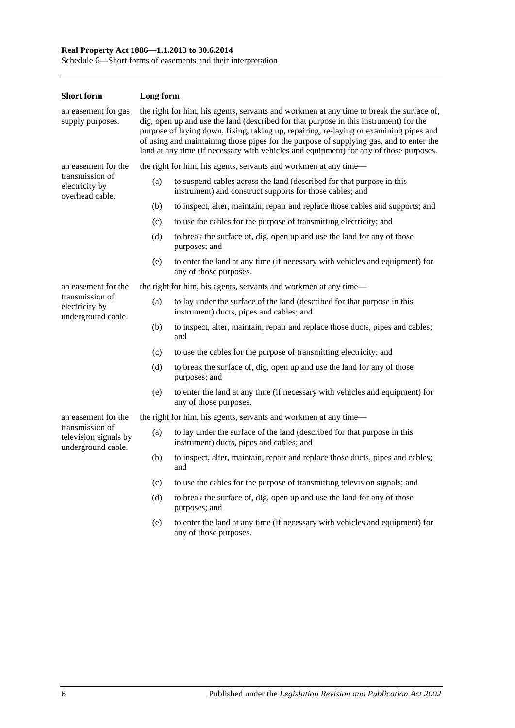#### **Real Property Act 1886—1.1.2013 to 30.6.2014**

Schedule 6—Short forms of easements and their interpretation

| <b>Short form</b>                                              | Long form                                                                                                                                                                                                                                                                                                                                                                                                                                                        |                                                                                                                                   |  |  |
|----------------------------------------------------------------|------------------------------------------------------------------------------------------------------------------------------------------------------------------------------------------------------------------------------------------------------------------------------------------------------------------------------------------------------------------------------------------------------------------------------------------------------------------|-----------------------------------------------------------------------------------------------------------------------------------|--|--|
| an easement for gas<br>supply purposes.                        | the right for him, his agents, servants and workmen at any time to break the surface of,<br>dig, open up and use the land (described for that purpose in this instrument) for the<br>purpose of laying down, fixing, taking up, repairing, re-laying or examining pipes and<br>of using and maintaining those pipes for the purpose of supplying gas, and to enter the<br>land at any time (if necessary with vehicles and equipment) for any of those purposes. |                                                                                                                                   |  |  |
| an easement for the                                            |                                                                                                                                                                                                                                                                                                                                                                                                                                                                  | the right for him, his agents, servants and workmen at any time—                                                                  |  |  |
| transmission of<br>electricity by<br>overhead cable.           | (a)                                                                                                                                                                                                                                                                                                                                                                                                                                                              | to suspend cables across the land (described for that purpose in this<br>instrument) and construct supports for those cables; and |  |  |
|                                                                | (b)                                                                                                                                                                                                                                                                                                                                                                                                                                                              | to inspect, alter, maintain, repair and replace those cables and supports; and                                                    |  |  |
|                                                                | (c)                                                                                                                                                                                                                                                                                                                                                                                                                                                              | to use the cables for the purpose of transmitting electricity; and                                                                |  |  |
|                                                                | (d)                                                                                                                                                                                                                                                                                                                                                                                                                                                              | to break the surface of, dig, open up and use the land for any of those<br>purposes; and                                          |  |  |
|                                                                | (e)                                                                                                                                                                                                                                                                                                                                                                                                                                                              | to enter the land at any time (if necessary with vehicles and equipment) for<br>any of those purposes.                            |  |  |
| an easement for the                                            |                                                                                                                                                                                                                                                                                                                                                                                                                                                                  | the right for him, his agents, servants and workmen at any time—                                                                  |  |  |
| transmission of<br>electricity by<br>underground cable.        | (a)                                                                                                                                                                                                                                                                                                                                                                                                                                                              | to lay under the surface of the land (described for that purpose in this<br>instrument) ducts, pipes and cables; and              |  |  |
|                                                                | (b)                                                                                                                                                                                                                                                                                                                                                                                                                                                              | to inspect, alter, maintain, repair and replace those ducts, pipes and cables;<br>and                                             |  |  |
|                                                                | (c)                                                                                                                                                                                                                                                                                                                                                                                                                                                              | to use the cables for the purpose of transmitting electricity; and                                                                |  |  |
|                                                                | (d)                                                                                                                                                                                                                                                                                                                                                                                                                                                              | to break the surface of, dig, open up and use the land for any of those<br>purposes; and                                          |  |  |
|                                                                | (e)                                                                                                                                                                                                                                                                                                                                                                                                                                                              | to enter the land at any time (if necessary with vehicles and equipment) for<br>any of those purposes.                            |  |  |
| an easement for the                                            |                                                                                                                                                                                                                                                                                                                                                                                                                                                                  | the right for him, his agents, servants and workmen at any time—                                                                  |  |  |
| transmission of<br>television signals by<br>underground cable. | (a)                                                                                                                                                                                                                                                                                                                                                                                                                                                              | to lay under the surface of the land (described for that purpose in this<br>instrument) ducts, pipes and cables; and              |  |  |
|                                                                | (b)                                                                                                                                                                                                                                                                                                                                                                                                                                                              | to inspect, alter, maintain, repair and replace those ducts, pipes and cables;<br>and                                             |  |  |
|                                                                | (c)                                                                                                                                                                                                                                                                                                                                                                                                                                                              | to use the cables for the purpose of transmitting television signals; and                                                         |  |  |
|                                                                | (d)                                                                                                                                                                                                                                                                                                                                                                                                                                                              | to break the surface of, dig, open up and use the land for any of those<br>purposes; and                                          |  |  |
|                                                                | (e)                                                                                                                                                                                                                                                                                                                                                                                                                                                              | to enter the land at any time (if necessary with vehicles and equipment) for<br>any of those purposes.                            |  |  |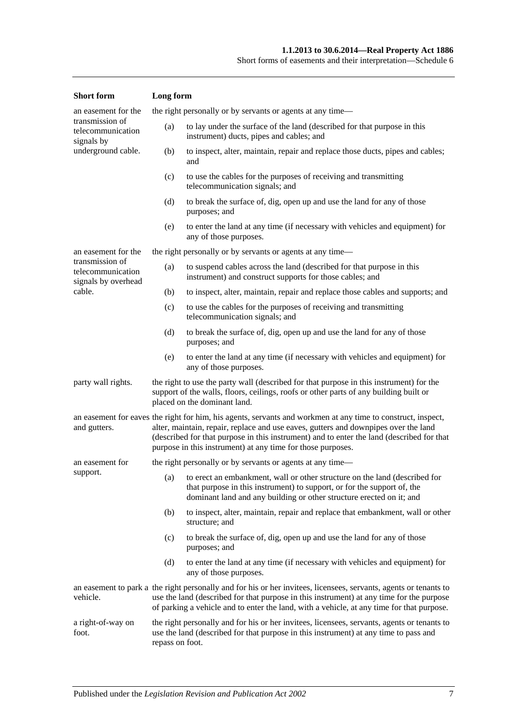| <b>Short</b> form                                                                                                                                                                                                                    | Long form                                                                                                                                                                                                                                                                                                                                                       |                                                                                                                                                                                                                                   |  |
|--------------------------------------------------------------------------------------------------------------------------------------------------------------------------------------------------------------------------------------|-----------------------------------------------------------------------------------------------------------------------------------------------------------------------------------------------------------------------------------------------------------------------------------------------------------------------------------------------------------------|-----------------------------------------------------------------------------------------------------------------------------------------------------------------------------------------------------------------------------------|--|
| an easement for the                                                                                                                                                                                                                  |                                                                                                                                                                                                                                                                                                                                                                 | the right personally or by servants or agents at any time—                                                                                                                                                                        |  |
| transmission of<br>telecommunication<br>signals by                                                                                                                                                                                   | (a)                                                                                                                                                                                                                                                                                                                                                             | to lay under the surface of the land (described for that purpose in this<br>instrument) ducts, pipes and cables; and                                                                                                              |  |
| underground cable.                                                                                                                                                                                                                   | (b)                                                                                                                                                                                                                                                                                                                                                             | to inspect, alter, maintain, repair and replace those ducts, pipes and cables;<br>and                                                                                                                                             |  |
|                                                                                                                                                                                                                                      | (c)                                                                                                                                                                                                                                                                                                                                                             | to use the cables for the purposes of receiving and transmitting<br>telecommunication signals; and                                                                                                                                |  |
|                                                                                                                                                                                                                                      | (d)                                                                                                                                                                                                                                                                                                                                                             | to break the surface of, dig, open up and use the land for any of those<br>purposes; and                                                                                                                                          |  |
|                                                                                                                                                                                                                                      | (e)                                                                                                                                                                                                                                                                                                                                                             | to enter the land at any time (if necessary with vehicles and equipment) for<br>any of those purposes.                                                                                                                            |  |
| an easement for the                                                                                                                                                                                                                  |                                                                                                                                                                                                                                                                                                                                                                 | the right personally or by servants or agents at any time—                                                                                                                                                                        |  |
| transmission of<br>telecommunication<br>signals by overhead                                                                                                                                                                          | (a)                                                                                                                                                                                                                                                                                                                                                             | to suspend cables across the land (described for that purpose in this<br>instrument) and construct supports for those cables; and                                                                                                 |  |
| cable.                                                                                                                                                                                                                               | (b)                                                                                                                                                                                                                                                                                                                                                             | to inspect, alter, maintain, repair and replace those cables and supports; and                                                                                                                                                    |  |
|                                                                                                                                                                                                                                      | (c)                                                                                                                                                                                                                                                                                                                                                             | to use the cables for the purposes of receiving and transmitting<br>telecommunication signals; and                                                                                                                                |  |
|                                                                                                                                                                                                                                      | (d)                                                                                                                                                                                                                                                                                                                                                             | to break the surface of, dig, open up and use the land for any of those<br>purposes; and                                                                                                                                          |  |
|                                                                                                                                                                                                                                      | (e)                                                                                                                                                                                                                                                                                                                                                             | to enter the land at any time (if necessary with vehicles and equipment) for<br>any of those purposes.                                                                                                                            |  |
| party wall rights.                                                                                                                                                                                                                   | the right to use the party wall (described for that purpose in this instrument) for the<br>support of the walls, floors, ceilings, roofs or other parts of any building built or<br>placed on the dominant land.                                                                                                                                                |                                                                                                                                                                                                                                   |  |
| and gutters.                                                                                                                                                                                                                         | an easement for eaves the right for him, his agents, servants and workmen at any time to construct, inspect,<br>alter, maintain, repair, replace and use eaves, gutters and downpipes over the land<br>(described for that purpose in this instrument) and to enter the land (described for that<br>purpose in this instrument) at any time for those purposes. |                                                                                                                                                                                                                                   |  |
| an easement for                                                                                                                                                                                                                      |                                                                                                                                                                                                                                                                                                                                                                 | the right personally or by servants or agents at any time—                                                                                                                                                                        |  |
| support.                                                                                                                                                                                                                             |                                                                                                                                                                                                                                                                                                                                                                 | (a) to erect an embankment, wall or other structure on the land (described for<br>that purpose in this instrument) to support, or for the support of, the<br>dominant land and any building or other structure erected on it; and |  |
|                                                                                                                                                                                                                                      | (b)                                                                                                                                                                                                                                                                                                                                                             | to inspect, alter, maintain, repair and replace that embankment, wall or other<br>structure; and                                                                                                                                  |  |
|                                                                                                                                                                                                                                      | (c)                                                                                                                                                                                                                                                                                                                                                             | to break the surface of, dig, open up and use the land for any of those<br>purposes; and                                                                                                                                          |  |
|                                                                                                                                                                                                                                      | (d)                                                                                                                                                                                                                                                                                                                                                             | to enter the land at any time (if necessary with vehicles and equipment) for<br>any of those purposes.                                                                                                                            |  |
| vehicle.                                                                                                                                                                                                                             | an easement to park a the right personally and for his or her invitees, licensees, servants, agents or tenants to<br>use the land (described for that purpose in this instrument) at any time for the purpose<br>of parking a vehicle and to enter the land, with a vehicle, at any time for that purpose.                                                      |                                                                                                                                                                                                                                   |  |
| the right personally and for his or her invitees, licensees, servants, agents or tenants to<br>a right-of-way on<br>use the land (described for that purpose in this instrument) at any time to pass and<br>foot.<br>repass on foot. |                                                                                                                                                                                                                                                                                                                                                                 |                                                                                                                                                                                                                                   |  |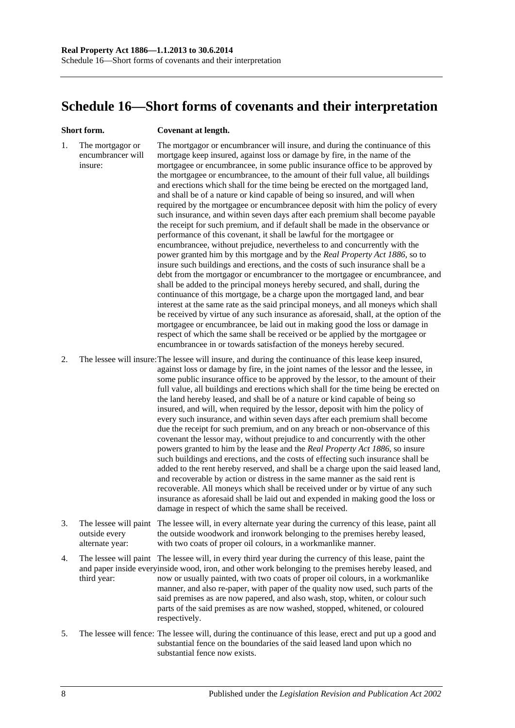## <span id="page-135-0"></span>**Schedule 16—Short forms of covenants and their interpretation**

#### **Short form. Covenant at length.**

1. The mortgagor or encumbrancer will insure: The mortgagor or encumbrancer will insure, and during the continuance of this mortgage keep insured, against loss or damage by fire, in the name of the mortgagee or encumbrancee, in some public insurance office to be approved by the mortgagee or encumbrancee, to the amount of their full value, all buildings and erections which shall for the time being be erected on the mortgaged land, and shall be of a nature or kind capable of being so insured, and will when required by the mortgagee or encumbrancee deposit with him the policy of every such insurance, and within seven days after each premium shall become payable the receipt for such premium, and if default shall be made in the observance or performance of this covenant, it shall be lawful for the mortgagee or encumbrancee, without prejudice, nevertheless to and concurrently with the power granted him by this mortgage and by the *[Real Property Act](http://www.legislation.sa.gov.au/index.aspx?action=legref&type=act&legtitle=Real%20Property%20Act%201886) 1886*, so to insure such buildings and erections, and the costs of such insurance shall be a debt from the mortgagor or encumbrancer to the mortgagee or encumbrancee, and shall be added to the principal moneys hereby secured, and shall, during the continuance of this mortgage, be a charge upon the mortgaged land, and bear interest at the same rate as the said principal moneys, and all moneys which shall be received by virtue of any such insurance as aforesaid, shall, at the option of the mortgagee or encumbrancee, be laid out in making good the loss or damage in respect of which the same shall be received or be applied by the mortgagee or encumbrancee in or towards satisfaction of the moneys hereby secured.

2. The lessee will insure:The lessee will insure, and during the continuance of this lease keep insured, against loss or damage by fire, in the joint names of the lessor and the lessee, in some public insurance office to be approved by the lessor, to the amount of their full value, all buildings and erections which shall for the time being be erected on the land hereby leased, and shall be of a nature or kind capable of being so insured, and will, when required by the lessor, deposit with him the policy of every such insurance, and within seven days after each premium shall become due the receipt for such premium, and on any breach or non-observance of this covenant the lessor may, without prejudice to and concurrently with the other powers granted to him by the lease and the *[Real Property Act](http://www.legislation.sa.gov.au/index.aspx?action=legref&type=act&legtitle=Real%20Property%20Act%201886) 1886*, so insure such buildings and erections, and the costs of effecting such insurance shall be added to the rent hereby reserved, and shall be a charge upon the said leased land, and recoverable by action or distress in the same manner as the said rent is recoverable. All moneys which shall be received under or by virtue of any such insurance as aforesaid shall be laid out and expended in making good the loss or damage in respect of which the same shall be received.

- 3. The lessee will paint The lessee will, in every alternate year during the currency of this lease, paint all outside every alternate year: the outside woodwork and ironwork belonging to the premises hereby leased, with two coats of proper oil colours, in a workmanlike manner.
- 4. The lessee will paint The lessee will, in every third year during the currency of this lease, paint the and paper inside everyinside wood, iron, and other work belonging to the premises hereby leased, and third year: now or usually painted, with two coats of proper oil colours, in a workmanlike manner, and also re-paper, with paper of the quality now used, such parts of the said premises as are now papered, and also wash, stop, whiten, or colour such parts of the said premises as are now washed, stopped, whitened, or coloured respectively.
- 5. The lessee will fence: The lessee will, during the continuance of this lease, erect and put up a good and substantial fence on the boundaries of the said leased land upon which no substantial fence now exists.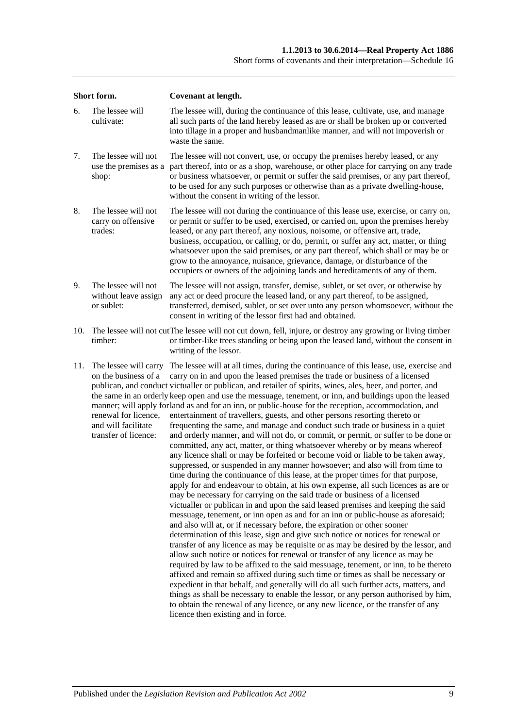| Short form. |                                                                                                                      | <b>Covenant at length.</b>                                                                                                                                                                                                                                                                                                                                                                                                                                                                                                                                                                                                                                                                                                                                                                                                                                                                                                                                                                                                                                                                                                                                                                                                                                                                                                                                                                                                                                                                                                                                                                                                                                                                                                                                                                                                                                                                                                                                                                                                                                                                                                                                                                                                       |  |  |  |
|-------------|----------------------------------------------------------------------------------------------------------------------|----------------------------------------------------------------------------------------------------------------------------------------------------------------------------------------------------------------------------------------------------------------------------------------------------------------------------------------------------------------------------------------------------------------------------------------------------------------------------------------------------------------------------------------------------------------------------------------------------------------------------------------------------------------------------------------------------------------------------------------------------------------------------------------------------------------------------------------------------------------------------------------------------------------------------------------------------------------------------------------------------------------------------------------------------------------------------------------------------------------------------------------------------------------------------------------------------------------------------------------------------------------------------------------------------------------------------------------------------------------------------------------------------------------------------------------------------------------------------------------------------------------------------------------------------------------------------------------------------------------------------------------------------------------------------------------------------------------------------------------------------------------------------------------------------------------------------------------------------------------------------------------------------------------------------------------------------------------------------------------------------------------------------------------------------------------------------------------------------------------------------------------------------------------------------------------------------------------------------------|--|--|--|
| 6.          | The lessee will<br>cultivate:                                                                                        | The lessee will, during the continuance of this lease, cultivate, use, and manage<br>all such parts of the land hereby leased as are or shall be broken up or converted<br>into tillage in a proper and husbandmanlike manner, and will not impoverish or<br>waste the same.                                                                                                                                                                                                                                                                                                                                                                                                                                                                                                                                                                                                                                                                                                                                                                                                                                                                                                                                                                                                                                                                                                                                                                                                                                                                                                                                                                                                                                                                                                                                                                                                                                                                                                                                                                                                                                                                                                                                                     |  |  |  |
| 7.          | The lessee will not<br>use the premises as a<br>shop:                                                                | The lessee will not convert, use, or occupy the premises hereby leased, or any<br>part thereof, into or as a shop, warehouse, or other place for carrying on any trade<br>or business whatsoever, or permit or suffer the said premises, or any part thereof,<br>to be used for any such purposes or otherwise than as a private dwelling-house,<br>without the consent in writing of the lessor.                                                                                                                                                                                                                                                                                                                                                                                                                                                                                                                                                                                                                                                                                                                                                                                                                                                                                                                                                                                                                                                                                                                                                                                                                                                                                                                                                                                                                                                                                                                                                                                                                                                                                                                                                                                                                                |  |  |  |
| 8.          | The lessee will not<br>carry on offensive<br>trades:                                                                 | The lessee will not during the continuance of this lease use, exercise, or carry on,<br>or permit or suffer to be used, exercised, or carried on, upon the premises hereby<br>leased, or any part thereof, any noxious, noisome, or offensive art, trade,<br>business, occupation, or calling, or do, permit, or suffer any act, matter, or thing<br>whatsoever upon the said premises, or any part thereof, which shall or may be or<br>grow to the annoyance, nuisance, grievance, damage, or disturbance of the<br>occupiers or owners of the adjoining lands and hereditaments of any of them.                                                                                                                                                                                                                                                                                                                                                                                                                                                                                                                                                                                                                                                                                                                                                                                                                                                                                                                                                                                                                                                                                                                                                                                                                                                                                                                                                                                                                                                                                                                                                                                                                               |  |  |  |
| 9.          | The lessee will not<br>without leave assign<br>or sublet:                                                            | The lessee will not assign, transfer, demise, sublet, or set over, or otherwise by<br>any act or deed procure the leased land, or any part thereof, to be assigned,<br>transferred, demised, sublet, or set over unto any person whomsoever, without the<br>consent in writing of the lessor first had and obtained.                                                                                                                                                                                                                                                                                                                                                                                                                                                                                                                                                                                                                                                                                                                                                                                                                                                                                                                                                                                                                                                                                                                                                                                                                                                                                                                                                                                                                                                                                                                                                                                                                                                                                                                                                                                                                                                                                                             |  |  |  |
| 10.         | timber:                                                                                                              | The lessee will not cut The lessee will not cut down, fell, injure, or destroy any growing or living timber<br>or timber-like trees standing or being upon the leased land, without the consent in<br>writing of the lessor.                                                                                                                                                                                                                                                                                                                                                                                                                                                                                                                                                                                                                                                                                                                                                                                                                                                                                                                                                                                                                                                                                                                                                                                                                                                                                                                                                                                                                                                                                                                                                                                                                                                                                                                                                                                                                                                                                                                                                                                                     |  |  |  |
| 11.         | The lessee will carry<br>on the business of a<br>renewal for licence,<br>and will facilitate<br>transfer of licence: | The lessee will at all times, during the continuance of this lease, use, exercise and<br>carry on in and upon the leased premises the trade or business of a licensed<br>publican, and conduct victualler or publican, and retailer of spirits, wines, ales, beer, and porter, and<br>the same in an orderly keep open and use the messuage, tenement, or inn, and buildings upon the leased<br>manner; will apply forland as and for an inn, or public-house for the reception, accommodation, and<br>entertainment of travellers, guests, and other persons resorting thereto or<br>frequenting the same, and manage and conduct such trade or business in a quiet<br>and orderly manner, and will not do, or commit, or permit, or suffer to be done or<br>committed, any act, matter, or thing whatsoever whereby or by means whereof<br>any licence shall or may be forfeited or become void or liable to be taken away,<br>suppressed, or suspended in any manner howsoever; and also will from time to<br>time during the continuance of this lease, at the proper times for that purpose,<br>apply for and endeavour to obtain, at his own expense, all such licences as are or<br>may be necessary for carrying on the said trade or business of a licensed<br>victualler or publican in and upon the said leased premises and keeping the said<br>messuage, tenement, or inn open as and for an inn or public-house as aforesaid;<br>and also will at, or if necessary before, the expiration or other sooner<br>determination of this lease, sign and give such notice or notices for renewal or<br>transfer of any licence as may be requisite or as may be desired by the lessor, and<br>allow such notice or notices for renewal or transfer of any licence as may be<br>required by law to be affixed to the said messuage, tenement, or inn, to be thereto<br>affixed and remain so affixed during such time or times as shall be necessary or<br>expedient in that behalf, and generally will do all such further acts, matters, and<br>things as shall be necessary to enable the lessor, or any person authorised by him,<br>to obtain the renewal of any licence, or any new licence, or the transfer of any |  |  |  |

licence then existing and in force.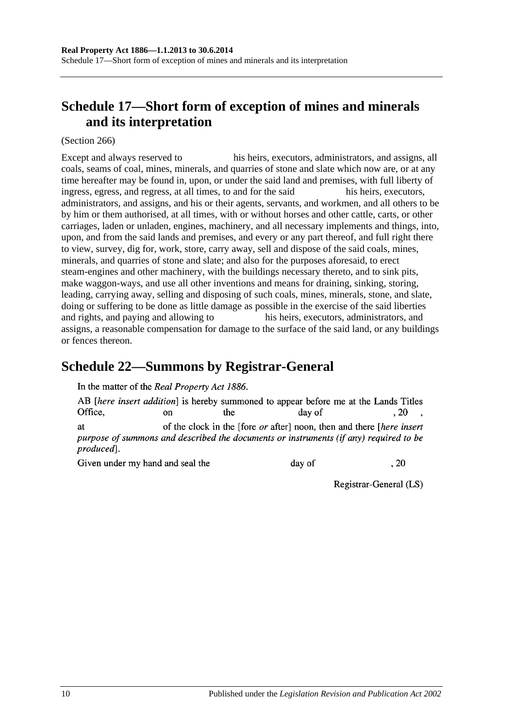# <span id="page-137-1"></span>**Schedule 17—Short form of exception of mines and minerals and its interpretation**

(Section 266)

Except and always reserved to his heirs, executors, administrators, and assigns, all coals, seams of coal, mines, minerals, and quarries of stone and slate which now are, or at any time hereafter may be found in, upon, or under the said land and premises, with full liberty of ingress, egress, and regress, at all times, to and for the said his heirs, executors, administrators, and assigns, and his or their agents, servants, and workmen, and all others to be by him or them authorised, at all times, with or without horses and other cattle, carts, or other carriages, laden or unladen, engines, machinery, and all necessary implements and things, into, upon, and from the said lands and premises, and every or any part thereof, and full right there to view, survey, dig for, work, store, carry away, sell and dispose of the said coals, mines, minerals, and quarries of stone and slate; and also for the purposes aforesaid, to erect steam-engines and other machinery, with the buildings necessary thereto, and to sink pits, make waggon-ways, and use all other inventions and means for draining, sinking, storing, leading, carrying away, selling and disposing of such coals, mines, minerals, stone, and slate, doing or suffering to be done as little damage as possible in the exercise of the said liberties and rights, and paying and allowing to his heirs, executors, administrators, and assigns, a reasonable compensation for damage to the surface of the said land, or any buildings or fences thereon.

## <span id="page-137-0"></span>**Schedule 22—Summons by Registrar-General**

In the matter of the Real Property Act 1886.

AB *[here insert addition]* is hereby summoned to appear before me at the Lands Titles Office. the  $.20$  $\alpha$ n day of of the clock in the [fore *or* after] noon, then and there [*here insert* **at** purpose of summons and described the documents or instruments (if any) required to be produced].

Given under my hand and seal the

day of

Registrar-General (LS)

 $.20$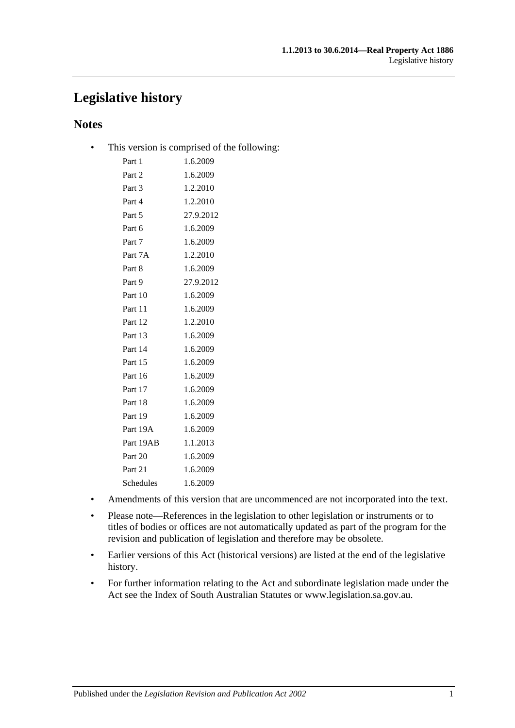## **Legislative history**

## **Notes**

• This version is comprised of the following:

| Part 1    | 1.6.2009  |
|-----------|-----------|
| Part 2    | 1.6.2009  |
| Part 3    | 1.2.2010  |
| Part 4    | 1.2.2010  |
| Part 5    | 27.9.2012 |
| Part 6    | 1.6.2009  |
| Part 7    | 1.6.2009  |
| Part 7A   | 1.2.2010  |
| Part 8    | 1.6.2009  |
| Part 9    | 27.9.2012 |
| Part 10   | 1.6.2009  |
| Part 11   | 1.6.2009  |
| Part 12   | 1.2.2010  |
| Part 13   | 1.6.2009  |
| Part 14   | 1.6.2009  |
| Part 15   | 1.6.2009  |
| Part 16   | 1.6.2009  |
| Part 17   | 1.6.2009  |
| Part 18   | 1.6.2009  |
| Part 19   | 1.6.2009  |
| Part 19A  | 1.6.2009  |
| Part 19AB | 1.1.2013  |
| Part 20   | 1.6.2009  |
| Part 21   | 1.6.2009  |
| Schedules | 1.6.2009  |
|           |           |

- Amendments of this version that are uncommenced are not incorporated into the text.
- Please note—References in the legislation to other legislation or instruments or to titles of bodies or offices are not automatically updated as part of the program for the revision and publication of legislation and therefore may be obsolete.
- Earlier versions of this Act (historical versions) are listed at the end of the legislative history.
- For further information relating to the Act and subordinate legislation made under the Act see the Index of South Australian Statutes or www.legislation.sa.gov.au.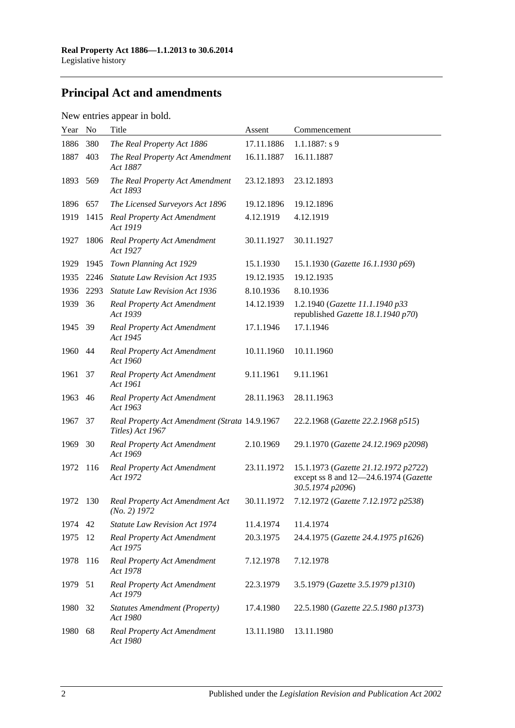# **Principal Act and amendments**

## New entries appear in bold.

| Year | No   | Title                                                             | Assent     | Commencement                                                                                      |
|------|------|-------------------------------------------------------------------|------------|---------------------------------------------------------------------------------------------------|
| 1886 | 380  | The Real Property Act 1886                                        | 17.11.1886 | $1.1.1887: s$ 9                                                                                   |
| 1887 | 403  | The Real Property Act Amendment<br>Act 1887                       | 16.11.1887 | 16.11.1887                                                                                        |
| 1893 | 569  | The Real Property Act Amendment<br>Act 1893                       | 23.12.1893 | 23.12.1893                                                                                        |
| 1896 | 657  | The Licensed Surveyors Act 1896                                   | 19.12.1896 | 19.12.1896                                                                                        |
| 1919 | 1415 | Real Property Act Amendment<br>Act 1919                           | 4.12.1919  | 4.12.1919                                                                                         |
| 1927 | 1806 | Real Property Act Amendment<br>Act 1927                           | 30.11.1927 | 30.11.1927                                                                                        |
| 1929 | 1945 | Town Planning Act 1929                                            | 15.1.1930  | 15.1.1930 (Gazette 16.1.1930 p69)                                                                 |
| 1935 | 2246 | <b>Statute Law Revision Act 1935</b>                              | 19.12.1935 | 19.12.1935                                                                                        |
| 1936 | 2293 | <b>Statute Law Revision Act 1936</b>                              | 8.10.1936  | 8.10.1936                                                                                         |
| 1939 | 36   | <b>Real Property Act Amendment</b><br>Act 1939                    | 14.12.1939 | 1.2.1940 (Gazette 11.1.1940 p33<br>republished Gazette 18.1.1940 p70)                             |
| 1945 | -39  | <b>Real Property Act Amendment</b><br>Act 1945                    | 17.1.1946  | 17.1.1946                                                                                         |
| 1960 | 44   | <b>Real Property Act Amendment</b><br>Act 1960                    | 10.11.1960 | 10.11.1960                                                                                        |
| 1961 | 37   | <b>Real Property Act Amendment</b><br>Act 1961                    | 9.11.1961  | 9.11.1961                                                                                         |
| 1963 | 46   | <b>Real Property Act Amendment</b><br>Act 1963                    | 28.11.1963 | 28.11.1963                                                                                        |
| 1967 | 37   | Real Property Act Amendment (Strata 14.9.1967<br>Titles) Act 1967 |            | 22.2.1968 (Gazette 22.2.1968 p515)                                                                |
| 1969 | 30   | <b>Real Property Act Amendment</b><br>Act 1969                    | 2.10.1969  | 29.1.1970 (Gazette 24.12.1969 p2098)                                                              |
| 1972 | 116  | <b>Real Property Act Amendment</b><br>Act 1972                    | 23.11.1972 | 15.1.1973 (Gazette 21.12.1972 p2722)<br>except ss 8 and 12-24.6.1974 (Gazette<br>30.5.1974 p2096) |
| 1972 | 130  | Real Property Act Amendment Act<br>$(No. 2)$ 1972                 | 30.11.1972 | 7.12.1972 (Gazette 7.12.1972 p2538)                                                               |
| 1974 | 42   | <b>Statute Law Revision Act 1974</b>                              | 11.4.1974  | 11.4.1974                                                                                         |
| 1975 | 12   | <b>Real Property Act Amendment</b><br>Act 1975                    | 20.3.1975  | 24.4.1975 (Gazette 24.4.1975 p1626)                                                               |
| 1978 | 116  | <b>Real Property Act Amendment</b><br>Act 1978                    | 7.12.1978  | 7.12.1978                                                                                         |
| 1979 | 51   | <b>Real Property Act Amendment</b><br>Act 1979                    | 22.3.1979  | 3.5.1979 (Gazette 3.5.1979 p1310)                                                                 |
| 1980 | 32   | <b>Statutes Amendment (Property)</b><br>Act 1980                  | 17.4.1980  | 22.5.1980 (Gazette 22.5.1980 p1373)                                                               |
| 1980 | 68   | <b>Real Property Act Amendment</b><br>Act 1980                    | 13.11.1980 | 13.11.1980                                                                                        |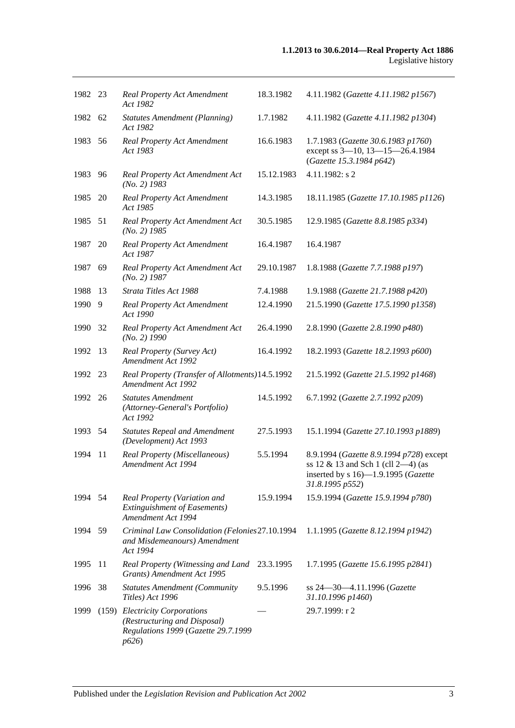| 1982 23 |    | <b>Real Property Act Amendment</b><br>Act 1982                                                                | 18.3.1982  | 4.11.1982 (Gazette 4.11.1982 p1567)                                                                                                        |
|---------|----|---------------------------------------------------------------------------------------------------------------|------------|--------------------------------------------------------------------------------------------------------------------------------------------|
| 1982 62 |    | <b>Statutes Amendment (Planning)</b><br>Act 1982                                                              | 1.7.1982   | 4.11.1982 (Gazette 4.11.1982 p1304)                                                                                                        |
| 1983    | 56 | Real Property Act Amendment<br>Act 1983                                                                       | 16.6.1983  | 1.7.1983 (Gazette 30.6.1983 p1760)<br>except ss 3-10, 13-15-26.4.1984<br>(Gazette 15.3.1984 p642)                                          |
| 1983    | 96 | Real Property Act Amendment Act<br>$(No. 2)$ 1983                                                             | 15.12.1983 | 4.11.1982: s 2                                                                                                                             |
| 1985    | 20 | <b>Real Property Act Amendment</b><br>Act 1985                                                                | 14.3.1985  | 18.11.1985 (Gazette 17.10.1985 p1126)                                                                                                      |
| 1985 51 |    | Real Property Act Amendment Act<br>$(No. 2)$ 1985                                                             | 30.5.1985  | 12.9.1985 (Gazette 8.8.1985 p334)                                                                                                          |
| 1987    | 20 | <b>Real Property Act Amendment</b><br>Act 1987                                                                | 16.4.1987  | 16.4.1987                                                                                                                                  |
| 1987    | 69 | Real Property Act Amendment Act<br>$(No. 2)$ 1987                                                             | 29.10.1987 | 1.8.1988 (Gazette 7.7.1988 p197)                                                                                                           |
| 1988    | 13 | Strata Titles Act 1988                                                                                        | 7.4.1988   | 1.9.1988 (Gazette 21.7.1988 p420)                                                                                                          |
| 1990    | 9  | <b>Real Property Act Amendment</b><br>Act 1990                                                                | 12.4.1990  | 21.5.1990 (Gazette 17.5.1990 p1358)                                                                                                        |
| 1990    | 32 | Real Property Act Amendment Act<br>$(No. 2)$ 1990                                                             | 26.4.1990  | 2.8.1990 (Gazette 2.8.1990 p480)                                                                                                           |
| 1992    | 13 | Real Property (Survey Act)<br><b>Amendment Act 1992</b>                                                       | 16.4.1992  | 18.2.1993 (Gazette 18.2.1993 p600)                                                                                                         |
| 1992    | 23 | Real Property (Transfer of Allotments) 14.5.1992<br>Amendment Act 1992                                        |            | 21.5.1992 (Gazette 21.5.1992 p1468)                                                                                                        |
| 1992 26 |    | <b>Statutes Amendment</b><br>(Attorney-General's Portfolio)<br>Act 1992                                       | 14.5.1992  | 6.7.1992 (Gazette 2.7.1992 p209)                                                                                                           |
| 1993 54 |    | <b>Statutes Repeal and Amendment</b><br>(Development) Act 1993                                                | 27.5.1993  | 15.1.1994 (Gazette 27.10.1993 p1889)                                                                                                       |
| 1994    | 11 | Real Property (Miscellaneous)<br>Amendment Act 1994                                                           | 5.5.1994   | 8.9.1994 (Gazette 8.9.1994 p728) except<br>ss $12 \& 13$ and Sch 1 (cll 2-4) (as<br>inserted by s 16)-1.9.1995 (Gazette<br>31.8.1995 p552) |
| 1994    | 54 | Real Property (Variation and<br><b>Extinguishment of Easements)</b><br>Amendment Act 1994                     | 15.9.1994  | 15.9.1994 (Gazette 15.9.1994 p780)                                                                                                         |
| 1994 59 |    | Criminal Law Consolidation (Felonies 27.10.1994<br>and Misdemeanours) Amendment<br>Act 1994                   |            | 1.1.1995 (Gazette 8.12.1994 p1942)                                                                                                         |
| 1995    | 11 | Real Property (Witnessing and Land<br>Grants) Amendment Act 1995                                              | 23.3.1995  | 1.7.1995 (Gazette 15.6.1995 p2841)                                                                                                         |
| 1996    | 38 | <b>Statutes Amendment (Community</b><br>Titles) Act 1996                                                      | 9.5.1996   | ss 24-30-4.11.1996 (Gazette<br>31.10.1996 p1460)                                                                                           |
| 1999    |    | (159) Electricity Corporations<br>(Restructuring and Disposal)<br>Regulations 1999 (Gazette 29.7.1999<br>p626 |            | 29.7.1999: r 2                                                                                                                             |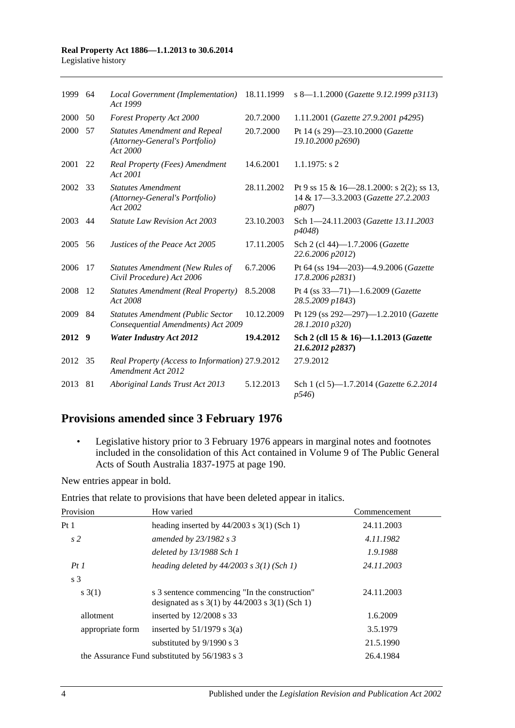#### **Real Property Act 1886—1.1.2013 to 30.6.2014** Legislative history

| 1999 64 |     | Local Government (Implementation)<br>Act 1999                                      | 18.11.1999 | s 8-1.1.2000 (Gazette 9.12.1999 p3113)                                                            |
|---------|-----|------------------------------------------------------------------------------------|------------|---------------------------------------------------------------------------------------------------|
| 2000    | 50  | <b>Forest Property Act 2000</b>                                                    | 20.7.2000  | 1.11.2001 (Gazette 27.9.2001 p4295)                                                               |
| 2000    | 57  | <b>Statutes Amendment and Repeal</b><br>(Attorney-General's Portfolio)<br>Act 2000 | 20.7.2000  | Pt 14 (s 29)-23.10.2000 (Gazette<br>19.10.2000 p2690)                                             |
| 2001    | 22  | Real Property (Fees) Amendment<br>Act 2001                                         | 14.6.2001  | $1.1.1975$ : s 2                                                                                  |
| 2002 33 |     | <b>Statutes Amendment</b><br>(Attorney-General's Portfolio)<br>Act 2002            | 28.11.2002 | Pt 9 ss 15 & 16-28.1.2000: s 2(2); ss 13,<br>14 & 17-3.3.2003 (Gazette 27.2.2003<br><i>p807</i> ) |
| 2003    | 44  | <b>Statute Law Revision Act 2003</b>                                               | 23.10.2003 | Sch 1-24.11.2003 (Gazette 13.11.2003<br>p4048)                                                    |
| 2005    | 56  | Justices of the Peace Act 2005                                                     | 17.11.2005 | Sch 2 (cl 44)-1.7.2006 (Gazette<br>22.6.2006 p2012)                                               |
| 2006    | 17  | <b>Statutes Amendment (New Rules of</b><br>Civil Procedure) Act 2006               | 6.7.2006   | Pt 64 (ss 194-203)-4.9.2006 (Gazette<br>17.8.2006 p2831)                                          |
| 2008    | -12 | <b>Statutes Amendment (Real Property)</b><br>Act 2008                              | 8.5.2008   | Pt 4 (ss 33-71)-1.6.2009 (Gazette<br>28.5.2009 p1843)                                             |
| 2009    | 84  | <b>Statutes Amendment (Public Sector</b><br>Consequential Amendments) Act 2009     | 10.12.2009 | Pt 129 (ss 292-297)-1.2.2010 (Gazette<br>28.1.2010 p320)                                          |
| 2012    | 9   | <b>Water Industry Act 2012</b>                                                     | 19.4.2012  | Sch 2 (cll 15 & 16)-1.1.2013 (Gazette<br>21.6.2012 p2837)                                         |
| 2012 35 |     | Real Property (Access to Information) 27.9.2012<br>Amendment Act 2012              |            | 27.9.2012                                                                                         |
| 2013    | 81  | Aboriginal Lands Trust Act 2013                                                    | 5.12.2013  | Sch 1 (cl 5)-1.7.2014 (Gazette 6.2.2014<br>p546)                                                  |

## **Provisions amended since 3 February 1976**

• Legislative history prior to 3 February 1976 appears in marginal notes and footnotes included in the consolidation of this Act contained in Volume 9 of The Public General Acts of South Australia 1837-1975 at page 190.

New entries appear in bold.

| Provision        | How varied                                                                                                                           | Commencement |
|------------------|--------------------------------------------------------------------------------------------------------------------------------------|--------------|
| Pt 1             | heading inserted by $44/2003$ s 3(1) (Sch 1)                                                                                         | 24.11.2003   |
| s <sub>2</sub>   | amended by 23/1982 s 3                                                                                                               | 4.11.1982    |
|                  | deleted by 13/1988 Sch 1                                                                                                             | 1.9.1988     |
| PtI              | heading deleted by $44/2003$ s $3(1)$ (Sch 1)                                                                                        | 24.11.2003   |
| s 3              |                                                                                                                                      |              |
| s(3(1))          | s 3 sentence commencing "In the construction"<br>designated as $s \frac{3(1)}{y} \frac{44}{2003} \frac{s \frac{3(1)}{5}}{h}$ (Sch 1) | 24.11.2003   |
| allotment        | inserted by $12/2008$ s 33                                                                                                           | 1.6.2009     |
| appropriate form | inserted by $51/1979$ s $3(a)$                                                                                                       | 3.5.1979     |
|                  | substituted by $9/1990$ s 3                                                                                                          | 21.5.1990    |
|                  | the Assurance Fund substituted by 56/1983 s 3                                                                                        | 26.4.1984    |

Entries that relate to provisions that have been deleted appear in italics.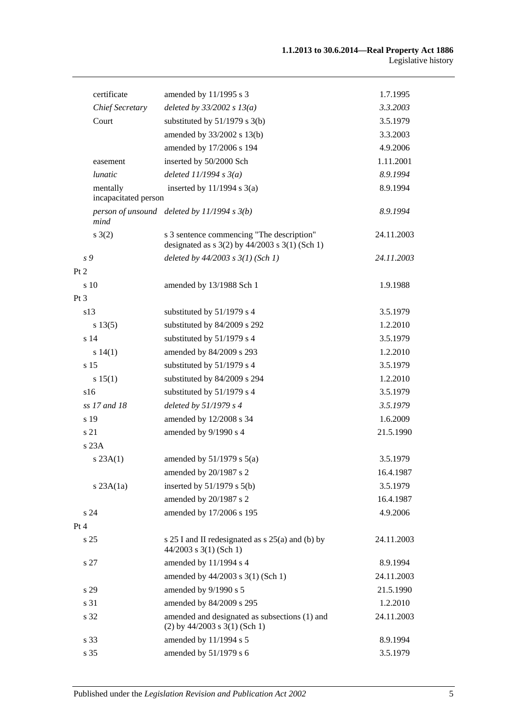| certificate                      | amended by 11/1995 s 3                                                                          | 1.7.1995   |
|----------------------------------|-------------------------------------------------------------------------------------------------|------------|
| <b>Chief Secretary</b>           | deleted by $33/2002 s 13(a)$                                                                    | 3.3.2003   |
| Court                            | substituted by $51/1979$ s 3(b)                                                                 | 3.5.1979   |
|                                  | amended by 33/2002 s 13(b)                                                                      | 3.3.2003   |
|                                  | amended by 17/2006 s 194                                                                        | 4.9.2006   |
| easement                         | inserted by 50/2000 Sch                                                                         | 1.11.2001  |
| lunatic                          | deleted $11/1994 s 3(a)$                                                                        | 8.9.1994   |
| mentally<br>incapacitated person | inserted by $11/1994$ s $3(a)$                                                                  | 8.9.1994   |
| mind                             | person of unsound deleted by $11/1994 s 3(b)$                                                   | 8.9.1994   |
| s(2)                             | s 3 sentence commencing "The description"<br>designated as $s$ 3(2) by 44/2003 $s$ 3(1) (Sch 1) | 24.11.2003 |
| s 9                              | deleted by $44/2003$ s $3(1)$ (Sch 1)                                                           | 24.11.2003 |
| Pt 2                             |                                                                                                 |            |
| s 10                             | amended by 13/1988 Sch 1                                                                        | 1.9.1988   |
| Pt <sub>3</sub>                  |                                                                                                 |            |
| s13                              | substituted by 51/1979 s 4                                                                      | 3.5.1979   |
| s 13(5)                          | substituted by 84/2009 s 292                                                                    | 1.2.2010   |
| s 14                             | substituted by 51/1979 s 4                                                                      | 3.5.1979   |
| s 14(1)                          | amended by 84/2009 s 293                                                                        | 1.2.2010   |
| s 15                             | substituted by 51/1979 s 4                                                                      | 3.5.1979   |
| s 15(1)                          | substituted by 84/2009 s 294                                                                    | 1.2.2010   |
| s16                              | substituted by 51/1979 s 4                                                                      | 3.5.1979   |
| ss 17 and 18                     | deleted by $51/1979 s 4$                                                                        | 3.5.1979   |
| s 19                             | amended by 12/2008 s 34                                                                         | 1.6.2009   |
| s 21                             | amended by 9/1990 s 4                                                                           | 21.5.1990  |
| s 23A                            |                                                                                                 |            |
| s 23A(1)                         | amended by $51/1979$ s $5(a)$                                                                   | 3.5.1979   |
|                                  | amended by 20/1987 s 2                                                                          | 16.4.1987  |
| $s$ 23A $(1a)$                   | inserted by $51/1979$ s $5(b)$                                                                  | 3.5.1979   |
|                                  | amended by 20/1987 s 2                                                                          | 16.4.1987  |
| s 24                             | amended by 17/2006 s 195                                                                        | 4.9.2006   |
| Pt 4                             |                                                                                                 |            |
| s <sub>25</sub>                  | s 25 I and II redesignated as s 25(a) and (b) by<br>$44/2003$ s 3(1) (Sch 1)                    | 24.11.2003 |
| s 27                             | amended by 11/1994 s 4                                                                          | 8.9.1994   |
|                                  | amended by 44/2003 s 3(1) (Sch 1)                                                               | 24.11.2003 |
| s 29                             | amended by 9/1990 s 5                                                                           | 21.5.1990  |
| s 31                             | amended by 84/2009 s 295                                                                        | 1.2.2010   |
| s 32                             | amended and designated as subsections (1) and<br>$(2)$ by 44/2003 s 3(1) (Sch 1)                | 24.11.2003 |
| s 33                             | amended by 11/1994 s 5                                                                          | 8.9.1994   |
| s 35                             | amended by 51/1979 s 6                                                                          | 3.5.1979   |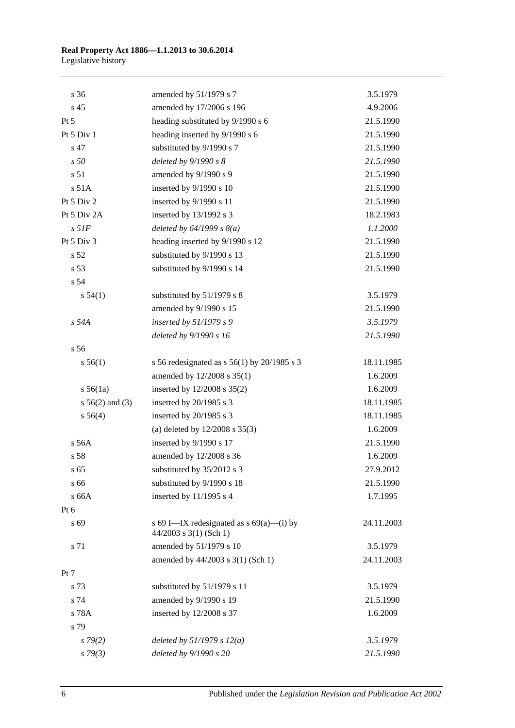#### **Real Property Act 1886—1.1.2013 to 30.6.2014** Legislative history

| s 36               | amended by 51/1979 s 7                                                 | 3.5.1979   |
|--------------------|------------------------------------------------------------------------|------------|
| s 45               | amended by 17/2006 s 196                                               | 4.9.2006   |
| $Pt\,5$            | heading substituted by 9/1990 s 6                                      | 21.5.1990  |
| Pt 5 Div 1         | heading inserted by 9/1990 s 6                                         | 21.5.1990  |
| s 47               | substituted by 9/1990 s 7                                              | 21.5.1990  |
| s50                | deleted by $9/1990 s 8$                                                | 21.5.1990  |
| s 51               | amended by 9/1990 s 9                                                  | 21.5.1990  |
| s 51A              | inserted by 9/1990 s 10                                                | 21.5.1990  |
| Pt 5 Div 2         | inserted by 9/1990 s 11                                                | 21.5.1990  |
| Pt 5 Div 2A        | inserted by 13/1992 s 3                                                | 18.2.1983  |
| $s$ 51 $F$         | deleted by $64/1999 s 8(a)$                                            | 1.1.2000   |
| Pt 5 Div 3         | heading inserted by 9/1990 s 12                                        | 21.5.1990  |
| s 52               | substituted by 9/1990 s 13                                             | 21.5.1990  |
| s 53               | substituted by 9/1990 s 14                                             | 21.5.1990  |
| s 54               |                                                                        |            |
| s 54(1)            | substituted by 51/1979 s 8                                             | 3.5.1979   |
|                    | amended by 9/1990 s 15                                                 | 21.5.1990  |
| s 54A              | inserted by $51/1979 s 9$                                              | 3.5.1979   |
|                    | deleted by 9/1990 s 16                                                 | 21.5.1990  |
| s 56               |                                                                        |            |
| s 56(1)            | s 56 redesignated as s $56(1)$ by $20/1985$ s 3                        | 18.11.1985 |
|                    | amended by 12/2008 s 35(1)                                             | 1.6.2009   |
| $s\,56(1a)$        | inserted by $12/2008$ s $35(2)$                                        | 1.6.2009   |
| $s\,56(2)$ and (3) | inserted by 20/1985 s 3                                                | 18.11.1985 |
| s 56(4)            | inserted by 20/1985 s 3                                                | 18.11.1985 |
|                    | (a) deleted by $12/2008$ s $35(3)$                                     | 1.6.2009   |
| s 56A              | inserted by 9/1990 s 17                                                | 21.5.1990  |
| s 58               | amended by 12/2008 s 36                                                | 1.6.2009   |
| s 65               | substituted by 35/2012 s 3                                             | 27.9.2012  |
| s 66               | substituted by 9/1990 s 18                                             | 21.5.1990  |
| s 66A              | inserted by $11/1995$ s 4                                              | 1.7.1995   |
| Pt 6               |                                                                        |            |
| s 69               | s 69 I—IX redesignated as $s$ 69(a)—(i) by<br>$44/2003$ s 3(1) (Sch 1) | 24.11.2003 |
| s 71               | amended by 51/1979 s 10                                                | 3.5.1979   |
|                    | amended by 44/2003 s 3(1) (Sch 1)                                      | 24.11.2003 |
| Pt 7               |                                                                        |            |
| s 73               | substituted by 51/1979 s 11                                            | 3.5.1979   |
| s 74               | amended by 9/1990 s 19                                                 | 21.5.1990  |
| s 78A              | inserted by 12/2008 s 37                                               | 1.6.2009   |
| s 79               |                                                                        |            |
| $s\,79(2)$         | deleted by $51/1979 s 12(a)$                                           | 3.5.1979   |
| $s \, 79(3)$       | deleted by 9/1990 s 20                                                 | 21.5.1990  |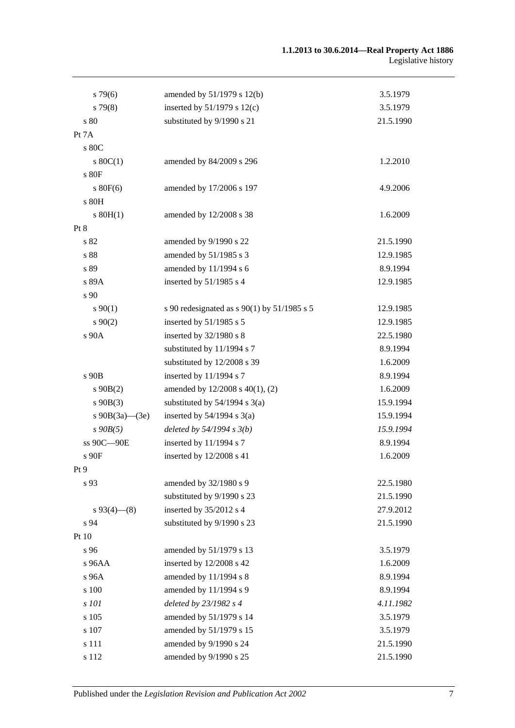## **1.1.2013 to 30.6.2014—Real Property Act 1886** Legislative history

| $s\,79(6)$        | amended by $51/1979$ s $12(b)$              | 3.5.1979  |
|-------------------|---------------------------------------------|-----------|
| $s\,79(8)$        | inserted by $51/1979$ s $12(c)$             | 3.5.1979  |
| s 80              | substituted by 9/1990 s 21                  | 21.5.1990 |
| Pt 7A             |                                             |           |
| s 80C             |                                             |           |
| $s \ 80C(1)$      | amended by 84/2009 s 296                    | 1.2.2010  |
| s 80F             |                                             |           |
| $s$ 80 $F(6)$     | amended by 17/2006 s 197                    | 4.9.2006  |
| s 80H             |                                             |           |
| $s$ 80H(1)        | amended by 12/2008 s 38                     | 1.6.2009  |
| Pt 8              |                                             |           |
| s 82              | amended by 9/1990 s 22                      | 21.5.1990 |
| s 88              | amended by 51/1985 s 3                      | 12.9.1985 |
| s 89              | amended by 11/1994 s 6                      | 8.9.1994  |
| s 89A             | inserted by $51/1985$ s 4                   | 12.9.1985 |
| s 90              |                                             |           |
| $s\,90(1)$        | s 90 redesignated as s 90(1) by 51/1985 s 5 | 12.9.1985 |
| $s\,90(2)$        | inserted by 51/1985 s 5                     | 12.9.1985 |
| s 90A             | inserted by 32/1980 s 8                     | 22.5.1980 |
|                   | substituted by 11/1994 s 7                  | 8.9.1994  |
|                   | substituted by 12/2008 s 39                 | 1.6.2009  |
| s 90B             | inserted by 11/1994 s 7                     | 8.9.1994  |
| $s\ 90B(2)$       | amended by 12/2008 s 40(1), (2)             | 1.6.2009  |
| $s\ 90B(3)$       | substituted by $54/1994$ s $3(a)$           | 15.9.1994 |
| s $90B(3a)$ —(3e) | inserted by $54/1994$ s $3(a)$              | 15.9.1994 |
| $s\,90B(5)$       | deleted by $54/1994 s 3(b)$                 | 15.9.1994 |
| ss 90C-90E        | inserted by 11/1994 s 7                     | 8.9.1994  |
| s 90F             | inserted by 12/2008 s 41                    | 1.6.2009  |
| Pt 9              |                                             |           |
| s 93              | amended by 32/1980 s 9                      | 22.5.1980 |
|                   | substituted by 9/1990 s 23                  | 21.5.1990 |
| $s\,93(4)$ (8)    | inserted by 35/2012 s 4                     | 27.9.2012 |
| s 94              | substituted by 9/1990 s 23                  | 21.5.1990 |
| Pt 10             |                                             |           |
| s 96              | amended by 51/1979 s 13                     | 3.5.1979  |
| s 96AA            | inserted by 12/2008 s 42                    | 1.6.2009  |
| s 96A             | amended by 11/1994 s 8                      | 8.9.1994  |
| s 100             | amended by 11/1994 s 9                      | 8.9.1994  |
| s 101             | deleted by 23/1982 s 4                      | 4.11.1982 |
| s 105             | amended by 51/1979 s 14                     | 3.5.1979  |
| s 107             | amended by 51/1979 s 15                     | 3.5.1979  |
| s 111             | amended by 9/1990 s 24                      | 21.5.1990 |
| s 112             | amended by 9/1990 s 25                      | 21.5.1990 |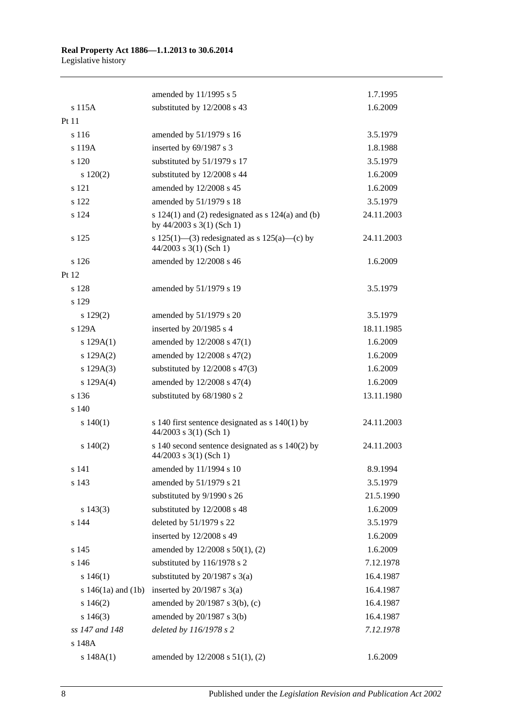|                        | amended by 11/1995 s 5                                                                 | 1.7.1995   |
|------------------------|----------------------------------------------------------------------------------------|------------|
| s 115A                 | substituted by 12/2008 s 43                                                            | 1.6.2009   |
| Pt 11                  |                                                                                        |            |
| s 116                  | amended by 51/1979 s 16                                                                | 3.5.1979   |
| s 119A                 | inserted by 69/1987 s 3                                                                | 1.8.1988   |
| s 120                  | substituted by 51/1979 s 17                                                            | 3.5.1979   |
| 120(2)                 | substituted by 12/2008 s 44                                                            | 1.6.2009   |
| s 121                  | amended by 12/2008 s 45                                                                | 1.6.2009   |
| s 122                  | amended by 51/1979 s 18                                                                | 3.5.1979   |
| s 124                  | s $124(1)$ and (2) redesignated as s $124(a)$ and (b)<br>by $44/2003$ s $3(1)$ (Sch 1) | 24.11.2003 |
| s 125                  | s 125(1)—(3) redesignated as s 125(a)—(c) by<br>$44/2003$ s 3(1) (Sch 1)               | 24.11.2003 |
| s 126                  | amended by 12/2008 s 46                                                                | 1.6.2009   |
| Pt 12                  |                                                                                        |            |
| s 128                  | amended by 51/1979 s 19                                                                | 3.5.1979   |
| s 129                  |                                                                                        |            |
| $s\ 129(2)$            | amended by 51/1979 s 20                                                                | 3.5.1979   |
| s 129A                 | inserted by 20/1985 s 4                                                                | 18.11.1985 |
| s $129A(1)$            | amended by 12/2008 s 47(1)                                                             | 1.6.2009   |
| s 129A(2)              | amended by 12/2008 s 47(2)                                                             | 1.6.2009   |
| s 129A(3)              | substituted by $12/2008$ s $47(3)$                                                     | 1.6.2009   |
| s 129A(4)              | amended by 12/2008 s 47(4)                                                             | 1.6.2009   |
| s 136                  | substituted by 68/1980 s 2                                                             | 13.11.1980 |
| s 140                  |                                                                                        |            |
| 140(1)                 | s 140 first sentence designated as $s$ 140(1) by<br>$44/2003$ s 3(1) (Sch 1)           | 24.11.2003 |
| $s\ 140(2)$            | s 140 second sentence designated as $s$ 140(2) by<br>$44/2003$ s 3(1) (Sch 1)          | 24.11.2003 |
| s 141                  | amended by 11/1994 s 10                                                                | 8.9.1994   |
| s 143                  | amended by 51/1979 s 21                                                                | 3.5.1979   |
|                        | substituted by 9/1990 s 26                                                             | 21.5.1990  |
| $s\ 143(3)$            | substituted by 12/2008 s 48                                                            | 1.6.2009   |
| s 144                  | deleted by 51/1979 s 22                                                                | 3.5.1979   |
|                        | inserted by 12/2008 s 49                                                               | 1.6.2009   |
| s 145                  | amended by 12/2008 s 50(1), (2)                                                        | 1.6.2009   |
| s 146                  | substituted by 116/1978 s 2                                                            | 7.12.1978  |
| s 146(1)               | substituted by $20/1987$ s $3(a)$                                                      | 16.4.1987  |
| s $146(1a)$ and $(1b)$ | inserted by $20/1987$ s $3(a)$                                                         | 16.4.1987  |
| $s\ 146(2)$            | amended by 20/1987 s 3(b), (c)                                                         | 16.4.1987  |
| $s\ 146(3)$            | amended by 20/1987 s 3(b)                                                              | 16.4.1987  |
| ss 147 and 148         | deleted by 116/1978 s 2                                                                | 7.12.1978  |
| s 148A                 |                                                                                        |            |
| s 148A(1)              | amended by 12/2008 s 51(1), (2)                                                        | 1.6.2009   |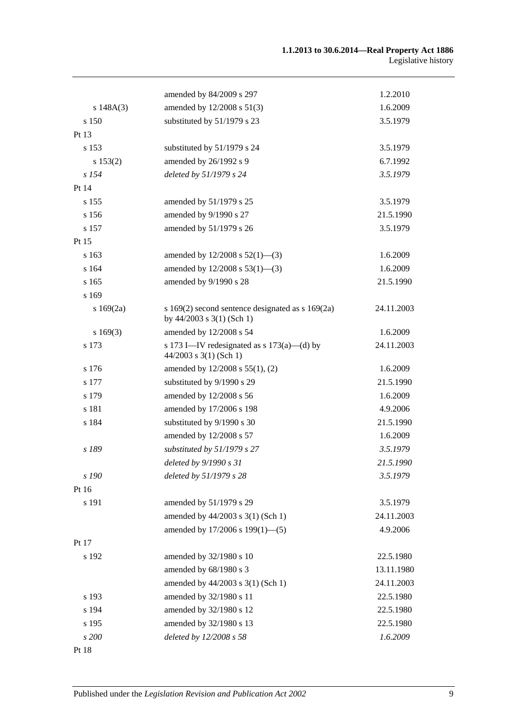|                     | amended by 84/2009 s 297                                                              | 1.2.2010   |
|---------------------|---------------------------------------------------------------------------------------|------------|
| s $148A(3)$         | amended by 12/2008 s 51(3)                                                            | 1.6.2009   |
| s 150               | substituted by 51/1979 s 23                                                           | 3.5.1979   |
| Pt 13               |                                                                                       |            |
| s 153               | substituted by 51/1979 s 24                                                           | 3.5.1979   |
|                     | amended by 26/1992 s 9                                                                | 6.7.1992   |
| s 153(2)<br>$s$ 154 | deleted by 51/1979 s 24                                                               | 3.5.1979   |
| Pt 14               |                                                                                       |            |
| s 155               | amended by 51/1979 s 25                                                               | 3.5.1979   |
|                     |                                                                                       |            |
| s 156<br>s 157      | amended by 9/1990 s 27                                                                | 21.5.1990  |
|                     | amended by 51/1979 s 26                                                               | 3.5.1979   |
| Pt 15               |                                                                                       |            |
| s 163               | amended by $12/2008$ s $52(1)$ —(3)                                                   | 1.6.2009   |
| s 164               | amended by $12/2008$ s $53(1)$ —(3)                                                   | 1.6.2009   |
| s 165               | amended by 9/1990 s 28                                                                | 21.5.1990  |
| s 169               |                                                                                       |            |
| s169(2a)            | s $169(2)$ second sentence designated as s $169(2a)$<br>by $44/2003$ s $3(1)$ (Sch 1) | 24.11.2003 |
| s169(3)             | amended by 12/2008 s 54                                                               | 1.6.2009   |
| s 173               | s 173 I—IV redesignated as s $173(a)$ —(d) by<br>$44/2003$ s 3(1) (Sch 1)             | 24.11.2003 |
| s 176               | amended by $12/2008$ s $55(1)$ , (2)                                                  | 1.6.2009   |
| s 177               | substituted by 9/1990 s 29                                                            | 21.5.1990  |
| s 179               | amended by 12/2008 s 56                                                               | 1.6.2009   |
| s 181               | amended by 17/2006 s 198                                                              | 4.9.2006   |
| s 184               | substituted by 9/1990 s 30                                                            | 21.5.1990  |
|                     | amended by 12/2008 s 57                                                               | 1.6.2009   |
| s 189               | substituted by 51/1979 s 27                                                           | 3.5.1979   |
|                     | deleted by 9/1990 s 31                                                                | 21.5.1990  |
| s 190               | deleted by 51/1979 s 28                                                               | 3.5.1979   |
| Pt 16               |                                                                                       |            |
| s 191               | amended by 51/1979 s 29                                                               | 3.5.1979   |
|                     | amended by 44/2003 s 3(1) (Sch 1)                                                     | 24.11.2003 |
|                     | amended by 17/2006 s 199(1)-(5)                                                       | 4.9.2006   |
| Pt 17               |                                                                                       |            |
| s 192               | amended by 32/1980 s 10                                                               | 22.5.1980  |
|                     | amended by 68/1980 s 3                                                                | 13.11.1980 |
|                     | amended by 44/2003 s 3(1) (Sch 1)                                                     | 24.11.2003 |
| s 193               | amended by 32/1980 s 11                                                               | 22.5.1980  |
| s 194               | amended by 32/1980 s 12                                                               | 22.5.1980  |
| s 195               | amended by 32/1980 s 13                                                               | 22.5.1980  |
| s 200               | deleted by 12/2008 s 58                                                               | 1.6.2009   |
| Pt 18               |                                                                                       |            |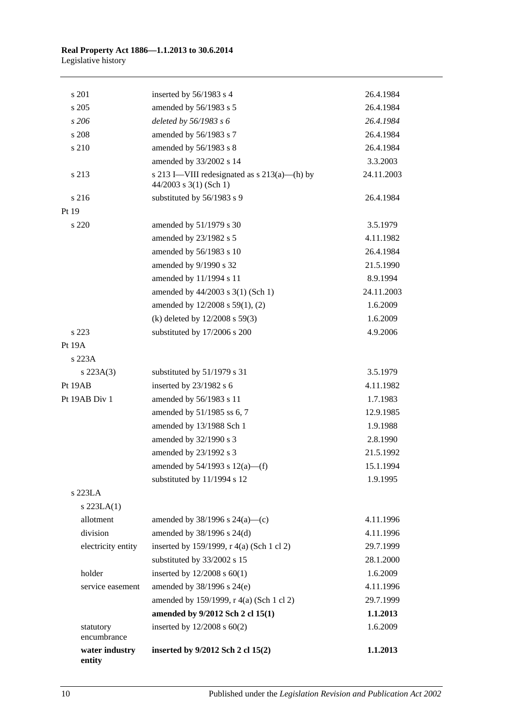| s 201                    | inserted by 56/1983 s 4                                                    | 26.4.1984  |
|--------------------------|----------------------------------------------------------------------------|------------|
| s 205                    | amended by 56/1983 s 5                                                     | 26.4.1984  |
| s206                     | deleted by 56/1983 s 6                                                     | 26.4.1984  |
| s 208                    | amended by 56/1983 s 7                                                     | 26.4.1984  |
| s 210                    | amended by 56/1983 s 8                                                     | 26.4.1984  |
|                          | amended by 33/2002 s 14                                                    | 3.3.2003   |
| s 213                    | s 213 I—VIII redesignated as $s$ 213(a)—(h) by<br>$44/2003$ s 3(1) (Sch 1) | 24.11.2003 |
| s 216                    | substituted by 56/1983 s 9                                                 | 26.4.1984  |
| Pt 19                    |                                                                            |            |
| s 220                    | amended by 51/1979 s 30                                                    | 3.5.1979   |
|                          | amended by 23/1982 s 5                                                     | 4.11.1982  |
|                          | amended by 56/1983 s 10                                                    | 26.4.1984  |
|                          | amended by 9/1990 s 32                                                     | 21.5.1990  |
|                          | amended by 11/1994 s 11                                                    | 8.9.1994   |
|                          | amended by 44/2003 s 3(1) (Sch 1)                                          | 24.11.2003 |
|                          | amended by 12/2008 s 59(1), (2)                                            | 1.6.2009   |
|                          | (k) deleted by $12/2008$ s 59(3)                                           | 1.6.2009   |
| s 223                    | substituted by 17/2006 s 200                                               | 4.9.2006   |
| Pt 19A                   |                                                                            |            |
| s 223A                   |                                                                            |            |
| $s\,223A(3)$             | substituted by 51/1979 s 31                                                | 3.5.1979   |
| Pt 19AB                  | inserted by 23/1982 s 6                                                    | 4.11.1982  |
| Pt 19AB Div 1            | amended by 56/1983 s 11                                                    | 1.7.1983   |
|                          | amended by 51/1985 ss 6, 7                                                 | 12.9.1985  |
|                          | amended by 13/1988 Sch 1                                                   | 1.9.1988   |
|                          | amended by 32/1990 s 3                                                     | 2.8.1990   |
|                          | amended by 23/1992 s 3                                                     | 21.5.1992  |
|                          | amended by $54/1993$ s $12(a)$ —(f)                                        | 15.1.1994  |
|                          | substituted by 11/1994 s 12                                                | 1.9.1995   |
| s 223LA                  |                                                                            |            |
| $s$ 223LA $(1)$          |                                                                            |            |
| allotment                | amended by $38/1996$ s $24(a)$ —(c)                                        | 4.11.1996  |
| division                 | amended by 38/1996 s 24(d)                                                 | 4.11.1996  |
| electricity entity       | inserted by 159/1999, r 4(a) (Sch 1 cl 2)                                  | 29.7.1999  |
|                          | substituted by 33/2002 s 15                                                | 28.1.2000  |
| holder                   | inserted by $12/2008$ s $60(1)$                                            | 1.6.2009   |
| service easement         | amended by 38/1996 s 24(e)                                                 | 4.11.1996  |
|                          | amended by 159/1999, r 4(a) (Sch 1 cl 2)                                   | 29.7.1999  |
|                          | amended by 9/2012 Sch 2 cl 15(1)                                           | 1.1.2013   |
| statutory<br>encumbrance | inserted by $12/2008$ s $60(2)$                                            | 1.6.2009   |
| water industry<br>entity | inserted by 9/2012 Sch 2 cl 15(2)                                          | 1.1.2013   |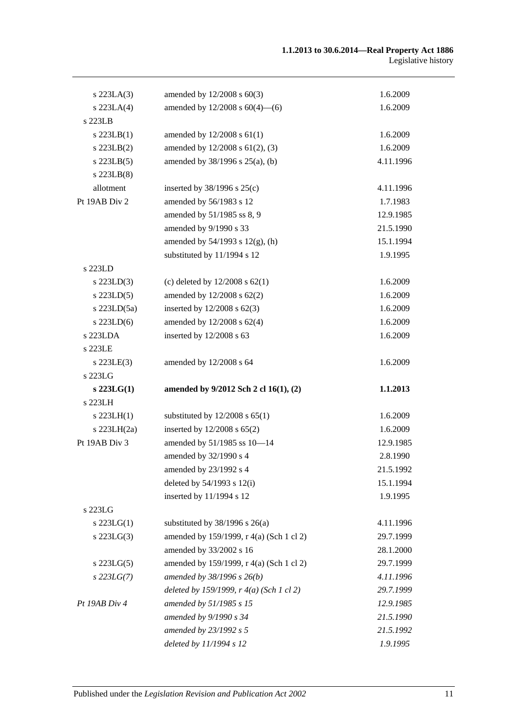| $s$ 223LA $(3)$ | amended by 12/2008 s 60(3)                       | 1.6.2009  |
|-----------------|--------------------------------------------------|-----------|
| $s$ 223LA $(4)$ | amended by $12/2008$ s $60(4)$ —(6)              | 1.6.2009  |
| s 223LB         |                                                  |           |
| $s$ 223LB $(1)$ | amended by $12/2008$ s $61(1)$                   | 1.6.2009  |
| $s$ 223LB $(2)$ | amended by 12/2008 s 61(2), (3)                  | 1.6.2009  |
| $s$ 223LB $(5)$ | amended by 38/1996 s 25(a), (b)                  | 4.11.1996 |
| s 223LB(8)      |                                                  |           |
| allotment       | inserted by $38/1996$ s $25(c)$                  | 4.11.1996 |
| Pt 19AB Div 2   | amended by 56/1983 s 12                          | 1.7.1983  |
|                 | amended by 51/1985 ss 8, 9                       | 12.9.1985 |
|                 | amended by 9/1990 s 33                           | 21.5.1990 |
|                 | amended by $54/1993$ s $12(g)$ , (h)             | 15.1.1994 |
|                 | substituted by 11/1994 s 12                      | 1.9.1995  |
| s 223LD         |                                                  |           |
| $s$ 223LD $(3)$ | (c) deleted by $12/2008$ s $62(1)$               | 1.6.2009  |
| $s$ 223LD $(5)$ | amended by 12/2008 s 62(2)                       | 1.6.2009  |
| s 223LD(5a)     | inserted by $12/2008$ s $62(3)$                  | 1.6.2009  |
| $s$ 223LD(6)    | amended by 12/2008 s 62(4)                       | 1.6.2009  |
| s 223LDA        | inserted by 12/2008 s 63                         | 1.6.2009  |
| s 223LE         |                                                  |           |
| $s$ 223LE $(3)$ | amended by 12/2008 s 64                          | 1.6.2009  |
| s 223LG         |                                                  |           |
| $s$ 223LG(1)    | amended by 9/2012 Sch 2 cl 16(1), (2)            | 1.1.2013  |
| s 223LH         |                                                  |           |
| $s$ 223LH $(1)$ | substituted by $12/2008$ s $65(1)$               | 1.6.2009  |
| s 223LH(2a)     | inserted by $12/2008$ s $65(2)$                  | 1.6.2009  |
| Pt 19AB Div 3   | amended by 51/1985 ss 10-14                      | 12.9.1985 |
|                 | amended by 32/1990 s 4                           | 2.8.1990  |
|                 | amended by 23/1992 s 4                           | 21.5.1992 |
|                 | deleted by $54/1993$ s $12(i)$                   | 15.1.1994 |
|                 | inserted by 11/1994 s 12                         | 1.9.1995  |
| s 223LG         |                                                  |           |
| $s$ 223LG(1)    | substituted by $38/1996$ s $26(a)$               | 4.11.1996 |
| s 223LG(3)      | amended by 159/1999, r 4(a) (Sch 1 cl 2)         | 29.7.1999 |
|                 | amended by 33/2002 s 16                          | 28.1.2000 |
| $s$ 223LG $(5)$ | amended by 159/1999, r 4(a) (Sch 1 cl 2)         | 29.7.1999 |
| $s$ 223LG(7)    | amended by $38/1996 s 26(b)$                     | 4.11.1996 |
|                 | deleted by 159/1999, $r \cdot 4(a)$ (Sch 1 cl 2) | 29.7.1999 |
| Pt 19AB Div 4   | amended by 51/1985 s 15                          | 12.9.1985 |
|                 | amended by 9/1990 s 34                           | 21.5.1990 |
|                 | amended by 23/1992 s 5                           | 21.5.1992 |
|                 | deleted by 11/1994 s 12                          | 1.9.1995  |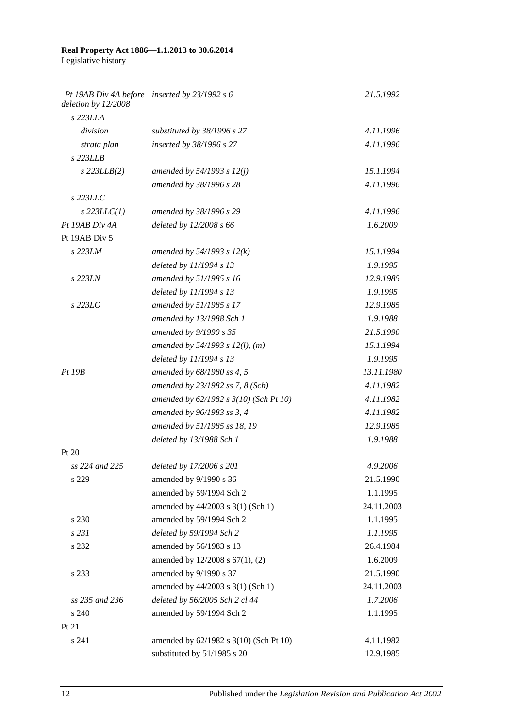| deletion by 12/2008 | Pt 19AB Div 4A before inserted by 23/1992 s 6 | 21.5.1992  |
|---------------------|-----------------------------------------------|------------|
| s 223LLA            |                                               |            |
| division            | substituted by 38/1996 s 27                   | 4.11.1996  |
| strata plan         | inserted by 38/1996 s 27                      | 4.11.1996  |
| $s$ 223LLB          |                                               |            |
| $s$ 223LLB(2)       | amended by 54/1993 s 12(j)                    | 15.1.1994  |
|                     | amended by 38/1996 s 28                       | 4.11.1996  |
| s 223LLC            |                                               |            |
| $s$ 223LLC(1)       | amended by 38/1996 s 29                       | 4.11.1996  |
| Pt 19AB Div 4A      | deleted by 12/2008 s 66                       | 1.6.2009   |
| Pt 19AB Div 5       |                                               |            |
| s 223LM             | amended by $54/1993$ s $12(k)$                | 15.1.1994  |
|                     | deleted by 11/1994 s 13                       | 1.9.1995   |
| s 223LN             | amended by 51/1985 s 16                       | 12.9.1985  |
|                     | deleted by 11/1994 s 13                       | 1.9.1995   |
| $s$ 223LO           | amended by 51/1985 s 17                       | 12.9.1985  |
|                     | amended by 13/1988 Sch 1                      | 1.9.1988   |
|                     | amended by 9/1990 s 35                        | 21.5.1990  |
|                     | amended by $54/1993$ s $12(l)$ , (m)          | 15.1.1994  |
|                     | deleted by 11/1994 s 13                       | 1.9.1995   |
| Pt~19B              | amended by 68/1980 ss 4, 5                    | 13.11.1980 |
|                     | amended by 23/1982 ss 7, 8 (Sch)              | 4.11.1982  |
|                     | amended by 62/1982 s 3(10) (Sch Pt 10)        | 4.11.1982  |
|                     | amended by 96/1983 ss 3, 4                    | 4.11.1982  |
|                     | amended by 51/1985 ss 18, 19                  | 12.9.1985  |
|                     | deleted by 13/1988 Sch 1                      | 1.9.1988   |
| Pt 20               |                                               |            |
| ss 224 and 225      | deleted by 17/2006 s 201                      | 4.9.2006   |
| s 229               | amended by 9/1990 s 36                        | 21.5.1990  |
|                     | amended by 59/1994 Sch 2                      | 1.1.1995   |
|                     | amended by 44/2003 s 3(1) (Sch 1)             | 24.11.2003 |
| s 230               | amended by 59/1994 Sch 2                      | 1.1.1995   |
| s 231               | deleted by 59/1994 Sch 2                      | 1.1.1995   |
| s 232               | amended by 56/1983 s 13                       | 26.4.1984  |
|                     | amended by 12/2008 s 67(1), (2)               | 1.6.2009   |
| s 233               | amended by 9/1990 s 37                        | 21.5.1990  |
|                     | amended by 44/2003 s 3(1) (Sch 1)             | 24.11.2003 |
| ss 235 and 236      | deleted by 56/2005 Sch 2 cl 44                | 1.7.2006   |
| s 240               | amended by 59/1994 Sch 2                      | 1.1.1995   |
| Pt 21               |                                               |            |
| s 241               | amended by 62/1982 s 3(10) (Sch Pt 10)        | 4.11.1982  |
|                     | substituted by 51/1985 s 20                   | 12.9.1985  |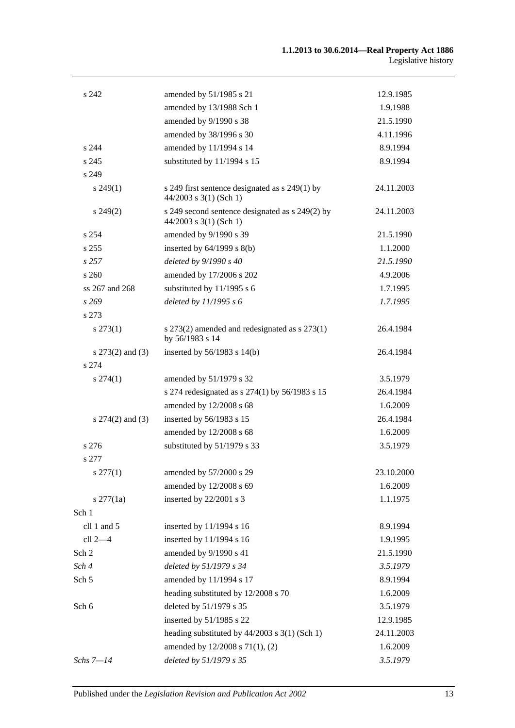| s 242                | amended by 51/1985 s 21                                                     | 12.9.1985  |
|----------------------|-----------------------------------------------------------------------------|------------|
|                      | amended by 13/1988 Sch 1                                                    | 1.9.1988   |
|                      | amended by 9/1990 s 38                                                      | 21.5.1990  |
|                      | amended by 38/1996 s 30                                                     | 4.11.1996  |
| s 244                | amended by 11/1994 s 14                                                     | 8.9.1994   |
| s 245                | substituted by 11/1994 s 15                                                 | 8.9.1994   |
| s 249                |                                                                             |            |
| $s\,249(1)$          | s 249 first sentence designated as s 249(1) by<br>44/2003 s 3(1) (Sch 1)    | 24.11.2003 |
| $s\,249(2)$          | s 249 second sentence designated as s 249(2) by<br>$44/2003$ s 3(1) (Sch 1) | 24.11.2003 |
| s 254                | amended by 9/1990 s 39                                                      | 21.5.1990  |
| s 255                | inserted by $64/1999$ s $8(b)$                                              | 1.1.2000   |
| s257                 | deleted by 9/1990 s 40                                                      | 21.5.1990  |
| s260                 | amended by 17/2006 s 202                                                    | 4.9.2006   |
| ss 267 and 268       | substituted by 11/1995 s 6                                                  | 1.7.1995   |
| s269                 | deleted by 11/1995 s 6                                                      | 1.7.1995   |
| s 273                |                                                                             |            |
| $s\,273(1)$          | s 273(2) amended and redesignated as s 273(1)<br>by 56/1983 s 14            | 26.4.1984  |
| s $273(2)$ and $(3)$ | inserted by $56/1983$ s $14(b)$                                             | 26.4.1984  |
| s 274                |                                                                             |            |
| $s\,274(1)$          | amended by 51/1979 s 32                                                     | 3.5.1979   |
|                      | s 274 redesignated as s 274(1) by 56/1983 s 15                              | 26.4.1984  |
|                      | amended by 12/2008 s 68                                                     | 1.6.2009   |
| $s$ 274(2) and (3)   | inserted by 56/1983 s 15                                                    | 26.4.1984  |
|                      | amended by 12/2008 s 68                                                     | 1.6.2009   |
| s 276                | substituted by 51/1979 s 33                                                 | 3.5.1979   |
| s 277                |                                                                             |            |
| $s \, 277(1)$        | amended by 57/2000 s 29                                                     | 23.10.2000 |
|                      | amended by 12/2008 s 69                                                     | 1.6.2009   |
| $s \frac{277}{1a}$   | inserted by 22/2001 s 3                                                     | 1.1.1975   |
| Sch 1                |                                                                             |            |
| cll 1 and 5          | inserted by 11/1994 s 16                                                    | 8.9.1994   |
| $cll$ 2 $-4$         | inserted by 11/1994 s 16                                                    | 1.9.1995   |
| Sch 2                | amended by 9/1990 s 41                                                      | 21.5.1990  |
| Sch 4                | deleted by 51/1979 s 34                                                     | 3.5.1979   |
| Sch 5                | amended by 11/1994 s 17                                                     | 8.9.1994   |
|                      | heading substituted by 12/2008 s 70                                         | 1.6.2009   |
| Sch 6                | deleted by 51/1979 s 35                                                     | 3.5.1979   |
|                      | inserted by 51/1985 s 22                                                    | 12.9.1985  |
|                      | heading substituted by $44/2003$ s 3(1) (Sch 1)                             | 24.11.2003 |
|                      | amended by 12/2008 s 71(1), (2)                                             | 1.6.2009   |
| $Schs 7 - 14$        | deleted by 51/1979 s 35                                                     | 3.5.1979   |